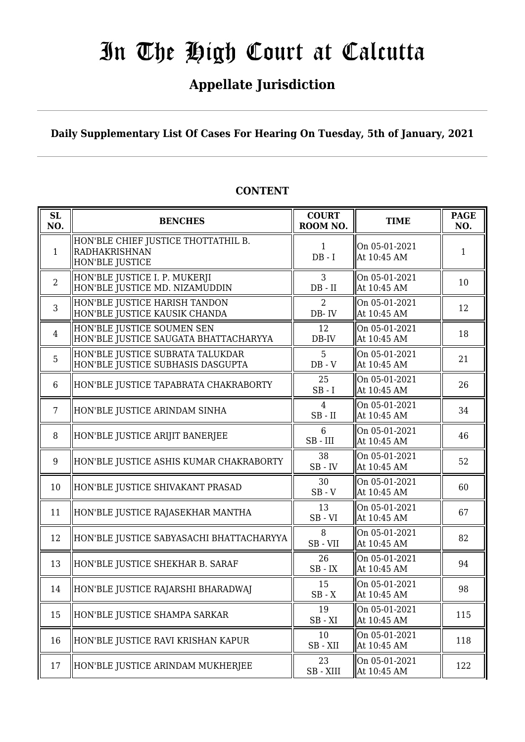# **Appellate Jurisdiction**

**Daily Supplementary List Of Cases For Hearing On Tuesday, 5th of January, 2021**

| <b>SL</b><br>NO. | <b>BENCHES</b>                                                                 | <b>COURT</b><br>ROOM NO. | <b>TIME</b>                  | <b>PAGE</b><br>NO. |
|------------------|--------------------------------------------------------------------------------|--------------------------|------------------------------|--------------------|
| $\mathbf{1}$     | HON'BLE CHIEF JUSTICE THOTTATHIL B.<br><b>RADHAKRISHNAN</b><br>HON'BLE JUSTICE | $\mathbf{1}$<br>$DB - I$ | On 05-01-2021<br>At 10:45 AM | $\mathbf{1}$       |
| $\overline{2}$   | HON'BLE JUSTICE I. P. MUKERJI<br>HON'BLE JUSTICE MD. NIZAMUDDIN                | 3<br>$DB - II$           | On 05-01-2021<br>At 10:45 AM | 10                 |
| 3                | HON'BLE JUSTICE HARISH TANDON<br>HON'BLE JUSTICE KAUSIK CHANDA                 | 2<br>DB-IV               | On 05-01-2021<br>At 10:45 AM | 12                 |
| $\overline{4}$   | HON'BLE JUSTICE SOUMEN SEN<br>HON'BLE JUSTICE SAUGATA BHATTACHARYYA            | 12<br>$DB$ -IV           | On 05-01-2021<br>At 10:45 AM | 18                 |
| 5                | HON'BLE JUSTICE SUBRATA TALUKDAR<br>HON'BLE JUSTICE SUBHASIS DASGUPTA          | 5<br>$DB - V$            | On 05-01-2021<br>At 10:45 AM | 21                 |
| 6                | HON'BLE JUSTICE TAPABRATA CHAKRABORTY                                          | 25<br>$SB-I$             | On 05-01-2021<br>At 10:45 AM | 26                 |
| 7                | HON'BLE JUSTICE ARINDAM SINHA                                                  | 4<br>$SB$ - $II$         | On 05-01-2021<br>At 10:45 AM | 34                 |
| 8                | HON'BLE JUSTICE ARIJIT BANERJEE                                                | 6<br>$SB$ - $III$        | On 05-01-2021<br>At 10:45 AM | 46                 |
| 9                | HON'BLE JUSTICE ASHIS KUMAR CHAKRABORTY                                        | 38<br>$SB$ - $IV$        | On 05-01-2021<br>At 10:45 AM | 52                 |
| 10               | HON'BLE JUSTICE SHIVAKANT PRASAD                                               | 30<br>$SB - V$           | On 05-01-2021<br>At 10:45 AM | 60                 |
| 11               | HON'BLE JUSTICE RAJASEKHAR MANTHA                                              | 13<br>$SB - VI$          | On 05-01-2021<br>At 10:45 AM | 67                 |
| 12               | HON'BLE JUSTICE SABYASACHI BHATTACHARYYA                                       | 8<br>SB-VII              | On 05-01-2021<br>At 10:45 AM | 82                 |
| 13               | HON'BLE JUSTICE SHEKHAR B. SARAF                                               | 26<br>$SB$ - $IX$        | On 05-01-2021<br>At 10:45 AM | 94                 |
| 14               | HON'BLE JUSTICE RAJARSHI BHARADWAJ                                             | 15<br>$SB - X$           | On 05-01-2021<br>At 10:45 AM | 98                 |
| 15               | HON'BLE JUSTICE SHAMPA SARKAR                                                  | 19<br>$SB - XI$          | On 05-01-2021<br>At 10:45 AM | 115                |
| 16               | HON'BLE JUSTICE RAVI KRISHAN KAPUR                                             | 10<br>$SB - XII$         | On 05-01-2021<br>At 10:45 AM | 118                |
| 17               | HON'BLE JUSTICE ARINDAM MUKHERJEE                                              | 23<br>SB-XIII            | On 05-01-2021<br>At 10:45 AM | 122                |

# **CONTENT**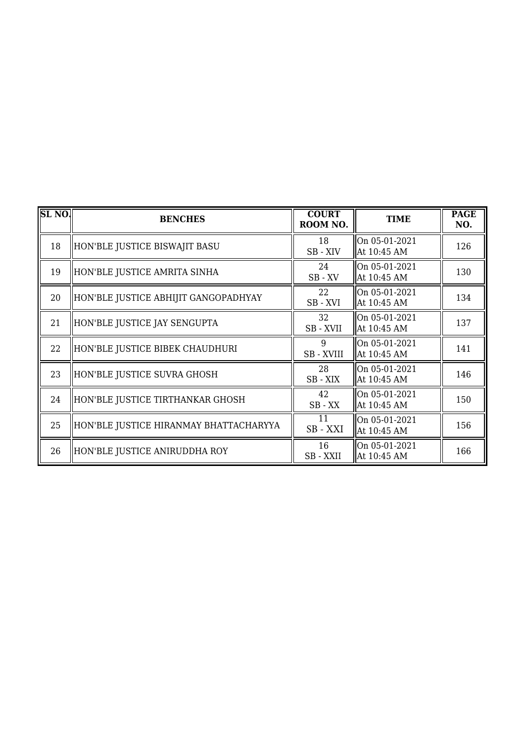| SL <sub>NO</sub> . | <b>BENCHES</b>                         | <b>COURT</b><br>ROOM NO. | <b>TIME</b>                  | <b>PAGE</b><br>NO. |
|--------------------|----------------------------------------|--------------------------|------------------------------|--------------------|
| 18                 | HON'BLE JUSTICE BISWAJIT BASU          | 18<br>$SB - XIV$         | On 05-01-2021<br>At 10:45 AM | 126                |
| 19                 | HON'BLE JUSTICE AMRITA SINHA           | 24<br>SB-XV              | On 05-01-2021<br>At 10:45 AM | 130                |
| 20                 | HON'BLE JUSTICE ABHIJIT GANGOPADHYAY   | 22<br>SB-XVI             | On 05-01-2021<br>At 10:45 AM | 134                |
| 21                 | HON'BLE JUSTICE JAY SENGUPTA           | 32<br>SB-XVII            | On 05-01-2021<br>At 10:45 AM | 137                |
| 22                 | HON'BLE JUSTICE BIBEK CHAUDHURI        | 9<br>SB - XVIII          | On 05-01-2021<br>At 10:45 AM | 141                |
| 23                 | HON'BLE JUSTICE SUVRA GHOSH            | 28<br>SB-XIX             | On 05-01-2021<br>At 10:45 AM | 146                |
| 24                 | HON'BLE JUSTICE TIRTHANKAR GHOSH       | 42<br>$SB$ - $XX$        | On 05-01-2021<br>At 10:45 AM | 150                |
| 25                 | HON'BLE JUSTICE HIRANMAY BHATTACHARYYA | 11<br>SB - XXI           | On 05-01-2021<br>At 10:45 AM | 156                |
| 26                 | HON'BLE JUSTICE ANIRUDDHA ROY          | 16<br>SB - XXII          | On 05-01-2021<br>At 10:45 AM | 166                |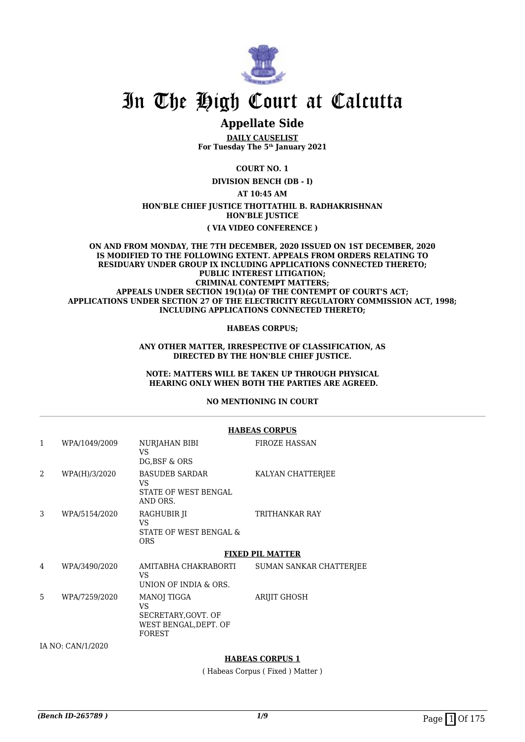

# **Appellate Side**

**DAILY CAUSELIST For Tuesday The 5th January 2021**

**COURT NO. 1**

**DIVISION BENCH (DB - I)**

**AT 10:45 AM**

#### **HON'BLE CHIEF JUSTICE THOTTATHIL B. RADHAKRISHNAN HON'BLE JUSTICE**

### **( VIA VIDEO CONFERENCE )**

#### **ON AND FROM MONDAY, THE 7TH DECEMBER, 2020 ISSUED ON 1ST DECEMBER, 2020 IS MODIFIED TO THE FOLLOWING EXTENT. APPEALS FROM ORDERS RELATING TO RESIDUARY UNDER GROUP IX INCLUDING APPLICATIONS CONNECTED THERETO; PUBLIC INTEREST LITIGATION; CRIMINAL CONTEMPT MATTERS; APPEALS UNDER SECTION 19(1)(a) OF THE CONTEMPT OF COURT'S ACT; APPLICATIONS UNDER SECTION 27 OF THE ELECTRICITY REGULATORY COMMISSION ACT, 1998; INCLUDING APPLICATIONS CONNECTED THERETO;**

### **HABEAS CORPUS;**

### **ANY OTHER MATTER, IRRESPECTIVE OF CLASSIFICATION, AS DIRECTED BY THE HON'BLE CHIEF JUSTICE.**

### **NOTE: MATTERS WILL BE TAKEN UP THROUGH PHYSICAL HEARING ONLY WHEN BOTH THE PARTIES ARE AGREED.**

### **NO MENTIONING IN COURT**

|                |                   |                                                                                     | <b>HABEAS CORPUS</b>    |
|----------------|-------------------|-------------------------------------------------------------------------------------|-------------------------|
| 1              | WPA/1049/2009     | NURJAHAN BIBI<br>VS.<br>DG, BSF & ORS                                               | <b>FIROZE HASSAN</b>    |
| $\overline{2}$ | WPA(H)/3/2020     | BASUDEB SARDAR<br>VS.<br><b>STATE OF WEST BENGAL</b><br>AND ORS.                    | KALYAN CHATTERJEE       |
| 3              | WPA/5154/2020     | RAGHUBIR JI<br>VS.<br>STATE OF WEST BENGAL &<br><b>ORS</b>                          | TRITHANKAR RAY          |
|                |                   |                                                                                     | <b>FIXED PIL MATTER</b> |
| 4              | WPA/3490/2020     | AMITABHA CHAKRABORTI<br>VS.<br>UNION OF INDIA & ORS.                                | SUMAN SANKAR CHATTERJEE |
| 5              | WPA/7259/2020     | MANOJ TIGGA<br>VS.<br>SECRETARY, GOVT. OF<br>WEST BENGAL, DEPT. OF<br><b>FOREST</b> | <b>ARIJIT GHOSH</b>     |
|                | IA NO: CAN/1/2020 |                                                                                     |                         |
|                |                   |                                                                                     |                         |

### **HABEAS CORPUS 1**

( Habeas Corpus ( Fixed ) Matter )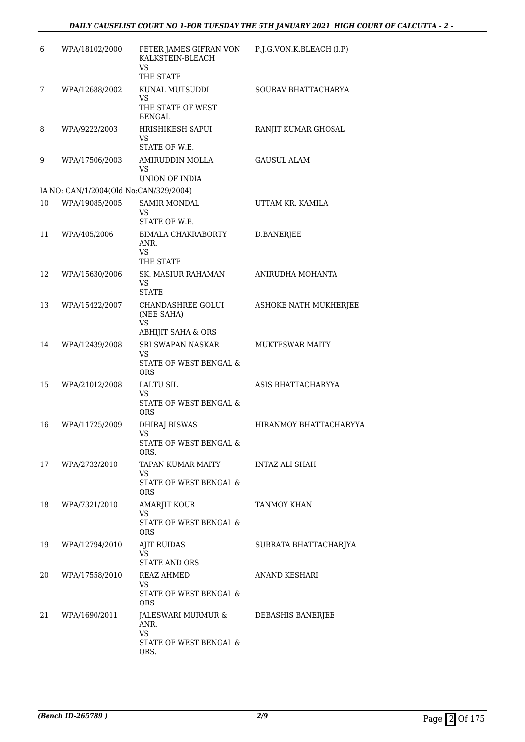| 6  | WPA/18102/2000                         | PETER JAMES GIFRAN VON<br>KALKSTEIN-BLEACH<br><b>VS</b>                   | P.J.G.VON.K.BLEACH (I.P) |
|----|----------------------------------------|---------------------------------------------------------------------------|--------------------------|
|    |                                        | THE STATE                                                                 |                          |
| 7  | WPA/12688/2002                         | KUNAL MUTSUDDI<br><b>VS</b>                                               | SOURAV BHATTACHARYA      |
|    |                                        | THE STATE OF WEST<br><b>BENGAL</b>                                        |                          |
| 8  | WPA/9222/2003                          | HRISHIKESH SAPUI<br>VS<br>STATE OF W.B.                                   | RANJIT KUMAR GHOSAL      |
| 9  | WPA/17506/2003                         | AMIRUDDIN MOLLA<br>VS                                                     | <b>GAUSUL ALAM</b>       |
|    |                                        | UNION OF INDIA                                                            |                          |
|    | IA NO: CAN/1/2004(Old No:CAN/329/2004) |                                                                           |                          |
| 10 | WPA/19085/2005                         | <b>SAMIR MONDAL</b><br>VS<br>STATE OF W.B.                                | UTTAM KR. KAMILA         |
| 11 | WPA/405/2006                           | <b>BIMALA CHAKRABORTY</b><br>ANR.<br><b>VS</b><br>THE STATE               | D.BANERJEE               |
| 12 | WPA/15630/2006                         | SK. MASIUR RAHAMAN<br><b>VS</b><br><b>STATE</b>                           | ANIRUDHA MOHANTA         |
| 13 | WPA/15422/2007                         | CHANDASHREE GOLUI<br>(NEE SAHA)<br>VS                                     | ASHOKE NATH MUKHERJEE    |
|    |                                        | <b>ABHIJIT SAHA &amp; ORS</b>                                             |                          |
| 14 | WPA/12439/2008                         | <b>SRI SWAPAN NASKAR</b><br>VS<br>STATE OF WEST BENGAL &<br>ORS           | <b>MUKTESWAR MAITY</b>   |
| 15 | WPA/21012/2008                         | <b>LALTU SIL</b><br><b>VS</b><br>STATE OF WEST BENGAL &<br><b>ORS</b>     | ASIS BHATTACHARYYA       |
| 16 | WPA/11725/2009                         | DHIRAJ BISWAS<br><b>VS</b><br>STATE OF WEST BENGAL &<br>ORS.              | HIRANMOY BHATTACHARYYA   |
| 17 | WPA/2732/2010                          | TAPAN KUMAR MAITY<br>VS.<br>STATE OF WEST BENGAL &<br><b>ORS</b>          | INTAZ ALI SHAH           |
| 18 | WPA/7321/2010                          | AMARJIT KOUR<br>VS<br>STATE OF WEST BENGAL &<br><b>ORS</b>                | <b>TANMOY KHAN</b>       |
| 19 | WPA/12794/2010                         | <b>AJIT RUIDAS</b><br>VS.<br><b>STATE AND ORS</b>                         | SUBRATA BHATTACHARJYA    |
| 20 | WPA/17558/2010                         | REAZ AHMED<br>VS<br>STATE OF WEST BENGAL &<br><b>ORS</b>                  | ANAND KESHARI            |
| 21 | WPA/1690/2011                          | JALESWARI MURMUR &<br>ANR.<br><b>VS</b><br>STATE OF WEST BENGAL &<br>ORS. | DEBASHIS BANERJEE        |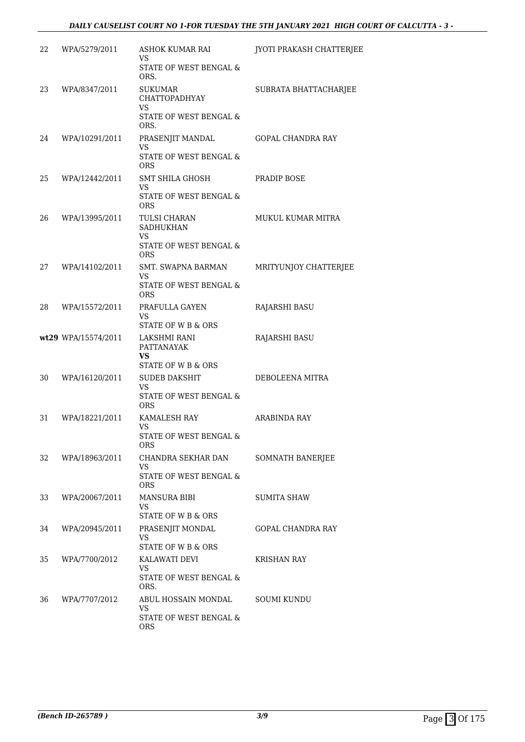| 22 | WPA/5279/2011       | <b>ASHOK KUMAR RAI</b>                                                         | JYOTI PRAKASH CHATTERJEE |
|----|---------------------|--------------------------------------------------------------------------------|--------------------------|
|    |                     | VS<br>STATE OF WEST BENGAL &<br>ORS.                                           |                          |
| 23 | WPA/8347/2011       | <b>SUKUMAR</b><br><b>CHATTOPADHYAY</b><br>VS<br>STATE OF WEST BENGAL &<br>ORS. | SUBRATA BHATTACHARJEE    |
| 24 | WPA/10291/2011      | PRASENJIT MANDAL<br><b>VS</b><br>STATE OF WEST BENGAL &<br><b>ORS</b>          | <b>GOPAL CHANDRA RAY</b> |
| 25 | WPA/12442/2011      | SMT SHILA GHOSH<br>VS<br>STATE OF WEST BENGAL &<br><b>ORS</b>                  | PRADIP BOSE              |
| 26 | WPA/13995/2011      | TULSI CHARAN<br><b>SADHUKHAN</b><br>VS<br>STATE OF WEST BENGAL &<br><b>ORS</b> | <b>MUKUL KUMAR MITRA</b> |
| 27 | WPA/14102/2011      | <b>SMT. SWAPNA BARMAN</b><br>VS<br>STATE OF WEST BENGAL &<br><b>ORS</b>        | MRITYUNJOY CHATTERJEE    |
| 28 | WPA/15572/2011      | PRAFULLA GAYEN<br>VS<br>STATE OF W B & ORS                                     | <b>RAJARSHI BASU</b>     |
|    | wt29 WPA/15574/2011 | LAKSHMI RANI<br>PATTANAYAK<br>VS<br>STATE OF W B & ORS                         | <b>RAJARSHI BASU</b>     |
| 30 | WPA/16120/2011      | <b>SUDEB DAKSHIT</b><br><b>VS</b><br>STATE OF WEST BENGAL &<br>ORS             | DEBOLEENA MITRA          |
| 31 | WPA/18221/2011      | KAMALESH RAY<br>VS<br>STATE OF WEST BENGAL &<br><b>ORS</b>                     | ARABINDA RAY             |
| 32 | WPA/18963/2011      | CHANDRA SEKHAR DAN<br>VS<br>STATE OF WEST BENGAL &<br><b>ORS</b>               | SOMNATH BANERJEE         |
| 33 | WPA/20067/2011      | <b>MANSURA BIBI</b><br>VS.<br>STATE OF W B & ORS                               | SUMITA SHAW              |
| 34 | WPA/20945/2011      | PRASENJIT MONDAL<br>VS<br>STATE OF W B & ORS                                   | GOPAL CHANDRA RAY        |
| 35 | WPA/7700/2012       | KALAWATI DEVI<br>VS.<br>STATE OF WEST BENGAL &<br>ORS.                         | KRISHAN RAY              |
| 36 | WPA/7707/2012       | ABUL HOSSAIN MONDAL<br>VS.<br>STATE OF WEST BENGAL &<br><b>ORS</b>             | <b>SOUMI KUNDU</b>       |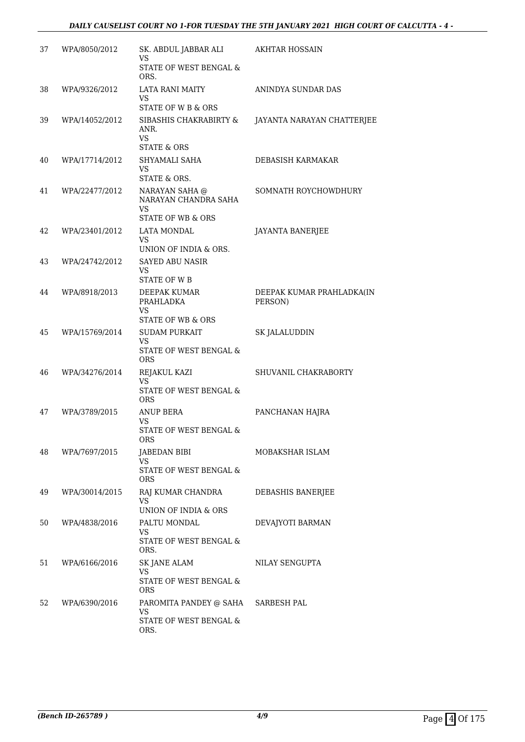## *DAILY CAUSELIST COURT NO 1-FOR TUESDAY THE 5TH JANUARY 2021 HIGH COURT OF CALCUTTA - 4 -*

| 37 | WPA/8050/2012  | SK. ABDUL JABBAR ALI<br>VS                                         | <b>AKHTAR HOSSAIN</b>      |
|----|----------------|--------------------------------------------------------------------|----------------------------|
|    |                | STATE OF WEST BENGAL &<br>ORS.                                     |                            |
| 38 | WPA/9326/2012  | LATA RANI MAITY<br>VS                                              | ANINDYA SUNDAR DAS         |
|    |                | STATE OF W B & ORS                                                 |                            |
| 39 | WPA/14052/2012 | SIBASHIS CHAKRABIRTY &<br>ANR.<br>VS.                              | JAYANTA NARAYAN CHATTERJEE |
|    |                | <b>STATE &amp; ORS</b>                                             |                            |
| 40 | WPA/17714/2012 | SHYAMALI SAHA<br>VS.<br>STATE & ORS.                               | DEBASISH KARMAKAR          |
| 41 | WPA/22477/2012 | NARAYAN SAHA @<br>NARAYAN CHANDRA SAHA<br>VS                       | SOMNATH ROYCHOWDHURY       |
|    |                | STATE OF WB & ORS                                                  |                            |
| 42 | WPA/23401/2012 | LATA MONDAL<br>VS                                                  | <b>JAYANTA BANERJEE</b>    |
|    |                | UNION OF INDIA & ORS.                                              |                            |
| 43 | WPA/24742/2012 | <b>SAYED ABU NASIR</b><br>VS<br>STATE OF W B                       |                            |
| 44 | WPA/8918/2013  | DEEPAK KUMAR                                                       | DEEPAK KUMAR PRAHLADKA(IN  |
|    |                | PRAHLADKA<br>VS.                                                   | PERSON)                    |
|    |                | <b>STATE OF WB &amp; ORS</b>                                       |                            |
| 45 | WPA/15769/2014 | <b>SUDAM PURKAIT</b><br>VS<br>STATE OF WEST BENGAL &<br><b>ORS</b> | SK JALALUDDIN              |
| 46 | WPA/34276/2014 | REJAKUL KAZI<br>VS.                                                | SHUVANIL CHAKRABORTY       |
|    |                | <b>STATE OF WEST BENGAL &amp;</b><br><b>ORS</b>                    |                            |
| 47 | WPA/3789/2015  | ANUP BERA<br>VS.                                                   | PANCHANAN HAJRA            |
|    |                | STATE OF WEST BENGAL &<br><b>ORS</b>                               |                            |
| 48 | WPA/7697/2015  | JABEDAN BIBI                                                       | MOBAKSHAR ISLAM            |
|    |                | VS<br>STATE OF WEST BENGAL &<br><b>ORS</b>                         |                            |
| 49 | WPA/30014/2015 | RAJ KUMAR CHANDRA<br>VS                                            | DEBASHIS BANERJEE          |
|    |                | UNION OF INDIA & ORS                                               |                            |
| 50 | WPA/4838/2016  | PALTU MONDAL<br>VS                                                 | DEVAJYOTI BARMAN           |
|    |                | STATE OF WEST BENGAL &<br>ORS.                                     |                            |
| 51 | WPA/6166/2016  | SK JANE ALAM                                                       | NILAY SENGUPTA             |
|    |                | VS<br>STATE OF WEST BENGAL &<br>ORS                                |                            |
| 52 | WPA/6390/2016  | PAROMITA PANDEY @ SAHA<br>VS                                       | SARBESH PAL                |
|    |                | STATE OF WEST BENGAL &<br>ORS.                                     |                            |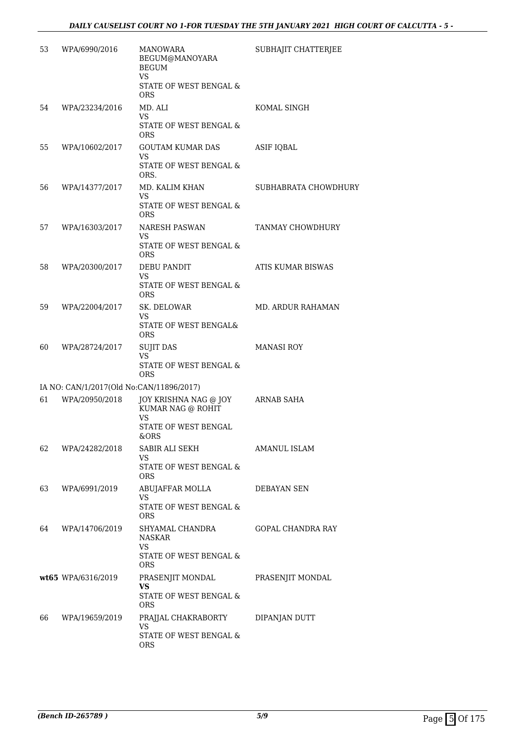| 53 | WPA/6990/2016                            | <b>MANOWARA</b><br>BEGUM@MANOYARA<br><b>BEGUM</b><br><b>VS</b><br>STATE OF WEST BENGAL &<br>ORS | SUBHAJIT CHATTERJEE      |
|----|------------------------------------------|-------------------------------------------------------------------------------------------------|--------------------------|
| 54 | WPA/23234/2016                           | MD. ALI<br>VS<br>STATE OF WEST BENGAL &<br>ORS                                                  | KOMAL SINGH              |
| 55 | WPA/10602/2017                           | GOUTAM KUMAR DAS<br>VS<br>STATE OF WEST BENGAL &<br>ORS.                                        | <b>ASIF IQBAL</b>        |
| 56 | WPA/14377/2017                           | MD. KALIM KHAN<br>VS<br>STATE OF WEST BENGAL &<br><b>ORS</b>                                    | SUBHABRATA CHOWDHURY     |
| 57 | WPA/16303/2017                           | <b>NARESH PASWAN</b><br>VS<br>STATE OF WEST BENGAL &<br>ORS                                     | TANMAY CHOWDHURY         |
| 58 | WPA/20300/2017                           | <b>DEBU PANDIT</b><br><b>VS</b><br>STATE OF WEST BENGAL &<br><b>ORS</b>                         | <b>ATIS KUMAR BISWAS</b> |
| 59 | WPA/22004/2017                           | SK. DELOWAR<br>VS<br>STATE OF WEST BENGAL&<br>ORS                                               | MD. ARDUR RAHAMAN        |
| 60 | WPA/28724/2017                           | <b>SUJIT DAS</b><br>VS<br>STATE OF WEST BENGAL &<br><b>ORS</b>                                  | <b>MANASI ROY</b>        |
|    | IA NO: CAN/1/2017(Old No:CAN/11896/2017) |                                                                                                 |                          |
| 61 | WPA/20950/2018                           | JOY KRISHNA NAG @ JOY<br>KUMAR NAG @ ROHIT<br>VS<br><b>STATE OF WEST BENGAL</b><br>&ORS         | ARNAB SAHA               |
| 62 | WPA/24282/2018                           | SABIR ALI SEKH<br>VS<br>STATE OF WEST BENGAL &<br>ORS                                           | AMANUL ISLAM             |
| 63 | WPA/6991/2019                            | ABUJAFFAR MOLLA<br>VS<br>STATE OF WEST BENGAL &<br><b>ORS</b>                                   | DEBAYAN SEN              |
| 64 | WPA/14706/2019                           | SHYAMAL CHANDRA<br>NASKAR<br>VS<br>STATE OF WEST BENGAL &<br>ORS.                               | GOPAL CHANDRA RAY        |
|    | wt65 WPA/6316/2019                       | PRASENJIT MONDAL<br>VS.<br>STATE OF WEST BENGAL &<br>ORS                                        | PRASENJIT MONDAL         |
| 66 | WPA/19659/2019                           | PRAJJAL CHAKRABORTY<br>VS.<br>STATE OF WEST BENGAL &<br>ORS                                     | DIPANJAN DUTT            |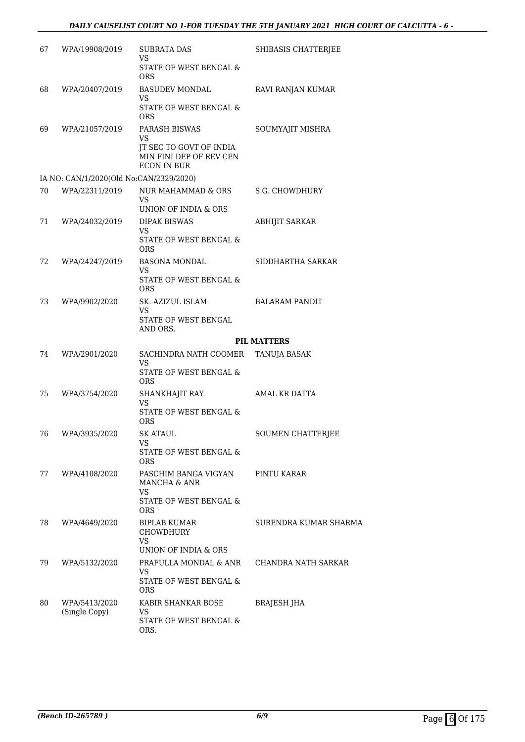| 67  | WPA/19908/2019                          | <b>SUBRATA DAS</b><br>VS<br>STATE OF WEST BENGAL &<br><b>ORS</b>                                | SHIBASIS CHATTERJEE      |
|-----|-----------------------------------------|-------------------------------------------------------------------------------------------------|--------------------------|
| 68  | WPA/20407/2019                          | BASUDEV MONDAL<br>VS<br>STATE OF WEST BENGAL &<br>ORS                                           | RAVI RANJAN KUMAR        |
| 69  | WPA/21057/2019                          | PARASH BISWAS<br>VS<br>JT SEC TO GOVT OF INDIA<br>MIN FINI DEP OF REV CEN<br><b>ECON IN BUR</b> | SOUMYAJIT MISHRA         |
|     | IA NO: CAN/1/2020(Old No:CAN/2329/2020) |                                                                                                 |                          |
| 70  | WPA/22311/2019                          | NUR MAHAMMAD & ORS<br>VS                                                                        | S.G. CHOWDHURY           |
| 71  | WPA/24032/2019                          | UNION OF INDIA & ORS<br><b>DIPAK BISWAS</b><br>VS<br>STATE OF WEST BENGAL &<br>ORS              | ABHIJIT SARKAR           |
| 72. | WPA/24247/2019                          | <b>BASONA MONDAL</b><br>VS<br>STATE OF WEST BENGAL &<br><b>ORS</b>                              | SIDDHARTHA SARKAR        |
| 73  | WPA/9902/2020                           | SK. AZIZUL ISLAM<br>VS<br>STATE OF WEST BENGAL<br>AND ORS.                                      | <b>BALARAM PANDIT</b>    |
|     |                                         |                                                                                                 | <b>PIL MATTERS</b>       |
| 74  | WPA/2901/2020                           | SACHINDRA NATH COOMER<br>VS<br>STATE OF WEST BENGAL &                                           | TANUJA BASAK             |
|     |                                         | ORS                                                                                             |                          |
| 75  | WPA/3754/2020                           | SHANKHAJIT RAY<br><b>VS</b><br>STATE OF WEST BENGAL &<br>ORS                                    | AMAL KR DATTA            |
| 76  | WPA/3935/2020                           | SK ATAUL<br>VS<br>STATE OF WEST BENGAL &<br>ORS                                                 | <b>SOUMEN CHATTERJEE</b> |
| 77  | WPA/4108/2020                           | PASCHIM BANGA VIGYAN<br>MANCHA & ANR<br>VS<br>STATE OF WEST BENGAL &<br>ORS                     | PINTU KARAR              |
| 78  | WPA/4649/2020                           | <b>BIPLAB KUMAR</b><br><b>CHOWDHURY</b><br>VS<br>UNION OF INDIA & ORS                           | SURENDRA KUMAR SHARMA    |
| 79  | WPA/5132/2020                           | PRAFULLA MONDAL & ANR<br>VS<br>STATE OF WEST BENGAL &<br>ORS                                    | CHANDRA NATH SARKAR      |
| 80  | WPA/5413/2020<br>(Single Copy)          | KABIR SHANKAR BOSE<br>VS<br><b>STATE OF WEST BENGAL &amp;</b><br>ORS.                           | BRAJESH JHA              |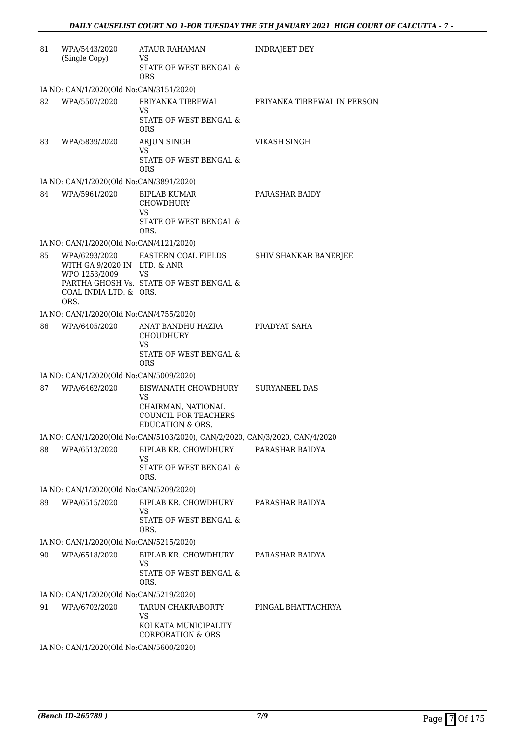| 81 | WPA/5443/2020<br>(Single Copy)                                                                      | ATAUR RAHAMAN<br>VS                                                                                           | <b>INDRAJEET DEY</b>        |
|----|-----------------------------------------------------------------------------------------------------|---------------------------------------------------------------------------------------------------------------|-----------------------------|
|    |                                                                                                     | <b>STATE OF WEST BENGAL &amp;</b><br><b>ORS</b>                                                               |                             |
|    | IA NO: CAN/1/2020(Old No:CAN/3151/2020)                                                             |                                                                                                               |                             |
| 82 | WPA/5507/2020                                                                                       | PRIYANKA TIBREWAL<br>VS                                                                                       | PRIYANKA TIBREWAL IN PERSON |
|    |                                                                                                     | STATE OF WEST BENGAL &<br><b>ORS</b>                                                                          |                             |
| 83 | WPA/5839/2020                                                                                       | ARJUN SINGH<br><b>VS</b>                                                                                      | VIKASH SINGH                |
|    |                                                                                                     | STATE OF WEST BENGAL &<br>ORS                                                                                 |                             |
|    | IA NO: CAN/1/2020(Old No:CAN/3891/2020)                                                             |                                                                                                               |                             |
| 84 | WPA/5961/2020                                                                                       | <b>BIPLAB KUMAR</b><br><b>CHOWDHURY</b><br>VS<br>STATE OF WEST BENGAL &<br>ORS.                               | PARASHAR BAIDY              |
|    | IA NO: CAN/1/2020(Old No:CAN/4121/2020)                                                             |                                                                                                               |                             |
| 85 | WPA/6293/2020<br>WITH GA 9/2020 IN LTD. & ANR<br>WPO 1253/2009 VS<br>COAL INDIA LTD. & ORS.<br>ORS. | EASTERN COAL FIELDS<br>PARTHA GHOSH Vs. STATE OF WEST BENGAL &                                                | SHIV SHANKAR BANERJEE       |
|    | IA NO: CAN/1/2020(Old No:CAN/4755/2020)                                                             |                                                                                                               |                             |
| 86 | WPA/6405/2020                                                                                       | ANAT BANDHU HAZRA<br><b>CHOUDHURY</b><br>VS<br>STATE OF WEST BENGAL &                                         | PRADYAT SAHA                |
|    |                                                                                                     | ORS                                                                                                           |                             |
|    | IA NO: CAN/1/2020(Old No:CAN/5009/2020)                                                             |                                                                                                               |                             |
| 87 | WPA/6462/2020                                                                                       | BISWANATH CHOWDHURY<br>VS<br>CHAIRMAN, NATIONAL<br><b>COUNCIL FOR TEACHERS</b><br><b>EDUCATION &amp; ORS.</b> | <b>SURYANEEL DAS</b>        |
|    |                                                                                                     | IA NO: CAN/1/2020(Old No:CAN/5103/2020), CAN/2/2020, CAN/3/2020, CAN/4/2020                                   |                             |
| 88 | WPA/6513/2020                                                                                       | BIPLAB KR. CHOWDHURY                                                                                          | PARASHAR BAIDYA             |
|    |                                                                                                     | VS<br>STATE OF WEST BENGAL &                                                                                  |                             |
|    |                                                                                                     | ORS.                                                                                                          |                             |
|    | IA NO: CAN/1/2020(Old No:CAN/5209/2020)                                                             |                                                                                                               |                             |
| 89 | WPA/6515/2020                                                                                       | BIPLAB KR. CHOWDHURY<br>VS                                                                                    | PARASHAR BAIDYA             |
|    |                                                                                                     | STATE OF WEST BENGAL &<br>ORS.                                                                                |                             |
|    | IA NO: CAN/1/2020(Old No:CAN/5215/2020)                                                             |                                                                                                               |                             |
| 90 | WPA/6518/2020                                                                                       | BIPLAB KR. CHOWDHURY<br>VS                                                                                    | PARASHAR BAIDYA             |
|    |                                                                                                     | STATE OF WEST BENGAL &<br>ORS.                                                                                |                             |
|    | IA NO: CAN/1/2020(Old No:CAN/5219/2020)                                                             |                                                                                                               |                             |
| 91 | WPA/6702/2020                                                                                       | TARUN CHAKRABORTY                                                                                             | PINGAL BHATTACHRYA          |
|    |                                                                                                     | VS<br>KOLKATA MUNICIPALITY<br><b>CORPORATION &amp; ORS</b>                                                    |                             |
|    | IA NO: CAN/1/2020(Old No:CAN/5600/2020)                                                             |                                                                                                               |                             |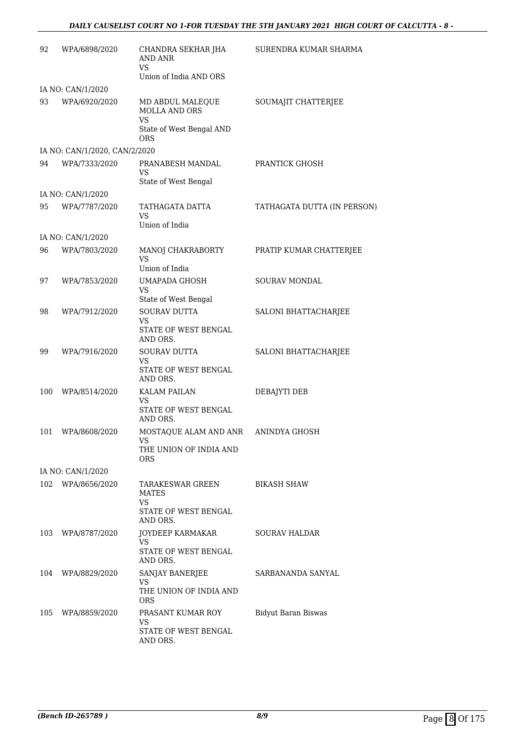| 92  | WPA/6898/2020                 | CHANDRA SEKHAR JHA<br>AND ANR<br><b>VS</b>                    | SURENDRA KUMAR SHARMA       |
|-----|-------------------------------|---------------------------------------------------------------|-----------------------------|
|     |                               | Union of India AND ORS                                        |                             |
|     | IA NO: CAN/1/2020             |                                                               |                             |
| 93  | WPA/6920/2020                 | MD ABDUL MALEQUE<br><b>MOLLA AND ORS</b><br>VS                | SOUMAJIT CHATTERJEE         |
|     |                               | State of West Bengal AND<br>ORS                               |                             |
|     | IA NO: CAN/1/2020, CAN/2/2020 |                                                               |                             |
| 94  | WPA/7333/2020                 | PRANABESH MANDAL<br>VS<br>State of West Bengal                | PRANTICK GHOSH              |
|     | IA NO: CAN/1/2020             |                                                               |                             |
| 95  | WPA/7787/2020                 | TATHAGATA DATTA<br>VS                                         | TATHAGATA DUTTA (IN PERSON) |
|     |                               | Union of India                                                |                             |
|     | IA NO: CAN/1/2020             |                                                               |                             |
| 96  | WPA/7803/2020                 | MANOJ CHAKRABORTY<br>VS<br>Union of India                     | PRATIP KUMAR CHATTERJEE     |
| 97  | WPA/7853/2020                 | UMAPADA GHOSH                                                 | <b>SOURAV MONDAL</b>        |
|     |                               | <b>VS</b>                                                     |                             |
|     |                               | State of West Bengal                                          |                             |
| 98  | WPA/7912/2020                 | <b>SOURAV DUTTA</b><br>VS<br>STATE OF WEST BENGAL<br>AND ORS. | SALONI BHATTACHARJEE        |
| 99  | WPA/7916/2020                 | <b>SOURAV DUTTA</b>                                           | SALONI BHATTACHARJEE        |
|     |                               | VS<br>STATE OF WEST BENGAL<br>AND ORS.                        |                             |
| 100 | WPA/8514/2020                 | KALAM PAILAN                                                  | DEBAJYTI DEB                |
|     |                               | VS<br>STATE OF WEST BENGAL<br>AND ORS.                        |                             |
| 101 | WPA/8608/2020                 | MOSTAQUE ALAM AND ANR                                         | ANINDYA GHOSH               |
|     |                               | VS<br>THE UNION OF INDIA AND<br><b>ORS</b>                    |                             |
|     | IA NO: CAN/1/2020             |                                                               |                             |
| 102 | WPA/8656/2020                 | TARAKESWAR GREEN<br><b>MATES</b><br><b>VS</b>                 | BIKASH SHAW                 |
|     |                               | STATE OF WEST BENGAL<br>AND ORS.                              |                             |
| 103 | WPA/8787/2020                 | JOYDEEP KARMAKAR<br>VS.                                       | SOURAV HALDAR               |
|     |                               | STATE OF WEST BENGAL<br>AND ORS.                              |                             |
| 104 | WPA/8829/2020                 | SANJAY BANERJEE<br>VS                                         | SARBANANDA SANYAL           |
|     |                               | THE UNION OF INDIA AND<br>ORS                                 |                             |
| 105 | WPA/8859/2020                 | PRASANT KUMAR ROY                                             | Bidyut Baran Biswas         |
|     |                               | VS<br>STATE OF WEST BENGAL<br>AND ORS.                        |                             |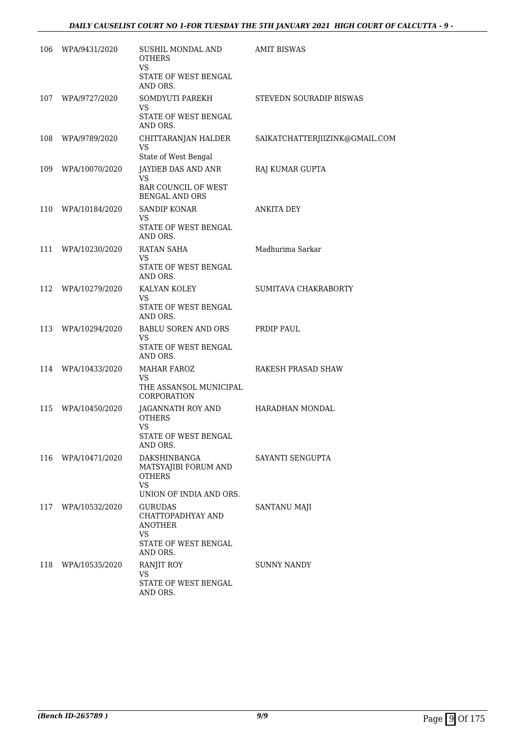| 106 | WPA/9431/2020      | SUSHIL MONDAL AND<br><b>OTHERS</b><br>VS.<br>STATE OF WEST BENGAL                                 | <b>AMIT BISWAS</b>             |
|-----|--------------------|---------------------------------------------------------------------------------------------------|--------------------------------|
| 107 | WPA/9727/2020      | AND ORS.<br>SOMDYUTI PAREKH<br><b>VS</b>                                                          | STEVEDN SOURADIP BISWAS        |
|     |                    | STATE OF WEST BENGAL<br>AND ORS.                                                                  |                                |
| 108 | WPA/9789/2020      | CHITTARANJAN HALDER<br><b>VS</b>                                                                  | SAIKATCHATTERJIIZINK@GMAIL.COM |
| 109 | WPA/10070/2020     | State of West Bengal<br>JAYDEB DAS AND ANR                                                        | RAJ KUMAR GUPTA                |
|     |                    | VS<br><b>BAR COUNCIL OF WEST</b><br><b>BENGAL AND ORS</b>                                         |                                |
|     | 110 WPA/10184/2020 | <b>SANDIP KONAR</b><br>VS<br>STATE OF WEST BENGAL                                                 | <b>ANKITA DEY</b>              |
|     |                    | AND ORS.                                                                                          |                                |
| 111 | WPA/10230/2020     | RATAN SAHA<br>VS                                                                                  | Madhurima Sarkar               |
|     |                    | <b>STATE OF WEST BENGAL</b><br>AND ORS.                                                           |                                |
| 112 | WPA/10279/2020     | KALYAN KOLEY<br>VS.<br>STATE OF WEST BENGAL<br>AND ORS.                                           | SUMITAVA CHAKRABORTY           |
|     | 113 WPA/10294/2020 | <b>BABLU SOREN AND ORS</b><br>VS.                                                                 | PRDIP PAUL                     |
|     |                    | STATE OF WEST BENGAL<br>AND ORS.                                                                  |                                |
| 114 | WPA/10433/2020     | <b>MAHAR FAROZ</b><br>VS<br>THE ASSANSOL MUNICIPAL<br>CORPORATION                                 | RAKESH PRASAD SHAW             |
| 115 | WPA/10450/2020     | JAGANNATH ROY AND<br><b>OTHERS</b><br>VS<br>STATE OF WEST BENGAL                                  | <b>HARADHAN MONDAL</b>         |
|     |                    | AND ORS.                                                                                          |                                |
| 116 | WPA/10471/2020     | DAKSHINBANGA<br>MATSYAJIBI FORUM AND<br><b>OTHERS</b><br>VS.<br>UNION OF INDIA AND ORS.           | SAYANTI SENGUPTA               |
| 117 | WPA/10532/2020     | <b>GURUDAS</b><br>CHATTOPADHYAY AND<br><b>ANOTHER</b><br><b>VS</b><br><b>STATE OF WEST BENGAL</b> | SANTANU MAJI                   |
|     |                    | AND ORS.                                                                                          |                                |
| 118 | WPA/10535/2020     | RANJIT ROY<br>VS                                                                                  | <b>SUNNY NANDY</b>             |
|     |                    | STATE OF WEST BENGAL<br>AND ORS.                                                                  |                                |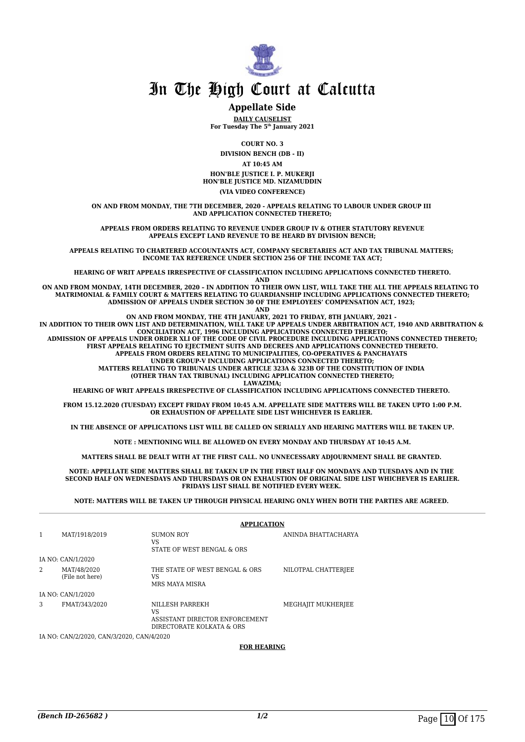

### **Appellate Side**

**DAILY CAUSELIST For Tuesday The 5th January 2021**

**COURT NO. 3**

**DIVISION BENCH (DB - II)**

**AT 10:45 AM**

**HON'BLE JUSTICE I. P. MUKERJI HON'BLE JUSTICE MD. NIZAMUDDIN**

### **(VIA VIDEO CONFERENCE)**

**ON AND FROM MONDAY, THE 7TH DECEMBER, 2020 - APPEALS RELATING TO LABOUR UNDER GROUP III AND APPLICATION CONNECTED THERETO;**

**APPEALS FROM ORDERS RELATING TO REVENUE UNDER GROUP IV & OTHER STATUTORY REVENUE APPEALS EXCEPT LAND REVENUE TO BE HEARD BY DIVISION BENCH;**

**APPEALS RELATING TO CHARTERED ACCOUNTANTS ACT, COMPANY SECRETARIES ACT AND TAX TRIBUNAL MATTERS; INCOME TAX REFERENCE UNDER SECTION 256 OF THE INCOME TAX ACT;**

**HEARING OF WRIT APPEALS IRRESPECTIVE OF CLASSIFICATION INCLUDING APPLICATIONS CONNECTED THERETO.**

**AND**

**ON AND FROM MONDAY, 14TH DECEMBER, 2020 – IN ADDITION TO THEIR OWN LIST, WILL TAKE THE ALL THE APPEALS RELATING TO MATRIMONIAL & FAMILY COURT & MATTERS RELATING TO GUARDIANSHIP INCLUDING APPLICATIONS CONNECTED THERETO; ADMISSION OF APPEALS UNDER SECTION 30 OF THE EMPLOYEES' COMPENSATION ACT, 1923;** 

**AND**

**ON AND FROM MONDAY, THE 4TH JANUARY, 2021 TO FRIDAY, 8TH JANUARY, 2021 -IN ADDITION TO THEIR OWN LIST AND DETERMINATION, WILL TAKE UP APPEALS UNDER ARBITRATION ACT, 1940 AND ARBITRATION & CONCILIATION ACT, 1996 INCLUDING APPLICATIONS CONNECTED THERETO; ADMISSION OF APPEALS UNDER ORDER XLI OF THE CODE OF CIVIL PROCEDURE INCLUDING APPLICATIONS CONNECTED THERETO; FIRST APPEALS RELATING TO EJECTMENT SUITS AND DECREES AND APPLICATIONS CONNECTED THERETO. APPEALS FROM ORDERS RELATING TO MUNICIPALITIES, CO-OPERATIVES & PANCHAYATS UNDER GROUP-V INCLUDING APPLICATIONS CONNECTED THERETO; MATTERS RELATING TO TRIBUNALS UNDER ARTICLE 323A & 323B OF THE CONSTITUTION OF INDIA (OTHER THAN TAX TRIBUNAL) INCLUDING APPLICATION CONNECTED THERETO; LAWAZIMA;**

**HEARING OF WRIT APPEALS IRRESPECTIVE OF CLASSIFICATION INCLUDING APPLICATIONS CONNECTED THERETO.** 

**FROM 15.12.2020 (TUESDAY) EXCEPT FRIDAY FROM 10:45 A.M. APPELLATE SIDE MATTERS WILL BE TAKEN UPTO 1:00 P.M. OR EXHAUSTION OF APPELLATE SIDE LIST WHICHEVER IS EARLIER.** 

**IN THE ABSENCE OF APPLICATIONS LIST WILL BE CALLED ON SERIALLY AND HEARING MATTERS WILL BE TAKEN UP.**

**NOTE : MENTIONING WILL BE ALLOWED ON EVERY MONDAY AND THURSDAY AT 10:45 A.M.**

**MATTERS SHALL BE DEALT WITH AT THE FIRST CALL. NO UNNECESSARY ADJOURNMENT SHALL BE GRANTED.** 

**NOTE: APPELLATE SIDE MATTERS SHALL BE TAKEN UP IN THE FIRST HALF ON MONDAYS AND TUESDAYS AND IN THE SECOND HALF ON WEDNESDAYS AND THURSDAYS OR ON EXHAUSTION OF ORIGINAL SIDE LIST WHICHEVER IS EARLIER. FRIDAYS LIST SHALL BE NOTIFIED EVERY WEEK.** 

**NOTE: MATTERS WILL BE TAKEN UP THROUGH PHYSICAL HEARING ONLY WHEN BOTH THE PARTIES ARE AGREED.** 

|   |                                           | <b>APPLICATION</b>                                                                   |                     |
|---|-------------------------------------------|--------------------------------------------------------------------------------------|---------------------|
| 1 | MAT/1918/2019                             | <b>SUMON ROY</b><br>VS<br>STATE OF WEST BENGAL & ORS                                 | ANINDA BHATTACHARYA |
|   | IA NO: CAN/1/2020                         |                                                                                      |                     |
| 2 | MAT/48/2020<br>(File not here)            | THE STATE OF WEST BENGAL & ORS<br>VS<br>MRS MAYA MISRA                               | NILOTPAL CHATTERJEE |
|   | IA NO: CAN/1/2020                         |                                                                                      |                     |
| 3 | FMAT/343/2020                             | NILLESH PARREKH<br>VS<br>ASSISTANT DIRECTOR ENFORCEMENT<br>DIRECTORATE KOLKATA & ORS | MEGHAJIT MUKHERJEE  |
|   | IA NO: CAN/2/2020, CAN/3/2020, CAN/4/2020 |                                                                                      |                     |

**FOR HEARING**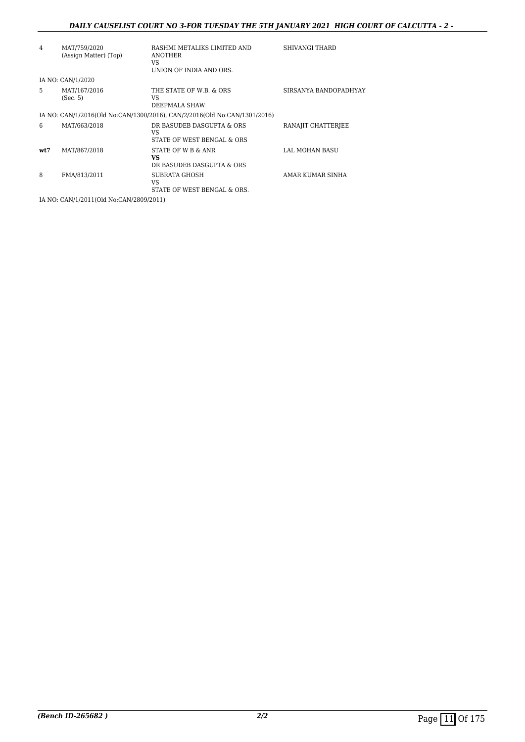### *DAILY CAUSELIST COURT NO 3-FOR TUESDAY THE 5TH JANUARY 2021 HIGH COURT OF CALCUTTA - 2 -*

| 4    | MAT/759/2020<br>(Assign Matter) (Top)   | RASHMI METALIKS LIMITED AND<br><b>ANOTHER</b><br>VS<br>UNION OF INDIA AND ORS. | SHIVANGI THARD        |
|------|-----------------------------------------|--------------------------------------------------------------------------------|-----------------------|
|      | IA NO: CAN/1/2020                       |                                                                                |                       |
| 5    | MAT/167/2016<br>(Sec. 5)                | THE STATE OF W.B. & ORS<br>VS<br>DEEPMALA SHAW                                 | SIRSANYA BANDOPADHYAY |
|      |                                         | IA NO: CAN/1/2016(Old No:CAN/1300/2016), CAN/2/2016(Old No:CAN/1301/2016)      |                       |
| 6    | MAT/663/2018                            | DR BASUDEB DASGUPTA & ORS<br>VS<br>STATE OF WEST BENGAL & ORS                  | RANAJIT CHATTERJEE    |
| wt:7 | MAT/867/2018                            | STATE OF W B & ANR<br>VS<br>DR BASUDEB DASGUPTA & ORS                          | LAL MOHAN BASU        |
| 8    | FMA/813/2011                            | <b>SUBRATA GHOSH</b><br>VS<br>STATE OF WEST BENGAL & ORS.                      | AMAR KUMAR SINHA      |
|      | IA NO: CAN/1/2011(Old No:CAN/2809/2011) |                                                                                |                       |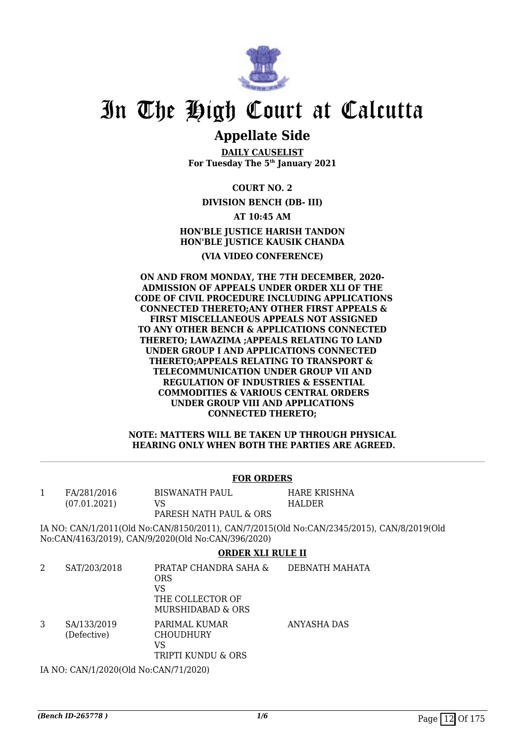

# **Appellate Side**

**DAILY CAUSELIST For Tuesday The 5th January 2021**

**COURT NO. 2**

## **DIVISION BENCH (DB- III)**

**AT 10:45 AM HON'BLE JUSTICE HARISH TANDON HON'BLE JUSTICE KAUSIK CHANDA (VIA VIDEO CONFERENCE)**

**ON AND FROM MONDAY, THE 7TH DECEMBER, 2020- ADMISSION OF APPEALS UNDER ORDER XLI OF THE CODE OF CIVIL PROCEDURE INCLUDING APPLICATIONS CONNECTED THERETO;ANY OTHER FIRST APPEALS & FIRST MISCELLANEOUS APPEALS NOT ASSIGNED TO ANY OTHER BENCH & APPLICATIONS CONNECTED THERETO; LAWAZIMA ;APPEALS RELATING TO LAND UNDER GROUP I AND APPLICATIONS CONNECTED THERETO;APPEALS RELATING TO TRANSPORT & TELECOMMUNICATION UNDER GROUP VII AND REGULATION OF INDUSTRIES & ESSENTIAL COMMODITIES & VARIOUS CENTRAL ORDERS UNDER GROUP VIII AND APPLICATIONS CONNECTED THERETO;**

**NOTE: MATTERS WILL BE TAKEN UP THROUGH PHYSICAL HEARING ONLY WHEN BOTH THE PARTIES ARE AGREED.**

### **FOR ORDERS**

1 FA/281/2016 (07.01.2021) BISWANATH PAUL VS

HARE KRISHNA HALDER

PARESH NATH PAUL & ORS

IA NO: CAN/1/2011(Old No:CAN/8150/2011), CAN/7/2015(Old No:CAN/2345/2015), CAN/8/2019(Old No:CAN/4163/2019), CAN/9/2020(Old No:CAN/396/2020)

# **ORDER XLI RULE II**

|   | SAT/203/2018               | PRATAP CHANDRA SAHA &<br><b>ORS</b><br>VS<br>THE COLLECTOR OF<br>MURSHIDABAD & ORS | DEBNATH MAHATA |
|---|----------------------------|------------------------------------------------------------------------------------|----------------|
| 3 | SA/133/2019<br>(Defective) | PARIMAL KUMAR<br><b>CHOUDHURY</b><br>VS<br>TRIPTI KUNDU & ORS                      | ANYASHA DAS    |

IA NO: CAN/1/2020(Old No:CAN/71/2020)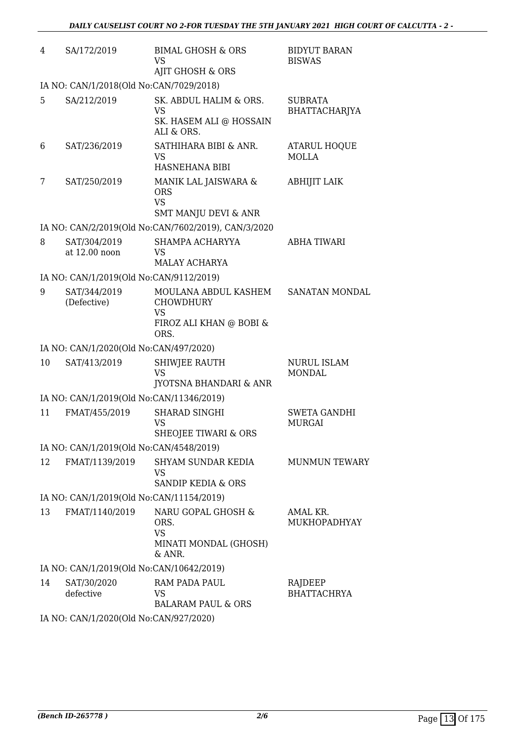| 4  | SA/172/2019                              | <b>BIMAL GHOSH &amp; ORS</b><br><b>VS</b>                                                | <b>BIDYUT BARAN</b><br><b>BISWAS</b> |
|----|------------------------------------------|------------------------------------------------------------------------------------------|--------------------------------------|
|    |                                          | AJIT GHOSH & ORS                                                                         |                                      |
|    | IA NO: CAN/1/2018(Old No:CAN/7029/2018)  |                                                                                          |                                      |
| 5  | SA/212/2019                              | SK. ABDUL HALIM & ORS.<br>VS<br>SK. HASEM ALI @ HOSSAIN<br>ALI & ORS.                    | <b>SUBRATA</b><br>BHATTACHARJYA      |
| 6  | SAT/236/2019                             | SATHIHARA BIBI & ANR.<br><b>VS</b><br><b>HASNEHANA BIBI</b>                              | ATARUL HOQUE<br><b>MOLLA</b>         |
| 7  | SAT/250/2019                             | MANIK LAL JAISWARA &<br><b>ORS</b><br><b>VS</b><br><b>SMT MANJU DEVI &amp; ANR</b>       | <b>ABHIJIT LAIK</b>                  |
|    |                                          | IA NO: CAN/2/2019(Old No:CAN/7602/2019), CAN/3/2020                                      |                                      |
| 8  | SAT/304/2019<br>at 12.00 noon            | SHAMPA ACHARYYA<br><b>VS</b><br><b>MALAY ACHARYA</b>                                     | <b>ABHA TIWARI</b>                   |
|    | IA NO: CAN/1/2019(Old No:CAN/9112/2019)  |                                                                                          |                                      |
| 9  | SAT/344/2019<br>(Defective)              | MOULANA ABDUL KASHEM<br><b>CHOWDHURY</b><br><b>VS</b><br>FIROZ ALI KHAN @ BOBI &<br>ORS. | SANATAN MONDAL                       |
|    | IA NO: CAN/1/2020(Old No:CAN/497/2020)   |                                                                                          |                                      |
| 10 | SAT/413/2019                             | SHIWJEE RAUTH<br><b>VS</b><br>JYOTSNA BHANDARI & ANR                                     | <b>NURUL ISLAM</b><br><b>MONDAL</b>  |
|    | IA NO: CAN/1/2019(Old No:CAN/11346/2019) |                                                                                          |                                      |
| 11 | FMAT/455/2019                            | <b>SHARAD SINGHI</b><br>VS<br>SHEOJEE TIWARI & ORS                                       | <b>SWETA GANDHI</b><br><b>MURGAI</b> |
|    | IA NO: CAN/1/2019(Old No:CAN/4548/2019)  |                                                                                          |                                      |
| 12 | FMAT/1139/2019                           | SHYAM SUNDAR KEDIA<br>VS<br>SANDIP KEDIA & ORS                                           | <b>MUNMUN TEWARY</b>                 |
|    | IA NO: CAN/1/2019(Old No:CAN/11154/2019) |                                                                                          |                                      |
| 13 | FMAT/1140/2019                           | NARU GOPAL GHOSH &<br>ORS.<br><b>VS</b><br>MINATI MONDAL (GHOSH)<br>& ANR.               | AMAL KR.<br>MUKHOPADHYAY             |
|    | IA NO: CAN/1/2019(Old No:CAN/10642/2019) |                                                                                          |                                      |
| 14 | SAT/30/2020<br>defective                 | RAM PADA PAUL<br><b>VS</b><br><b>BALARAM PAUL &amp; ORS</b>                              | RAJDEEP<br><b>BHATTACHRYA</b>        |
|    | IA NO. CANI1/2020(Old No.CANI027/2020)   |                                                                                          |                                      |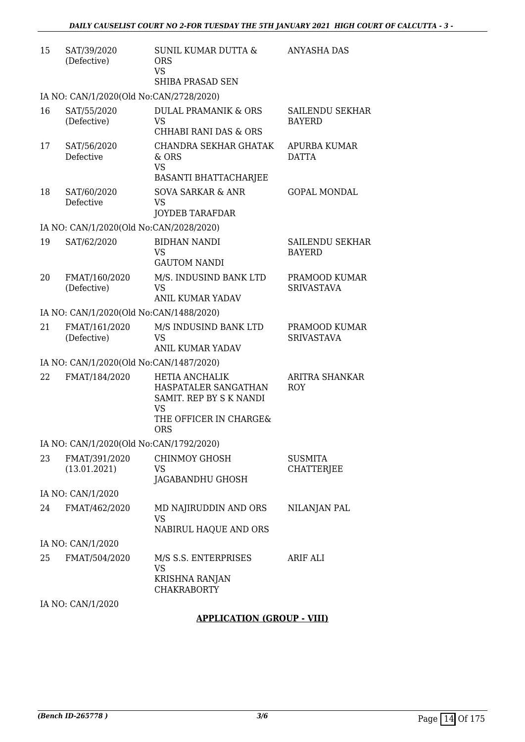| 15 | SAT/39/2020<br>(Defective)              | <b>SUNIL KUMAR DUTTA &amp;</b><br><b>ORS</b><br><b>VS</b>                                                       | <b>ANYASHA DAS</b>                      |
|----|-----------------------------------------|-----------------------------------------------------------------------------------------------------------------|-----------------------------------------|
|    |                                         | SHIBA PRASAD SEN                                                                                                |                                         |
|    | IA NO: CAN/1/2020(Old No:CAN/2728/2020) |                                                                                                                 |                                         |
| 16 | SAT/55/2020<br>(Defective)              | <b>DULAL PRAMANIK &amp; ORS</b><br>VS.                                                                          | <b>SAILENDU SEKHAR</b><br><b>BAYERD</b> |
|    |                                         | CHHABI RANI DAS & ORS                                                                                           |                                         |
| 17 | SAT/56/2020<br>Defective                | <b>CHANDRA SEKHAR GHATAK</b><br>& ORS<br><b>VS</b>                                                              | APURBA KUMAR<br><b>DATTA</b>            |
|    |                                         | <b>BASANTI BHATTACHARJEE</b>                                                                                    |                                         |
| 18 | SAT/60/2020<br>Defective                | <b>SOVA SARKAR &amp; ANR</b><br><b>VS</b>                                                                       | <b>GOPAL MONDAL</b>                     |
|    |                                         | <b>JOYDEB TARAFDAR</b>                                                                                          |                                         |
|    | IA NO: CAN/1/2020(Old No:CAN/2028/2020) |                                                                                                                 |                                         |
| 19 | SAT/62/2020                             | <b>BIDHAN NANDI</b><br><b>VS</b><br><b>GAUTOM NANDI</b>                                                         | <b>SAILENDU SEKHAR</b><br><b>BAYERD</b> |
| 20 |                                         | M/S. INDUSIND BANK LTD                                                                                          | PRAMOOD KUMAR                           |
|    | FMAT/160/2020<br>(Defective)            | <b>VS</b><br><b>ANIL KUMAR YADAV</b>                                                                            | <b>SRIVASTAVA</b>                       |
|    | IA NO: CAN/1/2020(Old No:CAN/1488/2020) |                                                                                                                 |                                         |
| 21 | FMAT/161/2020<br>(Defective)            | M/S INDUSIND BANK LTD<br><b>VS</b>                                                                              | PRAMOOD KUMAR<br><b>SRIVASTAVA</b>      |
|    |                                         | ANIL KUMAR YADAV                                                                                                |                                         |
|    | IA NO: CAN/1/2020(Old No:CAN/1487/2020) |                                                                                                                 |                                         |
| 22 | FMAT/184/2020                           | <b>HETIA ANCHALIK</b><br>HASPATALER SANGATHAN<br>SAMIT. REP BY S K NANDI<br><b>VS</b><br>THE OFFICER IN CHARGE& | ARITRA SHANKAR<br><b>ROY</b>            |
|    |                                         | <b>ORS</b>                                                                                                      |                                         |
|    | IA NO: CAN/1/2020(Old No:CAN/1792/2020) |                                                                                                                 |                                         |
| 23 | FMAT/391/2020<br>(13.01.2021)           | <b>CHINMOY GHOSH</b><br>VS<br>JAGABANDHU GHOSH                                                                  | <b>SUSMITA</b><br>CHATTERJEE            |
|    | IA NO: CAN/1/2020                       |                                                                                                                 |                                         |
| 24 | FMAT/462/2020                           | MD NAJIRUDDIN AND ORS<br><b>VS</b><br>NABIRUL HAQUE AND ORS                                                     | NILANJAN PAL                            |
|    | IA NO: CAN/1/2020                       |                                                                                                                 |                                         |
| 25 | FMAT/504/2020                           | M/S S.S. ENTERPRISES<br><b>VS</b><br>KRISHNA RANJAN                                                             | ARIF ALI                                |
|    | IA NO: CAN/1/2020                       | <b>CHAKRABORTY</b>                                                                                              |                                         |
|    |                                         |                                                                                                                 |                                         |

# **APPLICATION (GROUP - VIII)**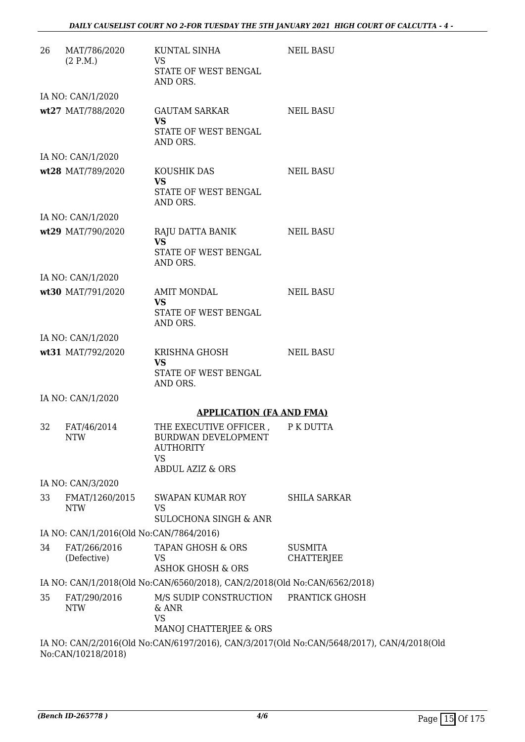| 26 | MAT/786/2020<br>(2 P.M.)                | KUNTAL SINHA<br>VS<br>STATE OF WEST BENGAL<br>AND ORS.                                                        | <b>NEIL BASU</b>                                                                          |
|----|-----------------------------------------|---------------------------------------------------------------------------------------------------------------|-------------------------------------------------------------------------------------------|
|    | IA NO: CAN/1/2020                       |                                                                                                               |                                                                                           |
|    | wt27 MAT/788/2020                       | GAUTAM SARKAR<br><b>VS</b><br>STATE OF WEST BENGAL<br>AND ORS.                                                | <b>NEIL BASU</b>                                                                          |
|    | IA NO: CAN/1/2020                       |                                                                                                               |                                                                                           |
|    | wt28 MAT/789/2020                       | KOUSHIK DAS<br><b>VS</b><br>STATE OF WEST BENGAL<br>AND ORS.                                                  | <b>NEIL BASU</b>                                                                          |
|    | IA NO: CAN/1/2020                       |                                                                                                               |                                                                                           |
|    | wt29 MAT/790/2020                       | RAJU DATTA BANIK<br><b>VS</b><br>STATE OF WEST BENGAL<br>AND ORS.                                             | <b>NEIL BASU</b>                                                                          |
|    | IA NO: CAN/1/2020                       |                                                                                                               |                                                                                           |
|    | wt30 MAT/791/2020                       | <b>AMIT MONDAL</b><br><b>VS</b><br>STATE OF WEST BENGAL<br>AND ORS.                                           | <b>NEIL BASU</b>                                                                          |
|    | IA NO: CAN/1/2020                       |                                                                                                               |                                                                                           |
|    | wt31 MAT/792/2020                       | KRISHNA GHOSH<br>VS<br>STATE OF WEST BENGAL<br>AND ORS.                                                       | NEIL BASU                                                                                 |
|    | IA NO: CAN/1/2020                       |                                                                                                               |                                                                                           |
|    |                                         | <b>APPLICATION (FA AND FMA)</b>                                                                               |                                                                                           |
| 32 | FAT/46/2014<br>NTW                      | THE EXECUTIVE OFFICER,<br>BURDWAN DEVELOPMENT<br><b>AUTHORITY</b><br><b>VS</b><br><b>ABDUL AZIZ &amp; ORS</b> | P K DUTTA                                                                                 |
|    | IA NO: CAN/3/2020                       |                                                                                                               |                                                                                           |
| 33 | FMAT/1260/2015<br>NTW                   | <b>SWAPAN KUMAR ROY</b><br><b>VS</b><br><b>SULOCHONA SINGH &amp; ANR</b>                                      | <b>SHILA SARKAR</b>                                                                       |
|    | IA NO: CAN/1/2016(Old No:CAN/7864/2016) |                                                                                                               |                                                                                           |
| 34 | FAT/266/2016<br>(Defective)             | TAPAN GHOSH & ORS<br><b>VS</b><br><b>ASHOK GHOSH &amp; ORS</b>                                                | <b>SUSMITA</b><br>CHATTERJEE                                                              |
|    |                                         | IA NO: CAN/1/2018(Old No:CAN/6560/2018), CAN/2/2018(Old No:CAN/6562/2018)                                     |                                                                                           |
| 35 | FAT/290/2016<br><b>NTW</b>              | M/S SUDIP CONSTRUCTION<br>& ANR<br><b>VS</b><br>MANOJ CHATTERJEE & ORS                                        | PRANTICK GHOSH                                                                            |
|    |                                         |                                                                                                               | IA NO: CAN/2/2016(Old No:CAN/6197/2016), CAN/3/2017(Old No:CAN/5648/2017), CAN/4/2018(Old |

No:CAN/10218/2018)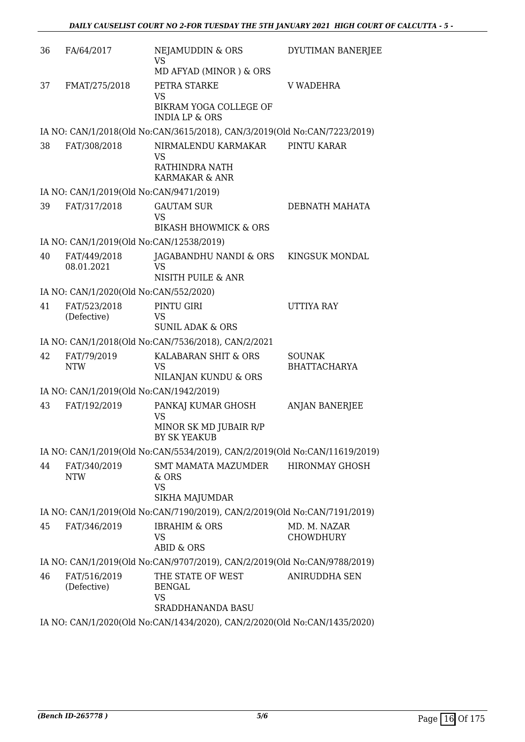| 36 | FA/64/2017                               | <b>NEJAMUDDIN &amp; ORS</b><br><b>VS</b>                                                                   | DYUTIMAN BANERJEE                    |
|----|------------------------------------------|------------------------------------------------------------------------------------------------------------|--------------------------------------|
| 37 | FMAT/275/2018                            | MD AFYAD (MINOR) & ORS<br>PETRA STARKE<br><b>VS</b><br>BIKRAM YOGA COLLEGE OF<br><b>INDIA LP &amp; ORS</b> | <b>V WADEHRA</b>                     |
|    |                                          | IA NO: CAN/1/2018(Old No:CAN/3615/2018), CAN/3/2019(Old No:CAN/7223/2019)                                  |                                      |
| 38 | FAT/308/2018                             | NIRMALENDU KARMAKAR<br>VS<br>RATHINDRA NATH<br>KARMAKAR & ANR                                              | PINTU KARAR                          |
|    | IA NO: CAN/1/2019(Old No:CAN/9471/2019)  |                                                                                                            |                                      |
| 39 | FAT/317/2018                             | <b>GAUTAM SUR</b><br><b>VS</b><br><b>BIKASH BHOWMICK &amp; ORS</b>                                         | DEBNATH MAHATA                       |
|    | IA NO: CAN/1/2019(Old No:CAN/12538/2019) |                                                                                                            |                                      |
| 40 | FAT/449/2018<br>08.01.2021               | JAGABANDHU NANDI & ORS<br><b>VS</b><br>NISITH PUILE & ANR                                                  | KINGSUK MONDAL                       |
|    | IA NO: CAN/1/2020(Old No:CAN/552/2020)   |                                                                                                            |                                      |
| 41 | FAT/523/2018<br>(Defective)              | PINTU GIRI<br>VS<br><b>SUNIL ADAK &amp; ORS</b>                                                            | <b>UTTIYA RAY</b>                    |
|    |                                          | IA NO: CAN/1/2018(Old No:CAN/7536/2018), CAN/2/2021                                                        |                                      |
| 42 | FAT/79/2019<br><b>NTW</b>                | KALABARAN SHIT & ORS<br><b>VS</b><br>NILANJAN KUNDU & ORS                                                  | <b>SOUNAK</b><br><b>BHATTACHARYA</b> |
|    | IA NO: CAN/1/2019(Old No:CAN/1942/2019)  |                                                                                                            |                                      |
| 43 | FAT/192/2019                             | PANKAJ KUMAR GHOSH<br><b>VS</b><br>MINOR SK MD JUBAIR R/P<br>BY SK YEAKUB                                  | <b>ANJAN BANERJEE</b>                |
|    |                                          | IA NO: CAN/1/2019(Old No:CAN/5534/2019), CAN/2/2019(Old No:CAN/11619/2019)                                 |                                      |
| 44 | FAT/340/2019<br><b>NTW</b>               | SMT MAMATA MAZUMDER<br>& ORS<br><b>VS</b><br>SIKHA MAJUMDAR                                                | <b>HIRONMAY GHOSH</b>                |
|    |                                          | IA NO: CAN/1/2019(Old No:CAN/7190/2019), CAN/2/2019(Old No:CAN/7191/2019)                                  |                                      |
| 45 | FAT/346/2019                             | <b>IBRAHIM &amp; ORS</b><br>VS<br><b>ABID &amp; ORS</b>                                                    | MD. M. NAZAR<br><b>CHOWDHURY</b>     |
|    |                                          | IA NO: CAN/1/2019(Old No:CAN/9707/2019), CAN/2/2019(Old No:CAN/9788/2019)                                  |                                      |
| 46 | FAT/516/2019<br>(Defective)              | THE STATE OF WEST<br><b>BENGAL</b><br><b>VS</b><br>SRADDHANANDA BASU                                       | <b>ANIRUDDHA SEN</b>                 |
|    |                                          | IA NO: CAN/1/2020(Old No:CAN/1434/2020), CAN/2/2020(Old No:CAN/1435/2020)                                  |                                      |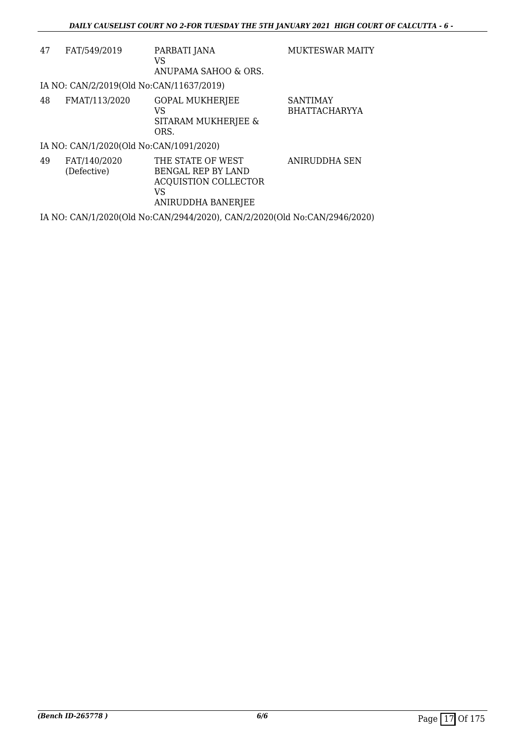| 47 | FAT/549/2019                             | PARBATI JANA<br>VS<br>ANUPAMA SAHOO & ORS.                                                                | <b>MUKTESWAR MAITY</b>                  |
|----|------------------------------------------|-----------------------------------------------------------------------------------------------------------|-----------------------------------------|
|    | IA NO: CAN/2/2019(Old No:CAN/11637/2019) |                                                                                                           |                                         |
| 48 | FMAT/113/2020                            | <b>GOPAL MUKHERJEE</b><br>VS<br>SITARAM MUKHERJEE &<br>ORS.                                               | <b>SANTIMAY</b><br><b>BHATTACHARYYA</b> |
|    | IA NO: CAN/1/2020(Old No:CAN/1091/2020)  |                                                                                                           |                                         |
| 49 | FAT/140/2020<br>(Defective)              | THE STATE OF WEST<br><b>BENGAL REP BY LAND</b><br><b>ACQUISTION COLLECTOR</b><br>VS<br>ANIRUDDHA BANERJEE | ANIRUDDHA SEN                           |
|    |                                          | IA NO: CAN/1/2020(Old No:CAN/2944/2020), CAN/2/2020(Old No:CAN/2946/2020)                                 |                                         |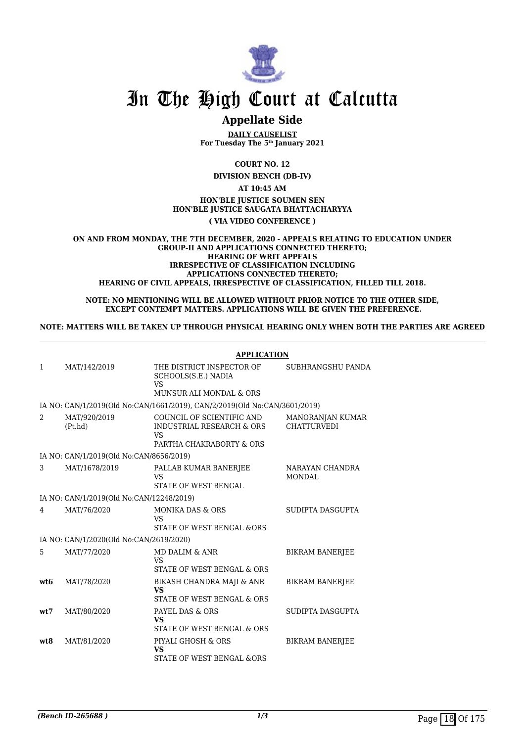

# **Appellate Side**

**DAILY CAUSELIST For Tuesday The 5th January 2021**

**COURT NO. 12**

**DIVISION BENCH (DB-IV)**

**AT 10:45 AM HON'BLE JUSTICE SOUMEN SEN HON'BLE JUSTICE SAUGATA BHATTACHARYYA ( VIA VIDEO CONFERENCE )**

**ON AND FROM MONDAY, THE 7TH DECEMBER, 2020 - APPEALS RELATING TO EDUCATION UNDER GROUP-II AND APPLICATIONS CONNECTED THERETO; HEARING OF WRIT APPEALS IRRESPECTIVE OF CLASSIFICATION INCLUDING APPLICATIONS CONNECTED THERETO; HEARING OF CIVIL APPEALS, IRRESPECTIVE OF CLASSIFICATION, FILLED TILL 2018.**

**NOTE: NO MENTIONING WILL BE ALLOWED WITHOUT PRIOR NOTICE TO THE OTHER SIDE, EXCEPT CONTEMPT MATTERS. APPLICATIONS WILL BE GIVEN THE PREFERENCE.**

**NOTE: MATTERS WILL BE TAKEN UP THROUGH PHYSICAL HEARING ONLY WHEN BOTH THE PARTIES ARE AGREED**

|              |                                          | <b>APPLICATION</b>                                                                       |                                        |
|--------------|------------------------------------------|------------------------------------------------------------------------------------------|----------------------------------------|
| $\mathbf{1}$ | MAT/142/2019                             | THE DISTRICT INSPECTOR OF<br>SCHOOLS(S.E.) NADIA<br>VS<br>MUNSUR ALI MONDAL & ORS        | SUBHRANGSHU PANDA                      |
|              |                                          |                                                                                          |                                        |
|              |                                          | IA NO: CAN/1/2019(Old No:CAN/1661/2019), CAN/2/2019(Old No:CAN/3601/2019)                |                                        |
| 2            | MAT/920/2019<br>(Pt.hd)                  | COUNCIL OF SCIENTIFIC AND<br>INDUSTRIAL RESEARCH & ORS<br>VS<br>PARTHA CHAKRABORTY & ORS | MANORANJAN KUMAR<br><b>CHATTURVEDI</b> |
|              | IA NO: CAN/1/2019(Old No:CAN/8656/2019)  |                                                                                          |                                        |
| 3            | MAT/1678/2019                            | PALLAB KUMAR BANERJEE<br><b>VS</b><br>STATE OF WEST BENGAL                               | NARAYAN CHANDRA<br><b>MONDAL</b>       |
|              | IA NO: CAN/1/2019(Old No:CAN/12248/2019) |                                                                                          |                                        |
| 4            | MAT/76/2020                              | <b>MONIKA DAS &amp; ORS</b><br><b>VS</b><br><b>STATE OF WEST BENGAL &amp;ORS</b>         | SUDIPTA DASGUPTA                       |
|              | IA NO: CAN/1/2020(Old No:CAN/2619/2020)  |                                                                                          |                                        |
| 5            | MAT/77/2020                              | MD DALIM & ANR<br><b>VS</b><br>STATE OF WEST BENGAL & ORS                                | <b>BIKRAM BANERJEE</b>                 |
| wt6          | MAT/78/2020                              | BIKASH CHANDRA MAJI & ANR<br><b>VS</b><br>STATE OF WEST BENGAL & ORS                     | <b>BIKRAM BANERJEE</b>                 |
| wt7          | MAT/80/2020                              | PAYEL DAS & ORS<br><b>VS</b><br>STATE OF WEST BENGAL & ORS                               | SUDIPTA DASGUPTA                       |
| wt8          | MAT/81/2020                              | PIYALI GHOSH & ORS<br><b>VS</b><br>STATE OF WEST BENGAL & ORS                            | <b>BIKRAM BANERJEE</b>                 |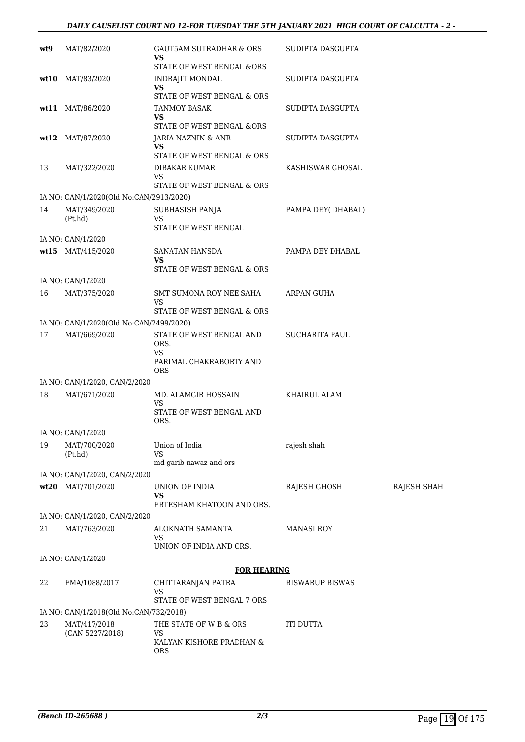| wt9 | MAT/82/2020                                   | GAUT5AM SUTRADHAR & ORS<br>VS                                            | SUDIPTA DASGUPTA       |                    |
|-----|-----------------------------------------------|--------------------------------------------------------------------------|------------------------|--------------------|
|     |                                               | STATE OF WEST BENGAL &ORS                                                |                        |                    |
|     | wt10 MAT/83/2020                              | INDRAJIT MONDAL<br>VS                                                    | SUDIPTA DASGUPTA       |                    |
|     |                                               | STATE OF WEST BENGAL & ORS                                               |                        |                    |
|     | wt11 MAT/86/2020                              | TANMOY BASAK                                                             | SUDIPTA DASGUPTA       |                    |
|     |                                               | <b>VS</b><br>STATE OF WEST BENGAL &ORS                                   |                        |                    |
|     | wt12 MAT/87/2020                              | JARIA NAZNIN & ANR                                                       | SUDIPTA DASGUPTA       |                    |
|     |                                               | <b>VS</b>                                                                |                        |                    |
|     |                                               | STATE OF WEST BENGAL & ORS                                               |                        |                    |
| 13  | MAT/322/2020                                  | DIBAKAR KUMAR<br>VS                                                      | KASHISWAR GHOSAL       |                    |
|     |                                               | STATE OF WEST BENGAL & ORS                                               |                        |                    |
|     | IA NO: CAN/1/2020(Old No:CAN/2913/2020)       |                                                                          |                        |                    |
| 14  | MAT/349/2020                                  | SUBHASISH PANJA                                                          | PAMPA DEY(DHABAL)      |                    |
|     | (Pt.hd)                                       | VS<br>STATE OF WEST BENGAL                                               |                        |                    |
|     | IA NO: CAN/1/2020                             |                                                                          |                        |                    |
|     | wt15 MAT/415/2020                             | SANATAN HANSDA                                                           | PAMPA DEY DHABAL       |                    |
|     |                                               | <b>VS</b>                                                                |                        |                    |
|     |                                               | STATE OF WEST BENGAL & ORS                                               |                        |                    |
|     | IA NO: CAN/1/2020<br>MAT/375/2020             | SMT SUMONA ROY NEE SAHA                                                  | ARPAN GUHA             |                    |
| 16  |                                               | VS                                                                       |                        |                    |
|     |                                               | STATE OF WEST BENGAL & ORS                                               |                        |                    |
|     | IA NO: CAN/1/2020(Old No:CAN/2499/2020)       |                                                                          |                        |                    |
| 17  | MAT/669/2020                                  | STATE OF WEST BENGAL AND<br>ORS.<br><b>VS</b><br>PARIMAL CHAKRABORTY AND | SUCHARITA PAUL         |                    |
|     |                                               | <b>ORS</b>                                                               |                        |                    |
| 18  | IA NO: CAN/1/2020, CAN/2/2020<br>MAT/671/2020 | MD. ALAMGIR HOSSAIN                                                      | KHAIRUL ALAM           |                    |
|     |                                               | VS<br>STATE OF WEST BENGAL AND                                           |                        |                    |
|     | IA NO: CAN/1/2020                             | ORS.                                                                     |                        |                    |
| 19  | MAT/700/2020                                  | Union of India                                                           | rajesh shah            |                    |
|     | (Pt.hd)                                       | VS                                                                       |                        |                    |
|     | IA NO: CAN/1/2020, CAN/2/2020                 | md garib nawaz and ors                                                   |                        |                    |
|     | wt20 MAT/701/2020                             | UNION OF INDIA                                                           | RAJESH GHOSH           | <b>RAJESH SHAH</b> |
|     |                                               | VS<br>EBTESHAM KHATOON AND ORS.                                          |                        |                    |
|     | IA NO: CAN/1/2020, CAN/2/2020                 |                                                                          |                        |                    |
| 21  | MAT/763/2020                                  | ALOKNATH SAMANTA                                                         | <b>MANASI ROY</b>      |                    |
|     |                                               | VS<br>UNION OF INDIA AND ORS.                                            |                        |                    |
|     |                                               |                                                                          |                        |                    |
|     | IA NO: CAN/1/2020                             | <b>FOR HEARING</b>                                                       |                        |                    |
| 22  | FMA/1088/2017                                 | CHITTARANJAN PATRA                                                       | <b>BISWARUP BISWAS</b> |                    |
|     |                                               | VS<br>STATE OF WEST BENGAL 7 ORS                                         |                        |                    |
|     | IA NO: CAN/1/2018(Old No:CAN/732/2018)        |                                                                          |                        |                    |
| 23  | MAT/417/2018                                  | THE STATE OF W B & ORS                                                   | ITI DUTTA              |                    |
|     | (CAN 5227/2018)                               | VS<br>KALYAN KISHORE PRADHAN &                                           |                        |                    |
|     |                                               | <b>ORS</b>                                                               |                        |                    |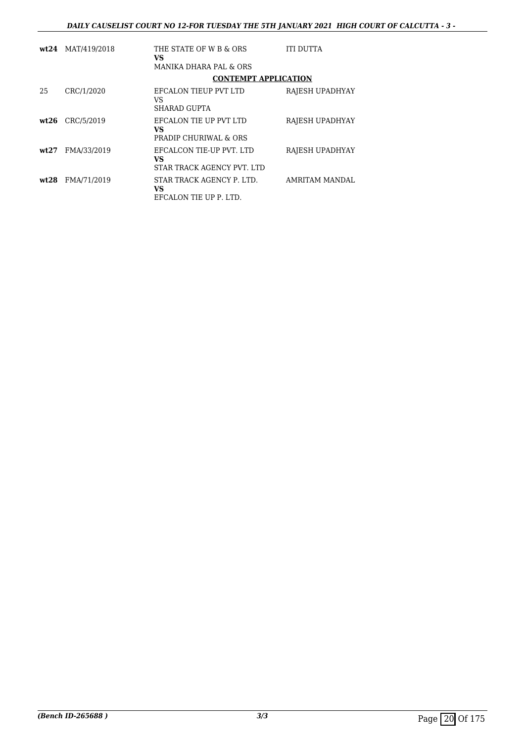|       | wt24 MAT/419/2018 | THE STATE OF W B & ORS<br><b>VS</b>                                 | ITI DUTTA       |
|-------|-------------------|---------------------------------------------------------------------|-----------------|
|       |                   | <b>MANIKA DHARA PAL &amp; ORS</b>                                   |                 |
|       |                   | <b>CONTEMPT APPLICATION</b>                                         |                 |
| 25    | CRC/1/2020        | EFCALON TIEUP PVT LTD<br>VS                                         | RAJESH UPADHYAY |
|       |                   | <b>SHARAD GUPTA</b>                                                 |                 |
| wt.26 | CRC/5/2019        | EFCALON TIE UP PVT LTD<br><b>VS</b>                                 | RAJESH UPADHYAY |
|       |                   | <b>PRADIP CHURIWAL &amp; ORS</b>                                    |                 |
| wt27  | FMA/33/2019       | EFCALCON TIE-UP PVT. LTD<br><b>VS</b><br>STAR TRACK AGENCY PVT. LTD | RAJESH UPADHYAY |
|       |                   |                                                                     |                 |
| wt28  | FMA/71/2019       | STAR TRACK AGENCY P. LTD.<br><b>VS</b><br>EFCALON TIE UP P. LTD.    | AMRITAM MANDAL  |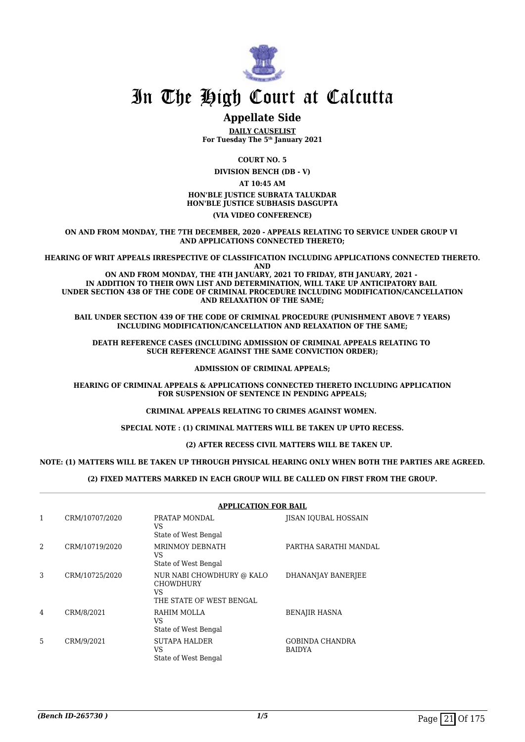

# **Appellate Side**

**DAILY CAUSELIST For Tuesday The 5th January 2021**

**COURT NO. 5**

**DIVISION BENCH (DB - V)**

**AT 10:45 AM**

**HON'BLE JUSTICE SUBRATA TALUKDAR HON'BLE JUSTICE SUBHASIS DASGUPTA**

### **(VIA VIDEO CONFERENCE)**

**ON AND FROM MONDAY, THE 7TH DECEMBER, 2020 - APPEALS RELATING TO SERVICE UNDER GROUP VI AND APPLICATIONS CONNECTED THERETO;**

**HEARING OF WRIT APPEALS IRRESPECTIVE OF CLASSIFICATION INCLUDING APPLICATIONS CONNECTED THERETO. AND**

**ON AND FROM MONDAY, THE 4TH JANUARY, 2021 TO FRIDAY, 8TH JANUARY, 2021 - IN ADDITION TO THEIR OWN LIST AND DETERMINATION, WILL TAKE UP ANTICIPATORY BAIL UNDER SECTION 438 OF THE CODE OF CRIMINAL PROCEDURE INCLUDING MODIFICATION/CANCELLATION AND RELAXATION OF THE SAME;**

**BAIL UNDER SECTION 439 OF THE CODE OF CRIMINAL PROCEDURE (PUNISHMENT ABOVE 7 YEARS) INCLUDING MODIFICATION/CANCELLATION AND RELAXATION OF THE SAME;**

**DEATH REFERENCE CASES (INCLUDING ADMISSION OF CRIMINAL APPEALS RELATING TO SUCH REFERENCE AGAINST THE SAME CONVICTION ORDER);**

#### **ADMISSION OF CRIMINAL APPEALS;**

**HEARING OF CRIMINAL APPEALS & APPLICATIONS CONNECTED THERETO INCLUDING APPLICATION FOR SUSPENSION OF SENTENCE IN PENDING APPEALS;**

**CRIMINAL APPEALS RELATING TO CRIMES AGAINST WOMEN.** 

**SPECIAL NOTE : (1) CRIMINAL MATTERS WILL BE TAKEN UP UPTO RECESS.**

 **(2) AFTER RECESS CIVIL MATTERS WILL BE TAKEN UP.** 

### **NOTE: (1) MATTERS WILL BE TAKEN UP THROUGH PHYSICAL HEARING ONLY WHEN BOTH THE PARTIES ARE AGREED.**

### **(2) FIXED MATTERS MARKED IN EACH GROUP WILL BE CALLED ON FIRST FROM THE GROUP.**

|               | <b>APPLICATION FOR BAIL</b> |                                                                                 |                                  |  |  |
|---------------|-----------------------------|---------------------------------------------------------------------------------|----------------------------------|--|--|
| 1             | CRM/10707/2020              | PRATAP MONDAL<br>VS<br>State of West Bengal                                     | JISAN IQUBAL HOSSAIN             |  |  |
| $\mathcal{D}$ | CRM/10719/2020              | <b>MRINMOY DEBNATH</b><br>VS<br>State of West Bengal                            | PARTHA SARATHI MANDAL            |  |  |
| 3             | CRM/10725/2020              | NUR NABI CHOWDHURY @ KALO<br><b>CHOWDHURY</b><br>VS<br>THE STATE OF WEST BENGAL | DHANANJAY BANERJEE               |  |  |
| 4             | CRM/8/2021                  | RAHIM MOLLA<br>VS<br>State of West Bengal                                       | <b>BENAJIR HASNA</b>             |  |  |
| 5             | CRM/9/2021                  | <b>SUTAPA HALDER</b><br>VS<br>State of West Bengal                              | GOBINDA CHANDRA<br><b>BAIDYA</b> |  |  |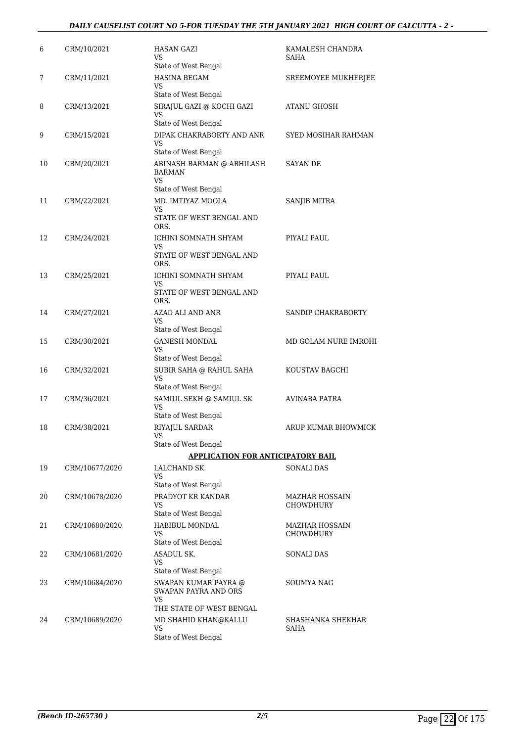## *DAILY CAUSELIST COURT NO 5-FOR TUESDAY THE 5TH JANUARY 2021 HIGH COURT OF CALCUTTA - 2 -*

| 6  | CRM/10/2021    | <b>HASAN GAZI</b><br>VS<br>State of West Bengal                                       | KAMALESH CHANDRA<br>SAHA           |
|----|----------------|---------------------------------------------------------------------------------------|------------------------------------|
| 7  | CRM/11/2021    | HASINA BEGAM<br>VS<br>State of West Bengal                                            | SREEMOYEE MUKHERJEE                |
| 8  | CRM/13/2021    | SIRAJUL GAZI @ KOCHI GAZI<br>VS<br>State of West Bengal                               | <b>ATANU GHOSH</b>                 |
| 9  | CRM/15/2021    | DIPAK CHAKRABORTY AND ANR<br>VS.<br>State of West Bengal                              | SYED MOSIHAR RAHMAN                |
| 10 | CRM/20/2021    | ABINASH BARMAN @ ABHILASH<br><b>BARMAN</b><br><b>VS</b>                               | SAYAN DE                           |
| 11 | CRM/22/2021    | State of West Bengal<br>MD. IMTIYAZ MOOLA<br>VS<br>STATE OF WEST BENGAL AND<br>ORS.   | <b>SANJIB MITRA</b>                |
| 12 | CRM/24/2021    | ICHINI SOMNATH SHYAM<br>VS<br>STATE OF WEST BENGAL AND<br>ORS.                        | PIYALI PAUL                        |
| 13 | CRM/25/2021    | <b>ICHINI SOMNATH SHYAM</b><br>VS<br>STATE OF WEST BENGAL AND<br>ORS.                 | PIYALI PAUL                        |
| 14 | CRM/27/2021    | AZAD ALI AND ANR<br>VS<br>State of West Bengal                                        | SANDIP CHAKRABORTY                 |
| 15 | CRM/30/2021    | <b>GANESH MONDAL</b><br><b>VS</b><br>State of West Bengal                             | MD GOLAM NURE IMROHI               |
| 16 | CRM/32/2021    | SUBIR SAHA @ RAHUL SAHA<br>VS<br>State of West Bengal                                 | KOUSTAV BAGCHI                     |
| 17 | CRM/36/2021    | SAMIUL SEKH @ SAMIUL SK<br>VS<br>State of West Bengal                                 | AVINABA PATRA                      |
| 18 | CRM/38/2021    | RIYAJUL SARDAR<br>VS<br>State of West Bengal                                          | ARUP KUMAR BHOWMICK                |
|    |                | <b>APPLICATION FOR ANTICIPATORY BAIL</b>                                              |                                    |
| 19 | CRM/10677/2020 | LALCHAND SK.<br>VS<br>State of West Bengal                                            | <b>SONALI DAS</b>                  |
| 20 | CRM/10678/2020 | PRADYOT KR KANDAR<br>VS<br>State of West Bengal                                       | MAZHAR HOSSAIN<br>CHOWDHURY        |
| 21 | CRM/10680/2020 | HABIBUL MONDAL<br>VS<br>State of West Bengal                                          | <b>MAZHAR HOSSAIN</b><br>CHOWDHURY |
| 22 | CRM/10681/2020 | ASADUL SK.<br><b>VS</b><br>State of West Bengal                                       | SONALI DAS                         |
| 23 | CRM/10684/2020 | SWAPAN KUMAR PAYRA @<br><b>SWAPAN PAYRA AND ORS</b><br>VS<br>THE STATE OF WEST BENGAL | SOUMYA NAG                         |
| 24 | CRM/10689/2020 | MD SHAHID KHAN@KALLU<br>VS<br>State of West Bengal                                    | SHASHANKA SHEKHAR<br>SAHA          |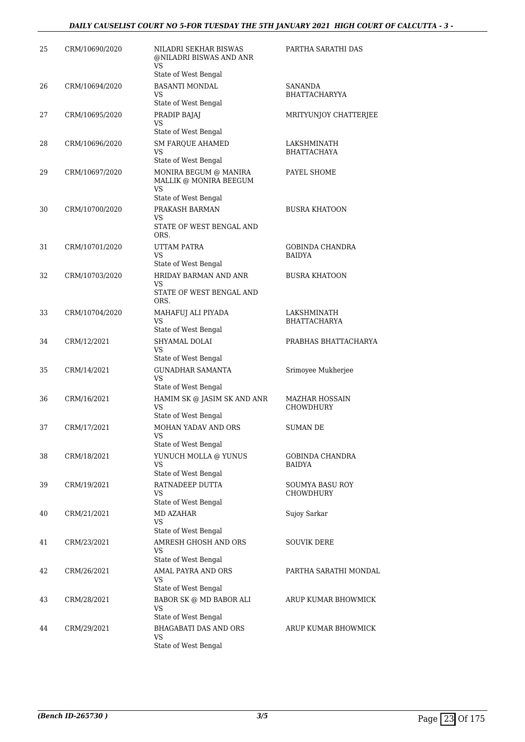## *DAILY CAUSELIST COURT NO 5-FOR TUESDAY THE 5TH JANUARY 2021 HIGH COURT OF CALCUTTA - 3 -*

| 25 | CRM/10690/2020 | NILADRI SEKHAR BISWAS<br>@NILADRI BISWAS AND ANR<br>VS<br>State of West Bengal    | PARTHA SARATHI DAS                         |
|----|----------------|-----------------------------------------------------------------------------------|--------------------------------------------|
| 26 | CRM/10694/2020 | <b>BASANTI MONDAL</b><br>VS<br>State of West Bengal                               | SANANDA<br><b>BHATTACHARYYA</b>            |
| 27 | CRM/10695/2020 | PRADIP BAJAJ<br>VS<br>State of West Bengal                                        | MRITYUNJOY CHATTERJEE                      |
| 28 | CRM/10696/2020 | <b>SM FARQUE AHAMED</b><br>VS<br>State of West Bengal                             | LAKSHMINATH<br>BHATTACHAYA                 |
| 29 | CRM/10697/2020 | MONIRA BEGUM @ MANIRA<br>MALLIK @ MONIRA BEEGUM<br>VS<br>State of West Bengal     | PAYEL SHOME                                |
| 30 | CRM/10700/2020 | PRAKASH BARMAN<br>VS<br>STATE OF WEST BENGAL AND<br>ORS.                          | <b>BUSRA KHATOON</b>                       |
| 31 | CRM/10701/2020 | <b>UTTAM PATRA</b><br>VS<br>State of West Bengal                                  | <b>GOBINDA CHANDRA</b><br>BAIDYA           |
| 32 | CRM/10703/2020 | HRIDAY BARMAN AND ANR<br>VS<br>STATE OF WEST BENGAL AND<br>ORS.                   | <b>BUSRA KHATOON</b>                       |
| 33 | CRM/10704/2020 | MAHAFUJ ALI PIYADA<br>VS<br>State of West Bengal                                  | LAKSHMINATH<br>BHATTACHARYA                |
| 34 | CRM/12/2021    | SHYAMAL DOLAI<br>VS                                                               | PRABHAS BHATTACHARYA                       |
| 35 | CRM/14/2021    | State of West Bengal<br><b>GUNADHAR SAMANTA</b><br>VS                             | Srimoyee Mukherjee                         |
| 36 | CRM/16/2021    | State of West Bengal<br>HAMIM SK @ JASIM SK AND ANR<br>VS<br>State of West Bengal | <b>MAZHAR HOSSAIN</b><br>CHOWDHURY         |
| 37 | CRM/17/2021    | MOHAN YADAV AND ORS<br>VS<br>State of West Bengal                                 | SUMAN DE                                   |
| 38 | CRM/18/2021    | YUNUCH MOLLA @ YUNUS<br>VS<br>State of West Bengal                                | GOBINDA CHANDRA<br><b>BAIDYA</b>           |
| 39 | CRM/19/2021    | RATNADEEP DUTTA<br>VS<br>State of West Bengal                                     | <b>SOUMYA BASU ROY</b><br><b>CHOWDHURY</b> |
| 40 | CRM/21/2021    | <b>MD AZAHAR</b><br>VS<br>State of West Bengal                                    | Sujoy Sarkar                               |
| 41 | CRM/23/2021    | AMRESH GHOSH AND ORS<br>VS<br>State of West Bengal                                | SOUVIK DERE                                |
| 42 | CRM/26/2021    | AMAL PAYRA AND ORS<br>VS<br>State of West Bengal                                  | PARTHA SARATHI MONDAL                      |
| 43 | CRM/28/2021    | BABOR SK @ MD BABOR ALI<br>VS<br>State of West Bengal                             | ARUP KUMAR BHOWMICK                        |
| 44 | CRM/29/2021    | <b>BHAGABATI DAS AND ORS</b><br>VS<br>State of West Bengal                        | ARUP KUMAR BHOWMICK                        |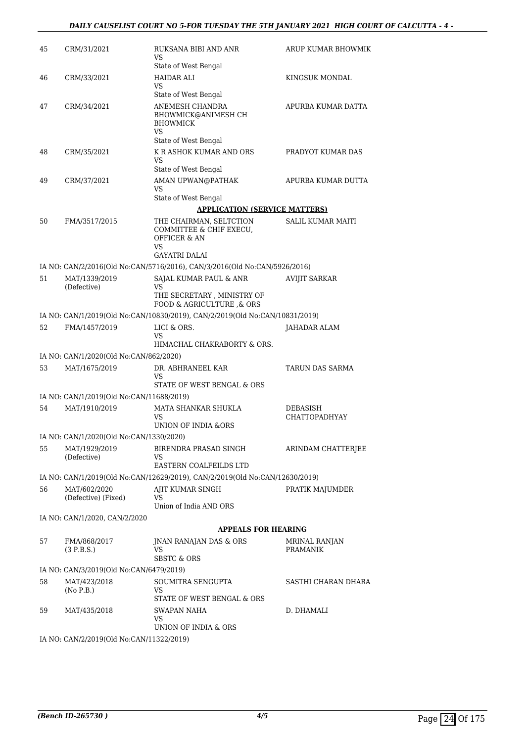| 45 | CRM/31/2021                              | RUKSANA BIBI AND ANR<br>VS<br>State of West Bengal                                               | ARUP KUMAR BHOWMIK               |
|----|------------------------------------------|--------------------------------------------------------------------------------------------------|----------------------------------|
| 46 | CRM/33/2021                              | <b>HAIDAR ALI</b><br>VS                                                                          | KINGSUK MONDAL                   |
|    |                                          | State of West Bengal                                                                             |                                  |
| 47 | CRM/34/2021                              | ANEMESH CHANDRA<br>BHOWMICK@ANIMESH CH<br><b>BHOWMICK</b><br><b>VS</b><br>State of West Bengal   | APURBA KUMAR DATTA               |
| 48 | CRM/35/2021                              | K R ASHOK KUMAR AND ORS                                                                          | PRADYOT KUMAR DAS                |
|    |                                          | VS.<br>State of West Bengal                                                                      |                                  |
| 49 | CRM/37/2021                              | AMAN UPWAN@PATHAK                                                                                | APURBA KUMAR DUTTA               |
|    |                                          | VS                                                                                               |                                  |
|    |                                          | State of West Bengal                                                                             |                                  |
|    |                                          | <b>APPLICATION (SERVICE MATTERS)</b>                                                             |                                  |
| 50 | FMA/3517/2015                            | THE CHAIRMAN, SELTCTION<br>COMMITTEE & CHIF EXECU,<br>OFFICER & AN<br>VS<br><b>GAYATRI DALAI</b> | <b>SALIL KUMAR MAITI</b>         |
|    |                                          | IA NO: CAN/2/2016(Old No:CAN/5716/2016), CAN/3/2016(Old No:CAN/5926/2016)                        |                                  |
| 51 | MAT/1339/2019                            | SAJAL KUMAR PAUL & ANR                                                                           | <b>AVIJIT SARKAR</b>             |
|    | (Defective)                              | VS<br>THE SECRETARY, MINISTRY OF<br>FOOD & AGRICULTURE & ORS                                     |                                  |
|    |                                          | IA NO: CAN/1/2019(Old No:CAN/10830/2019), CAN/2/2019(Old No:CAN/10831/2019)                      |                                  |
| 52 | FMA/1457/2019                            | LICI & ORS.                                                                                      | JAHADAR ALAM                     |
|    |                                          | VS<br>HIMACHAL CHAKRABORTY & ORS.                                                                |                                  |
|    | IA NO: CAN/1/2020(Old No:CAN/862/2020)   |                                                                                                  |                                  |
| 53 | MAT/1675/2019                            | DR. ABHRANEEL KAR<br>VS.                                                                         | <b>TARUN DAS SARMA</b>           |
|    |                                          | STATE OF WEST BENGAL & ORS                                                                       |                                  |
|    | IA NO: CAN/1/2019(Old No:CAN/11688/2019) |                                                                                                  |                                  |
| 54 | MAT/1910/2019                            | MATA SHANKAR SHUKLA<br>VS<br>UNION OF INDIA & ORS                                                | DEBASISH<br><b>CHATTOPADHYAY</b> |
|    | IA NO: CAN/1/2020(Old No:CAN/1330/2020)  |                                                                                                  |                                  |
| 55 | MAT/1929/2019                            | BIRENDRA PRASAD SINGH                                                                            | ARINDAM CHATTERJEE               |
|    | (Defective)                              | VS                                                                                               |                                  |
|    |                                          | EASTERN COALFEILDS LTD                                                                           |                                  |
|    |                                          | IA NO: CAN/1/2019(Old No:CAN/12629/2019), CAN/2/2019(Old No:CAN/12630/2019)                      |                                  |
| 56 | MAT/602/2020<br>(Defective) (Fixed)      | AJIT KUMAR SINGH<br>VS<br>Union of India AND ORS                                                 | PRATIK MAJUMDER                  |
|    | IA NO: CAN/1/2020, CAN/2/2020            |                                                                                                  |                                  |
|    |                                          | <b>APPEALS FOR HEARING</b>                                                                       |                                  |
| 57 | FMA/868/2017<br>(3 P.B.S.)               | JNAN RANAJAN DAS & ORS<br>VS<br>SBSTC & ORS                                                      | MRINAL RANJAN<br>PRAMANIK        |
|    | IA NO: CAN/3/2019(Old No:CAN/6479/2019)  |                                                                                                  |                                  |
| 58 | MAT/423/2018                             | SOUMITRA SENGUPTA                                                                                | SASTHI CHARAN DHARA              |
|    | (No P.B.)                                | VS                                                                                               |                                  |
|    |                                          | STATE OF WEST BENGAL & ORS                                                                       |                                  |
| 59 | MAT/435/2018                             | SWAPAN NAHA<br>VS<br>UNION OF INDIA & ORS                                                        | D. DHAMALI                       |
|    | IA NO: CAN/2/2019(Old No:CAN/11322/2019) |                                                                                                  |                                  |
|    |                                          |                                                                                                  |                                  |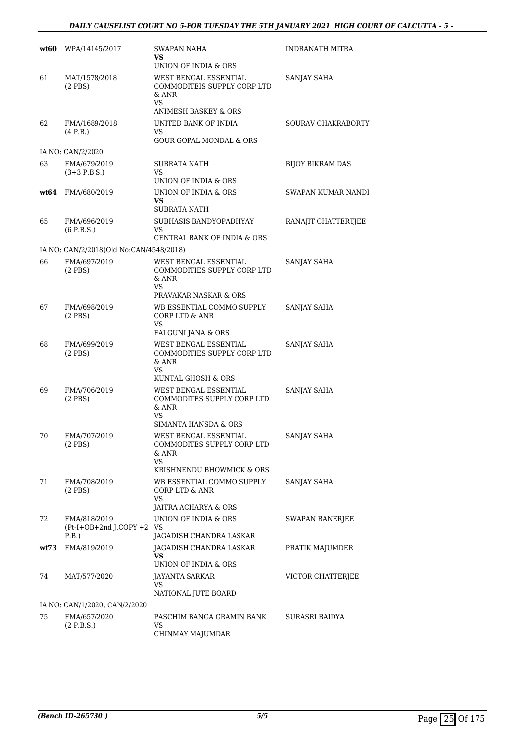| wt60 | WPA/14145/2017                                       | SWAPAN NAHA<br>VS.<br>UNION OF INDIA & ORS                           | <b>INDRANATH MITRA</b>  |
|------|------------------------------------------------------|----------------------------------------------------------------------|-------------------------|
| 61   | MAT/1578/2018<br>$(2$ PBS $)$                        | WEST BENGAL ESSENTIAL<br>COMMODITEIS SUPPLY CORP LTD<br>& ANR<br>VS  | SANJAY SAHA             |
|      |                                                      | ANIMESH BASKEY & ORS                                                 |                         |
| 62   | FMA/1689/2018<br>(4 P.B.)                            | UNITED BANK OF INDIA<br>VS.<br>GOUR GOPAL MONDAL & ORS               | SOURAV CHAKRABORTY      |
|      | IA NO: CAN/2/2020                                    |                                                                      |                         |
| 63   | FMA/679/2019<br>$(3+3)$ P.B.S.)                      | SUBRATA NATH<br>VS<br>UNION OF INDIA & ORS                           | <b>BIJOY BIKRAM DAS</b> |
|      |                                                      |                                                                      |                         |
| wt64 | FMA/680/2019                                         | UNION OF INDIA & ORS<br>VS                                           | SWAPAN KUMAR NANDI      |
|      |                                                      | SUBRATA NATH                                                         |                         |
| 65   | FMA/696/2019<br>$(6$ P.B.S.)                         | SUBHASIS BANDYOPADHYAY<br>VS<br>CENTRAL BANK OF INDIA & ORS          | RANAJIT CHATTERTJEE     |
|      | IA NO: CAN/2/2018(Old No:CAN/4548/2018)              |                                                                      |                         |
| 66   | FMA/697/2019<br>$(2$ PBS $)$                         | WEST BENGAL ESSENTIAL<br>COMMODITIES SUPPLY CORP LTD<br>& ANR<br>VS. | SANJAY SAHA             |
|      |                                                      | PRAVAKAR NASKAR & ORS                                                |                         |
| 67   | FMA/698/2019<br>$(2$ PBS $)$                         | WB ESSENTIAL COMMO SUPPLY<br>CORP LTD & ANR<br>VS.                   | SANJAY SAHA             |
|      |                                                      | FALGUNI JANA & ORS                                                   |                         |
| 68   | FMA/699/2019<br>$(2$ PBS $)$                         | WEST BENGAL ESSENTIAL<br>COMMODITIES SUPPLY CORP LTD<br>& ANR<br>VS  | SANJAY SAHA             |
| 69   | FMA/706/2019                                         | KUNTAL GHOSH & ORS<br>WEST BENGAL ESSENTIAL                          | SANJAY SAHA             |
|      | $(2$ PBS)                                            | COMMODITES SUPPLY CORP LTD<br>$&$ ANR<br>VS.<br>SIMANTA HANSDA & ORS |                         |
| 70   | FMA/707/2019<br>$(2$ PBS $)$                         | WEST BENGAL ESSENTIAL<br>COMMODITES SUPPLY CORP LTD<br>& ANR<br>VS   | <b>SANJAY SAHA</b>      |
|      |                                                      | KRISHNENDU BHOWMICK & ORS                                            |                         |
| 71   | FMA/708/2019<br>$(2$ PBS $)$                         | WB ESSENTIAL COMMO SUPPLY<br>CORP LTD & ANR<br>VS.                   | SANJAY SAHA             |
|      |                                                      | JAITRA ACHARYA & ORS                                                 |                         |
| 72   | FMA/818/2019<br>$(Pt-I+OB+2nd J.COPY + 2 VS$<br>P.B. | UNION OF INDIA & ORS<br>JAGADISH CHANDRA LASKAR                      | SWAPAN BANERJEE         |
|      | wt73 FMA/819/2019                                    | JAGADISH CHANDRA LASKAR                                              | PRATIK MAJUMDER         |
|      |                                                      | VS<br>UNION OF INDIA & ORS                                           |                         |
| 74   | MAT/577/2020                                         | JAYANTA SARKAR<br>VS                                                 | VICTOR CHATTERJEE       |
|      | IA NO: CAN/1/2020, CAN/2/2020                        | NATIONAL JUTE BOARD                                                  |                         |
| 75   | FMA/657/2020                                         | PASCHIM BANGA GRAMIN BANK                                            | SURASRI BAIDYA          |
|      | (2 P.B.S.)                                           | VS.<br>CHINMAY MAJUMDAR                                              |                         |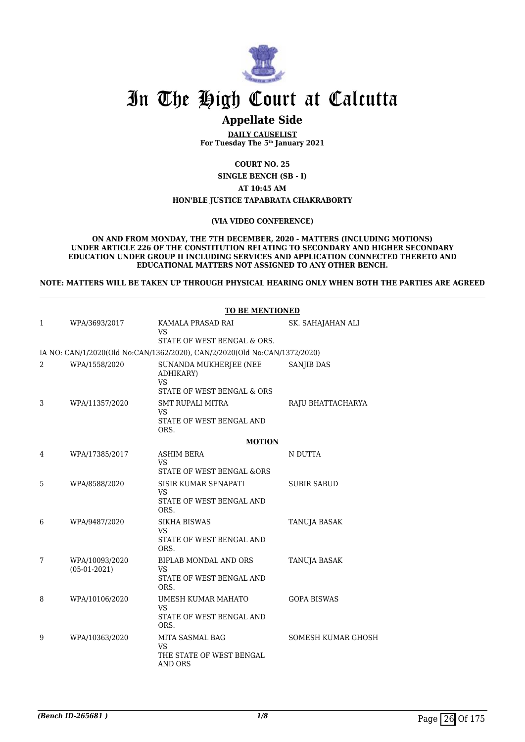

# **Appellate Side**

**DAILY CAUSELIST For Tuesday The 5th January 2021**

**COURT NO. 25**

**SINGLE BENCH (SB - I)**

**AT 10:45 AM**

### **HON'BLE JUSTICE TAPABRATA CHAKRABORTY**

### **(VIA VIDEO CONFERENCE)**

**ON AND FROM MONDAY, THE 7TH DECEMBER, 2020 - MATTERS (INCLUDING MOTIONS) UNDER ARTICLE 226 OF THE CONSTITUTION RELATING TO SECONDARY AND HIGHER SECONDARY EDUCATION UNDER GROUP II INCLUDING SERVICES AND APPLICATION CONNECTED THERETO AND EDUCATIONAL MATTERS NOT ASSIGNED TO ANY OTHER BENCH.**

**NOTE: MATTERS WILL BE TAKEN UP THROUGH PHYSICAL HEARING ONLY WHEN BOTH THE PARTIES ARE AGREED**

|   | <b>TO BE MENTIONED</b>           |                                                                                |                    |  |  |
|---|----------------------------------|--------------------------------------------------------------------------------|--------------------|--|--|
| 1 | WPA/3693/2017                    | KAMALA PRASAD RAI                                                              | SK. SAHAJAHAN ALI  |  |  |
|   |                                  | <b>VS</b><br>STATE OF WEST BENGAL & ORS.                                       |                    |  |  |
|   |                                  | IA NO: CAN/1/2020(Old No:CAN/1362/2020), CAN/2/2020(Old No:CAN/1372/2020)      |                    |  |  |
| 2 | WPA/1558/2020                    | SUNANDA MUKHERJEE (NEE<br>ADHIKARY)<br><b>VS</b><br>STATE OF WEST BENGAL & ORS | <b>SANJIB DAS</b>  |  |  |
| 3 | WPA/11357/2020                   | <b>SMT RUPALI MITRA</b><br>VS<br>STATE OF WEST BENGAL AND<br>ORS.              | RAJU BHATTACHARYA  |  |  |
|   |                                  | <b>MOTION</b>                                                                  |                    |  |  |
| 4 | WPA/17385/2017                   | <b>ASHIM BERA</b><br><b>VS</b><br>STATE OF WEST BENGAL &ORS                    | N DUTTA            |  |  |
| 5 | WPA/8588/2020                    | <b>SISIR KUMAR SENAPATI</b><br><b>VS</b><br>STATE OF WEST BENGAL AND<br>ORS.   | <b>SUBIR SABUD</b> |  |  |
| 6 | WPA/9487/2020                    | <b>SIKHA BISWAS</b><br><b>VS</b><br>STATE OF WEST BENGAL AND<br>ORS.           | TANUJA BASAK       |  |  |
| 7 | WPA/10093/2020<br>$(05-01-2021)$ | BIPLAB MONDAL AND ORS<br><b>VS</b><br>STATE OF WEST BENGAL AND<br>ORS.         | TANUJA BASAK       |  |  |
| 8 | WPA/10106/2020                   | UMESH KUMAR MAHATO<br><b>VS</b><br>STATE OF WEST BENGAL AND<br>ORS.            | <b>GOPA BISWAS</b> |  |  |
| 9 | WPA/10363/2020                   | MITA SASMAL BAG<br>VS<br>THE STATE OF WEST BENGAL<br><b>AND ORS</b>            | SOMESH KUMAR GHOSH |  |  |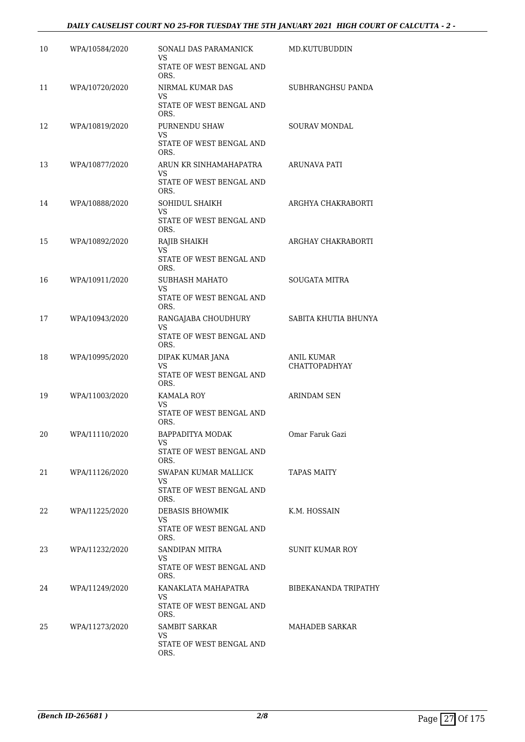## *DAILY CAUSELIST COURT NO 25-FOR TUESDAY THE 5TH JANUARY 2021 HIGH COURT OF CALCUTTA - 2 -*

| 10 | WPA/10584/2020 | SONALI DAS PARAMANICK<br>VS<br>STATE OF WEST BENGAL AND             | MD.KUTUBUDDIN                             |
|----|----------------|---------------------------------------------------------------------|-------------------------------------------|
| 11 | WPA/10720/2020 | ORS.<br>NIRMAL KUMAR DAS<br>VS.<br>STATE OF WEST BENGAL AND<br>ORS. | SUBHRANGHSU PANDA                         |
| 12 | WPA/10819/2020 | PURNENDU SHAW<br>VS<br>STATE OF WEST BENGAL AND<br>ORS.             | SOURAV MONDAL                             |
| 13 | WPA/10877/2020 | ARUN KR SINHAMAHAPATRA<br>VS.<br>STATE OF WEST BENGAL AND<br>ORS.   | ARUNAVA PATI                              |
| 14 | WPA/10888/2020 | SOHIDUL SHAIKH<br>VS<br>STATE OF WEST BENGAL AND<br>ORS.            | ARGHYA CHAKRABORTI                        |
| 15 | WPA/10892/2020 | RAJIB SHAIKH<br>VS<br>STATE OF WEST BENGAL AND<br>ORS.              | ARGHAY CHAKRABORTI                        |
| 16 | WPA/10911/2020 | SUBHASH MAHATO<br>VS<br>STATE OF WEST BENGAL AND<br>ORS.            | <b>SOUGATA MITRA</b>                      |
| 17 | WPA/10943/2020 | RANGAJABA CHOUDHURY<br>VS<br>STATE OF WEST BENGAL AND<br>ORS.       | SABITA KHUTIA BHUNYA                      |
| 18 | WPA/10995/2020 | DIPAK KUMAR JANA<br>VS.<br>STATE OF WEST BENGAL AND<br>ORS.         | <b>ANIL KUMAR</b><br><b>CHATTOPADHYAY</b> |
| 19 | WPA/11003/2020 | KAMALA ROY<br>VS.<br>STATE OF WEST BENGAL AND<br>ORS.               | ARINDAM SEN                               |
| 20 | WPA/11110/2020 | BAPPADITYA MODAK<br>VS<br>STATE OF WEST BENGAL AND<br>ORS.          | Omar Faruk Gazi                           |
| 21 | WPA/11126/2020 | SWAPAN KUMAR MALLICK<br>VS.<br>STATE OF WEST BENGAL AND<br>ORS.     | TAPAS MAITY                               |
| 22 | WPA/11225/2020 | DEBASIS BHOWMIK<br>VS.<br>STATE OF WEST BENGAL AND<br>ORS.          | K.M. HOSSAIN                              |
| 23 | WPA/11232/2020 | SANDIPAN MITRA<br>VS<br>STATE OF WEST BENGAL AND<br>ORS.            | SUNIT KUMAR ROY                           |
| 24 | WPA/11249/2020 | KANAKLATA MAHAPATRA<br>VS.<br>STATE OF WEST BENGAL AND<br>ORS.      | BIBEKANANDA TRIPATHY                      |
| 25 | WPA/11273/2020 | SAMBIT SARKAR<br>VS.<br>STATE OF WEST BENGAL AND<br>ORS.            | MAHADEB SARKAR                            |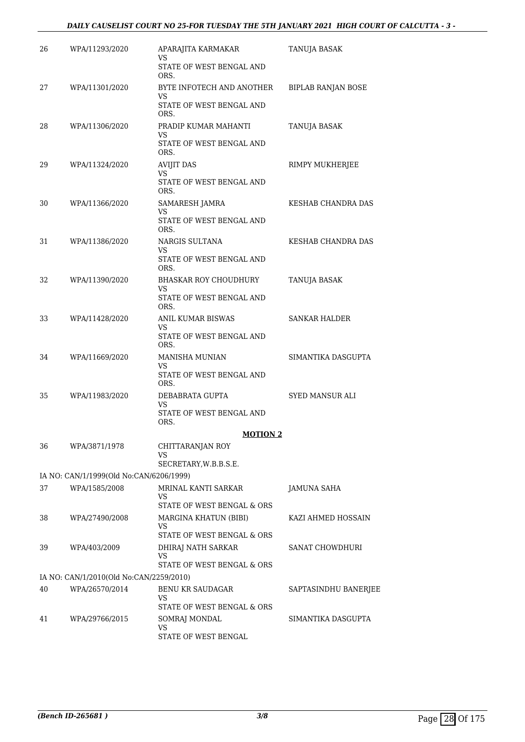## *DAILY CAUSELIST COURT NO 25-FOR TUESDAY THE 5TH JANUARY 2021 HIGH COURT OF CALCUTTA - 3 -*

| 26 | WPA/11293/2020                                            | APARAJITA KARMAKAR<br>VS            | TANUJA BASAK              |
|----|-----------------------------------------------------------|-------------------------------------|---------------------------|
|    |                                                           | STATE OF WEST BENGAL AND<br>ORS.    |                           |
| 27 | WPA/11301/2020                                            | BYTE INFOTECH AND ANOTHER<br>VS     | <b>BIPLAB RANJAN BOSE</b> |
|    |                                                           | STATE OF WEST BENGAL AND<br>ORS.    |                           |
| 28 | WPA/11306/2020                                            | PRADIP KUMAR MAHANTI<br>VS          | TANUJA BASAK              |
|    |                                                           | STATE OF WEST BENGAL AND<br>ORS.    |                           |
| 29 | WPA/11324/2020                                            | <b>AVIJIT DAS</b><br>VS             | RIMPY MUKHERJEE           |
|    |                                                           | STATE OF WEST BENGAL AND<br>ORS.    |                           |
| 30 | WPA/11366/2020                                            | SAMARESH JAMRA<br>VS                | KESHAB CHANDRA DAS        |
|    |                                                           | STATE OF WEST BENGAL AND<br>ORS.    |                           |
| 31 | WPA/11386/2020                                            | NARGIS SULTANA<br>VS                | KESHAB CHANDRA DAS        |
|    |                                                           | STATE OF WEST BENGAL AND<br>ORS.    |                           |
| 32 | WPA/11390/2020                                            | <b>BHASKAR ROY CHOUDHURY</b><br>VS. | TANUJA BASAK              |
|    |                                                           | STATE OF WEST BENGAL AND<br>ORS.    |                           |
| 33 | WPA/11428/2020                                            | ANIL KUMAR BISWAS<br>VS.            | SANKAR HALDER             |
|    |                                                           | STATE OF WEST BENGAL AND<br>ORS.    |                           |
| 34 | WPA/11669/2020                                            | MANISHA MUNIAN<br>VS                | SIMANTIKA DASGUPTA        |
|    |                                                           | STATE OF WEST BENGAL AND<br>ORS.    |                           |
| 35 | WPA/11983/2020                                            | DEBABRATA GUPTA<br>VS               | SYED MANSUR ALI           |
|    |                                                           | STATE OF WEST BENGAL AND<br>ORS.    |                           |
|    |                                                           | <b>MOTION 2</b>                     |                           |
| 36 | WPA/3871/1978                                             | CHITTARANJAN ROY<br>VS              |                           |
|    | IA NO: CAN/1/1999(Old No:CAN/6206/1999)                   | SECRETARY, W.B.B.S.E.               |                           |
| 37 | WPA/1585/2008                                             | MRINAL KANTI SARKAR                 | JAMUNA SAHA               |
|    |                                                           | VS<br>STATE OF WEST BENGAL & ORS    |                           |
| 38 | WPA/27490/2008                                            | <b>MARGINA KHATUN (BIBI)</b>        | KAZI AHMED HOSSAIN        |
|    |                                                           | VS<br>STATE OF WEST BENGAL & ORS    |                           |
| 39 | WPA/403/2009                                              | DHIRAJ NATH SARKAR<br>VS            | SANAT CHOWDHURI           |
|    |                                                           | STATE OF WEST BENGAL & ORS          |                           |
| 40 | IA NO: CAN/1/2010(Old No:CAN/2259/2010)<br>WPA/26570/2014 | BENU KR SAUDAGAR                    | SAPTASINDHU BANERJEE      |
|    |                                                           | VS<br>STATE OF WEST BENGAL & ORS    |                           |
| 41 | WPA/29766/2015                                            | SOMRAJ MONDAL                       | SIMANTIKA DASGUPTA        |
|    |                                                           | VS<br>STATE OF WEST BENGAL          |                           |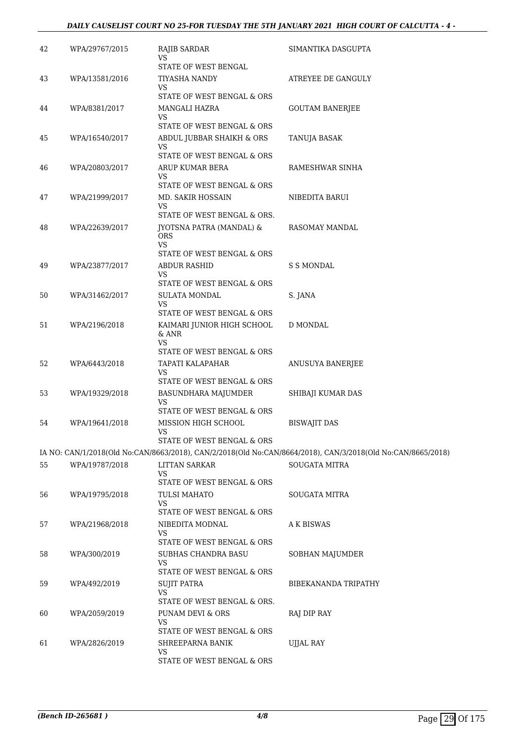## *DAILY CAUSELIST COURT NO 25-FOR TUESDAY THE 5TH JANUARY 2021 HIGH COURT OF CALCUTTA - 4 -*

| 42 | WPA/29767/2015 | RAJIB SARDAR<br>VS<br>STATE OF WEST BENGAL                      | SIMANTIKA DASGUPTA                                                                                          |
|----|----------------|-----------------------------------------------------------------|-------------------------------------------------------------------------------------------------------------|
| 43 | WPA/13581/2016 | TIYASHA NANDY<br>VS                                             | ATREYEE DE GANGULY                                                                                          |
| 44 | WPA/8381/2017  | STATE OF WEST BENGAL & ORS<br><b>MANGALI HAZRA</b><br><b>VS</b> | <b>GOUTAM BANERJEE</b>                                                                                      |
|    |                | STATE OF WEST BENGAL & ORS                                      |                                                                                                             |
| 45 | WPA/16540/2017 | ABDUL JUBBAR SHAIKH & ORS<br>VS<br>STATE OF WEST BENGAL & ORS   | TANUJA BASAK                                                                                                |
| 46 | WPA/20803/2017 | ARUP KUMAR BERA<br>VS                                           | RAMESHWAR SINHA                                                                                             |
|    |                | STATE OF WEST BENGAL & ORS                                      |                                                                                                             |
| 47 | WPA/21999/2017 | MD. SAKIR HOSSAIN<br>VS                                         | NIBEDITA BARUI                                                                                              |
|    |                | STATE OF WEST BENGAL & ORS.                                     |                                                                                                             |
| 48 | WPA/22639/2017 | JYOTSNA PATRA (MANDAL) &<br>ORS<br><b>VS</b>                    | RASOMAY MANDAL                                                                                              |
|    |                | STATE OF WEST BENGAL & ORS                                      |                                                                                                             |
| 49 | WPA/23877/2017 | <b>ABDUR RASHID</b><br>VS                                       | <b>S S MONDAL</b>                                                                                           |
|    |                | STATE OF WEST BENGAL & ORS                                      |                                                                                                             |
| 50 | WPA/31462/2017 | <b>SULATA MONDAL</b><br>VS                                      | S. JANA                                                                                                     |
| 51 | WPA/2196/2018  | STATE OF WEST BENGAL & ORS<br>KAIMARI JUNIOR HIGH SCHOOL        | D MONDAL                                                                                                    |
|    |                | & ANR<br>VS<br>STATE OF WEST BENGAL & ORS                       |                                                                                                             |
| 52 | WPA/6443/2018  | TAPATI KALAPAHAR<br>VS                                          | ANUSUYA BANERJEE                                                                                            |
| 53 | WPA/19329/2018 | STATE OF WEST BENGAL & ORS                                      |                                                                                                             |
|    |                | BASUNDHARA MAJUMDER<br>VS                                       | SHIBAJI KUMAR DAS                                                                                           |
|    |                | STATE OF WEST BENGAL & ORS                                      |                                                                                                             |
| 54 | WPA/19641/2018 | MISSION HIGH SCHOOL<br>VS<br>STATE OF WEST BENGAL & ORS         | <b>BISWAJIT DAS</b>                                                                                         |
|    |                |                                                                 | IA NO: CAN/1/2018(Old No:CAN/8663/2018), CAN/2/2018(Old No:CAN/8664/2018), CAN/3/2018(Old No:CAN/8665/2018) |
| 55 | WPA/19787/2018 | LITTAN SARKAR<br>VS                                             | <b>SOUGATA MITRA</b>                                                                                        |
|    |                | STATE OF WEST BENGAL & ORS                                      |                                                                                                             |
| 56 | WPA/19795/2018 | <b>TULSI MAHATO</b><br>VS<br>STATE OF WEST BENGAL & ORS         | <b>SOUGATA MITRA</b>                                                                                        |
| 57 | WPA/21968/2018 | NIBEDITA MODNAL                                                 | A K BISWAS                                                                                                  |
|    |                | <b>VS</b><br>STATE OF WEST BENGAL & ORS                         |                                                                                                             |
| 58 | WPA/300/2019   | SUBHAS CHANDRA BASU<br>VS                                       | SOBHAN MAJUMDER                                                                                             |
| 59 | WPA/492/2019   | STATE OF WEST BENGAL & ORS                                      | BIBEKANANDA TRIPATHY                                                                                        |
|    |                | SUJIT PATRA<br>VS<br>STATE OF WEST BENGAL & ORS.                |                                                                                                             |
| 60 | WPA/2059/2019  | PUNAM DEVI & ORS                                                | RAJ DIP RAY                                                                                                 |
|    |                | VS<br>STATE OF WEST BENGAL & ORS                                |                                                                                                             |
| 61 | WPA/2826/2019  | SHREEPARNA BANIK                                                | <b>UJJAL RAY</b>                                                                                            |
|    |                | VS<br>STATE OF WEST BENGAL & ORS                                |                                                                                                             |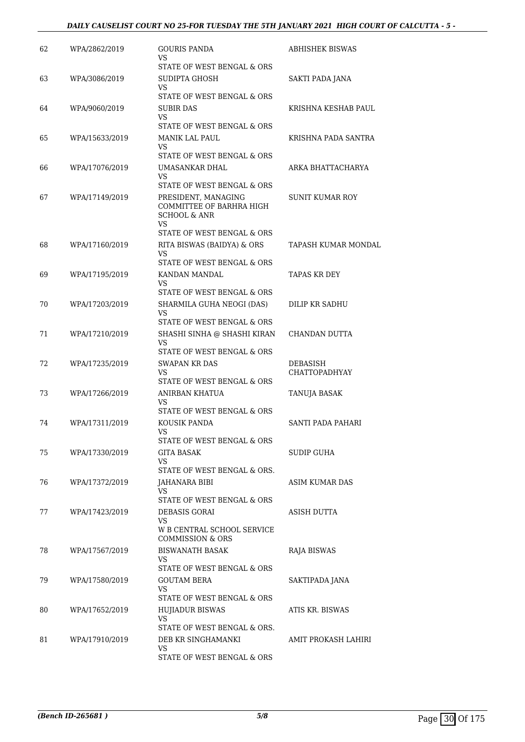## *DAILY CAUSELIST COURT NO 25-FOR TUESDAY THE 5TH JANUARY 2021 HIGH COURT OF CALCUTTA - 5 -*

| 62 | WPA/2862/2019  | GOURIS PANDA<br>VS<br>STATE OF WEST BENGAL & ORS                                                                                             | ABHISHEK BISWAS                  |
|----|----------------|----------------------------------------------------------------------------------------------------------------------------------------------|----------------------------------|
| 63 | WPA/3086/2019  | SUDIPTA GHOSH<br>VS.                                                                                                                         | SAKTI PADA JANA                  |
| 64 | WPA/9060/2019  | STATE OF WEST BENGAL & ORS<br>SUBIR DAS                                                                                                      | KRISHNA KESHAB PAUL              |
|    |                | VS.<br>STATE OF WEST BENGAL & ORS                                                                                                            |                                  |
| 65 | WPA/15633/2019 | <b>MANIK LAL PAUL</b><br>VS<br>STATE OF WEST BENGAL & ORS                                                                                    | KRISHNA PADA SANTRA              |
| 66 | WPA/17076/2019 | UMASANKAR DHAL<br>VS.                                                                                                                        | ARKA BHATTACHARYA                |
| 67 | WPA/17149/2019 | STATE OF WEST BENGAL & ORS<br>PRESIDENT, MANAGING<br>COMMITTEE OF BARHRA HIGH<br><b>SCHOOL &amp; ANR</b><br>VS<br>STATE OF WEST BENGAL & ORS | SUNIT KUMAR ROY                  |
| 68 | WPA/17160/2019 | RITA BISWAS (BAIDYA) & ORS<br><b>VS</b>                                                                                                      | TAPASH KUMAR MONDAL              |
| 69 | WPA/17195/2019 | STATE OF WEST BENGAL & ORS<br>KANDAN MANDAL<br>VS                                                                                            | TAPAS KR DEY                     |
| 70 | WPA/17203/2019 | STATE OF WEST BENGAL & ORS<br>SHARMILA GUHA NEOGI (DAS)<br>VS.<br>STATE OF WEST BENGAL & ORS                                                 | DILIP KR SADHU                   |
| 71 | WPA/17210/2019 | SHASHI SINHA @ SHASHI KIRAN<br>VS<br>STATE OF WEST BENGAL & ORS                                                                              | CHANDAN DUTTA                    |
| 72 | WPA/17235/2019 | <b>SWAPAN KR DAS</b><br><b>VS</b><br>STATE OF WEST BENGAL & ORS                                                                              | DEBASISH<br><b>CHATTOPADHYAY</b> |
| 73 | WPA/17266/2019 | ANIRBAN KHATUA<br>VS<br>STATE OF WEST BENGAL & ORS                                                                                           | <b>TANUJA BASAK</b>              |
| 74 | WPA/17311/2019 | KOUSIK PANDA<br><b>VS</b><br>STATE OF WEST BENGAL & ORS                                                                                      | SANTI PADA PAHARI                |
| 75 | WPA/17330/2019 | <b>GITA BASAK</b><br>VS.<br>STATE OF WEST BENGAL & ORS.                                                                                      | SUDIP GUHA                       |
| 76 | WPA/17372/2019 | JAHANARA BIBI<br>VS<br>STATE OF WEST BENGAL & ORS                                                                                            | ASIM KUMAR DAS                   |
| 77 | WPA/17423/2019 | DEBASIS GORAI<br>VS<br>W B CENTRAL SCHOOL SERVICE<br><b>COMMISSION &amp; ORS</b>                                                             | ASISH DUTTA                      |
| 78 | WPA/17567/2019 | BISWANATH BASAK<br>VS.<br>STATE OF WEST BENGAL & ORS                                                                                         | RAJA BISWAS                      |
| 79 | WPA/17580/2019 | <b>GOUTAM BERA</b><br><b>VS</b><br>STATE OF WEST BENGAL & ORS                                                                                | SAKTIPADA JANA                   |
| 80 | WPA/17652/2019 | <b>HUJIADUR BISWAS</b><br>VS.<br>STATE OF WEST BENGAL & ORS.                                                                                 | ATIS KR. BISWAS                  |
| 81 | WPA/17910/2019 | DEB KR SINGHAMANKI<br><b>VS</b><br>STATE OF WEST BENGAL & ORS                                                                                | AMIT PROKASH LAHIRI              |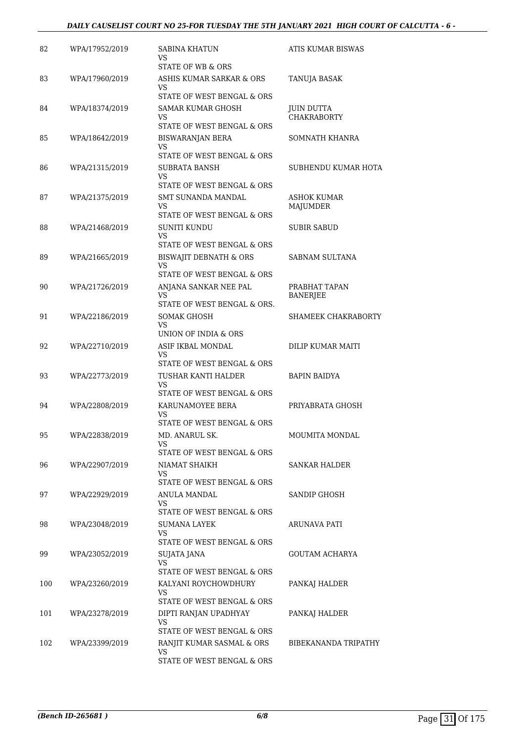## *DAILY CAUSELIST COURT NO 25-FOR TUESDAY THE 5TH JANUARY 2021 HIGH COURT OF CALCUTTA - 6 -*

| 82  | WPA/17952/2019 | SABINA KHATUN<br>VS                 | ATIS KUMAR BISWAS    |
|-----|----------------|-------------------------------------|----------------------|
|     |                | STATE OF WB & ORS                   |                      |
| 83  | WPA/17960/2019 | ASHIS KUMAR SARKAR & ORS<br>VS.     | TANUJA BASAK         |
|     |                | STATE OF WEST BENGAL & ORS          |                      |
| 84  | WPA/18374/2019 | <b>SAMAR KUMAR GHOSH</b>            | <b>JUIN DUTTA</b>    |
|     |                | VS.<br>STATE OF WEST BENGAL & ORS   | <b>CHAKRABORTY</b>   |
| 85  | WPA/18642/2019 | <b>BISWARANJAN BERA</b>             | SOMNATH KHANRA       |
|     |                | VS.                                 |                      |
|     |                | STATE OF WEST BENGAL & ORS          |                      |
| 86  | WPA/21315/2019 | SUBRATA BANSH<br>VS.                | SUBHENDU KUMAR HOTA  |
|     |                | STATE OF WEST BENGAL & ORS          |                      |
| 87  | WPA/21375/2019 | SMT SUNANDA MANDAL                  | ASHOK KUMAR          |
|     |                | VS.                                 | MAJUMDER             |
|     |                | STATE OF WEST BENGAL & ORS          |                      |
| 88  | WPA/21468/2019 | <b>SUNITI KUNDU</b><br>VS.          | <b>SUBIR SABUD</b>   |
|     |                | STATE OF WEST BENGAL & ORS          |                      |
| 89  | WPA/21665/2019 | BISWAJIT DEBNATH & ORS<br><b>VS</b> | SABNAM SULTANA       |
|     |                | STATE OF WEST BENGAL & ORS          |                      |
| 90  | WPA/21726/2019 | ANJANA SANKAR NEE PAL               | PRABHAT TAPAN        |
|     |                | VS.<br>STATE OF WEST BENGAL & ORS.  | <b>BANERJEE</b>      |
| 91  | WPA/22186/2019 | SOMAK GHOSH                         | SHAMEEK CHAKRABORTY  |
|     |                | VS.<br>UNION OF INDIA & ORS         |                      |
| 92  | WPA/22710/2019 | ASIF IKBAL MONDAL                   | DILIP KUMAR MAITI    |
|     |                | VS.                                 |                      |
|     |                | STATE OF WEST BENGAL & ORS          |                      |
| 93  | WPA/22773/2019 | TUSHAR KANTI HALDER                 | <b>BAPIN BAIDYA</b>  |
|     |                | VS<br>STATE OF WEST BENGAL & ORS    |                      |
| 94  | WPA/22808/2019 | KARUNAMOYEE BERA                    | PRIYABRATA GHOSH     |
|     |                | VS.                                 |                      |
|     |                | STATE OF WEST BENGAL & ORS          |                      |
| 95  | WPA/22838/2019 | MD. ANARUL SK.<br>VS                | MOUMITA MONDAL       |
|     |                | STATE OF WEST BENGAL & ORS          |                      |
| 96  | WPA/22907/2019 | <b>NIAMAT SHAIKH</b><br>VS.         | <b>SANKAR HALDER</b> |
|     |                | STATE OF WEST BENGAL & ORS          |                      |
| 97  | WPA/22929/2019 | ANULA MANDAL                        | <b>SANDIP GHOSH</b>  |
|     |                | VS.<br>STATE OF WEST BENGAL & ORS   |                      |
|     |                | SUMANA LAYEK                        |                      |
| 98  | WPA/23048/2019 | VS.                                 | ARUNAVA PATI         |
|     |                | STATE OF WEST BENGAL & ORS          |                      |
| 99  | WPA/23052/2019 | SUJATA JANA                         | GOUTAM ACHARYA       |
|     |                | VS.<br>STATE OF WEST BENGAL & ORS   |                      |
| 100 | WPA/23260/2019 | KALYANI ROYCHOWDHURY                | PANKAJ HALDER        |
|     |                | VS.                                 |                      |
|     |                | STATE OF WEST BENGAL & ORS          |                      |
| 101 | WPA/23278/2019 | DIPTI RANJAN UPADHYAY               | PANKAJ HALDER        |
|     |                | VS<br>STATE OF WEST BENGAL & ORS    |                      |
| 102 | WPA/23399/2019 | RANJIT KUMAR SASMAL & ORS           | BIBEKANANDA TRIPATHY |
|     |                | <b>VS</b>                           |                      |
|     |                | STATE OF WEST BENGAL & ORS          |                      |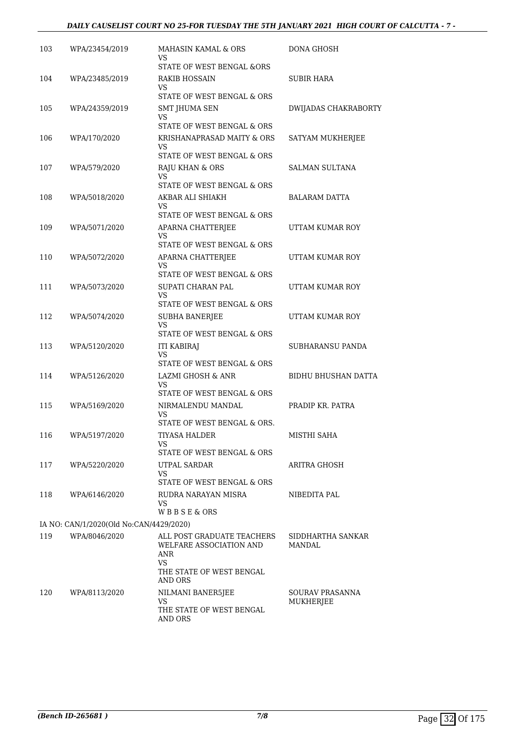## *DAILY CAUSELIST COURT NO 25-FOR TUESDAY THE 5TH JANUARY 2021 HIGH COURT OF CALCUTTA - 7 -*

| 103 | WPA/23454/2019                          | MAHASIN KAMAL & ORS<br>VS                                    | DONA GHOSH                         |
|-----|-----------------------------------------|--------------------------------------------------------------|------------------------------------|
| 104 | WPA/23485/2019                          | STATE OF WEST BENGAL &ORS<br>RAKIB HOSSAIN                   | SUBIR HARA                         |
|     |                                         | VS<br>STATE OF WEST BENGAL & ORS                             |                                    |
| 105 | WPA/24359/2019                          | SMT JHUMA SEN<br>VS                                          | DWIJADAS CHAKRABORTY               |
|     |                                         | STATE OF WEST BENGAL & ORS                                   |                                    |
| 106 | WPA/170/2020                            | KRISHANAPRASAD MAITY & ORS<br>VS                             | SATYAM MUKHERJEE                   |
|     |                                         | STATE OF WEST BENGAL & ORS                                   |                                    |
| 107 | WPA/579/2020                            | RAJU KHAN & ORS<br>VS<br>STATE OF WEST BENGAL & ORS          | <b>SALMAN SULTANA</b>              |
| 108 | WPA/5018/2020                           | AKBAR ALI SHIAKH<br>VS                                       | BALARAM DATTA                      |
|     |                                         | STATE OF WEST BENGAL & ORS                                   |                                    |
| 109 | WPA/5071/2020                           | APARNA CHATTERJEE<br>VS                                      | UTTAM KUMAR ROY                    |
|     |                                         | STATE OF WEST BENGAL & ORS                                   |                                    |
| 110 | WPA/5072/2020                           | APARNA CHATTERJEE<br>VS                                      | UTTAM KUMAR ROY                    |
|     |                                         | STATE OF WEST BENGAL & ORS                                   |                                    |
| 111 | WPA/5073/2020                           | SUPATI CHARAN PAL<br>VS<br>STATE OF WEST BENGAL & ORS        | UTTAM KUMAR ROY                    |
| 112 | WPA/5074/2020                           | SUBHA BANERJEE                                               | UTTAM KUMAR ROY                    |
|     |                                         | <b>VS</b><br>STATE OF WEST BENGAL & ORS                      |                                    |
| 113 | WPA/5120/2020                           | <b>ITI KABIRAJ</b>                                           | SUBHARANSU PANDA                   |
|     |                                         | VS<br>STATE OF WEST BENGAL & ORS                             |                                    |
| 114 | WPA/5126/2020                           | LAZMI GHOSH & ANR                                            | BIDHU BHUSHAN DATTA                |
|     |                                         | VS<br>STATE OF WEST BENGAL & ORS                             |                                    |
| 115 | WPA/5169/2020                           | NIRMALENDU MANDAL                                            | PRADIP KR. PATRA                   |
|     |                                         | VS                                                           |                                    |
| 116 | WPA/5197/2020                           | STATE OF WEST BENGAL & ORS.<br>TIYASA HALDER                 | MISTHI SAHA                        |
|     |                                         | VS                                                           |                                    |
|     |                                         | STATE OF WEST BENGAL & ORS                                   |                                    |
| 117 | WPA/5220/2020                           | UTPAL SARDAR<br>VS                                           | ARITRA GHOSH                       |
|     |                                         | STATE OF WEST BENGAL & ORS                                   |                                    |
| 118 | WPA/6146/2020                           | RUDRA NARAYAN MISRA<br>VS.<br>WBBSE&ORS                      | NIBEDITA PAL                       |
|     | IA NO: CAN/1/2020(Old No:CAN/4429/2020) |                                                              |                                    |
| 119 | WPA/8046/2020                           | ALL POST GRADUATE TEACHERS<br>WELFARE ASSOCIATION AND<br>ANR | SIDDHARTHA SANKAR<br><b>MANDAL</b> |
|     |                                         | <b>VS</b><br>THE STATE OF WEST BENGAL<br>AND ORS             |                                    |
| 120 | WPA/8113/2020                           | NILMANI BANER5JEE                                            | SOURAV PRASANNA                    |
|     |                                         | VS.<br>THE STATE OF WEST BENGAL<br>AND ORS                   | MUKHERJEE                          |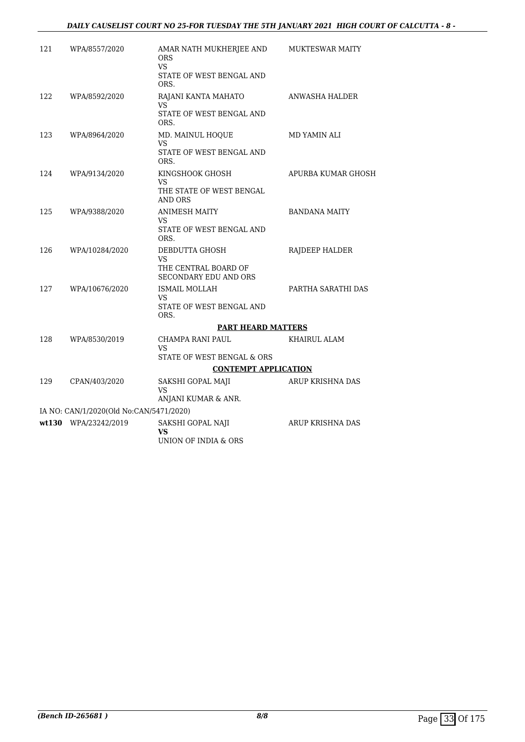| 121 | WPA/8557/2020                           | AMAR NATH MUKHERJEE AND<br><b>ORS</b><br>VS.<br>STATE OF WEST BENGAL AND<br>ORS.    | MUKTESWAR MAITY      |
|-----|-----------------------------------------|-------------------------------------------------------------------------------------|----------------------|
| 122 | WPA/8592/2020                           | RAJANI KANTA MAHATO<br><b>VS</b><br>STATE OF WEST BENGAL AND<br>ORS.                | ANWASHA HALDER       |
| 123 | WPA/8964/2020                           | MD. MAINUL HOQUE<br><b>VS</b><br>STATE OF WEST BENGAL AND<br>ORS.                   | MD YAMIN ALI         |
| 124 | WPA/9134/2020                           | KINGSHOOK GHOSH<br>VS<br>THE STATE OF WEST BENGAL<br>AND ORS                        | APURBA KUMAR GHOSH   |
| 125 | WPA/9388/2020                           | <b>ANIMESH MAITY</b><br>VS<br>STATE OF WEST BENGAL AND<br>ORS.                      | <b>BANDANA MAITY</b> |
| 126 | WPA/10284/2020                          | DEBDUTTA GHOSH<br><b>VS</b><br>THE CENTRAL BOARD OF<br><b>SECONDARY EDU AND ORS</b> | RAJDEEP HALDER       |
| 127 | WPA/10676/2020                          | ISMAIL MOLLAH<br>VS<br>STATE OF WEST BENGAL AND<br>ORS.                             | PARTHA SARATHI DAS   |
|     |                                         | <b>PART HEARD MATTERS</b>                                                           |                      |
| 128 | WPA/8530/2019                           | CHAMPA RANI PAUL<br><b>VS</b><br>STATE OF WEST BENGAL & ORS                         | KHAIRUL ALAM         |
|     |                                         | <b>CONTEMPT APPLICATION</b>                                                         |                      |
| 129 | CPAN/403/2020                           | SAKSHI GOPAL MAJI<br><b>VS</b><br>ANJANI KUMAR & ANR.                               | ARUP KRISHNA DAS     |
|     | IA NO: CAN/1/2020(Old No:CAN/5471/2020) |                                                                                     |                      |
|     | wt130 WPA/23242/2019                    | SAKSHI GOPAL NAJI<br><b>VS</b><br>UNION OF INDIA & ORS                              | ARUP KRISHNA DAS     |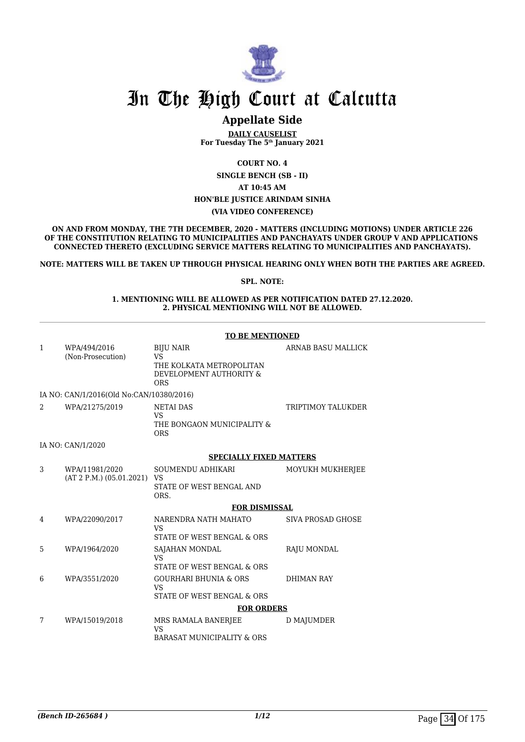

# **Appellate Side**

**DAILY CAUSELIST For Tuesday The 5th January 2021**

**COURT NO. 4**

**SINGLE BENCH (SB - II)**

**AT 10:45 AM**

### **HON'BLE JUSTICE ARINDAM SINHA**

**(VIA VIDEO CONFERENCE)**

**ON AND FROM MONDAY, THE 7TH DECEMBER, 2020 - MATTERS (INCLUDING MOTIONS) UNDER ARTICLE 226 OF THE CONSTITUTION RELATING TO MUNICIPALITIES AND PANCHAYATS UNDER GROUP V AND APPLICATIONS CONNECTED THERETO (EXCLUDING SERVICE MATTERS RELATING TO MUNICIPALITIES AND PANCHAYATS).**

**NOTE: MATTERS WILL BE TAKEN UP THROUGH PHYSICAL HEARING ONLY WHEN BOTH THE PARTIES ARE AGREED.**

#### **SPL. NOTE:**

**1. MENTIONING WILL BE ALLOWED AS PER NOTIFICATION DATED 27.12.2020. 2. PHYSICAL MENTIONING WILL NOT BE ALLOWED.**

|               |                                            | TO BE MENTIONED                                                                                    |                    |
|---------------|--------------------------------------------|----------------------------------------------------------------------------------------------------|--------------------|
| $\mathbf{1}$  | WPA/494/2016<br>(Non-Prosecution)          | <b>BIJU NAIR</b><br><b>VS</b><br>THE KOLKATA METROPOLITAN<br>DEVELOPMENT AUTHORITY &<br><b>ORS</b> | ARNAB BASU MALLICK |
|               | IA NO: CAN/1/2016(Old No:CAN/10380/2016)   |                                                                                                    |                    |
| $\mathcal{D}$ | WPA/21275/2019                             | <b>NETAI DAS</b><br><b>VS</b><br>THE BONGAON MUNICIPALITY &<br><b>ORS</b>                          | TRIPTIMOY TALUKDER |
|               | IA NO: CAN/1/2020                          |                                                                                                    |                    |
|               |                                            | <b>SPECIALLY FIXED MATTERS</b>                                                                     |                    |
| 3             | WPA/11981/2020<br>(AT 2 P.M.) (05.01.2021) | SOUMENDU ADHIKARI<br><b>VS</b><br>STATE OF WEST BENGAL AND<br>ORS.                                 | MOYUKH MUKHERJEE   |
|               |                                            | <b>FOR DISMISSAL</b>                                                                               |                    |
| 4             | WPA/22090/2017                             | NARENDRA NATH MAHATO<br><b>VS</b><br>STATE OF WEST BENGAL & ORS                                    | SIVA PROSAD GHOSE  |
| 5             | WPA/1964/2020                              | SAJAHAN MONDAL<br><b>VS</b><br>STATE OF WEST BENGAL & ORS                                          | RAJU MONDAL        |
| 6             | WPA/3551/2020                              | <b>GOURHARI BHUNIA &amp; ORS</b><br><b>VS</b><br>STATE OF WEST BENGAL & ORS                        | <b>DHIMAN RAY</b>  |
|               |                                            | <b>FOR ORDERS</b>                                                                                  |                    |
| 7             | WPA/15019/2018                             | MRS RAMALA BANERJEE<br><b>VS</b><br><b>BARASAT MUNICIPALITY &amp; ORS</b>                          | D MAJUMDER         |

### **TO BE MENTIONED**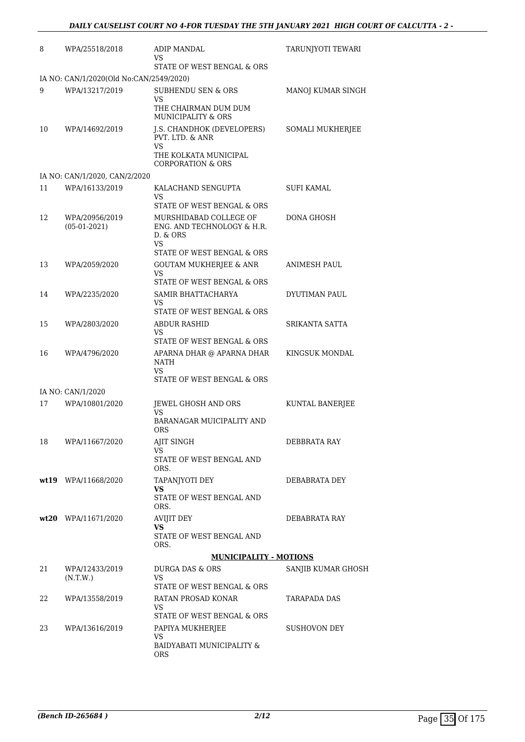| 8  | WPA/25518/2018                          | ADIP MANDAL<br>VS<br>STATE OF WEST BENGAL & ORS                                                                                    | TARUNJYOTI TEWARI       |
|----|-----------------------------------------|------------------------------------------------------------------------------------------------------------------------------------|-------------------------|
|    | IA NO: CAN/1/2020(Old No:CAN/2549/2020) |                                                                                                                                    |                         |
| 9  | WPA/13217/2019                          | SUBHENDU SEN & ORS<br>VS.<br>THE CHAIRMAN DUM DUM                                                                                  | MANOJ KUMAR SINGH       |
| 10 | WPA/14692/2019                          | MUNICIPALITY & ORS<br>J.S. CHANDHOK (DEVELOPERS)<br>PVT. LTD. & ANR<br>VS<br>THE KOLKATA MUNICIPAL<br><b>CORPORATION &amp; ORS</b> | <b>SOMALI MUKHERJEE</b> |
|    | IA NO: CAN/1/2020, CAN/2/2020           |                                                                                                                                    |                         |
| 11 | WPA/16133/2019                          | KALACHAND SENGUPTA<br>VS                                                                                                           | SUFI KAMAL              |
| 12 | WPA/20956/2019<br>$(05-01-2021)$        | STATE OF WEST BENGAL & ORS<br>MURSHIDABAD COLLEGE OF<br>ENG. AND TECHNOLOGY & H.R.<br>D. & ORS<br>VS                               | DONA GHOSH              |
| 13 | WPA/2059/2020                           | STATE OF WEST BENGAL & ORS<br><b>GOUTAM MUKHERJEE &amp; ANR</b><br>VS.                                                             | ANIMESH PAUL            |
| 14 | WPA/2235/2020                           | STATE OF WEST BENGAL & ORS<br>SAMIR BHATTACHARYA<br>VS.                                                                            | DYUTIMAN PAUL           |
| 15 | WPA/2803/2020                           | STATE OF WEST BENGAL & ORS<br>ABDUR RASHID<br>VS<br>STATE OF WEST BENGAL & ORS                                                     | SRIKANTA SATTA          |
| 16 | WPA/4796/2020                           | APARNA DHAR @ APARNA DHAR<br>NATH<br>VS.                                                                                           | KINGSUK MONDAL          |
|    | IA NO: CAN/1/2020                       | STATE OF WEST BENGAL & ORS                                                                                                         |                         |
| 17 | WPA/10801/2020                          | JEWEL GHOSH AND ORS                                                                                                                | KUNTAL BANERJEE         |
|    |                                         | <b>VS</b><br>BARANAGAR MUICIPALITY AND<br><b>ORS</b>                                                                               |                         |
| 18 | WPA/11667/2020                          | AJIT SINGH<br>VS.<br>STATE OF WEST BENGAL AND                                                                                      | DEBBRATA RAY            |
|    | wt19 WPA/11668/2020                     | ORS.<br>TAPANJYOTI DEY<br>VS.<br>STATE OF WEST BENGAL AND                                                                          | DEBABRATA DEY           |
|    | wt20 WPA/11671/2020                     | ORS.<br><b>AVIJIT DEY</b><br>VS                                                                                                    | DEBABRATA RAY           |
|    |                                         | STATE OF WEST BENGAL AND<br>ORS.                                                                                                   |                         |
|    |                                         | <b>MUNICIPALITY - MOTIONS</b>                                                                                                      |                         |
| 21 | WPA/12433/2019<br>(N.T.W.)              | DURGA DAS & ORS<br>VS.<br>STATE OF WEST BENGAL & ORS                                                                               | SANJIB KUMAR GHOSH      |
| 22 | WPA/13558/2019                          | RATAN PROSAD KONAR<br>VS                                                                                                           | TARAPADA DAS            |
| 23 | WPA/13616/2019                          | STATE OF WEST BENGAL & ORS<br>PAPIYA MUKHERJEE                                                                                     | SUSHOVON DEY            |
|    |                                         | VS<br>BAIDYABATI MUNICIPALITY &<br>ORS                                                                                             |                         |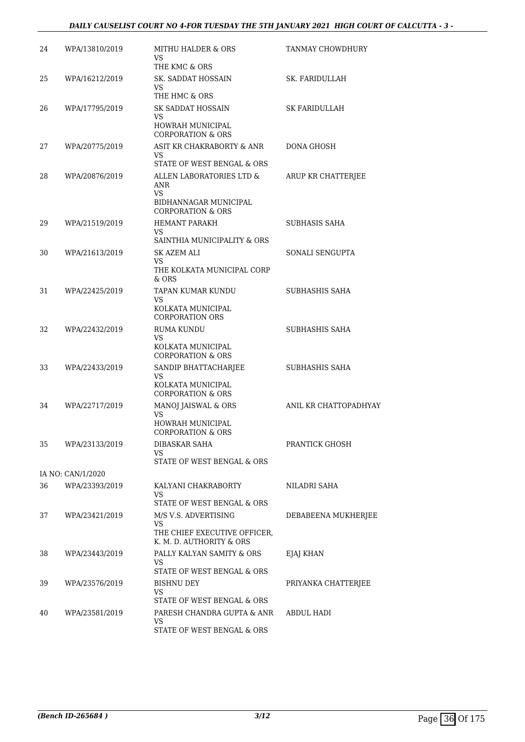| 24 | WPA/13810/2019    | MITHU HALDER & ORS<br>VS<br>THE KMC & ORS                                                             | TANMAY CHOWDHURY      |
|----|-------------------|-------------------------------------------------------------------------------------------------------|-----------------------|
| 25 | WPA/16212/2019    | SK. SADDAT HOSSAIN<br>VS<br>THE HMC & ORS                                                             | SK. FARIDULLAH        |
| 26 | WPA/17795/2019    | SK SADDAT HOSSAIN<br>VS<br>HOWRAH MUNICIPAL<br><b>CORPORATION &amp; ORS</b>                           | SK FARIDULLAH         |
| 27 | WPA/20775/2019    | ASIT KR CHAKRABORTY & ANR<br>VS.<br>STATE OF WEST BENGAL & ORS                                        | DONA GHOSH            |
| 28 | WPA/20876/2019    | ALLEN LABORATORIES LTD &<br>ANR<br><b>VS</b><br>BIDHANNAGAR MUNICIPAL<br><b>CORPORATION &amp; ORS</b> | ARUP KR CHATTERJEE    |
| 29 | WPA/21519/2019    | <b>HEMANT PARAKH</b><br>VS<br>SAINTHIA MUNICIPALITY & ORS                                             | SUBHASIS SAHA         |
| 30 | WPA/21613/2019    | SK AZEM ALI<br>VS<br>THE KOLKATA MUNICIPAL CORP<br>& ORS                                              | SONALI SENGUPTA       |
| 31 | WPA/22425/2019    | TAPAN KUMAR KUNDU<br>VS<br>KOLKATA MUNICIPAL<br><b>CORPORATION ORS</b>                                | SUBHASHIS SAHA        |
| 32 | WPA/22432/2019    | <b>RUMA KUNDU</b><br>VS<br>KOLKATA MUNICIPAL<br><b>CORPORATION &amp; ORS</b>                          | SUBHASHIS SAHA        |
| 33 | WPA/22433/2019    | SANDIP BHATTACHARJEE<br>VS<br>KOLKATA MUNICIPAL<br><b>CORPORATION &amp; ORS</b>                       | SUBHASHIS SAHA        |
| 34 | WPA/22717/2019    | MANOJ JAISWAL & ORS<br>VS<br>HOWRAH MUNICIPAL<br><b>CORPORATION &amp; ORS</b>                         | ANIL KR CHATTOPADHYAY |
| 35 | WPA/23133/2019    | <b>DIBASKAR SAHA</b><br>VS<br>STATE OF WEST BENGAL & ORS                                              | PRANTICK GHOSH        |
|    | IA NO: CAN/1/2020 |                                                                                                       |                       |
| 36 | WPA/23393/2019    | KALYANI CHAKRABORTY<br>VS<br>STATE OF WEST BENGAL & ORS                                               | NILADRI SAHA          |
| 37 | WPA/23421/2019    | M/S V.S. ADVERTISING<br>VS<br>THE CHIEF EXECUTIVE OFFICER,<br>K. M. D. AUTHORITY & ORS                | DEBABEENA MUKHERJEE   |
| 38 | WPA/23443/2019    | PALLY KALYAN SAMITY & ORS<br>VS<br>STATE OF WEST BENGAL & ORS                                         | EJAJ KHAN             |
| 39 | WPA/23576/2019    | <b>BISHNU DEY</b><br>VS<br>STATE OF WEST BENGAL & ORS                                                 | PRIYANKA CHATTERJEE   |
| 40 | WPA/23581/2019    | PARESH CHANDRA GUPTA & ANR<br>VS.<br>STATE OF WEST BENGAL & ORS                                       | ABDUL HADI            |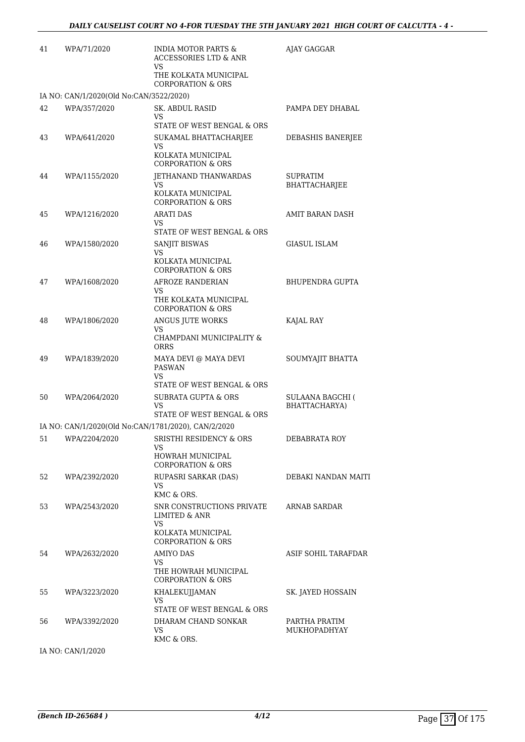| 41 | WPA/71/2020                                         | INDIA MOTOR PARTS &<br>ACCESSORIES LTD & ANR<br>VS                                                             | AJAY GAGGAR                              |
|----|-----------------------------------------------------|----------------------------------------------------------------------------------------------------------------|------------------------------------------|
|    |                                                     | THE KOLKATA MUNICIPAL<br><b>CORPORATION &amp; ORS</b>                                                          |                                          |
|    | IA NO: CAN/1/2020(Old No:CAN/3522/2020)             |                                                                                                                |                                          |
| 42 | WPA/357/2020                                        | SK. ABDUL RASID<br>VS                                                                                          | PAMPA DEY DHABAL                         |
| 43 | WPA/641/2020                                        | STATE OF WEST BENGAL & ORS<br>SUKAMAL BHATTACHARJEE<br>VS<br>KOLKATA MUNICIPAL<br><b>CORPORATION &amp; ORS</b> | DEBASHIS BANERJEE                        |
| 44 | WPA/1155/2020                                       | JETHANAND THANWARDAS<br>VS.<br>KOLKATA MUNICIPAL<br><b>CORPORATION &amp; ORS</b>                               | SUPRATIM<br>BHATTACHARJEE                |
| 45 | WPA/1216/2020                                       | <b>ARATI DAS</b><br>VS<br>STATE OF WEST BENGAL & ORS                                                           | AMIT BARAN DASH                          |
| 46 | WPA/1580/2020                                       | SANJIT BISWAS<br><b>VS</b><br>KOLKATA MUNICIPAL<br><b>CORPORATION &amp; ORS</b>                                | GIASUL ISLAM                             |
| 47 | WPA/1608/2020                                       | AFROZE RANDERIAN<br>VS.<br>THE KOLKATA MUNICIPAL<br><b>CORPORATION &amp; ORS</b>                               | <b>BHUPENDRA GUPTA</b>                   |
| 48 | WPA/1806/2020                                       | ANGUS JUTE WORKS<br>VS<br>CHAMPDANI MUNICIPALITY &<br><b>ORRS</b>                                              | KAJAL RAY                                |
| 49 | WPA/1839/2020                                       | MAYA DEVI @ MAYA DEVI<br><b>PASWAN</b><br><b>VS</b><br>STATE OF WEST BENGAL & ORS                              | SOUMYAJIT BHATTA                         |
| 50 | WPA/2064/2020                                       | <b>SUBRATA GUPTA &amp; ORS</b><br><b>VS</b><br>STATE OF WEST BENGAL & ORS                                      | <b>SULAANA BAGCHI (</b><br>BHATTACHARYA) |
|    | IA NO: CAN/1/2020(Old No:CAN/1781/2020), CAN/2/2020 |                                                                                                                |                                          |
|    |                                                     | 51 WPA/2204/2020 SRISTHI RESIDENCY & ORS<br>VS.<br>HOWRAH MUNICIPAL                                            | DEBABRATA ROY                            |
| 52 | WPA/2392/2020                                       | <b>CORPORATION &amp; ORS</b><br>RUPASRI SARKAR (DAS)<br>VS.<br>KMC & ORS.                                      | DEBAKI NANDAN MAITI                      |
| 53 | WPA/2543/2020                                       | SNR CONSTRUCTIONS PRIVATE<br><b>LIMITED &amp; ANR</b><br>VS.<br>KOLKATA MUNICIPAL                              | <b>ARNAB SARDAR</b>                      |
| 54 | WPA/2632/2020                                       | <b>CORPORATION &amp; ORS</b><br><b>AMIYO DAS</b><br>VS<br>THE HOWRAH MUNICIPAL<br><b>CORPORATION &amp; ORS</b> | ASIF SOHIL TARAFDAR                      |
| 55 | WPA/3223/2020                                       | <b>KHALEKUJJAMAN</b><br>VS<br>STATE OF WEST BENGAL & ORS                                                       | SK. JAYED HOSSAIN                        |
| 56 | WPA/3392/2020                                       | DHARAM CHAND SONKAR<br>VS.<br>KMC & ORS.                                                                       | PARTHA PRATIM<br>MUKHOPADHYAY            |
|    |                                                     |                                                                                                                |                                          |

IA NO: CAN/1/2020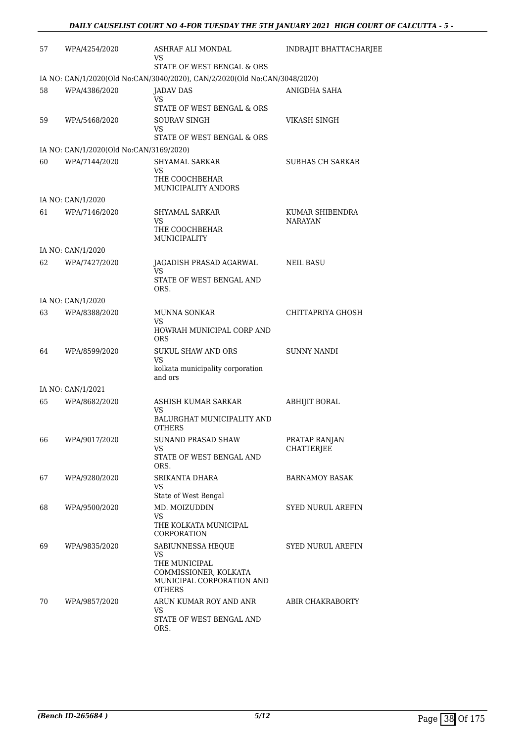| 57 | WPA/4254/2020                           | ASHRAF ALI MONDAL<br>VS.<br>STATE OF WEST BENGAL & ORS                               | INDRAJIT BHATTACHARJEE             |
|----|-----------------------------------------|--------------------------------------------------------------------------------------|------------------------------------|
|    |                                         | IA NO: CAN/1/2020(Old No:CAN/3040/2020), CAN/2/2020(Old No:CAN/3048/2020)            |                                    |
| 58 | WPA/4386/2020                           | JADAV DAS<br>VS                                                                      | ANIGDHA SAHA                       |
|    |                                         | STATE OF WEST BENGAL & ORS                                                           |                                    |
| 59 | WPA/5468/2020                           | <b>SOURAV SINGH</b><br>VS<br>STATE OF WEST BENGAL & ORS                              | VIKASH SINGH                       |
|    | IA NO: CAN/1/2020(Old No:CAN/3169/2020) |                                                                                      |                                    |
| 60 | WPA/7144/2020                           | SHYAMAL SARKAR<br>VS                                                                 | <b>SUBHAS CH SARKAR</b>            |
|    |                                         | THE COOCHBEHAR<br>MUNICIPALITY ANDORS                                                |                                    |
|    | IA NO: CAN/1/2020                       |                                                                                      |                                    |
| 61 | WPA/7146/2020                           | SHYAMAL SARKAR<br>VS<br>THE COOCHBEHAR                                               | KUMAR SHIBENDRA<br>NARAYAN         |
|    |                                         | MUNICIPALITY                                                                         |                                    |
|    | IA NO: CAN/1/2020                       |                                                                                      |                                    |
| 62 | WPA/7427/2020                           | JAGADISH PRASAD AGARWAL<br>VS.                                                       | NEIL BASU                          |
|    |                                         | STATE OF WEST BENGAL AND<br>ORS.                                                     |                                    |
|    | IA NO: CAN/1/2020                       |                                                                                      |                                    |
| 63 | WPA/8388/2020                           | MUNNA SONKAR<br>VS<br>HOWRAH MUNICIPAL CORP AND                                      | CHITTAPRIYA GHOSH                  |
|    |                                         | <b>ORS</b>                                                                           |                                    |
| 64 | WPA/8599/2020                           | <b>SUKUL SHAW AND ORS</b><br><b>VS</b>                                               | <b>SUNNY NANDI</b>                 |
|    |                                         | kolkata municipality corporation<br>and ors                                          |                                    |
|    | IA NO: CAN/1/2021                       |                                                                                      |                                    |
| 65 | WPA/8682/2020                           | ASHISH KUMAR SARKAR<br>VS                                                            | <b>ABHIJIT BORAL</b>               |
|    |                                         | BALURGHAT MUNICIPALITY AND<br><b>OTHERS</b>                                          |                                    |
| 66 | WPA/9017/2020                           | <b>SUNAND PRASAD SHAW</b><br>VS<br>STATE OF WEST BENGAL AND                          | PRATAP RANJAN<br><b>CHATTERJEE</b> |
|    |                                         | ORS.                                                                                 |                                    |
| 67 | WPA/9280/2020                           | SRIKANTA DHARA<br>VS.<br>State of West Bengal                                        | BARNAMOY BASAK                     |
| 68 | WPA/9500/2020                           | MD. MOIZUDDIN                                                                        | SYED NURUL AREFIN                  |
|    |                                         | VS.<br>THE KOLKATA MUNICIPAL<br>CORPORATION                                          |                                    |
| 69 | WPA/9835/2020                           | SABIUNNESSA HEQUE<br>VS.                                                             | SYED NURUL AREFIN                  |
|    |                                         | THE MUNICIPAL<br>COMMISSIONER, KOLKATA<br>MUNICIPAL CORPORATION AND<br><b>OTHERS</b> |                                    |
| 70 | WPA/9857/2020                           | ARUN KUMAR ROY AND ANR<br>VS.                                                        | ABIR CHAKRABORTY                   |
|    |                                         | STATE OF WEST BENGAL AND<br>ORS.                                                     |                                    |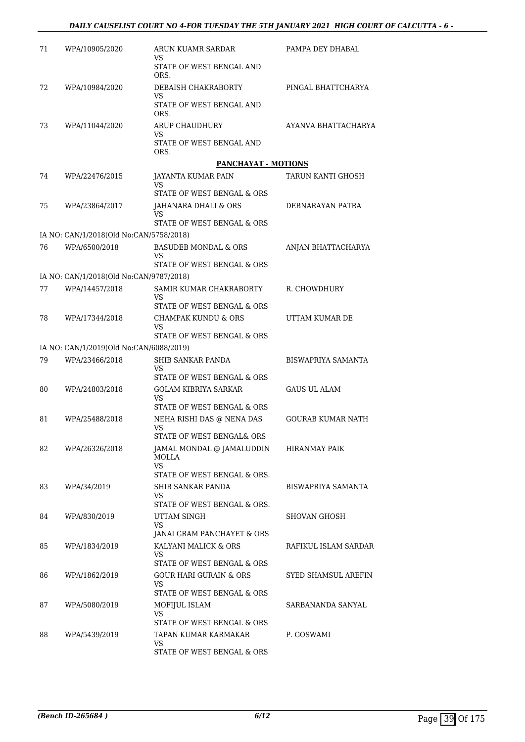| 71 | WPA/10905/2020                          | ARUN KUAMR SARDAR<br>VS.                                           | PAMPA DEY DHABAL          |
|----|-----------------------------------------|--------------------------------------------------------------------|---------------------------|
|    |                                         | STATE OF WEST BENGAL AND<br>ORS.                                   |                           |
| 72 | WPA/10984/2020                          | DEBAISH CHAKRABORTY                                                | PINGAL BHATTCHARYA        |
|    |                                         | VS<br>STATE OF WEST BENGAL AND<br>ORS.                             |                           |
| 73 | WPA/11044/2020                          | ARUP CHAUDHURY<br>VS                                               | AYANVA BHATTACHARYA       |
|    |                                         | STATE OF WEST BENGAL AND<br>ORS.                                   |                           |
|    |                                         | PANCHAYAT - MOTIONS                                                |                           |
| 74 | WPA/22476/2015                          | JAYANTA KUMAR PAIN<br>VS                                           | TARUN KANTI GHOSH         |
|    |                                         | STATE OF WEST BENGAL & ORS                                         |                           |
| 75 | WPA/23864/2017                          | JAHANARA DHALI & ORS<br>VS.                                        | DEBNARAYAN PATRA          |
|    |                                         | STATE OF WEST BENGAL & ORS                                         |                           |
|    | IA NO: CAN/1/2018(Old No:CAN/5758/2018) |                                                                    |                           |
| 76 | WPA/6500/2018                           | <b>BASUDEB MONDAL &amp; ORS</b><br>VS                              | ANJAN BHATTACHARYA        |
|    |                                         | STATE OF WEST BENGAL & ORS                                         |                           |
|    | IA NO: CAN/1/2018(Old No:CAN/9787/2018) |                                                                    |                           |
| 77 | WPA/14457/2018                          | SAMIR KUMAR CHAKRABORTY<br>VS                                      | R. CHOWDHURY              |
|    |                                         | STATE OF WEST BENGAL & ORS                                         |                           |
| 78 | WPA/17344/2018                          | <b>CHAMPAK KUNDU &amp; ORS</b><br>VS<br>STATE OF WEST BENGAL & ORS | UTTAM KUMAR DE            |
|    | IA NO: CAN/1/2019(Old No:CAN/6088/2019) |                                                                    |                           |
| 79 | WPA/23466/2018                          | SHIB SANKAR PANDA                                                  | <b>BISWAPRIYA SAMANTA</b> |
|    |                                         | VS<br>STATE OF WEST BENGAL & ORS                                   |                           |
| 80 | WPA/24803/2018                          | <b>GOLAM KIBRIYA SARKAR</b>                                        | <b>GAUS UL ALAM</b>       |
|    |                                         | VS<br>STATE OF WEST BENGAL & ORS                                   |                           |
| 81 | WPA/25488/2018                          | NEHA RISHI DAS @ NENA DAS                                          | <b>GOURAB KUMAR NATH</b>  |
|    |                                         | VS<br>STATE OF WEST BENGAL& ORS                                    |                           |
| 82 | WPA/26326/2018                          | JAMAL MONDAL @ JAMALUDDIN                                          | HIRANMAY PAIK             |
|    |                                         | MOLLA<br>VS.                                                       |                           |
|    |                                         | STATE OF WEST BENGAL & ORS.                                        |                           |
| 83 | WPA/34/2019                             | SHIB SANKAR PANDA                                                  | BISWAPRIYA SAMANTA        |
|    |                                         | VS<br>STATE OF WEST BENGAL & ORS.                                  |                           |
| 84 | WPA/830/2019                            | UTTAM SINGH                                                        | <b>SHOVAN GHOSH</b>       |
|    |                                         | VS<br>JANAI GRAM PANCHAYET & ORS                                   |                           |
| 85 | WPA/1834/2019                           | KALYANI MALICK & ORS                                               | RAFIKUL ISLAM SARDAR      |
|    |                                         | VS<br>STATE OF WEST BENGAL & ORS                                   |                           |
| 86 | WPA/1862/2019                           | <b>GOUR HARI GURAIN &amp; ORS</b>                                  | SYED SHAMSUL AREFIN       |
|    |                                         | VS.<br>STATE OF WEST BENGAL & ORS                                  |                           |
| 87 | WPA/5080/2019                           | MOFIJUL ISLAM                                                      | SARBANANDA SANYAL         |
|    |                                         | VS.                                                                |                           |
|    |                                         | STATE OF WEST BENGAL & ORS                                         |                           |
| 88 | WPA/5439/2019                           | TAPAN KUMAR KARMAKAR<br>VS                                         | P. GOSWAMI                |
|    |                                         | STATE OF WEST BENGAL & ORS                                         |                           |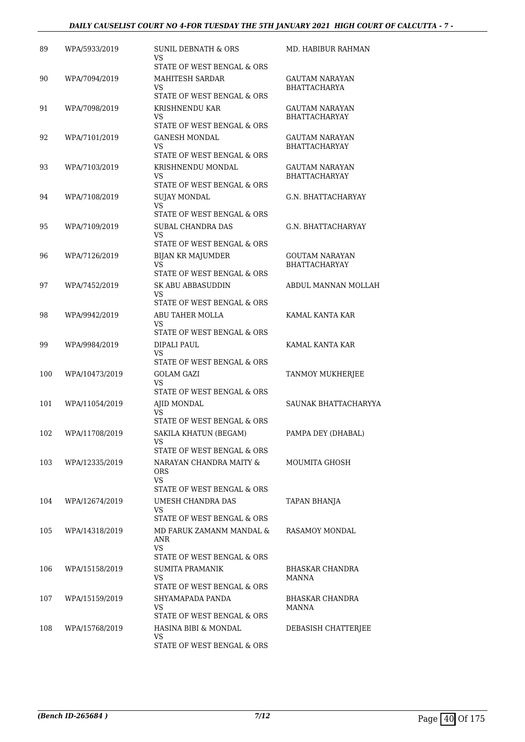#### *DAILY CAUSELIST COURT NO 4-FOR TUESDAY THE 5TH JANUARY 2021 HIGH COURT OF CALCUTTA - 7 -*

| 89  | WPA/5933/2019  | SUNIL DEBNATH & ORS<br>VS                                | MD. HABIBUR RAHMAN                            |
|-----|----------------|----------------------------------------------------------|-----------------------------------------------|
|     |                | STATE OF WEST BENGAL & ORS                               |                                               |
| 90  | WPA/7094/2019  | <b>MAHITESH SARDAR</b><br>VS                             | GAUTAM NARAYAN<br><b>BHATTACHARYA</b>         |
|     |                | STATE OF WEST BENGAL & ORS                               |                                               |
| 91  | WPA/7098/2019  | KRISHNENDU KAR<br>VS                                     | GAUTAM NARAYAN<br><b>BHATTACHARYAY</b>        |
|     |                | STATE OF WEST BENGAL & ORS                               |                                               |
| 92  | WPA/7101/2019  | <b>GANESH MONDAL</b><br>VS<br>STATE OF WEST BENGAL & ORS | <b>GAUTAM NARAYAN</b><br><b>BHATTACHARYAY</b> |
| 93  | WPA/7103/2019  | KRISHNENDU MONDAL<br>VS                                  | GAUTAM NARAYAN<br><b>BHATTACHARYAY</b>        |
|     |                | STATE OF WEST BENGAL & ORS                               |                                               |
| 94  | WPA/7108/2019  | <b>SUJAY MONDAL</b><br>VS<br>STATE OF WEST BENGAL & ORS  | G.N. BHATTACHARYAY                            |
| 95  | WPA/7109/2019  | SUBAL CHANDRA DAS                                        | G.N. BHATTACHARYAY                            |
|     |                | <b>VS</b><br>STATE OF WEST BENGAL & ORS                  |                                               |
| 96  | WPA/7126/2019  | <b>BIJAN KR MAJUMDER</b>                                 | <b>GOUTAM NARAYAN</b>                         |
|     |                | VS<br>STATE OF WEST BENGAL & ORS                         | <b>BHATTACHARYAY</b>                          |
| 97  | WPA/7452/2019  | <b>SK ABU ABBASUDDIN</b>                                 | ABDUL MANNAN MOLLAH                           |
|     |                | VS<br>STATE OF WEST BENGAL & ORS                         |                                               |
| 98  | WPA/9942/2019  | ABU TAHER MOLLA                                          | KAMAL KANTA KAR                               |
|     |                | VS<br>STATE OF WEST BENGAL & ORS                         |                                               |
| 99  | WPA/9984/2019  | DIPALI PAUL                                              | KAMAL KANTA KAR                               |
|     |                | VS<br>STATE OF WEST BENGAL & ORS                         |                                               |
| 100 | WPA/10473/2019 | GOLAM GAZI                                               | TANMOY MUKHERJEE                              |
|     |                | VS<br>STATE OF WEST BENGAL & ORS                         |                                               |
| 101 | WPA/11054/2019 | AJID MONDAL                                              | SAUNAK BHATTACHARYYA                          |
|     |                | VS<br>STATE OF WEST BENGAL & ORS                         |                                               |
| 102 | WPA/11708/2019 | SAKILA KHATUN (BEGAM)                                    | PAMPA DEY (DHABAL)                            |
|     |                | VS<br>STATE OF WEST BENGAL & ORS                         |                                               |
| 103 | WPA/12335/2019 | NARAYAN CHANDRA MAITY &                                  | MOUMITA GHOSH                                 |
|     |                | ORS<br>VS.                                               |                                               |
|     |                | STATE OF WEST BENGAL & ORS                               |                                               |
| 104 | WPA/12674/2019 | UMESH CHANDRA DAS<br>VS.<br>STATE OF WEST BENGAL & ORS   | TAPAN BHANJA                                  |
| 105 | WPA/14318/2019 | MD FARUK ZAMANM MANDAL &                                 | RASAMOY MONDAL                                |
|     |                | ANR<br>VS.                                               |                                               |
|     |                | STATE OF WEST BENGAL & ORS                               |                                               |
| 106 | WPA/15158/2019 | SUMITA PRAMANIK<br>VS.<br>STATE OF WEST BENGAL & ORS     | BHASKAR CHANDRA<br>MANNA                      |
| 107 | WPA/15159/2019 | SHYAMAPADA PANDA                                         | BHASKAR CHANDRA                               |
|     |                | VS<br>STATE OF WEST BENGAL & ORS                         | <b>MANNA</b>                                  |
| 108 | WPA/15768/2019 | HASINA BIBI & MONDAL                                     | DEBASISH CHATTERJEE                           |
|     |                | VS.<br>STATE OF WEST BENGAL & ORS                        |                                               |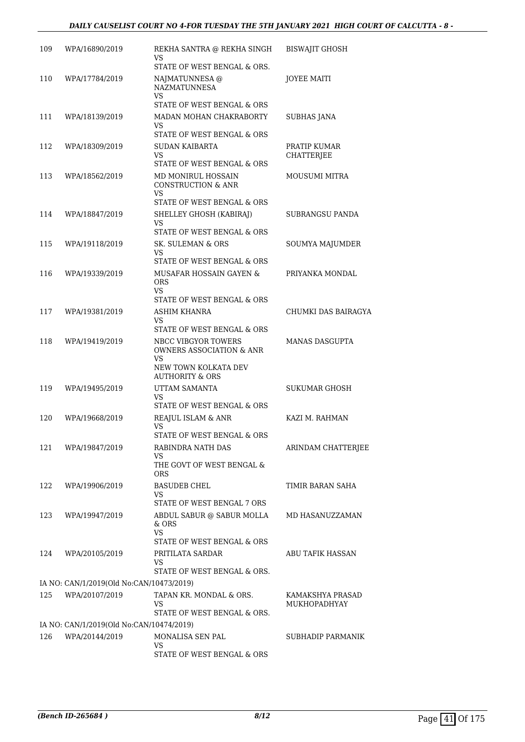| 109 | WPA/16890/2019                           | REKHA SANTRA @ REKHA SINGH<br>VS<br>STATE OF WEST BENGAL & ORS.                                          | <b>BISWAJIT GHOSH</b>             |
|-----|------------------------------------------|----------------------------------------------------------------------------------------------------------|-----------------------------------|
| 110 | WPA/17784/2019                           | NAJMATUNNESA @<br><b>NAZMATUNNESA</b><br>VS<br>STATE OF WEST BENGAL & ORS                                | JOYEE MAITI                       |
| 111 | WPA/18139/2019                           | MADAN MOHAN CHAKRABORTY<br>VS<br>STATE OF WEST BENGAL & ORS                                              | <b>SUBHAS JANA</b>                |
| 112 | WPA/18309/2019                           | SUDAN KAIBARTA<br>VS                                                                                     | PRATIP KUMAR<br><b>CHATTERJEE</b> |
| 113 | WPA/18562/2019                           | STATE OF WEST BENGAL & ORS<br>MD MONIRUL HOSSAIN<br><b>CONSTRUCTION &amp; ANR</b><br>VS                  | MOUSUMI MITRA                     |
| 114 | WPA/18847/2019                           | STATE OF WEST BENGAL & ORS<br>SHELLEY GHOSH (KABIRAJ)<br>VS                                              | <b>SUBRANGSU PANDA</b>            |
| 115 | WPA/19118/2019                           | STATE OF WEST BENGAL & ORS<br>SK. SULEMAN & ORS<br>VS                                                    | SOUMYA MAJUMDER                   |
| 116 | WPA/19339/2019                           | STATE OF WEST BENGAL & ORS<br>MUSAFAR HOSSAIN GAYEN &<br><b>ORS</b><br>VS.<br>STATE OF WEST BENGAL & ORS | PRIYANKA MONDAL                   |
| 117 | WPA/19381/2019                           | ASHIM KHANRA<br>VS<br>STATE OF WEST BENGAL & ORS                                                         | CHUMKI DAS BAIRAGYA               |
| 118 | WPA/19419/2019                           | NBCC VIBGYOR TOWERS<br>OWNERS ASSOCIATION & ANR<br>VS<br>NEW TOWN KOLKATA DEV                            | <b>MANAS DASGUPTA</b>             |
| 119 | WPA/19495/2019                           | <b>AUTHORITY &amp; ORS</b><br>UTTAM SAMANTA<br>VS<br>STATE OF WEST BENGAL & ORS                          | <b>SUKUMAR GHOSH</b>              |
| 120 | WPA/19668/2019                           | REAJUL ISLAM & ANR<br>VS<br>STATE OF WEST BENGAL & ORS                                                   | KAZI M. RAHMAN                    |
| 121 | WPA/19847/2019                           | RABINDRA NATH DAS<br>VS.<br>THE GOVT OF WEST BENGAL &<br><b>ORS</b>                                      | ARINDAM CHATTERJEE                |
| 122 | WPA/19906/2019                           | <b>BASUDEB CHEL</b><br>VS.<br>STATE OF WEST BENGAL 7 ORS                                                 | TIMIR BARAN SAHA                  |
| 123 | WPA/19947/2019                           | ABDUL SABUR @ SABUR MOLLA<br>$&$ ORS<br><b>VS</b><br>STATE OF WEST BENGAL & ORS                          | MD HASANUZZAMAN                   |
| 124 | WPA/20105/2019                           | PRITILATA SARDAR<br>VS<br>STATE OF WEST BENGAL & ORS.                                                    | ABU TAFIK HASSAN                  |
|     | IA NO: CAN/1/2019(Old No:CAN/10473/2019) |                                                                                                          |                                   |
| 125 | WPA/20107/2019                           | TAPAN KR. MONDAL & ORS.<br>VS.<br>STATE OF WEST BENGAL & ORS.                                            | KAMAKSHYA PRASAD<br>MUKHOPADHYAY  |
|     | IA NO: CAN/1/2019(Old No:CAN/10474/2019) |                                                                                                          |                                   |
| 126 | WPA/20144/2019                           | MONALISA SEN PAL<br>VS                                                                                   | SUBHADIP PARMANIK                 |
|     |                                          | STATE OF WEST BENGAL & ORS                                                                               |                                   |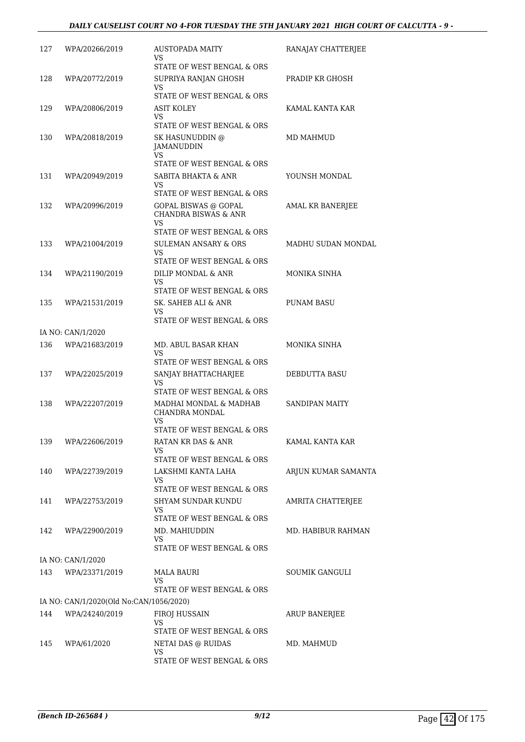| 127 | WPA/20266/2019                          | AUSTOPADA MAITY<br>VS<br>STATE OF WEST BENGAL & ORS                                                        | RANAJAY CHATTERJEE  |
|-----|-----------------------------------------|------------------------------------------------------------------------------------------------------------|---------------------|
| 128 | WPA/20772/2019                          | SUPRIYA RANJAN GHOSH<br>VS                                                                                 | PRADIP KR GHOSH     |
| 129 | WPA/20806/2019                          | STATE OF WEST BENGAL & ORS<br>ASIT KOLEY<br>VS                                                             | KAMAL KANTA KAR     |
| 130 | WPA/20818/2019                          | STATE OF WEST BENGAL & ORS<br>SK HASUNUDDIN @<br>JAMANUDDIN                                                | MD MAHMUD           |
| 131 | WPA/20949/2019                          | VS.<br>STATE OF WEST BENGAL & ORS<br>SABITA BHAKTA & ANR<br>VS                                             | YOUNSH MONDAL       |
| 132 | WPA/20996/2019                          | STATE OF WEST BENGAL & ORS<br>GOPAL BISWAS @ GOPAL                                                         | AMAL KR BANERJEE    |
|     |                                         | <b>CHANDRA BISWAS &amp; ANR</b><br><b>VS</b><br>STATE OF WEST BENGAL & ORS                                 |                     |
| 133 | WPA/21004/2019                          | <b>SULEMAN ANSARY &amp; ORS</b><br>VS<br>STATE OF WEST BENGAL & ORS                                        | MADHU SUDAN MONDAL  |
| 134 | WPA/21190/2019                          | DILIP MONDAL & ANR<br>VS.<br>STATE OF WEST BENGAL & ORS                                                    | MONIKA SINHA        |
| 135 | WPA/21531/2019                          | SK. SAHEB ALI & ANR<br>VS<br>STATE OF WEST BENGAL & ORS                                                    | <b>PUNAM BASU</b>   |
|     | IA NO: CAN/1/2020                       |                                                                                                            |                     |
| 136 | WPA/21683/2019                          | MD. ABUL BASAR KHAN<br>VS<br>STATE OF WEST BENGAL & ORS                                                    | MONIKA SINHA        |
| 137 | WPA/22025/2019                          | SANJAY BHATTACHARJEE<br>VS                                                                                 | DEBDUTTA BASU       |
| 138 | WPA/22207/2019                          | STATE OF WEST BENGAL & ORS<br>MADHAI MONDAL & MADHAB<br>CHANDRA MONDAL<br>VS<br>STATE OF WEST BENGAL & ORS | SANDIPAN MAITY      |
| 139 | WPA/22606/2019                          | RATAN KR DAS & ANR<br>VS<br>STATE OF WEST BENGAL & ORS                                                     | KAMAL KANTA KAR     |
| 140 | WPA/22739/2019                          | LAKSHMI KANTA LAHA<br>VS                                                                                   | ARJUN KUMAR SAMANTA |
| 141 | WPA/22753/2019                          | STATE OF WEST BENGAL & ORS<br>SHYAM SUNDAR KUNDU<br>VS.                                                    | AMRITA CHATTERJEE   |
| 142 | WPA/22900/2019                          | STATE OF WEST BENGAL & ORS<br>MD. MAHIUDDIN<br>VS<br>STATE OF WEST BENGAL & ORS                            | MD. HABIBUR RAHMAN  |
|     | IA NO: CAN/1/2020                       |                                                                                                            |                     |
| 143 | WPA/23371/2019                          | <b>MALA BAURI</b><br>VS                                                                                    | SOUMIK GANGULI      |
|     | IA NO: CAN/1/2020(Old No:CAN/1056/2020) | STATE OF WEST BENGAL & ORS                                                                                 |                     |
| 144 | WPA/24240/2019                          | FIROJ HUSSAIN                                                                                              | ARUP BANERJEE       |
|     |                                         | VS<br>STATE OF WEST BENGAL & ORS                                                                           |                     |
| 145 | WPA/61/2020                             | NETAI DAS @ RUIDAS<br>VS<br>STATE OF WEST BENGAL & ORS                                                     | MD. MAHMUD          |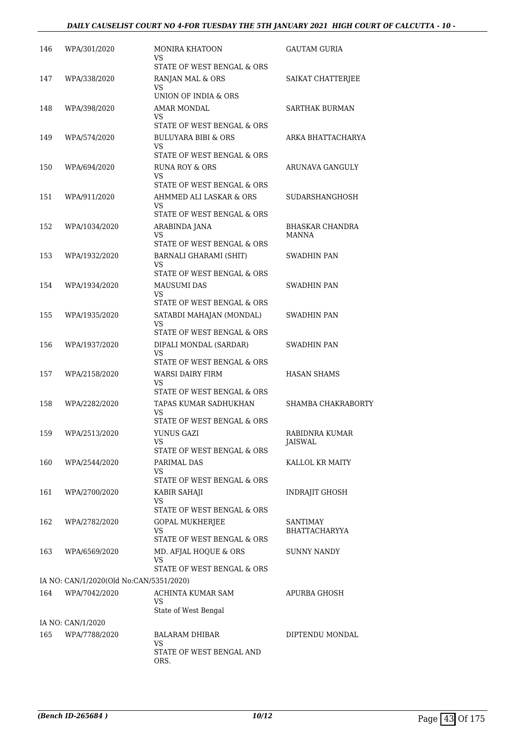#### *DAILY CAUSELIST COURT NO 4-FOR TUESDAY THE 5TH JANUARY 2021 HIGH COURT OF CALCUTTA - 10 -*

| 146 | WPA/301/2020                            | MONIRA KHATOON<br>VS.                                                         | <b>GAUTAM GURIA</b>                    |
|-----|-----------------------------------------|-------------------------------------------------------------------------------|----------------------------------------|
| 147 | WPA/338/2020                            | STATE OF WEST BENGAL & ORS<br>RANJAN MAL & ORS<br>VS.                         | SAIKAT CHATTERJEE                      |
| 148 | WPA/398/2020                            | UNION OF INDIA & ORS<br><b>AMAR MONDAL</b><br>VS.                             | SARTHAK BURMAN                         |
| 149 | WPA/574/2020                            | STATE OF WEST BENGAL & ORS<br><b>BULUYARA BIBI &amp; ORS</b><br>VS.           | ARKA BHATTACHARYA                      |
| 150 | WPA/694/2020                            | STATE OF WEST BENGAL & ORS<br><b>RUNA ROY &amp; ORS</b><br>VS.                | ARUNAVA GANGULY                        |
| 151 | WPA/911/2020                            | STATE OF WEST BENGAL & ORS<br>AHMMED ALI LASKAR & ORS<br>VS.                  | SUDARSHANGHOSH                         |
| 152 | WPA/1034/2020                           | STATE OF WEST BENGAL & ORS<br>ARABINDA JANA<br>VS                             | <b>BHASKAR CHANDRA</b><br><b>MANNA</b> |
| 153 | WPA/1932/2020                           | STATE OF WEST BENGAL & ORS<br><b>BARNALI GHARAMI (SHIT)</b><br>VS             | SWADHIN PAN                            |
| 154 | WPA/1934/2020                           | STATE OF WEST BENGAL & ORS<br>MAUSUMI DAS<br>VS<br>STATE OF WEST BENGAL & ORS | SWADHIN PAN                            |
| 155 | WPA/1935/2020                           | SATABDI MAHAJAN (MONDAL)<br>VS.<br>STATE OF WEST BENGAL & ORS                 | SWADHIN PAN                            |
| 156 | WPA/1937/2020                           | DIPALI MONDAL (SARDAR)<br>VS.<br>STATE OF WEST BENGAL & ORS                   | SWADHIN PAN                            |
| 157 | WPA/2158/2020                           | WARSI DAIRY FIRM<br>VS.<br>STATE OF WEST BENGAL & ORS                         | <b>HASAN SHAMS</b>                     |
| 158 | WPA/2282/2020                           | TAPAS KUMAR SADHUKHAN<br>VS<br>STATE OF WEST BENGAL & ORS                     | SHAMBA CHAKRABORTY                     |
| 159 | WPA/2513/2020                           | YUNUS GAZI<br>VS.<br>STATE OF WEST BENGAL & ORS                               | RABIDNRA KUMAR<br>JAISWAL              |
| 160 | WPA/2544/2020                           | PARIMAL DAS<br>VS.<br>STATE OF WEST BENGAL & ORS                              | KALLOL KR MAITY                        |
| 161 | WPA/2700/2020                           | KABIR SAHAJI<br>VS.<br>STATE OF WEST BENGAL & ORS                             | INDRAJIT GHOSH                         |
| 162 | WPA/2782/2020                           | GOPAL MUKHERJEE<br>VS.<br>STATE OF WEST BENGAL & ORS                          | SANTIMAY<br>BHATTACHARYYA              |
| 163 | WPA/6569/2020                           | MD. AFJAL HOQUE & ORS<br>VS.<br>STATE OF WEST BENGAL & ORS                    | <b>SUNNY NANDY</b>                     |
|     | IA NO: CAN/1/2020(Old No:CAN/5351/2020) |                                                                               |                                        |
| 164 | WPA/7042/2020                           | ACHINTA KUMAR SAM<br>VS.<br>State of West Bengal                              | APURBA GHOSH                           |
|     | IA NO: CAN/1/2020                       |                                                                               |                                        |
| 165 | WPA/7788/2020                           | BALARAM DHIBAR<br>VS<br>STATE OF WEST BENGAL AND<br>ORS.                      | DIPTENDU MONDAL                        |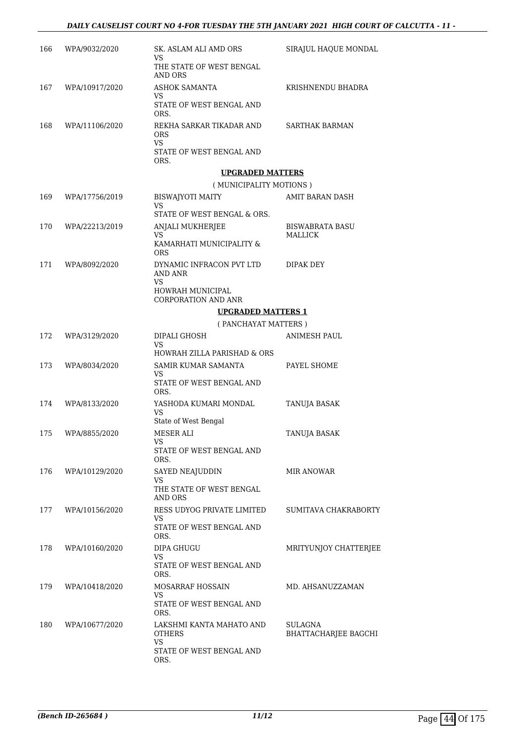| 166 | WPA/9032/2020  | SK. ASLAM ALI AMD ORS<br>VS<br>THE STATE OF WEST BENGAL                      | SIRAJUL HAQUE MONDAL              |
|-----|----------------|------------------------------------------------------------------------------|-----------------------------------|
|     |                | AND ORS                                                                      |                                   |
| 167 | WPA/10917/2020 | <b>ASHOK SAMANTA</b><br>VS                                                   | KRISHNENDU BHADRA                 |
|     |                | STATE OF WEST BENGAL AND<br>ORS.                                             |                                   |
| 168 | WPA/11106/2020 | REKHA SARKAR TIKADAR AND<br>ORS                                              | SARTHAK BARMAN                    |
|     |                | <b>VS</b><br>STATE OF WEST BENGAL AND<br>ORS.                                |                                   |
|     |                | <b>UPGRADED MATTERS</b>                                                      |                                   |
|     |                | (MUNICIPALITY MOTIONS)                                                       |                                   |
| 169 | WPA/17756/2019 | <b>BISWAJYOTI MAITY</b><br>VS                                                | AMIT BARAN DASH                   |
|     |                | STATE OF WEST BENGAL & ORS.                                                  |                                   |
| 170 | WPA/22213/2019 | ANJALI MUKHERJEE<br>VS.                                                      | <b>BISWABRATA BASU</b><br>MALLICK |
|     |                | KAMARHATI MUNICIPALITY &<br><b>ORS</b>                                       |                                   |
| 171 | WPA/8092/2020  | DYNAMIC INFRACON PVT LTD<br><b>AND ANR</b><br>VS.                            | DIPAK DEY                         |
|     |                | HOWRAH MUNICIPAL<br><b>CORPORATION AND ANR</b>                               |                                   |
|     |                | <b>UPGRADED MATTERS 1</b>                                                    |                                   |
|     |                | (PANCHAYAT MATTERS)                                                          |                                   |
| 172 | WPA/3129/2020  | DIPALI GHOSH<br>VS                                                           | <b>ANIMESH PAUL</b>               |
|     |                | HOWRAH ZILLA PARISHAD & ORS                                                  |                                   |
| 173 | WPA/8034/2020  | SAMIR KUMAR SAMANTA<br>VS                                                    | PAYEL SHOME                       |
|     |                | STATE OF WEST BENGAL AND<br>ORS.                                             |                                   |
| 174 | WPA/8133/2020  | YASHODA KUMARI MONDAL<br>VS<br>State of West Bengal                          | TANUJA BASAK                      |
| 175 | WPA/8855/2020  | MESER ALI                                                                    | TANUJA BASAK                      |
|     |                | VS<br>STATE OF WEST BENGAL AND                                               |                                   |
|     |                | ORS.                                                                         |                                   |
| 176 | WPA/10129/2020 | SAYED NEAJUDDIN<br>VS                                                        | MIR ANOWAR                        |
|     |                | THE STATE OF WEST BENGAL<br>AND ORS                                          |                                   |
| 177 | WPA/10156/2020 | RESS UDYOG PRIVATE LIMITED<br>VS                                             | SUMITAVA CHAKRABORTY              |
|     |                | STATE OF WEST BENGAL AND<br>ORS.                                             |                                   |
| 178 | WPA/10160/2020 | DIPA GHUGU<br>VS<br>STATE OF WEST BENGAL AND<br>ORS.                         | MRITYUNJOY CHATTERJEE             |
| 179 | WPA/10418/2020 | MOSARRAF HOSSAIN                                                             | MD. AHSANUZZAMAN                  |
|     |                | VS<br>STATE OF WEST BENGAL AND<br>ORS.                                       |                                   |
| 180 | WPA/10677/2020 | LAKSHMI KANTA MAHATO AND<br>OTHERS<br>VS<br>STATE OF WEST BENGAL AND<br>ORS. | SULAGNA<br>BHATTACHARJEE BAGCHI   |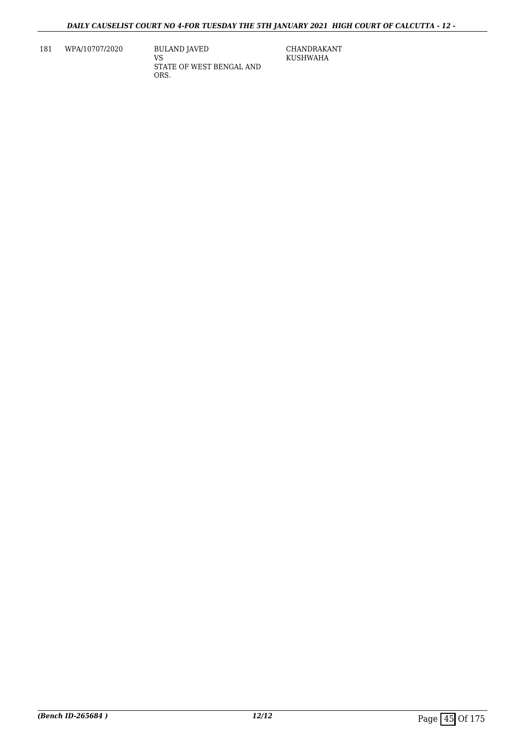181 WPA/10707/2020 BULAND JAVED

VS STATE OF WEST BENGAL AND ORS.

CHANDRAKANT KUSHWAHA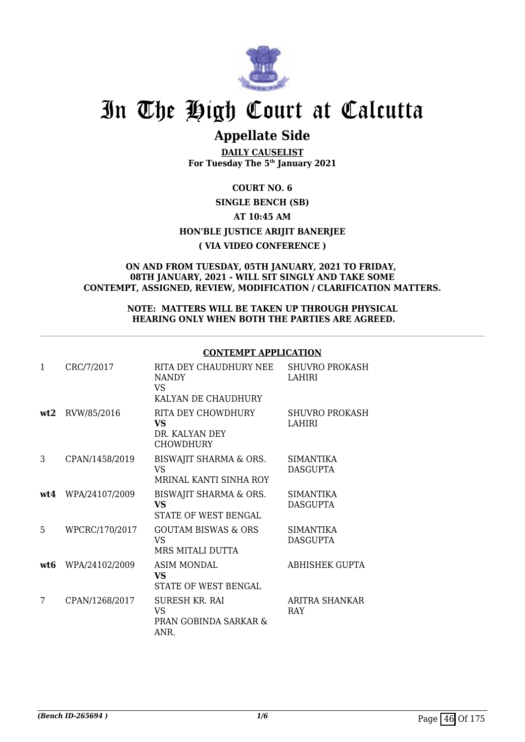

## **Appellate Side**

**DAILY CAUSELIST For Tuesday The 5th January 2021**

#### **COURT NO. 6**

#### **SINGLE BENCH (SB) AT 10:45 AM**

### **HON'BLE JUSTICE ARIJIT BANERJEE**

#### **( VIA VIDEO CONFERENCE )**

#### **ON AND FROM TUESDAY, 05TH JANUARY, 2021 TO FRIDAY, 08TH JANUARY, 2021 - WILL SIT SINGLY AND TAKE SOME CONTEMPT, ASSIGNED, REVIEW, MODIFICATION / CLARIFICATION MATTERS.**

#### **NOTE: MATTERS WILL BE TAKEN UP THROUGH PHYSICAL HEARING ONLY WHEN BOTH THE PARTIES ARE AGREED.**

#### **CONTEMPT APPLICATION**

| 1   | CRC/7/2017     | RITA DEY CHAUDHURY NEE<br><b>NANDY</b><br>VS.<br>KALYAN DE CHAUDHURY | <b>SHUVRO PROKASH</b><br>LAHIRI     |
|-----|----------------|----------------------------------------------------------------------|-------------------------------------|
| wt2 | RVW/85/2016    | RITA DEY CHOWDHURY<br>VS.<br>DR. KALYAN DEY<br><b>CHOWDHURY</b>      | <b>SHUVRO PROKASH</b><br>LAHIRI     |
| 3   | CPAN/1458/2019 | BISWAJIT SHARMA & ORS.<br>VS<br>MRINAL KANTI SINHA ROY               | <b>SIMANTIKA</b><br><b>DASGUPTA</b> |
| wt4 | WPA/24107/2009 | BISWAJIT SHARMA & ORS.<br><b>VS</b><br>STATE OF WEST BENGAL          | <b>SIMANTIKA</b><br>DASGUPTA        |
| 5   | WPCRC/170/2017 | <b>GOUTAM BISWAS &amp; ORS</b><br><b>VS</b><br>MRS MITALI DUTTA      | <b>SIMANTIKA</b><br><b>DASGUPTA</b> |
| wt6 | WPA/24102/2009 | <b>ASIM MONDAL</b><br>VS.<br>STATE OF WEST BENGAL                    | <b>ABHISHEK GUPTA</b>               |
| 7   | CPAN/1268/2017 | SURESH KR. RAI<br>VS.<br>PRAN GOBINDA SARKAR &<br>ANR.               | ARITRA SHANKAR<br><b>RAY</b>        |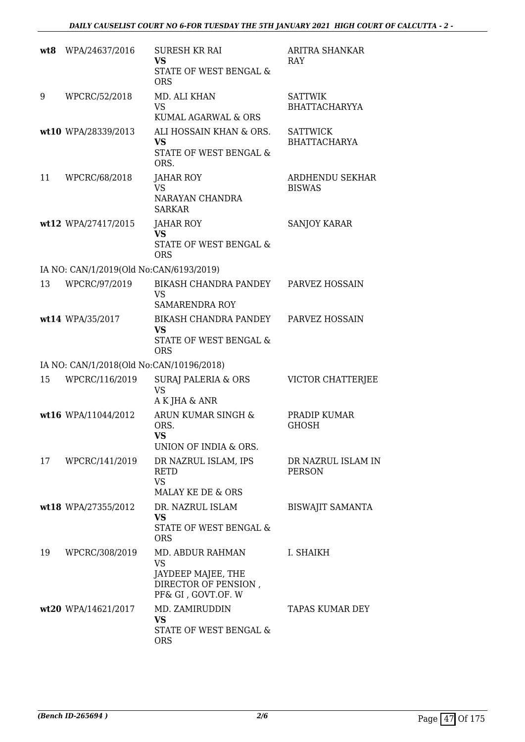| wt8 | WPA/24637/2016                           | <b>SURESH KR RAI</b><br><b>VS</b><br>STATE OF WEST BENGAL &<br><b>ORS</b>                         | ARITRA SHANKAR<br><b>RAY</b>           |
|-----|------------------------------------------|---------------------------------------------------------------------------------------------------|----------------------------------------|
| 9   | WPCRC/52/2018                            | MD. ALI KHAN<br><b>VS</b><br>KUMAL AGARWAL & ORS                                                  | <b>SATTWIK</b><br><b>BHATTACHARYYA</b> |
|     | wt10 WPA/28339/2013                      | ALI HOSSAIN KHAN & ORS.<br>VS<br>STATE OF WEST BENGAL &<br>ORS.                                   | <b>SATTWICK</b><br><b>BHATTACHARYA</b> |
| 11  | WPCRC/68/2018                            | JAHAR ROY<br><b>VS</b><br>NARAYAN CHANDRA<br><b>SARKAR</b>                                        | ARDHENDU SEKHAR<br><b>BISWAS</b>       |
|     | wt12 WPA/27417/2015                      | JAHAR ROY<br><b>VS</b><br>STATE OF WEST BENGAL &<br><b>ORS</b>                                    | <b>SANJOY KARAR</b>                    |
|     | IA NO: CAN/1/2019(Old No:CAN/6193/2019)  |                                                                                                   |                                        |
| 13  | WPCRC/97/2019                            | <b>BIKASH CHANDRA PANDEY</b><br><b>VS</b><br><b>SAMARENDRA ROY</b>                                | PARVEZ HOSSAIN                         |
|     | wt14 WPA/35/2017                         | BIKASH CHANDRA PANDEY<br><b>VS</b><br>STATE OF WEST BENGAL &<br><b>ORS</b>                        | PARVEZ HOSSAIN                         |
|     | IA NO: CAN/1/2018(Old No:CAN/10196/2018) |                                                                                                   |                                        |
| 15  | WPCRC/116/2019                           | <b>SURAJ PALERIA &amp; ORS</b><br><b>VS</b><br>A K JHA & ANR                                      | VICTOR CHATTERJEE                      |
|     | wt16 WPA/11044/2012                      | ARUN KUMAR SINGH &<br>ORS.<br><b>VS</b><br>UNION OF INDIA & ORS.                                  | PRADIP KUMAR<br><b>GHOSH</b>           |
| 17  | WPCRC/141/2019                           | DR NAZRUL ISLAM, IPS<br><b>RETD</b><br><b>VS</b><br>MALAY KE DE & ORS                             | DR NAZRUL ISLAM IN<br><b>PERSON</b>    |
|     | wt18 WPA/27355/2012                      | DR. NAZRUL ISLAM<br><b>VS</b><br>STATE OF WEST BENGAL &<br><b>ORS</b>                             | <b>BISWAJIT SAMANTA</b>                |
| 19  | WPCRC/308/2019                           | MD. ABDUR RAHMAN<br><b>VS</b><br>JAYDEEP MAJEE, THE<br>DIRECTOR OF PENSION,<br>PF& GI, GOVT.OF. W | I. SHAIKH                              |
|     | wt20 WPA/14621/2017                      | MD. ZAMIRUDDIN<br><b>VS</b><br>STATE OF WEST BENGAL &<br><b>ORS</b>                               | TAPAS KUMAR DEY                        |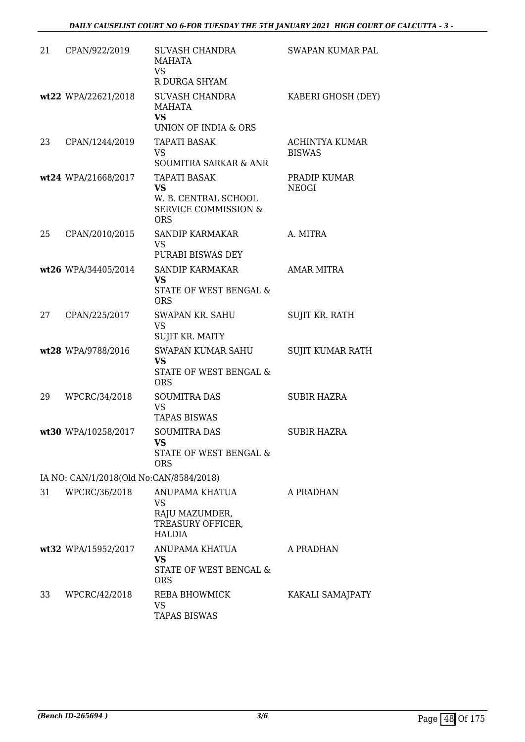| 21 | CPAN/922/2019                           | <b>SUVASH CHANDRA</b><br>MAHATA<br><b>VS</b><br>R DURGA SHYAM                                             | SWAPAN KUMAR PAL                       |
|----|-----------------------------------------|-----------------------------------------------------------------------------------------------------------|----------------------------------------|
|    | wt22 WPA/22621/2018                     | <b>SUVASH CHANDRA</b><br>MAHATA<br><b>VS</b><br>UNION OF INDIA & ORS                                      | KABERI GHOSH (DEY)                     |
| 23 | CPAN/1244/2019                          | <b>TAPATI BASAK</b><br><b>VS</b><br>SOUMITRA SARKAR & ANR                                                 | <b>ACHINTYA KUMAR</b><br><b>BISWAS</b> |
|    | wt24 WPA/21668/2017                     | <b>TAPATI BASAK</b><br><b>VS</b><br>W. B. CENTRAL SCHOOL<br><b>SERVICE COMMISSION &amp;</b><br><b>ORS</b> | PRADIP KUMAR<br><b>NEOGI</b>           |
| 25 | CPAN/2010/2015                          | <b>SANDIP KARMAKAR</b><br><b>VS</b><br>PURABI BISWAS DEY                                                  | A. MITRA                               |
|    | wt26 WPA/34405/2014                     | SANDIP KARMAKAR<br><b>VS</b><br>STATE OF WEST BENGAL &<br><b>ORS</b>                                      | AMAR MITRA                             |
| 27 | CPAN/225/2017                           | SWAPAN KR. SAHU<br><b>VS</b><br>SUJIT KR. MAITY                                                           | <b>SUJIT KR. RATH</b>                  |
|    | wt28 WPA/9788/2016                      | <b>SWAPAN KUMAR SAHU</b><br><b>VS</b><br>STATE OF WEST BENGAL &<br><b>ORS</b>                             | SUJIT KUMAR RATH                       |
| 29 | WPCRC/34/2018                           | <b>SOUMITRA DAS</b><br><b>VS</b><br><b>TAPAS BISWAS</b>                                                   | SUBIR HAZRA                            |
|    | wt30 WPA/10258/2017                     | <b>SOUMITRA DAS</b><br>VS<br>STATE OF WEST BENGAL &<br><b>ORS</b>                                         | <b>SUBIR HAZRA</b>                     |
|    | IA NO: CAN/1/2018(Old No:CAN/8584/2018) |                                                                                                           |                                        |
| 31 | WPCRC/36/2018                           | ANUPAMA KHATUA<br>VS<br>RAJU MAZUMDER,<br>TREASURY OFFICER,<br><b>HALDIA</b>                              | A PRADHAN                              |
|    | wt32 WPA/15952/2017                     | ANUPAMA KHATUA<br><b>VS</b><br>STATE OF WEST BENGAL &<br><b>ORS</b>                                       | A PRADHAN                              |
| 33 | WPCRC/42/2018                           | REBA BHOWMICK<br>VS<br><b>TAPAS BISWAS</b>                                                                | KAKALI SAMAJPATY                       |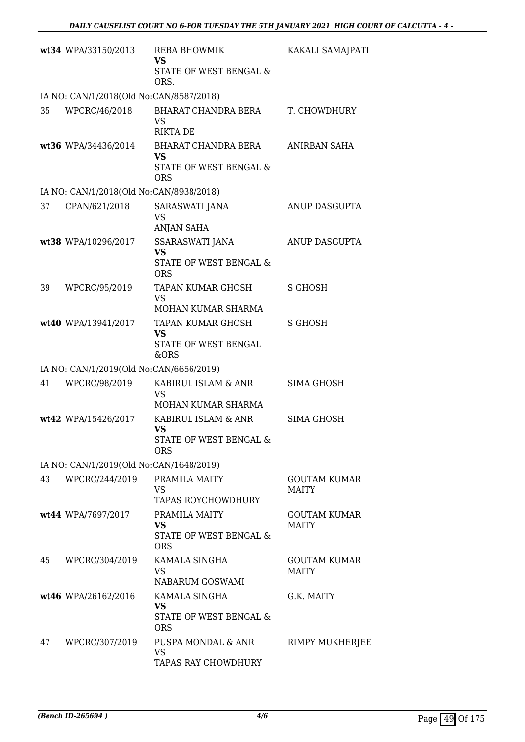|    | wt34 WPA/33150/2013                     | <b>REBA BHOWMIK</b><br>VS<br>STATE OF WEST BENGAL &                  | KAKALI SAMAJPATI                    |
|----|-----------------------------------------|----------------------------------------------------------------------|-------------------------------------|
|    |                                         | ORS.                                                                 |                                     |
|    | IA NO: CAN/1/2018(Old No:CAN/8587/2018) |                                                                      |                                     |
| 35 | WPCRC/46/2018                           | BHARAT CHANDRA BERA<br><b>VS</b><br><b>RIKTA DE</b>                  | T. CHOWDHURY                        |
|    | wt36 WPA/34436/2014                     | BHARAT CHANDRA BERA<br><b>VS</b>                                     | ANIRBAN SAHA                        |
|    |                                         | STATE OF WEST BENGAL &<br><b>ORS</b>                                 |                                     |
|    | IA NO: CAN/1/2018(Old No:CAN/8938/2018) |                                                                      |                                     |
| 37 | CPAN/621/2018                           | SARASWATI JANA<br>VS                                                 | ANUP DASGUPTA                       |
|    |                                         | <b>ANJAN SAHA</b>                                                    |                                     |
|    | wt38 WPA/10296/2017                     | SSARASWATI JANA<br><b>VS</b><br>STATE OF WEST BENGAL &<br><b>ORS</b> | ANUP DASGUPTA                       |
| 39 | WPCRC/95/2019                           | <b>TAPAN KUMAR GHOSH</b>                                             | <b>S GHOSH</b>                      |
|    |                                         | <b>VS</b>                                                            |                                     |
|    |                                         | MOHAN KUMAR SHARMA                                                   |                                     |
|    | wt40 WPA/13941/2017                     | TAPAN KUMAR GHOSH<br><b>VS</b><br>STATE OF WEST BENGAL               | <b>S GHOSH</b>                      |
|    |                                         | &ORS                                                                 |                                     |
|    | IA NO: CAN/1/2019(Old No:CAN/6656/2019) |                                                                      |                                     |
| 41 | WPCRC/98/2019                           | KABIRUL ISLAM & ANR<br><b>VS</b><br>MOHAN KUMAR SHARMA               | SIMA GHOSH                          |
|    | wt42 WPA/15426/2017                     | KABIRUL ISLAM & ANR<br><b>VS</b>                                     | <b>SIMA GHOSH</b>                   |
|    |                                         | STATE OF WEST BENGAL &<br>ORS.                                       |                                     |
|    | IA NO: CAN/1/2019(Old No:CAN/1648/2019) |                                                                      |                                     |
| 43 | WPCRC/244/2019                          | PRAMILA MAITY<br>VS.<br>TAPAS ROYCHOWDHURY                           | <b>GOUTAM KUMAR</b><br><b>MAITY</b> |
|    | wt44 WPA/7697/2017                      | PRAMILA MAITY                                                        | <b>GOUTAM KUMAR</b>                 |
|    |                                         | <b>VS</b><br><b>STATE OF WEST BENGAL &amp;</b><br><b>ORS</b>         | <b>MAITY</b>                        |
| 45 | WPCRC/304/2019                          | KAMALA SINGHA<br><b>VS</b><br>NABARUM GOSWAMI                        | <b>GOUTAM KUMAR</b><br><b>MAITY</b> |
|    | wt46 WPA/26162/2016                     | KAMALA SINGHA                                                        | G.K. MAITY                          |
|    |                                         | VS<br>STATE OF WEST BENGAL &<br><b>ORS</b>                           |                                     |
| 47 | WPCRC/307/2019                          | PUSPA MONDAL & ANR<br><b>VS</b><br>TAPAS RAY CHOWDHURY               | <b>RIMPY MUKHERJEE</b>              |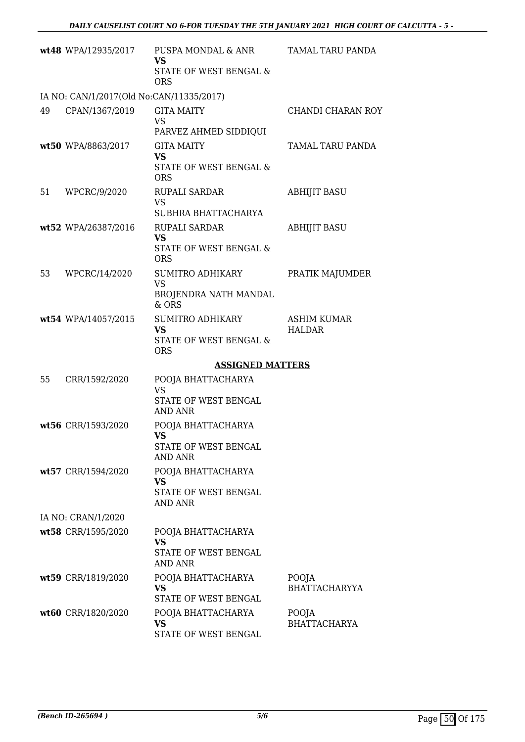|    | wt48 WPA/12935/2017                      | PUSPA MONDAL & ANR<br><b>VS</b><br>STATE OF WEST BENGAL &<br><b>ORS</b>       | TAMAL TARU PANDA                    |
|----|------------------------------------------|-------------------------------------------------------------------------------|-------------------------------------|
|    | IA NO: CAN/1/2017(Old No:CAN/11335/2017) |                                                                               |                                     |
| 49 | CPAN/1367/2019                           | <b>GITA MAITY</b><br><b>VS</b><br>PARVEZ AHMED SIDDIQUI                       | CHANDI CHARAN ROY                   |
|    | wt50 WPA/8863/2017                       | <b>GITA MAITY</b><br><b>VS</b><br>STATE OF WEST BENGAL &<br><b>ORS</b>        | TAMAL TARU PANDA                    |
| 51 | WPCRC/9/2020                             | <b>RUPALI SARDAR</b><br><b>VS</b><br>SUBHRA BHATTACHARYA                      | <b>ABHIJIT BASU</b>                 |
|    | wt52 WPA/26387/2016                      | RUPALI SARDAR<br><b>VS</b><br>STATE OF WEST BENGAL &                          | <b>ABHIJIT BASU</b>                 |
| 53 | WPCRC/14/2020                            | <b>ORS</b><br>SUMITRO ADHIKARY<br><b>VS</b><br>BROJENDRA NATH MANDAL<br>& ORS | PRATIK MAJUMDER                     |
|    | wt54 WPA/14057/2015                      | <b>SUMITRO ADHIKARY</b><br><b>VS</b><br>STATE OF WEST BENGAL &<br><b>ORS</b>  | <b>ASHIM KUMAR</b><br><b>HALDAR</b> |
|    |                                          | <b>ASSIGNED MATTERS</b>                                                       |                                     |
| 55 | CRR/1592/2020                            | POOJA BHATTACHARYA<br><b>VS</b><br>STATE OF WEST BENGAL<br><b>AND ANR</b>     |                                     |
|    | wt56 CRR/1593/2020                       | POOJA BHATTACHARYA<br>VS —<br>STATE OF WEST BENGAL<br>AND ANR                 |                                     |
|    | wt57 CRR/1594/2020                       | POOJA BHATTACHARYA<br>VS<br>STATE OF WEST BENGAL<br>AND ANR                   |                                     |
|    | IA NO: CRAN/1/2020                       |                                                                               |                                     |
|    | wt58 CRR/1595/2020                       | POOJA BHATTACHARYA<br><b>VS</b><br>STATE OF WEST BENGAL<br>AND ANR            |                                     |
|    | wt59 CRR/1819/2020                       | POOJA BHATTACHARYA<br><b>VS</b><br>STATE OF WEST BENGAL                       | POOJA<br><b>BHATTACHARYYA</b>       |
|    | wt60 CRR/1820/2020                       | POOJA BHATTACHARYA<br>VS<br>STATE OF WEST BENGAL                              | POOJA<br><b>BHATTACHARYA</b>        |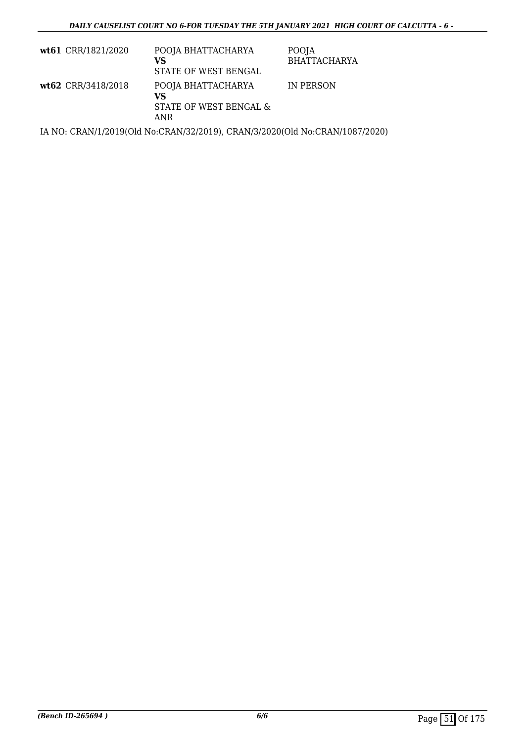| wt61 CRR/1821/2020 | POOJA BHATTACHARYA<br>VS<br>STATE OF WEST BENGAL          | POOJA<br><b>BHATTACHARYA</b> |
|--------------------|-----------------------------------------------------------|------------------------------|
| wt62 CRR/3418/2018 | POOJA BHATTACHARYA<br>VS<br>STATE OF WEST BENGAL &<br>ANR | IN PERSON                    |

IA NO: CRAN/1/2019(Old No:CRAN/32/2019), CRAN/3/2020(Old No:CRAN/1087/2020)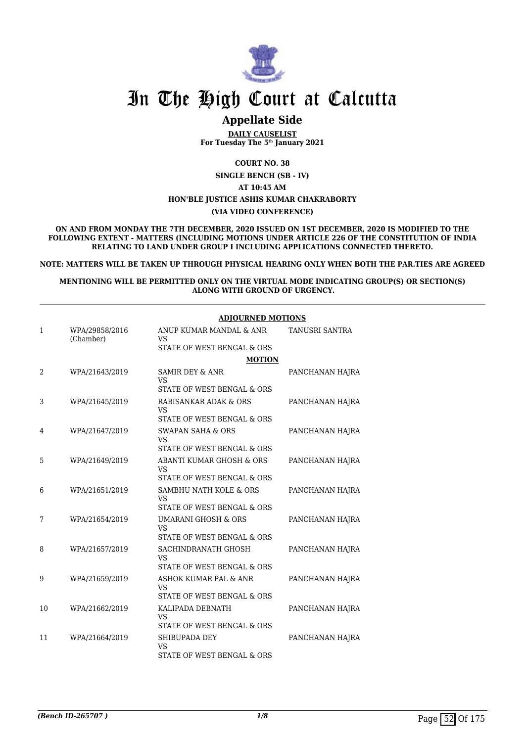

## **Appellate Side**

**DAILY CAUSELIST For Tuesday The 5th January 2021**

**COURT NO. 38**

**SINGLE BENCH (SB - IV)**

**AT 10:45 AM**

#### **HON'BLE JUSTICE ASHIS KUMAR CHAKRABORTY**

**(VIA VIDEO CONFERENCE)**

**ON AND FROM MONDAY THE 7TH DECEMBER, 2020 ISSUED ON 1ST DECEMBER, 2020 IS MODIFIED TO THE FOLLOWING EXTENT - MATTERS (INCLUDING MOTIONS UNDER ARTICLE 226 OF THE CONSTITUTION OF INDIA RELATING TO LAND UNDER GROUP I INCLUDING APPLICATIONS CONNECTED THERETO.**

**NOTE: MATTERS WILL BE TAKEN UP THROUGH PHYSICAL HEARING ONLY WHEN BOTH THE PAR.TIES ARE AGREED**

#### **MENTIONING WILL BE PERMITTED ONLY ON THE VIRTUAL MODE INDICATING GROUP(S) OR SECTION(S) ALONG WITH GROUND OF URGENCY.**

|    |                             | <b>ADJOURNED MOTIONS</b>                                            |                 |  |
|----|-----------------------------|---------------------------------------------------------------------|-----------------|--|
| 1  | WPA/29858/2016<br>(Chamber) | ANUP KUMAR MANDAL & ANR<br><b>VS</b>                                | TANUSRI SANTRA  |  |
|    |                             | STATE OF WEST BENGAL & ORS                                          |                 |  |
|    |                             | <b>MOTION</b>                                                       |                 |  |
| 2  | WPA/21643/2019              | <b>SAMIR DEY &amp; ANR</b><br>VS                                    | PANCHANAN HAJRA |  |
|    |                             | STATE OF WEST BENGAL & ORS                                          |                 |  |
| 3  | WPA/21645/2019              | RABISANKAR ADAK & ORS<br>VS                                         | PANCHANAN HAJRA |  |
|    |                             | STATE OF WEST BENGAL & ORS                                          |                 |  |
| 4  | WPA/21647/2019              | <b>SWAPAN SAHA &amp; ORS</b><br><b>VS</b>                           | PANCHANAN HAJRA |  |
|    |                             | STATE OF WEST BENGAL & ORS                                          |                 |  |
| 5  | WPA/21649/2019              | ABANTI KUMAR GHOSH & ORS<br><b>VS</b><br>STATE OF WEST BENGAL & ORS | PANCHANAN HAJRA |  |
| 6  | WPA/21651/2019              | SAMBHU NATH KOLE & ORS                                              | PANCHANAN HAJRA |  |
|    |                             | VS<br>STATE OF WEST BENGAL & ORS                                    |                 |  |
| 7  | WPA/21654/2019              | UMARANI GHOSH & ORS                                                 | PANCHANAN HAJRA |  |
|    |                             | VS<br>STATE OF WEST BENGAL & ORS                                    |                 |  |
| 8  | WPA/21657/2019              | SACHINDRANATH GHOSH<br>VS                                           | PANCHANAN HAJRA |  |
|    |                             | STATE OF WEST BENGAL & ORS                                          |                 |  |
| 9  | WPA/21659/2019              | ASHOK KUMAR PAL & ANR<br><b>VS</b>                                  | PANCHANAN HAJRA |  |
|    |                             | STATE OF WEST BENGAL & ORS                                          |                 |  |
| 10 | WPA/21662/2019              | KALIPADA DEBNATH<br><b>VS</b>                                       | PANCHANAN HAJRA |  |
|    |                             | STATE OF WEST BENGAL & ORS                                          |                 |  |
| 11 | WPA/21664/2019              | SHIBUPADA DEY<br>VS                                                 | PANCHANAN HAJRA |  |
|    |                             | STATE OF WEST BENGAL & ORS                                          |                 |  |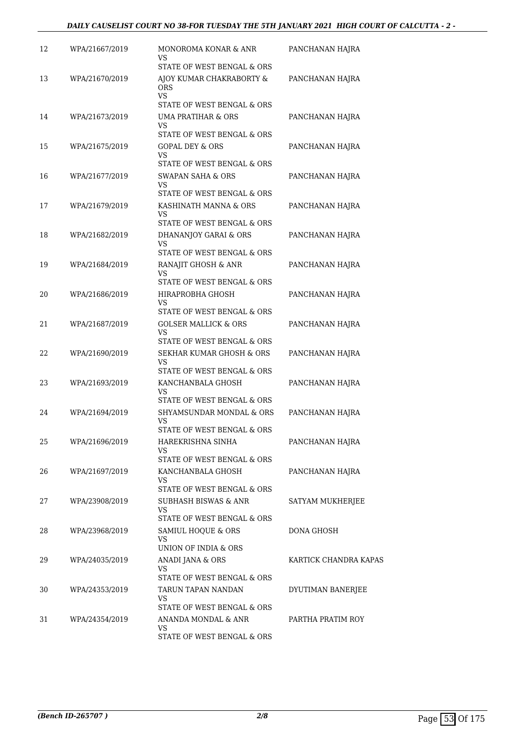| 12 | WPA/21667/2019 | MONOROMA KONAR & ANR                                                | PANCHANAN HAJRA       |
|----|----------------|---------------------------------------------------------------------|-----------------------|
|    |                | VS<br>STATE OF WEST BENGAL & ORS                                    |                       |
| 13 | WPA/21670/2019 | AJOY KUMAR CHAKRABORTY &<br><b>ORS</b><br><b>VS</b>                 | PANCHANAN HAJRA       |
|    |                | STATE OF WEST BENGAL & ORS                                          |                       |
| 14 | WPA/21673/2019 | <b>UMA PRATIHAR &amp; ORS</b><br>VS                                 | PANCHANAN HAJRA       |
|    |                | STATE OF WEST BENGAL & ORS                                          |                       |
| 15 | WPA/21675/2019 | <b>GOPAL DEY &amp; ORS</b><br>VS<br>STATE OF WEST BENGAL & ORS      | PANCHANAN HAJRA       |
| 16 | WPA/21677/2019 | <b>SWAPAN SAHA &amp; ORS</b><br>VS<br>STATE OF WEST BENGAL & ORS    | PANCHANAN HAJRA       |
| 17 | WPA/21679/2019 | KASHINATH MANNA & ORS                                               | PANCHANAN HAJRA       |
|    |                | VS                                                                  |                       |
| 18 | WPA/21682/2019 | STATE OF WEST BENGAL & ORS<br>DHANANJOY GARAI & ORS                 | PANCHANAN HAJRA       |
|    |                | VS                                                                  |                       |
|    |                | STATE OF WEST BENGAL & ORS                                          |                       |
| 19 | WPA/21684/2019 | RANAJIT GHOSH & ANR<br>VS                                           | PANCHANAN HAJRA       |
|    |                | STATE OF WEST BENGAL & ORS                                          |                       |
| 20 | WPA/21686/2019 | HIRAPROBHA GHOSH<br>VS                                              | PANCHANAN HAJRA       |
|    |                | STATE OF WEST BENGAL & ORS                                          |                       |
| 21 | WPA/21687/2019 | <b>GOLSER MALLICK &amp; ORS</b><br>VS<br>STATE OF WEST BENGAL & ORS | PANCHANAN HAJRA       |
| 22 | WPA/21690/2019 | SEKHAR KUMAR GHOSH & ORS                                            | PANCHANAN HAJRA       |
|    |                | VS<br>STATE OF WEST BENGAL & ORS                                    |                       |
| 23 | WPA/21693/2019 | KANCHANBALA GHOSH                                                   | PANCHANAN HAJRA       |
|    |                | VS<br>STATE OF WEST BENGAL & ORS                                    |                       |
| 24 | WPA/21694/2019 | SHYAMSUNDAR MONDAL & ORS                                            | PANCHANAN HAJRA       |
|    |                | VS                                                                  |                       |
|    |                | STATE OF WEST BENGAL & ORS                                          |                       |
| 25 | WPA/21696/2019 | HAREKRISHNA SINHA<br>VS                                             | PANCHANAN HAJRA       |
|    |                | STATE OF WEST BENGAL & ORS                                          |                       |
| 26 | WPA/21697/2019 | KANCHANBALA GHOSH<br>VS                                             | PANCHANAN HAJRA       |
|    |                | STATE OF WEST BENGAL & ORS                                          |                       |
| 27 | WPA/23908/2019 | <b>SUBHASH BISWAS &amp; ANR</b><br>VS<br>STATE OF WEST BENGAL & ORS | SATYAM MUKHERJEE      |
| 28 | WPA/23968/2019 | SAMIUL HOOUE & ORS                                                  | DONA GHOSH            |
|    |                | VS                                                                  |                       |
|    |                | UNION OF INDIA & ORS                                                |                       |
| 29 | WPA/24035/2019 | ANADI JANA & ORS<br>VS.<br>STATE OF WEST BENGAL & ORS               | KARTICK CHANDRA KAPAS |
| 30 | WPA/24353/2019 | TARUN TAPAN NANDAN                                                  | DYUTIMAN BANERJEE     |
|    |                | VS                                                                  |                       |
|    |                | STATE OF WEST BENGAL & ORS                                          |                       |
| 31 | WPA/24354/2019 | ANANDA MONDAL & ANR<br>VS.                                          | PARTHA PRATIM ROY     |
|    |                | STATE OF WEST BENGAL & ORS                                          |                       |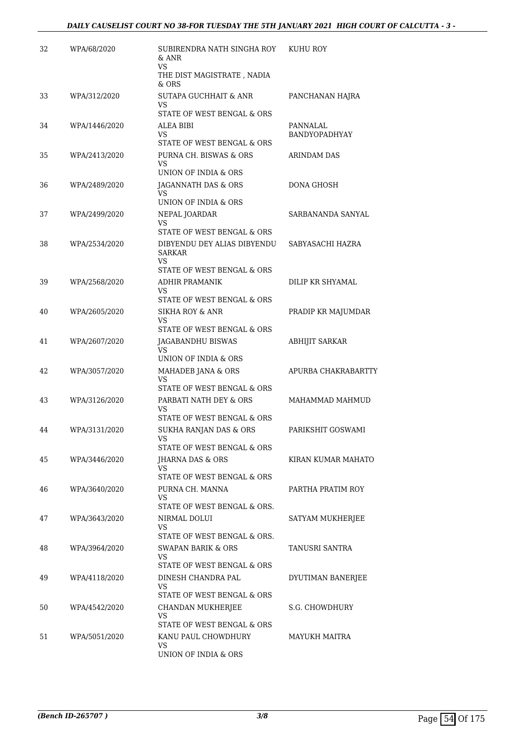| 32 | WPA/68/2020   | SUBIRENDRA NATH SINGHA ROY<br>& ANR<br>VS<br>THE DIST MAGISTRATE , NADIA         | KUHU ROY                         |
|----|---------------|----------------------------------------------------------------------------------|----------------------------------|
| 33 | WPA/312/2020  | & ORS<br><b>SUTAPA GUCHHAIT &amp; ANR</b><br>VS                                  | PANCHANAN HAJRA                  |
| 34 | WPA/1446/2020 | STATE OF WEST BENGAL & ORS<br>ALEA BIBI<br>VS<br>STATE OF WEST BENGAL & ORS      | PANNALAL<br><b>BANDYOPADHYAY</b> |
| 35 | WPA/2413/2020 | PURNA CH. BISWAS & ORS<br>VS<br>UNION OF INDIA & ORS                             | ARINDAM DAS                      |
| 36 | WPA/2489/2020 | JAGANNATH DAS & ORS<br>VS<br>UNION OF INDIA & ORS                                | DONA GHOSH                       |
| 37 | WPA/2499/2020 | NEPAL JOARDAR<br>VS                                                              | SARBANANDA SANYAL                |
| 38 | WPA/2534/2020 | STATE OF WEST BENGAL & ORS<br>DIBYENDU DEY ALIAS DIBYENDU<br>SARKAR<br>VS        | SABYASACHI HAZRA                 |
| 39 | WPA/2568/2020 | STATE OF WEST BENGAL & ORS<br>ADHIR PRAMANIK<br>VS<br>STATE OF WEST BENGAL & ORS | DILIP KR SHYAMAL                 |
| 40 | WPA/2605/2020 | <b>SIKHA ROY &amp; ANR</b><br>VS<br>STATE OF WEST BENGAL & ORS                   | PRADIP KR MAJUMDAR               |
| 41 | WPA/2607/2020 | JAGABANDHU BISWAS<br>VS<br>UNION OF INDIA & ORS                                  | <b>ABHIJIT SARKAR</b>            |
| 42 | WPA/3057/2020 | MAHADEB JANA & ORS<br>VS<br>STATE OF WEST BENGAL & ORS                           | APURBA CHAKRABARTTY              |
| 43 | WPA/3126/2020 | PARBATI NATH DEY & ORS<br>VS<br>STATE OF WEST BENGAL & ORS                       | MAHAMMAD MAHMUD                  |
| 44 | WPA/3131/2020 | SUKHA RANJAN DAS & ORS<br>STATE OF WEST BENGAL & ORS                             | PARIKSHIT GOSWAMI                |
| 45 | WPA/3446/2020 | JHARNA DAS & ORS<br>VS<br>STATE OF WEST BENGAL & ORS                             | KIRAN KUMAR MAHATO               |
| 46 | WPA/3640/2020 | PURNA CH. MANNA<br>VS<br>STATE OF WEST BENGAL & ORS.                             | PARTHA PRATIM ROY                |
| 47 | WPA/3643/2020 | NIRMAL DOLUI<br>VS<br>STATE OF WEST BENGAL & ORS.                                | SATYAM MUKHERJEE                 |
| 48 | WPA/3964/2020 | <b>SWAPAN BARIK &amp; ORS</b><br>VS<br>STATE OF WEST BENGAL & ORS                | TANUSRI SANTRA                   |
| 49 | WPA/4118/2020 | DINESH CHANDRA PAL<br>VS<br>STATE OF WEST BENGAL & ORS                           | DYUTIMAN BANERJEE                |
| 50 | WPA/4542/2020 | CHANDAN MUKHERJEE<br>VS<br>STATE OF WEST BENGAL & ORS                            | S.G. CHOWDHURY                   |
| 51 | WPA/5051/2020 | KANU PAUL CHOWDHURY<br>VS<br>UNION OF INDIA & ORS                                | MAYUKH MAITRA                    |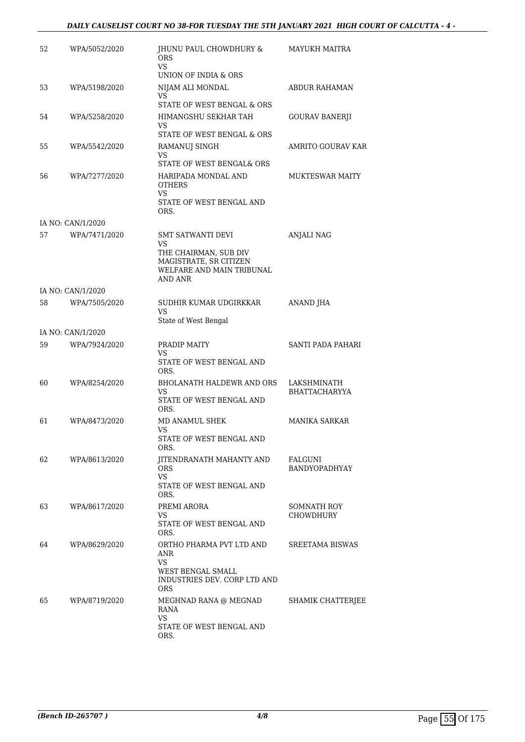#### *DAILY CAUSELIST COURT NO 38-FOR TUESDAY THE 5TH JANUARY 2021 HIGH COURT OF CALCUTTA - 4 -*

| 52 | WPA/5052/2020     | JHUNU PAUL CHOWDHURY &<br><b>ORS</b><br>VS.                                             | <b>MAYUKH MAITRA</b>   |
|----|-------------------|-----------------------------------------------------------------------------------------|------------------------|
|    |                   | UNION OF INDIA & ORS                                                                    |                        |
| 53 | WPA/5198/2020     | NIJAM ALI MONDAL<br>VS<br>STATE OF WEST BENGAL & ORS                                    | ABDUR RAHAMAN          |
| 54 |                   | HIMANGSHU SEKHAR TAH                                                                    |                        |
|    | WPA/5258/2020     | VS                                                                                      | <b>GOURAV BANERJI</b>  |
|    |                   | STATE OF WEST BENGAL & ORS                                                              |                        |
| 55 | WPA/5542/2020     | RAMANUJ SINGH<br>VS<br>STATE OF WEST BENGAL& ORS                                        | AMRITO GOURAV KAR      |
| 56 | WPA/7277/2020     | HARIPADA MONDAL AND<br><b>OTHERS</b><br>VS.<br>STATE OF WEST BENGAL AND<br>ORS.         | <b>MUKTESWAR MAITY</b> |
|    | IA NO: CAN/1/2020 |                                                                                         |                        |
| 57 | WPA/7471/2020     | <b>SMT SATWANTI DEVI</b><br>VS.                                                         | <b>ANJALI NAG</b>      |
|    |                   | THE CHAIRMAN, SUB DIV<br>MAGISTRATE, SR CITIZEN<br>WELFARE AND MAIN TRIBUNAL<br>AND ANR |                        |
|    | IA NO: CAN/1/2020 |                                                                                         |                        |
| 58 | WPA/7505/2020     | SUDHIR KUMAR UDGIRKKAR<br>VS.<br>State of West Bengal                                   | ANAND JHA              |
|    | IA NO: CAN/1/2020 |                                                                                         |                        |
| 59 | WPA/7924/2020     | PRADIP MAITY                                                                            | SANTI PADA PAHARI      |
|    |                   | VS<br>STATE OF WEST BENGAL AND<br>ORS.                                                  |                        |
| 60 | WPA/8254/2020     | BHOLANATH HALDEWR AND ORS                                                               | LAKSHMINATH            |
|    |                   | VS<br>STATE OF WEST BENGAL AND<br>ORS.                                                  | <b>BHATTACHARYYA</b>   |
| 61 | WPA/8473/2020     | MD ANAMUL SHEK                                                                          | <b>MANIKA SARKAR</b>   |
|    |                   | VS<br>STATE OF WEST BENGAL AND<br>ORS.                                                  |                        |
| 62 | WPA/8613/2020     | JITENDRANATH MAHANTY AND                                                                | FALGUNI                |
|    |                   | ORS.<br>VS.                                                                             | <b>BANDYOPADHYAY</b>   |
|    |                   | STATE OF WEST BENGAL AND<br>ORS.                                                        |                        |
| 63 | WPA/8617/2020     | PREMI ARORA                                                                             | SOMNATH ROY            |
|    |                   | VS<br>STATE OF WEST BENGAL AND<br>ORS.                                                  | <b>CHOWDHURY</b>       |
| 64 | WPA/8629/2020     | ORTHO PHARMA PVT LTD AND<br>ANR<br>VS                                                   | SREETAMA BISWAS        |
|    |                   | WEST BENGAL SMALL<br>INDUSTRIES DEV. CORP LTD AND<br>ORS.                               |                        |
| 65 | WPA/8719/2020     | MEGHNAD RANA @ MEGNAD<br>RANA<br>VS<br>STATE OF WEST BENGAL AND                         | SHAMIK CHATTERJEE      |
|    |                   | ORS.                                                                                    |                        |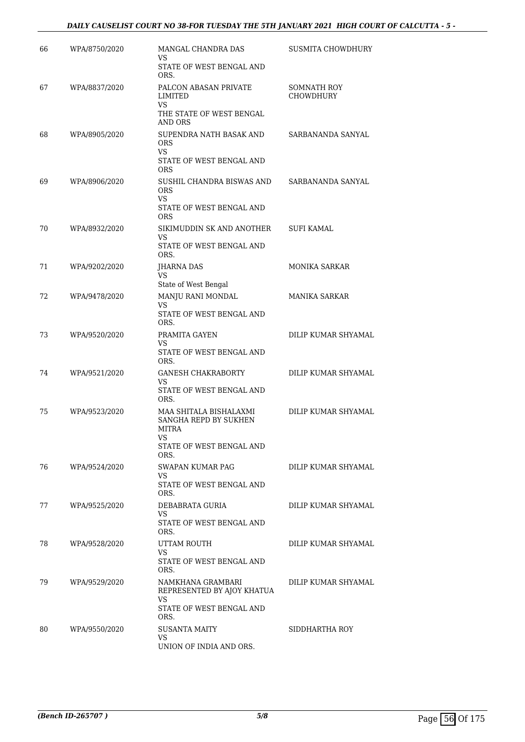#### *DAILY CAUSELIST COURT NO 38-FOR TUESDAY THE 5TH JANUARY 2021 HIGH COURT OF CALCUTTA - 5 -*

| 66 | WPA/8750/2020 | MANGAL CHANDRA DAS                                                                      | SUSMITA CHOWDHURY               |
|----|---------------|-----------------------------------------------------------------------------------------|---------------------------------|
|    |               | VS<br>STATE OF WEST BENGAL AND<br>ORS.                                                  |                                 |
| 67 | WPA/8837/2020 | PALCON ABASAN PRIVATE<br>LIMITED<br>VS                                                  | SOMNATH ROY<br><b>CHOWDHURY</b> |
|    |               | THE STATE OF WEST BENGAL<br><b>AND ORS</b>                                              |                                 |
| 68 | WPA/8905/2020 | SUPENDRA NATH BASAK AND<br><b>ORS</b><br>VS.                                            | SARBANANDA SANYAL               |
|    |               | STATE OF WEST BENGAL AND<br><b>ORS</b>                                                  |                                 |
| 69 | WPA/8906/2020 | SUSHIL CHANDRA BISWAS AND<br><b>ORS</b><br>VS<br>STATE OF WEST BENGAL AND<br><b>ORS</b> | SARBANANDA SANYAL               |
| 70 | WPA/8932/2020 | SIKIMUDDIN SK AND ANOTHER<br>VS                                                         | <b>SUFI KAMAL</b>               |
|    |               | STATE OF WEST BENGAL AND<br>ORS.                                                        |                                 |
| 71 | WPA/9202/2020 | JHARNA DAS<br>VS                                                                        | <b>MONIKA SARKAR</b>            |
|    |               | State of West Bengal                                                                    |                                 |
| 72 | WPA/9478/2020 | MANJU RANI MONDAL<br>VS                                                                 | <b>MANIKA SARKAR</b>            |
|    |               | STATE OF WEST BENGAL AND<br>ORS.                                                        |                                 |
| 73 | WPA/9520/2020 | PRAMITA GAYEN                                                                           | DILIP KUMAR SHYAMAL             |
|    |               | VS<br>STATE OF WEST BENGAL AND<br>ORS.                                                  |                                 |
| 74 | WPA/9521/2020 | GANESH CHAKRABORTY<br>VS                                                                | DILIP KUMAR SHYAMAL             |
|    |               | STATE OF WEST BENGAL AND<br>ORS.                                                        |                                 |
| 75 | WPA/9523/2020 | MAA SHITALA BISHALAXMI<br>SANGHA REPD BY SUKHEN<br><b>MITRA</b><br><b>VS</b>            | DILIP KUMAR SHYAMAL             |
|    |               | STATE OF WEST BENGAL AND<br>ORS.                                                        |                                 |
| 76 | WPA/9524/2020 | SWAPAN KUMAR PAG                                                                        | DILIP KUMAR SHYAMAL             |
|    |               | VS<br>STATE OF WEST BENGAL AND<br>ORS.                                                  |                                 |
| 77 | WPA/9525/2020 | DEBABRATA GURIA<br>VS                                                                   | DILIP KUMAR SHYAMAL             |
|    |               | STATE OF WEST BENGAL AND<br>ORS.                                                        |                                 |
| 78 | WPA/9528/2020 | UTTAM ROUTH<br>VS                                                                       | DILIP KUMAR SHYAMAL             |
|    |               | STATE OF WEST BENGAL AND<br>ORS.                                                        |                                 |
| 79 | WPA/9529/2020 | NAMKHANA GRAMBARI<br>REPRESENTED BY AJOY KHATUA<br>VS                                   | DILIP KUMAR SHYAMAL             |
|    |               | STATE OF WEST BENGAL AND<br>ORS.                                                        |                                 |
| 80 | WPA/9550/2020 | <b>SUSANTA MAITY</b>                                                                    | SIDDHARTHA ROY                  |
|    |               | VS<br>UNION OF INDIA AND ORS.                                                           |                                 |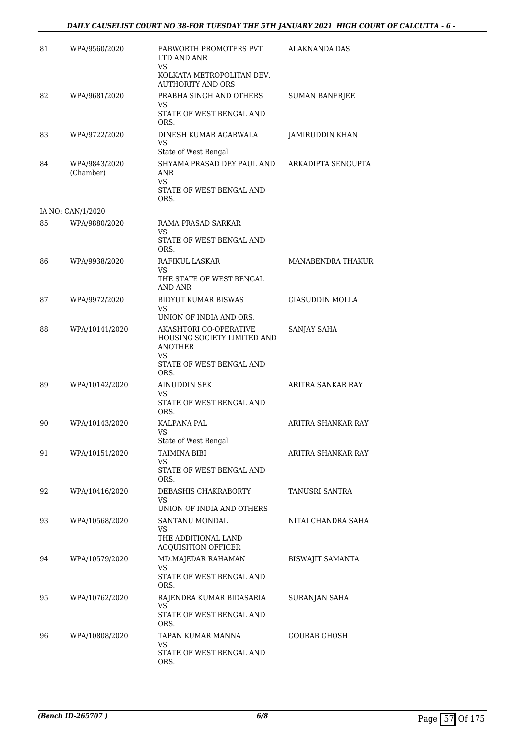| 81 | WPA/9560/2020     | FABWORTH PROMOTERS PVT<br>LTD AND ANR<br><b>VS</b>                            | ALAKNANDA DAS          |
|----|-------------------|-------------------------------------------------------------------------------|------------------------|
|    |                   | KOLKATA METROPOLITAN DEV.<br><b>AUTHORITY AND ORS</b>                         |                        |
| 82 | WPA/9681/2020     | PRABHA SINGH AND OTHERS                                                       | <b>SUMAN BANERJEE</b>  |
|    |                   | VS<br>STATE OF WEST BENGAL AND<br>ORS.                                        |                        |
| 83 | WPA/9722/2020     | DINESH KUMAR AGARWALA<br>VS                                                   | JAMIRUDDIN KHAN        |
| 84 | WPA/9843/2020     | State of West Bengal<br>SHYAMA PRASAD DEY PAUL AND                            | ARKADIPTA SENGUPTA     |
|    | (Chamber)         | ANR<br><b>VS</b>                                                              |                        |
|    |                   | STATE OF WEST BENGAL AND<br>ORS.                                              |                        |
|    | IA NO: CAN/1/2020 |                                                                               |                        |
| 85 | WPA/9880/2020     | RAMA PRASAD SARKAR<br>VS                                                      |                        |
|    |                   | STATE OF WEST BENGAL AND<br>ORS.                                              |                        |
| 86 | WPA/9938/2020     | RAFIKUL LASKAR<br>VS                                                          | MANABENDRA THAKUR      |
|    |                   | THE STATE OF WEST BENGAL<br>AND ANR                                           |                        |
| 87 | WPA/9972/2020     | BIDYUT KUMAR BISWAS<br>VS                                                     | <b>GIASUDDIN MOLLA</b> |
|    |                   | UNION OF INDIA AND ORS.                                                       |                        |
| 88 | WPA/10141/2020    | AKASHTORI CO-OPERATIVE<br>HOUSING SOCIETY LIMITED AND<br><b>ANOTHER</b><br>VS | SANJAY SAHA            |
|    |                   | STATE OF WEST BENGAL AND<br>ORS.                                              |                        |
| 89 | WPA/10142/2020    | AINUDDIN SEK<br>VS                                                            | ARITRA SANKAR RAY      |
|    |                   | STATE OF WEST BENGAL AND<br>ORS.                                              |                        |
| 90 | WPA/10143/2020    | KALPANA PAL<br>VS                                                             | ARITRA SHANKAR RAY     |
|    |                   | State of West Bengal                                                          |                        |
| 91 | WPA/10151/2020    | TAIMINA BIBI<br>VS                                                            | ARITRA SHANKAR RAY     |
|    |                   | STATE OF WEST BENGAL AND<br>ORS.                                              |                        |
| 92 | WPA/10416/2020    | DEBASHIS CHAKRABORTY                                                          | TANUSRI SANTRA         |
|    |                   | VS<br>UNION OF INDIA AND OTHERS                                               |                        |
| 93 | WPA/10568/2020    | SANTANU MONDAL<br>VS                                                          | NITAI CHANDRA SAHA     |
|    |                   | THE ADDITIONAL LAND<br><b>ACQUISITION OFFICER</b>                             |                        |
| 94 | WPA/10579/2020    | MD.MAJEDAR RAHAMAN                                                            | BISWAJIT SAMANTA       |
|    |                   | VS.<br>STATE OF WEST BENGAL AND<br>ORS.                                       |                        |
| 95 | WPA/10762/2020    | RAJENDRA KUMAR BIDASARIA                                                      | SURANJAN SAHA          |
|    |                   | VS<br>STATE OF WEST BENGAL AND<br>ORS.                                        |                        |
| 96 | WPA/10808/2020    | TAPAN KUMAR MANNA                                                             | GOURAB GHOSH           |
|    |                   | VS<br>STATE OF WEST BENGAL AND<br>ORS.                                        |                        |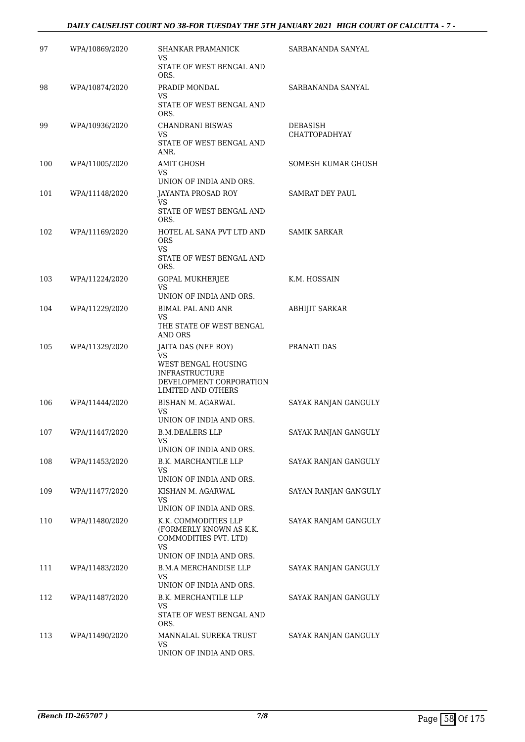#### *DAILY CAUSELIST COURT NO 38-FOR TUESDAY THE 5TH JANUARY 2021 HIGH COURT OF CALCUTTA - 7 -*

| 97  | WPA/10869/2020 | <b>SHANKAR PRAMANICK</b><br>VS                                                                       | SARBANANDA SANYAL                |
|-----|----------------|------------------------------------------------------------------------------------------------------|----------------------------------|
|     |                | STATE OF WEST BENGAL AND<br>ORS.                                                                     |                                  |
| 98  | WPA/10874/2020 | PRADIP MONDAL<br>VS                                                                                  | SARBANANDA SANYAL                |
|     |                | STATE OF WEST BENGAL AND<br>ORS.                                                                     |                                  |
| 99  | WPA/10936/2020 | CHANDRANI BISWAS<br>VS.                                                                              | DEBASISH<br><b>CHATTOPADHYAY</b> |
|     |                | STATE OF WEST BENGAL AND<br>ANR.                                                                     |                                  |
| 100 | WPA/11005/2020 | <b>AMIT GHOSH</b><br>VS.                                                                             | SOMESH KUMAR GHOSH               |
|     |                | UNION OF INDIA AND ORS.                                                                              |                                  |
| 101 | WPA/11148/2020 | JAYANTA PROSAD ROY<br>VS                                                                             | <b>SAMRAT DEY PAUL</b>           |
|     |                | STATE OF WEST BENGAL AND<br>ORS.                                                                     |                                  |
| 102 | WPA/11169/2020 | HOTEL AL SANA PVT LTD AND<br><b>ORS</b><br>VS.                                                       | <b>SAMIK SARKAR</b>              |
|     |                | STATE OF WEST BENGAL AND<br>ORS.                                                                     |                                  |
| 103 | WPA/11224/2020 | <b>GOPAL MUKHERJEE</b>                                                                               | K.M. HOSSAIN                     |
|     |                | <b>VS</b><br>UNION OF INDIA AND ORS.                                                                 |                                  |
| 104 | WPA/11229/2020 | <b>BIMAL PAL AND ANR</b><br>VS                                                                       | <b>ABHIJIT SARKAR</b>            |
|     |                | THE STATE OF WEST BENGAL<br>AND ORS                                                                  |                                  |
| 105 | WPA/11329/2020 | JAITA DAS (NEE ROY)<br>VS                                                                            | PRANATI DAS                      |
|     |                | WEST BENGAL HOUSING<br><b>INFRASTRUCTURE</b><br>DEVELOPMENT CORPORATION<br><b>LIMITED AND OTHERS</b> |                                  |
| 106 | WPA/11444/2020 | BISHAN M. AGARWAL                                                                                    | SAYAK RANJAN GANGULY             |
|     |                | VS<br>UNION OF INDIA AND ORS.                                                                        |                                  |
| 107 | WPA/11447/2020 | <b>B.M.DEALERS LLP</b>                                                                               | SAYAK RANJAN GANGULY             |
|     |                | <b>VS</b><br>UNION OF INDIA AND ORS.                                                                 |                                  |
| 108 | WPA/11453/2020 | B.K. MARCHANTILE LLP                                                                                 | SAYAK RANJAN GANGULY             |
|     |                | VS<br>UNION OF INDIA AND ORS.                                                                        |                                  |
| 109 | WPA/11477/2020 | KISHAN M. AGARWAL                                                                                    | SAYAN RANJAN GANGULY             |
|     |                | VS<br>UNION OF INDIA AND ORS.                                                                        |                                  |
| 110 | WPA/11480/2020 | K.K. COMMODITIES LLP<br>(FORMERLY KNOWN AS K.K.<br>COMMODITIES PVT. LTD)<br><b>VS</b>                | SAYAK RANJAM GANGULY             |
| 111 | WPA/11483/2020 | UNION OF INDIA AND ORS.<br><b>B.M.A MERCHANDISE LLP</b>                                              |                                  |
|     |                | VS                                                                                                   | SAYAK RANJAN GANGULY             |
| 112 | WPA/11487/2020 | UNION OF INDIA AND ORS.<br>B.K. MERCHANTILE LLP                                                      | SAYAK RANJAN GANGULY             |
|     |                | VS<br>STATE OF WEST BENGAL AND                                                                       |                                  |
|     |                | ORS.                                                                                                 |                                  |
| 113 | WPA/11490/2020 | MANNALAL SUREKA TRUST<br>VS                                                                          | SAYAK RANJAN GANGULY             |
|     |                | UNION OF INDIA AND ORS.                                                                              |                                  |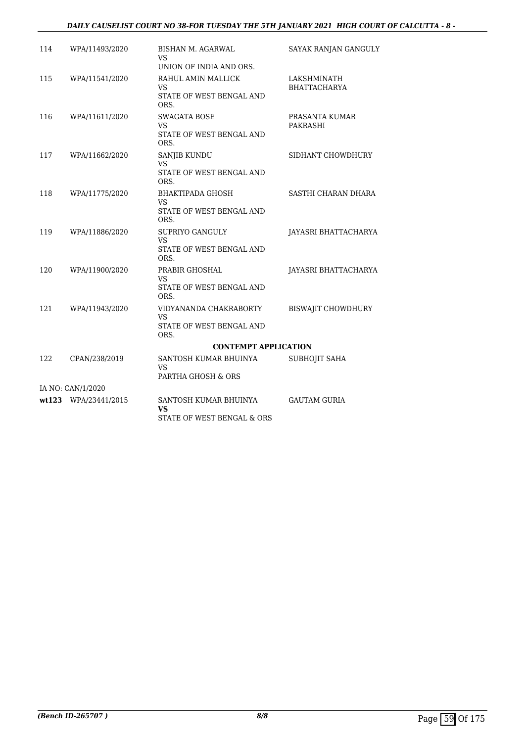#### *DAILY CAUSELIST COURT NO 38-FOR TUESDAY THE 5TH JANUARY 2021 HIGH COURT OF CALCUTTA - 8 -*

| 114 | WPA/11493/2020       | <b>BISHAN M. AGARWAL</b><br>VS.                                                         | SAYAK RANJAN GANGULY               |
|-----|----------------------|-----------------------------------------------------------------------------------------|------------------------------------|
| 115 | WPA/11541/2020       | UNION OF INDIA AND ORS.<br>RAHUL AMIN MALLICK<br>VS<br>STATE OF WEST BENGAL AND<br>ORS. | LAKSHMINATH<br><b>BHATTACHARYA</b> |
| 116 | WPA/11611/2020       | <b>SWAGATA BOSE</b><br><b>VS</b><br>STATE OF WEST BENGAL AND<br>ORS.                    | PRASANTA KUMAR<br>PAKRASHI         |
| 117 | WPA/11662/2020       | SANJIB KUNDU<br>VS<br>STATE OF WEST BENGAL AND<br>ORS.                                  | SIDHANT CHOWDHURY                  |
| 118 | WPA/11775/2020       | <b>BHAKTIPADA GHOSH</b><br>VS<br>STATE OF WEST BENGAL AND<br>ORS.                       | SASTHI CHARAN DHARA                |
| 119 | WPA/11886/2020       | SUPRIYO GANGULY<br>VS<br>STATE OF WEST BENGAL AND<br>ORS.                               | JAYASRI BHATTACHARYA               |
| 120 | WPA/11900/2020       | PRABIR GHOSHAL<br>VS<br>STATE OF WEST BENGAL AND<br>ORS.                                | JAYASRI BHATTACHARYA               |
| 121 | WPA/11943/2020       | VIDYANANDA CHAKRABORTY<br>VS<br>STATE OF WEST BENGAL AND<br>ORS.                        | <b>BISWAJIT CHOWDHURY</b>          |
|     |                      | <b>CONTEMPT APPLICATION</b>                                                             |                                    |
| 122 | CPAN/238/2019        | SANTOSH KUMAR BHUINYA<br>VS<br>PARTHA GHOSH & ORS                                       | SUBHOJIT SAHA                      |
|     | IA NO: CAN/1/2020    |                                                                                         |                                    |
|     | wt123 WPA/23441/2015 | SANTOSH KUMAR BHUINYA<br><b>VS</b><br>STATE OF WEST BENGAL & ORS                        | <b>GAUTAM GURIA</b>                |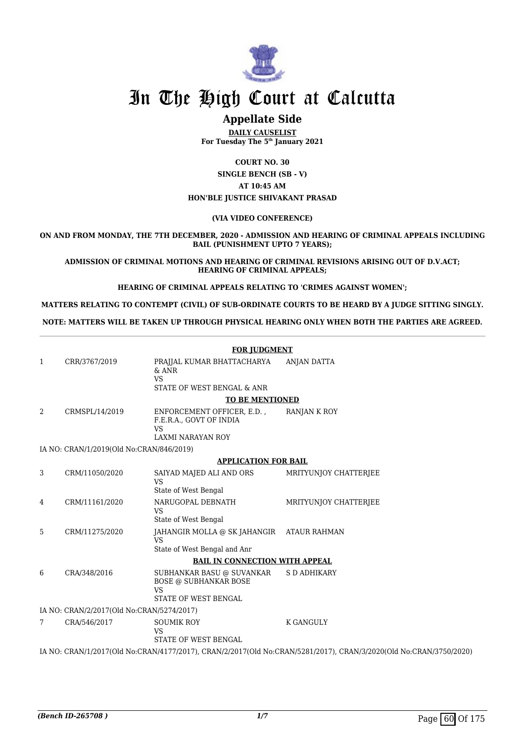

## **Appellate Side**

**DAILY CAUSELIST For Tuesday The 5th January 2021**

**COURT NO. 30 SINGLE BENCH (SB - V) AT 10:45 AM HON'BLE JUSTICE SHIVAKANT PRASAD**

#### **(VIA VIDEO CONFERENCE)**

**ON AND FROM MONDAY, THE 7TH DECEMBER, 2020 - ADMISSION AND HEARING OF CRIMINAL APPEALS INCLUDING BAIL (PUNISHMENT UPTO 7 YEARS);**

**ADMISSION OF CRIMINAL MOTIONS AND HEARING OF CRIMINAL REVISIONS ARISING OUT OF D.V.ACT; HEARING OF CRIMINAL APPEALS;**

**HEARING OF CRIMINAL APPEALS RELATING TO 'CRIMES AGAINST WOMEN';**

**MATTERS RELATING TO CONTEMPT (CIVIL) OF SUB-ORDINATE COURTS TO BE HEARD BY A JUDGE SITTING SINGLY.**

**NOTE: MATTERS WILL BE TAKEN UP THROUGH PHYSICAL HEARING ONLY WHEN BOTH THE PARTIES ARE AGREED.**

|                |                                           | <b>FOR JUDGMENT</b>                                                                            |                                                                                                                   |
|----------------|-------------------------------------------|------------------------------------------------------------------------------------------------|-------------------------------------------------------------------------------------------------------------------|
| 1              | CRR/3767/2019                             | PRAJJAL KUMAR BHATTACHARYA<br>$&$ ANR<br><b>VS</b><br>STATE OF WEST BENGAL & ANR               | <b>ANJAN DATTA</b>                                                                                                |
|                |                                           | <b>TO BE MENTIONED</b>                                                                         |                                                                                                                   |
| 2              | CRMSPL/14/2019                            | ENFORCEMENT OFFICER, E.D.,<br>F.E.R.A., GOVT OF INDIA<br>VS<br><b>LAXMI NARAYAN ROY</b>        | RANJAN K ROY                                                                                                      |
|                | IA NO: CRAN/1/2019(Old No:CRAN/846/2019)  |                                                                                                |                                                                                                                   |
|                |                                           | <b>APPLICATION FOR BAIL</b>                                                                    |                                                                                                                   |
| 3              | CRM/11050/2020                            | SAIYAD MAJED ALI AND ORS<br><b>VS</b><br>State of West Bengal                                  | MRITYUNJOY CHATTERJEE                                                                                             |
| $\overline{4}$ | CRM/11161/2020                            | NARUGOPAL DEBNATH<br>VS                                                                        | MRITYUNIOY CHATTERIEE                                                                                             |
|                |                                           | State of West Bengal                                                                           |                                                                                                                   |
| 5              | CRM/11275/2020                            | JAHANGIR MOLLA @ SK JAHANGIR ATAUR RAHMAN<br><b>VS</b><br>State of West Bengal and Anr         |                                                                                                                   |
|                |                                           | <b>BAIL IN CONNECTION WITH APPEAL</b>                                                          |                                                                                                                   |
| 6              | CRA/348/2016                              | SUBHANKAR BASU @ SUVANKAR<br><b>BOSE @ SUBHANKAR BOSE</b><br><b>VS</b><br>STATE OF WEST BENGAL | <b>S D ADHIKARY</b>                                                                                               |
|                | IA NO: CRAN/2/2017(Old No:CRAN/5274/2017) |                                                                                                |                                                                                                                   |
| 7              | CRA/546/2017                              | <b>SOUMIK ROY</b><br><b>VS</b><br>STATE OF WEST BENGAL                                         | <b>K GANGULY</b>                                                                                                  |
|                |                                           |                                                                                                | IA NO: CRAN/1/2017(Old No:CRAN/4177/2017), CRAN/2/2017(Old No:CRAN/5281/2017), CRAN/3/2020(Old No:CRAN/3750/2020) |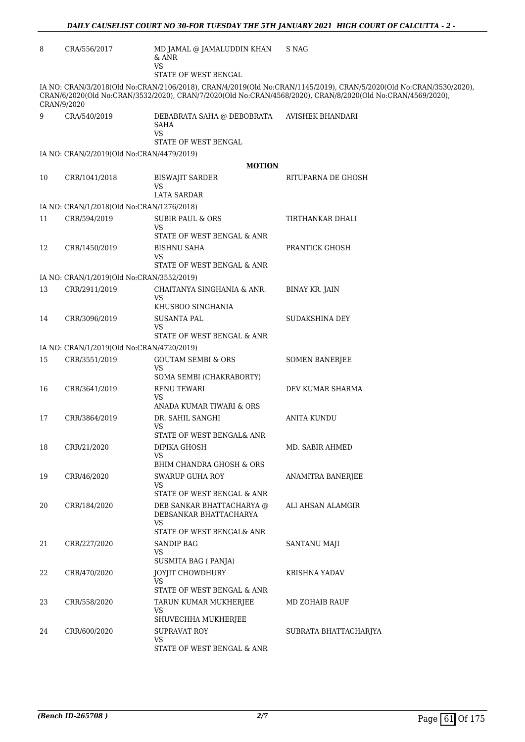| 8  | CRA/556/2017                              | MD JAMAL @ JAMALUDDIN KHAN<br>$&$ ANR<br>VS<br>STATE OF WEST BENGAL                     | S NAG                                                                                                                                                                                                                             |
|----|-------------------------------------------|-----------------------------------------------------------------------------------------|-----------------------------------------------------------------------------------------------------------------------------------------------------------------------------------------------------------------------------------|
|    | CRAN/9/2020                               |                                                                                         | IA NO: CRAN/3/2018(Old No:CRAN/2106/2018), CRAN/4/2019(Old No:CRAN/1145/2019), CRAN/5/2020(Old No:CRAN/3530/2020),<br>CRAN/6/2020(Old No:CRAN/3532/2020), CRAN/7/2020(Old No:CRAN/4568/2020), CRAN/8/2020(Old No:CRAN/4569/2020), |
| 9  | CRA/540/2019                              | DEBABRATA SAHA @ DEBOBRATA<br>SAHA<br>VS.<br>STATE OF WEST BENGAL                       | AVISHEK BHANDARI                                                                                                                                                                                                                  |
|    | IA NO: CRAN/2/2019(Old No:CRAN/4479/2019) |                                                                                         |                                                                                                                                                                                                                                   |
|    |                                           | <b>MOTION</b>                                                                           |                                                                                                                                                                                                                                   |
| 10 | CRR/1041/2018                             | <b>BISWAJIT SARDER</b><br>VS<br><b>LATA SARDAR</b>                                      | RITUPARNA DE GHOSH                                                                                                                                                                                                                |
|    | IA NO: CRAN/1/2018(Old No:CRAN/1276/2018) |                                                                                         |                                                                                                                                                                                                                                   |
| 11 | CRR/594/2019                              | SUBIR PAUL & ORS<br>VS<br>STATE OF WEST BENGAL & ANR                                    | TIRTHANKAR DHALI                                                                                                                                                                                                                  |
| 12 | CRR/1450/2019                             | <b>BISHNU SAHA</b><br>VS                                                                | PRANTICK GHOSH                                                                                                                                                                                                                    |
|    |                                           | STATE OF WEST BENGAL & ANR                                                              |                                                                                                                                                                                                                                   |
|    | IA NO: CRAN/1/2019(Old No:CRAN/3552/2019) |                                                                                         |                                                                                                                                                                                                                                   |
| 13 | CRR/2911/2019                             | CHAITANYA SINGHANIA & ANR.<br>VS<br>KHUSBOO SINGHANIA                                   | <b>BINAY KR. JAIN</b>                                                                                                                                                                                                             |
| 14 | CRR/3096/2019                             | SUSANTA PAL<br>VS<br>STATE OF WEST BENGAL & ANR                                         | SUDAKSHINA DEY                                                                                                                                                                                                                    |
|    | IA NO: CRAN/1/2019(Old No:CRAN/4720/2019) |                                                                                         |                                                                                                                                                                                                                                   |
| 15 | CRR/3551/2019                             | <b>GOUTAM SEMBI &amp; ORS</b><br>VS                                                     | <b>SOMEN BANERJEE</b>                                                                                                                                                                                                             |
| 16 | CRR/3641/2019                             | SOMA SEMBI (CHAKRABORTY)<br><b>RENU TEWARI</b><br>VS<br>ANADA KUMAR TIWARI & ORS        | DEV KUMAR SHARMA                                                                                                                                                                                                                  |
| 17 | CRR/3864/2019                             | DR. SAHIL SANGHI<br>VS<br>STATE OF WEST BENGAL& ANR                                     | <b>ANITA KUNDU</b>                                                                                                                                                                                                                |
| 18 | CRR/21/2020                               | DIPIKA GHOSH<br>VS<br>BHIM CHANDRA GHOSH & ORS                                          | MD. SABIR AHMED                                                                                                                                                                                                                   |
| 19 | CRR/46/2020                               | <b>SWARUP GUHA ROY</b><br>VS                                                            | ANAMITRA BANERJEE                                                                                                                                                                                                                 |
| 20 | CRR/184/2020                              | STATE OF WEST BENGAL & ANR<br>DEB SANKAR BHATTACHARYA @<br>DEBSANKAR BHATTACHARYA<br>VS | ALI AHSAN ALAMGIR                                                                                                                                                                                                                 |
| 21 | CRR/227/2020                              | STATE OF WEST BENGAL& ANR<br>SANDIP BAG<br>VS<br>SUSMITA BAG ( PANJA)                   | SANTANU MAJI                                                                                                                                                                                                                      |
| 22 | CRR/470/2020                              | JOYJIT CHOWDHURY<br>VS<br>STATE OF WEST BENGAL & ANR                                    | KRISHNA YADAV                                                                                                                                                                                                                     |
| 23 | CRR/558/2020                              | TARUN KUMAR MUKHERJEE<br>VS<br>SHUVECHHA MUKHERJEE                                      | MD ZOHAIB RAUF                                                                                                                                                                                                                    |
| 24 | CRR/600/2020                              | <b>SUPRAVAT ROY</b><br>VS.<br>STATE OF WEST BENGAL & ANR                                | SUBRATA BHATTACHARJYA                                                                                                                                                                                                             |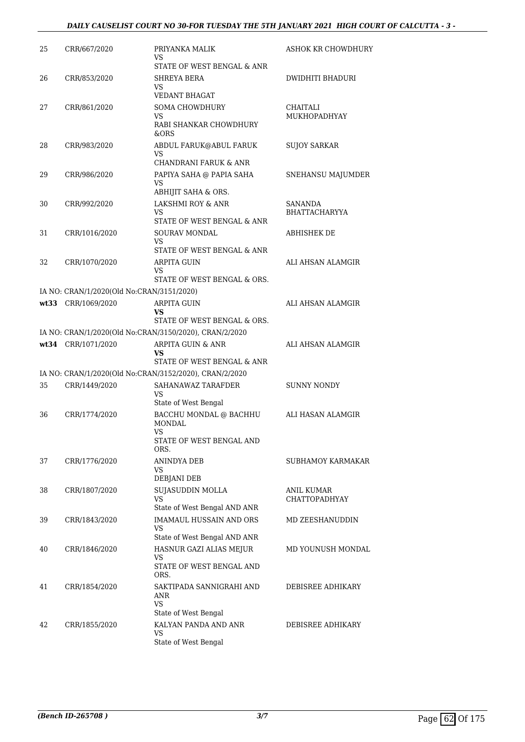#### *DAILY CAUSELIST COURT NO 30-FOR TUESDAY THE 5TH JANUARY 2021 HIGH COURT OF CALCUTTA - 3 -*

| 25   | CRR/667/2020                              | PRIYANKA MALIK<br>VS.<br>STATE OF WEST BENGAL & ANR                                                       | <b>ASHOK KR CHOWDHURY</b>          |
|------|-------------------------------------------|-----------------------------------------------------------------------------------------------------------|------------------------------------|
| 26   | CRR/853/2020                              | SHREYA BERA<br>VS<br><b>VEDANT BHAGAT</b>                                                                 | DWIDHITI BHADURI                   |
| 27   | CRR/861/2020                              | <b>SOMA CHOWDHURY</b><br>VS<br>RABI SHANKAR CHOWDHURY<br>&ORS                                             | CHAITALI<br>MUKHOPADHYAY           |
| 28   | CRR/983/2020                              | ABDUL FARUK@ABUL FARUK<br>VS                                                                              | <b>SUJOY SARKAR</b>                |
| 29   | CRR/986/2020                              | CHANDRANI FARUK & ANR<br>PAPIYA SAHA @ PAPIA SAHA<br>VS<br>ABHIJIT SAHA & ORS.                            | SNEHANSU MAJUMDER                  |
| 30   | CRR/992/2020                              | LAKSHMI ROY & ANR<br>VS.<br>STATE OF WEST BENGAL & ANR                                                    | SANANDA<br><b>BHATTACHARYYA</b>    |
| 31   | CRR/1016/2020                             | SOURAV MONDAL<br>VS.<br>STATE OF WEST BENGAL & ANR                                                        | <b>ABHISHEK DE</b>                 |
| 32   | CRR/1070/2020                             | ARPITA GUIN<br>VS.<br>STATE OF WEST BENGAL & ORS.                                                         | ALI AHSAN ALAMGIR                  |
|      | IA NO: CRAN/1/2020(Old No:CRAN/3151/2020) |                                                                                                           |                                    |
| wt33 | CRR/1069/2020                             | <b>ARPITA GUIN</b><br>VS.<br>STATE OF WEST BENGAL & ORS.                                                  | ALI AHSAN ALAMGIR                  |
|      |                                           | IA NO: CRAN/1/2020(Old No:CRAN/3150/2020), CRAN/2/2020                                                    |                                    |
|      | wt34 CRR/1071/2020                        | ARPITA GUIN & ANR<br>VS<br>STATE OF WEST BENGAL & ANR                                                     | ALI AHSAN ALAMGIR                  |
|      |                                           | IA NO: CRAN/1/2020(Old No:CRAN/3152/2020), CRAN/2/2020                                                    |                                    |
| 35   | CRR/1449/2020                             | SAHANAWAZ TARAFDER<br>VS                                                                                  | <b>SUNNY NONDY</b>                 |
| 36   | CRR/1774/2020                             | State of West Bengal<br>BACCHU MONDAL @ BACHHU<br><b>MONDAL</b><br>VS<br>STATE OF WEST BENGAL AND<br>ORS. | ALI HASAN ALAMGIR                  |
| 37   | CRR/1776/2020                             | <b>ANINDYA DEB</b><br>VS                                                                                  | SUBHAMOY KARMAKAR                  |
| 38   | CRR/1807/2020                             | DEBJANI DEB<br>SUJASUDDIN MOLLA<br>VS<br>State of West Bengal AND ANR                                     | ANIL KUMAR<br><b>CHATTOPADHYAY</b> |
| 39   | CRR/1843/2020                             | <b>IMAMAUL HUSSAIN AND ORS</b><br>VS.<br>State of West Bengal AND ANR                                     | MD ZEESHANUDDIN                    |
| 40   | CRR/1846/2020                             | HASNUR GAZI ALIAS MEJUR<br>VS<br>STATE OF WEST BENGAL AND<br>ORS.                                         | MD YOUNUSH MONDAL                  |
| 41   | CRR/1854/2020                             | SAKTIPADA SANNIGRAHI AND<br>ANR<br><b>VS</b>                                                              | DEBISREE ADHIKARY                  |
| 42   | CRR/1855/2020                             | State of West Bengal<br>KALYAN PANDA AND ANR<br>VS<br>State of West Bengal                                | DEBISREE ADHIKARY                  |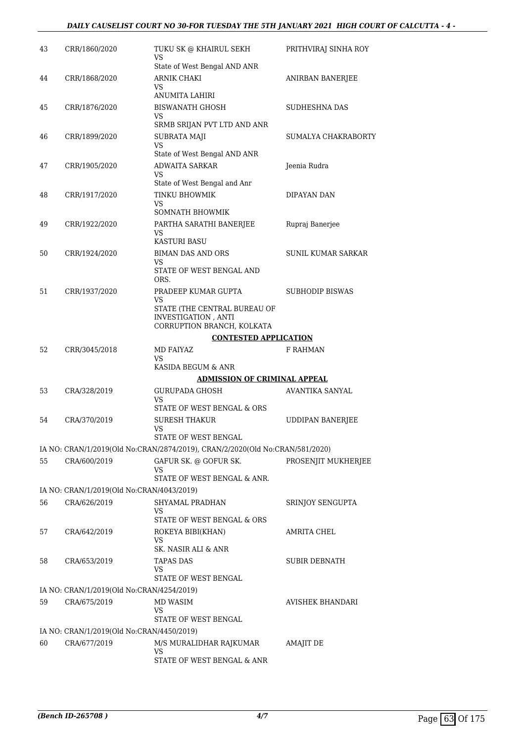#### *DAILY CAUSELIST COURT NO 30-FOR TUESDAY THE 5TH JANUARY 2021 HIGH COURT OF CALCUTTA - 4 -*

| 43 | CRR/1860/2020                             | TUKU SK @ KHAIRUL SEKH<br>VS                                                 | PRITHVIRAJ SINHA ROY    |
|----|-------------------------------------------|------------------------------------------------------------------------------|-------------------------|
| 44 | CRR/1868/2020                             | State of West Bengal AND ANR<br>ARNIK CHAKI<br>VS                            | ANIRBAN BANERJEE        |
| 45 | CRR/1876/2020                             | <b>ANUMITA LAHIRI</b><br><b>BISWANATH GHOSH</b>                              | SUDHESHNA DAS           |
|    |                                           | VS                                                                           |                         |
|    |                                           | SRMB SRIJAN PVT LTD AND ANR                                                  |                         |
| 46 | CRR/1899/2020                             | <b>SUBRATA MAJI</b><br>VS<br>State of West Bengal AND ANR                    | SUMALYA CHAKRABORTY     |
| 47 | CRR/1905/2020                             | <b>ADWAITA SARKAR</b>                                                        | Jeenia Rudra            |
|    |                                           | VS                                                                           |                         |
|    |                                           | State of West Bengal and Anr                                                 |                         |
| 48 | CRR/1917/2020                             | TINKU BHOWMIK<br>VS                                                          | DIPAYAN DAN             |
|    |                                           | SOMNATH BHOWMIK                                                              |                         |
| 49 | CRR/1922/2020                             | PARTHA SARATHI BANERJEE<br>VS                                                | Rupraj Banerjee         |
|    |                                           | <b>KASTURI BASU</b>                                                          |                         |
| 50 | CRR/1924/2020                             | <b>BIMAN DAS AND ORS</b><br>VS.                                              | SUNIL KUMAR SARKAR      |
|    |                                           | STATE OF WEST BENGAL AND<br>ORS.                                             |                         |
| 51 | CRR/1937/2020                             | PRADEEP KUMAR GUPTA<br>VS                                                    | <b>SUBHODIP BISWAS</b>  |
|    |                                           | STATE (THE CENTRAL BUREAU OF<br><b>INVESTIGATION, ANTI</b>                   |                         |
|    |                                           | CORRUPTION BRANCH, KOLKATA                                                   |                         |
|    |                                           | <b>CONTESTED APPLICATION</b>                                                 |                         |
| 52 | CRR/3045/2018                             | MD FAIYAZ<br>VS                                                              | <b>F RAHMAN</b>         |
|    |                                           | KASIDA BEGUM & ANR                                                           |                         |
|    |                                           | <b>ADMISSION OF CRIMINAL APPEAL</b>                                          |                         |
| 53 | CRA/328/2019                              | <b>GURUPADA GHOSH</b><br>VS<br>STATE OF WEST BENGAL & ORS                    | AVANTIKA SANYAL         |
| 54 | CRA/370/2019                              | <b>SURESH THAKUR</b>                                                         | <b>UDDIPAN BANERJEE</b> |
|    |                                           | VS<br>STATE OF WEST BENGAL                                                   |                         |
|    |                                           | IA NO: CRAN/1/2019(Old No:CRAN/2874/2019), CRAN/2/2020(Old No:CRAN/581/2020) |                         |
| 55 | CRA/600/2019                              | GAFUR SK. @ GOFUR SK.                                                        | PROSENJIT MUKHERJEE     |
|    |                                           | VS<br>STATE OF WEST BENGAL & ANR.                                            |                         |
|    | IA NO: CRAN/1/2019(Old No:CRAN/4043/2019) |                                                                              |                         |
| 56 | CRA/626/2019                              | SHYAMAL PRADHAN                                                              |                         |
|    |                                           | VS<br>STATE OF WEST BENGAL & ORS                                             | SRINJOY SENGUPTA        |
| 57 | CRA/642/2019                              | ROKEYA BIBI(KHAN)                                                            | AMRITA CHEL             |
|    |                                           | VS<br>SK. NASIR ALI & ANR                                                    |                         |
| 58 | CRA/653/2019                              | <b>TAPAS DAS</b>                                                             | SUBIR DEBNATH           |
|    |                                           | VS.                                                                          |                         |
|    |                                           | STATE OF WEST BENGAL                                                         |                         |
|    | IA NO: CRAN/1/2019(Old No:CRAN/4254/2019) |                                                                              |                         |
| 59 | CRA/675/2019                              | MD WASIM<br>VS                                                               | AVISHEK BHANDARI        |
|    |                                           | STATE OF WEST BENGAL                                                         |                         |
|    | IA NO: CRAN/1/2019(Old No:CRAN/4450/2019) |                                                                              |                         |
| 60 | CRA/677/2019                              | M/S MURALIDHAR RAJKUMAR                                                      | AMAJIT DE               |
|    |                                           | VS<br>STATE OF WEST BENGAL & ANR                                             |                         |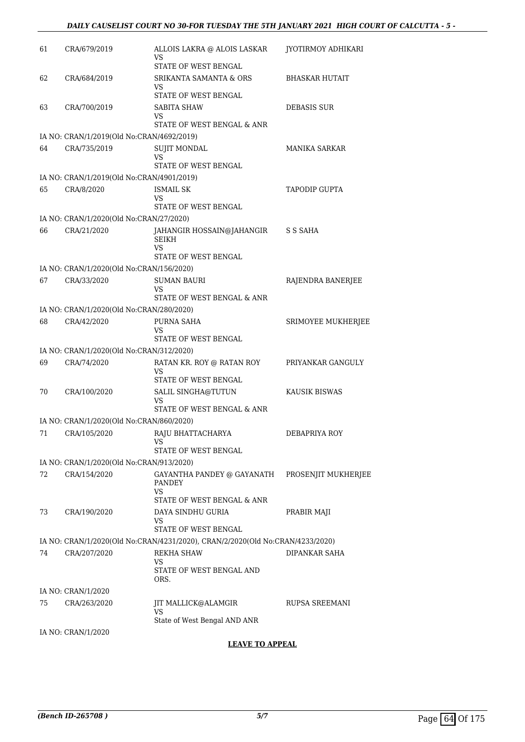| 61 | CRA/679/2019                              | ALLOIS LAKRA @ ALOIS LASKAR<br>VS                                             | JYOTIRMOY ADHIKARI    |
|----|-------------------------------------------|-------------------------------------------------------------------------------|-----------------------|
| 62 | CRA/684/2019                              | STATE OF WEST BENGAL<br>SRIKANTA SAMANTA & ORS                                | <b>BHASKAR HUTAIT</b> |
|    |                                           | VS<br>STATE OF WEST BENGAL                                                    |                       |
| 63 | CRA/700/2019                              | SABITA SHAW                                                                   | DEBASIS SUR           |
|    |                                           | VS<br>STATE OF WEST BENGAL & ANR                                              |                       |
|    | IA NO: CRAN/1/2019(Old No:CRAN/4692/2019) |                                                                               |                       |
| 64 | CRA/735/2019                              | <b>SUJIT MONDAL</b><br>VS                                                     | <b>MANIKA SARKAR</b>  |
|    |                                           | STATE OF WEST BENGAL                                                          |                       |
|    | IA NO: CRAN/1/2019(Old No:CRAN/4901/2019) |                                                                               |                       |
| 65 | CRA/8/2020                                | <b>ISMAIL SK</b><br>VS                                                        | TAPODIP GUPTA         |
|    |                                           | STATE OF WEST BENGAL                                                          |                       |
|    | IA NO: CRAN/1/2020(Old No:CRAN/27/2020)   |                                                                               |                       |
| 66 | CRA/21/2020                               | JAHANGIR HOSSAIN@JAHANGIR<br>SEIKH<br>VS                                      | S S SAHA              |
|    |                                           | STATE OF WEST BENGAL                                                          |                       |
|    | IA NO: CRAN/1/2020(Old No:CRAN/156/2020)  |                                                                               |                       |
| 67 | CRA/33/2020                               | SUMAN BAURI                                                                   | RAJENDRA BANERJEE     |
|    |                                           | VS<br>STATE OF WEST BENGAL & ANR                                              |                       |
|    | IA NO: CRAN/1/2020(Old No:CRAN/280/2020)  |                                                                               |                       |
| 68 | CRA/42/2020                               | PURNA SAHA<br>VS                                                              | SRIMOYEE MUKHERJEE    |
|    |                                           | STATE OF WEST BENGAL                                                          |                       |
|    | IA NO: CRAN/1/2020(Old No:CRAN/312/2020)  |                                                                               |                       |
| 69 | CRA/74/2020                               | RATAN KR. ROY @ RATAN ROY<br>VS<br>STATE OF WEST BENGAL                       | PRIYANKAR GANGULY     |
| 70 | CRA/100/2020                              | SALIL SINGHA@TUTUN                                                            | KAUSIK BISWAS         |
|    |                                           | VS<br>STATE OF WEST BENGAL & ANR                                              |                       |
|    | IA NO: CRAN/1/2020(Old No:CRAN/860/2020)  |                                                                               |                       |
|    | 71 CRA/105/2020                           | RAJU BHATTACHARYA<br>VS                                                       | DEBAPRIYA ROY         |
|    |                                           | STATE OF WEST BENGAL                                                          |                       |
|    | IA NO: CRAN/1/2020(Old No:CRAN/913/2020)  |                                                                               |                       |
| 72 | CRA/154/2020                              | GAYANTHA PANDEY @ GAYANATH PROSENJIT MUKHERJEE<br>PANDEY<br>VS                |                       |
|    |                                           | STATE OF WEST BENGAL & ANR                                                    |                       |
| 73 | CRA/190/2020                              | DAYA SINDHU GURIA<br>VS<br>STATE OF WEST BENGAL                               | PRABIR MAJI           |
|    |                                           | IA NO: CRAN/1/2020(Old No:CRAN/4231/2020), CRAN/2/2020(Old No:CRAN/4233/2020) |                       |
| 74 | CRA/207/2020                              | <b>REKHA SHAW</b>                                                             | DIPANKAR SAHA         |
|    |                                           | VS<br>STATE OF WEST BENGAL AND<br>ORS.                                        |                       |
|    | IA NO: CRAN/1/2020                        |                                                                               |                       |
| 75 | CRA/263/2020                              | JIT MALLICK@ALAMGIR<br>VS                                                     | RUPSA SREEMANI        |
|    |                                           | State of West Bengal AND ANR                                                  |                       |
|    | IA NO: CRAN/1/2020                        |                                                                               |                       |

**LEAVE TO APPEAL**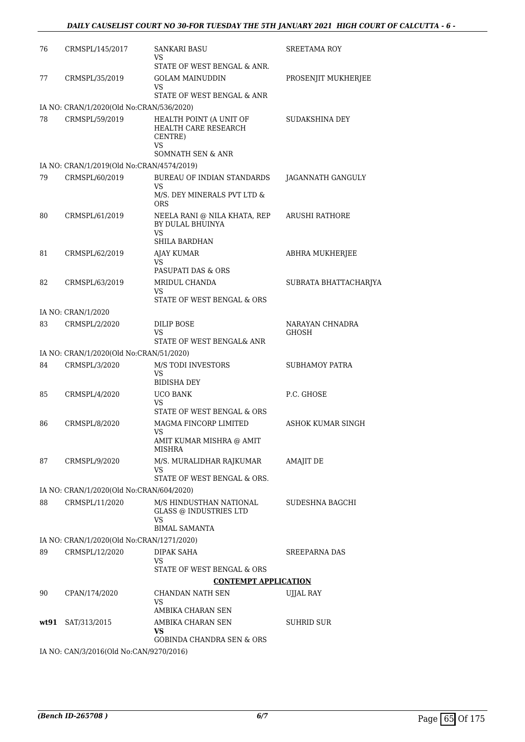| 76   | CRMSPL/145/2017                                          | SANKARI BASU<br>VS                                                                     | <b>SREETAMA ROY</b>             |
|------|----------------------------------------------------------|----------------------------------------------------------------------------------------|---------------------------------|
| 77   | CRMSPL/35/2019                                           | STATE OF WEST BENGAL & ANR.<br><b>GOLAM MAINUDDIN</b>                                  | PROSENJIT MUKHERJEE             |
|      |                                                          | VS<br>STATE OF WEST BENGAL & ANR                                                       |                                 |
|      | IA NO: CRAN/1/2020(Old No:CRAN/536/2020)                 |                                                                                        |                                 |
| 78   | CRMSPL/59/2019                                           | HEALTH POINT (A UNIT OF<br>HEALTH CARE RESEARCH<br>CENTRE)<br>VS<br>SOMNATH SEN & ANR  | SUDAKSHINA DEY                  |
|      | IA NO: CRAN/1/2019(Old No:CRAN/4574/2019)                |                                                                                        |                                 |
| 79   | CRMSPL/60/2019                                           | BUREAU OF INDIAN STANDARDS                                                             | JAGANNATH GANGULY               |
|      |                                                          | VS<br>M/S. DEY MINERALS PVT LTD &<br><b>ORS</b>                                        |                                 |
| 80   | CRMSPL/61/2019                                           | NEELA RANI @ NILA KHATA, REP<br>BY DULAL BHUINYA<br>VS                                 | ARUSHI RATHORE                  |
|      |                                                          | SHILA BARDHAN                                                                          |                                 |
| 81   | CRMSPL/62/2019                                           | <b>AJAY KUMAR</b><br>VS                                                                | <b>ABHRA MUKHERJEE</b>          |
|      |                                                          | PASUPATI DAS & ORS                                                                     |                                 |
| 82   | CRMSPL/63/2019                                           | MRIDUL CHANDA<br>VS<br>STATE OF WEST BENGAL & ORS                                      | SUBRATA BHATTACHARJYA           |
|      | IA NO: CRAN/1/2020                                       |                                                                                        |                                 |
| 83   | CRMSPL/2/2020                                            | DILIP BOSE<br>VS                                                                       | NARAYAN CHNADRA<br><b>GHOSH</b> |
|      |                                                          | STATE OF WEST BENGAL& ANR                                                              |                                 |
| 84   | IA NO: CRAN/1/2020(Old No:CRAN/51/2020)<br>CRMSPL/3/2020 | <b>M/S TODI INVESTORS</b>                                                              | SUBHAMOY PATRA                  |
|      |                                                          | VS<br><b>BIDISHA DEY</b>                                                               |                                 |
| 85   | CRMSPL/4/2020                                            | <b>UCO BANK</b><br>VS<br>STATE OF WEST BENGAL & ORS                                    | P.C. GHOSE                      |
| 86   | CRMSPL/8/2020                                            | MAGMA FINCORP LIMITED                                                                  | ASHOK KUMAR SINGH               |
|      |                                                          | VS<br>AMIT KUMAR MISHRA @ AMIT<br>MISHRA                                               |                                 |
| 87   | CRMSPL/9/2020                                            | M/S. MURALIDHAR RAJKUMAR<br>VS                                                         | <b>AMAJIT DE</b>                |
|      |                                                          | STATE OF WEST BENGAL & ORS.                                                            |                                 |
|      | IA NO: CRAN/1/2020(Old No:CRAN/604/2020)                 |                                                                                        |                                 |
| 88   | CRMSPL/11/2020                                           | M/S HINDUSTHAN NATIONAL<br><b>GLASS @ INDUSTRIES LTD</b><br>VS<br><b>BIMAL SAMANTA</b> | SUDESHNA BAGCHI                 |
|      | IA NO: CRAN/1/2020(Old No:CRAN/1271/2020)                |                                                                                        |                                 |
| 89   | CRMSPL/12/2020                                           | DIPAK SAHA                                                                             | SREEPARNA DAS                   |
|      |                                                          | VS<br>STATE OF WEST BENGAL & ORS                                                       |                                 |
|      |                                                          | <b>CONTEMPT APPLICATION</b>                                                            |                                 |
| 90   | CPAN/174/2020                                            | CHANDAN NATH SEN                                                                       | UJJAL RAY                       |
|      |                                                          | VS<br>AMBIKA CHARAN SEN                                                                |                                 |
| wt91 | SAT/313/2015                                             | AMBIKA CHARAN SEN                                                                      | SUHRID SUR                      |
|      |                                                          | VS                                                                                     |                                 |
|      |                                                          | GOBINDA CHANDRA SEN & ORS                                                              |                                 |
|      | IA NO: CAN/3/2016(Old No:CAN/9270/2016)                  |                                                                                        |                                 |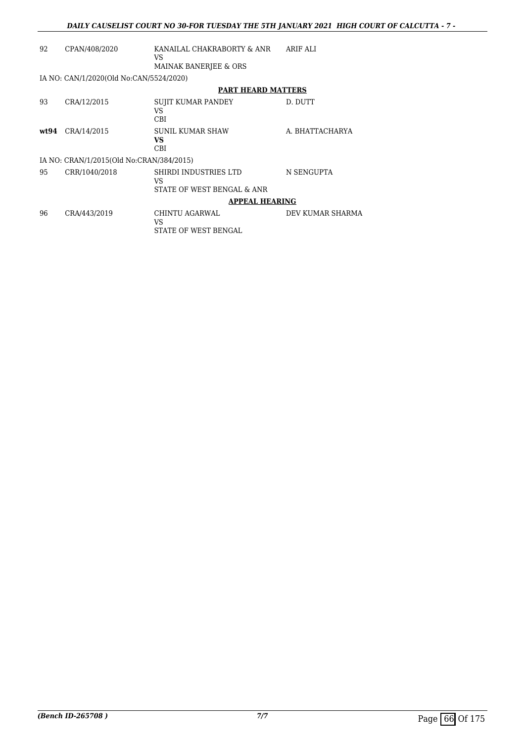| 92 | CPAN/408/2020                            | KANAILAL CHAKRABORTY & ANR<br>VS<br>MAINAK BANERJEE & ORS | ARIF ALI         |
|----|------------------------------------------|-----------------------------------------------------------|------------------|
|    | IA NO: CAN/1/2020(Old No:CAN/5524/2020)  |                                                           |                  |
|    |                                          | <b>PART HEARD MATTERS</b>                                 |                  |
| 93 | CRA/12/2015                              | SUJIT KUMAR PANDEY<br>VS<br><b>CBI</b>                    | D. DUTT          |
|    | wt94 CRA/14/2015                         | <b>SUNIL KUMAR SHAW</b><br>VS<br>CBI                      | A. BHATTACHARYA  |
|    | IA NO: CRAN/1/2015(Old No:CRAN/384/2015) |                                                           |                  |
| 95 | CRR/1040/2018                            | SHIRDI INDUSTRIES LTD<br>VS<br>STATE OF WEST BENGAL & ANR | N SENGUPTA       |
|    |                                          | <b>APPEAL HEARING</b>                                     |                  |
| 96 | CRA/443/2019                             | CHINTU AGARWAL<br>VS<br>STATE OF WEST BENGAL              | DEV KUMAR SHARMA |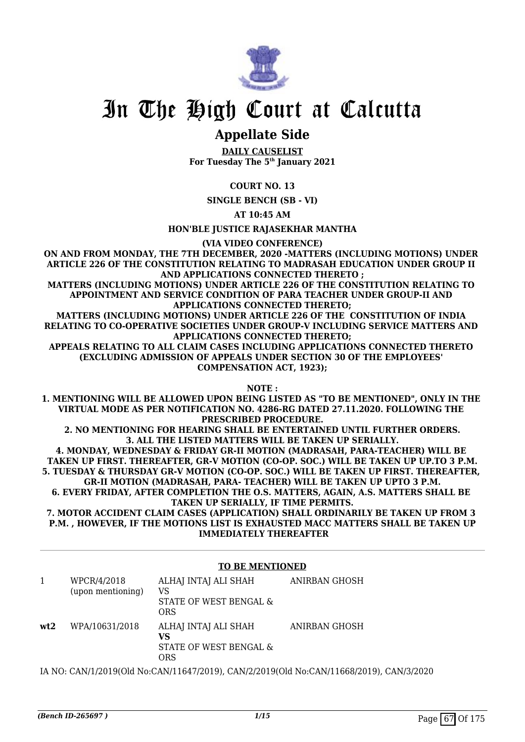

## **Appellate Side**

**DAILY CAUSELIST For Tuesday The 5th January 2021**

#### **COURT NO. 13**

**SINGLE BENCH (SB - VI)**

**AT 10:45 AM**

**HON'BLE JUSTICE RAJASEKHAR MANTHA**

**(VIA VIDEO CONFERENCE)**

**ON AND FROM MONDAY, THE 7TH DECEMBER, 2020 -MATTERS (INCLUDING MOTIONS) UNDER ARTICLE 226 OF THE CONSTITUTION RELATING TO MADRASAH EDUCATION UNDER GROUP II AND APPLICATIONS CONNECTED THERETO ;**

**MATTERS (INCLUDING MOTIONS) UNDER ARTICLE 226 OF THE CONSTITUTION RELATING TO APPOINTMENT AND SERVICE CONDITION OF PARA TEACHER UNDER GROUP-II AND APPLICATIONS CONNECTED THERETO;**

**MATTERS (INCLUDING MOTIONS) UNDER ARTICLE 226 OF THE CONSTITUTION OF INDIA RELATING TO CO-OPERATIVE SOCIETIES UNDER GROUP-V INCLUDING SERVICE MATTERS AND APPLICATIONS CONNECTED THERETO;**

**APPEALS RELATING TO ALL CLAIM CASES INCLUDING APPLICATIONS CONNECTED THERETO (EXCLUDING ADMISSION OF APPEALS UNDER SECTION 30 OF THE EMPLOYEES' COMPENSATION ACT, 1923);**

**NOTE :**

**1. MENTIONING WILL BE ALLOWED UPON BEING LISTED AS "TO BE MENTIONED", ONLY IN THE VIRTUAL MODE AS PER NOTIFICATION NO. 4286-RG DATED 27.11.2020. FOLLOWING THE PRESCRIBED PROCEDURE.**

**2. NO MENTIONING FOR HEARING SHALL BE ENTERTAINED UNTIL FURTHER ORDERS. 3. ALL THE LISTED MATTERS WILL BE TAKEN UP SERIALLY.**

**4. MONDAY, WEDNESDAY & FRIDAY GR-II MOTION (MADRASAH, PARA-TEACHER) WILL BE TAKEN UP FIRST. THEREAFTER, GR-V MOTION (CO-OP. SOC.) WILL BE TAKEN UP UP.TO 3 P.M. 5. TUESDAY & THURSDAY GR-V MOTION (CO-OP. SOC.) WILL BE TAKEN UP FIRST. THEREAFTER, GR-II MOTION (MADRASAH, PARA- TEACHER) WILL BE TAKEN UP UPTO 3 P.M. 6. EVERY FRIDAY, AFTER COMPLETION THE O.S. MATTERS, AGAIN, A.S. MATTERS SHALL BE TAKEN UP SERIALLY, IF TIME PERMITS.**

**7. MOTOR ACCIDENT CLAIM CASES (APPLICATION) SHALL ORDINARILY BE TAKEN UP FROM 3 P.M. , HOWEVER, IF THE MOTIONS LIST IS EXHAUSTED MACC MATTERS SHALL BE TAKEN UP IMMEDIATELY THEREAFTER**

#### **TO BE MENTIONED**

|     | WPCR/4/2018<br>(upon mentioning) | ALHAJ INTAJ ALI SHAH<br>VS<br>STATE OF WEST BENGAL &<br>ORS | ANIRBAN GHOSH |
|-----|----------------------------------|-------------------------------------------------------------|---------------|
| wt2 | WPA/10631/2018                   | ALHAJ INTAJ ALI SHAH<br>VS<br>STATE OF WEST BENGAL &<br>ORS | ANIRBAN GHOSH |

IA NO: CAN/1/2019(Old No:CAN/11647/2019), CAN/2/2019(Old No:CAN/11668/2019), CAN/3/2020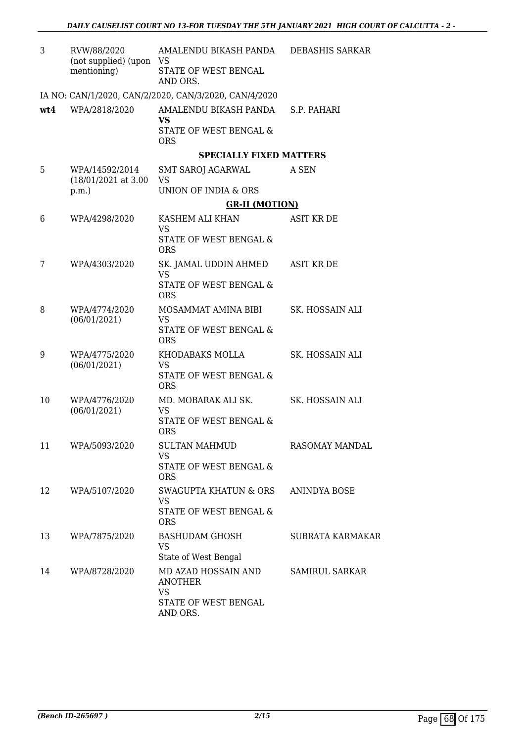| 3   | RVW/88/2020<br>(not supplied) (upon<br>mentioning) | AMALENDU BIKASH PANDA<br><b>VS</b><br>STATE OF WEST BENGAL | DEBASHIS SARKAR       |
|-----|----------------------------------------------------|------------------------------------------------------------|-----------------------|
|     |                                                    | AND ORS.                                                   |                       |
|     |                                                    | IA NO: CAN/1/2020, CAN/2/2020, CAN/3/2020, CAN/4/2020      |                       |
| wt4 | WPA/2818/2020                                      | AMALENDU BIKASH PANDA S.P. PAHARI<br><b>VS</b>             |                       |
|     |                                                    | STATE OF WEST BENGAL &<br><b>ORS</b>                       |                       |
|     |                                                    | <b>SPECIALLY FIXED MATTERS</b>                             |                       |
| 5   | WPA/14592/2014<br>$(18/01/2021$ at 3.00            | SMT SAROJ AGARWAL<br>VS                                    | A SEN                 |
|     | p.m.                                               | UNION OF INDIA & ORS                                       |                       |
|     |                                                    | <b>GR-II (MOTION)</b>                                      |                       |
| 6   | WPA/4298/2020                                      | KASHEM ALI KHAN<br><b>VS</b>                               | ASIT KR DE            |
|     |                                                    | STATE OF WEST BENGAL &<br><b>ORS</b>                       |                       |
| 7   | WPA/4303/2020                                      | SK. JAMAL UDDIN AHMED<br><b>VS</b>                         | <b>ASIT KR DE</b>     |
|     |                                                    | STATE OF WEST BENGAL &<br><b>ORS</b>                       |                       |
| 8   | WPA/4774/2020<br>(06/01/2021)                      | MOSAMMAT AMINA BIBI<br><b>VS</b>                           | SK. HOSSAIN ALI       |
|     |                                                    | STATE OF WEST BENGAL &<br><b>ORS</b>                       |                       |
| 9   | WPA/4775/2020<br>(06/01/2021)                      | KHODABAKS MOLLA<br><b>VS</b>                               | SK. HOSSAIN ALI       |
|     |                                                    | STATE OF WEST BENGAL &<br><b>ORS</b>                       |                       |
| 10  | WPA/4776/2020<br>(06/01/2021)                      | MD. MOBARAK ALI SK.<br>VS                                  | SK. HOSSAIN ALI       |
|     |                                                    | STATE OF WEST BENGAL &<br><b>ORS</b>                       |                       |
| 11  | WPA/5093/2020                                      | <b>SULTAN MAHMUD</b><br><b>VS</b>                          | RASOMAY MANDAL        |
|     |                                                    | STATE OF WEST BENGAL &<br><b>ORS</b>                       |                       |
| 12  | WPA/5107/2020                                      | <b>SWAGUPTA KHATUN &amp; ORS</b><br>VS                     | ANINDYA BOSE          |
|     |                                                    | STATE OF WEST BENGAL &<br><b>ORS</b>                       |                       |
| 13  | WPA/7875/2020                                      | <b>BASHUDAM GHOSH</b><br>VS                                | SUBRATA KARMAKAR      |
|     |                                                    | State of West Bengal                                       |                       |
| 14  | WPA/8728/2020                                      | MD AZAD HOSSAIN AND<br><b>ANOTHER</b>                      | <b>SAMIRUL SARKAR</b> |
|     |                                                    | <b>VS</b><br>STATE OF WEST BENGAL<br>AND ORS.              |                       |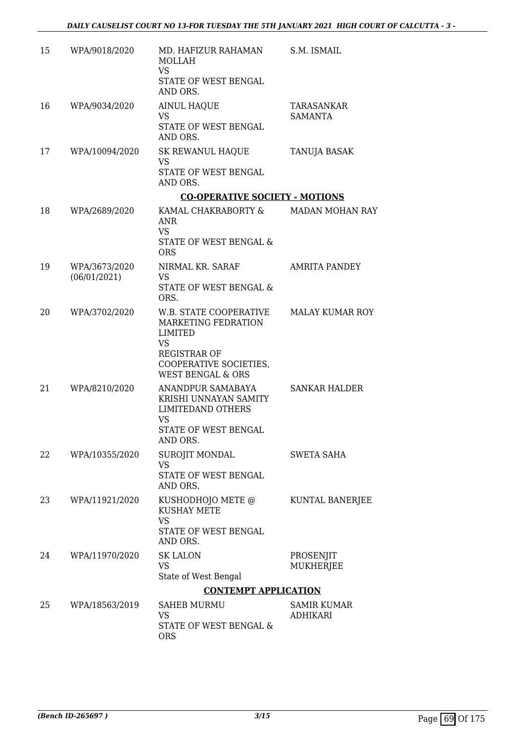| 15 | WPA/9018/2020                 | MD. HAFIZUR RAHAMAN<br>MOLLAH<br><b>VS</b><br>STATE OF WEST BENGAL<br>AND ORS.                                                                  | S.M. ISMAIL                         |
|----|-------------------------------|-------------------------------------------------------------------------------------------------------------------------------------------------|-------------------------------------|
| 16 | WPA/9034/2020                 | <b>AINUL HAQUE</b><br>VS<br>STATE OF WEST BENGAL<br>AND ORS.                                                                                    | <b>TARASANKAR</b><br><b>SAMANTA</b> |
| 17 | WPA/10094/2020                | SK REWANUL HAQUE<br>VS<br>STATE OF WEST BENGAL<br>AND ORS.                                                                                      | TANUJA BASAK                        |
|    |                               | <b>CO-OPERATIVE SOCIETY - MOTIONS</b>                                                                                                           |                                     |
| 18 | WPA/2689/2020                 | KAMAL CHAKRABORTY &<br>ANR<br><b>VS</b><br>STATE OF WEST BENGAL &                                                                               | <b>MADAN MOHAN RAY</b>              |
| 19 | WPA/3673/2020<br>(06/01/2021) | <b>ORS</b><br>NIRMAL KR. SARAF<br>VS<br>STATE OF WEST BENGAL &<br>ORS.                                                                          | <b>AMRITA PANDEY</b>                |
| 20 | WPA/3702/2020                 | W.B. STATE COOPERATIVE<br>MARKETING FEDRATION<br>LIMITED<br>VS<br><b>REGISTRAR OF</b><br>COOPERATIVE SOCIETIES,<br><b>WEST BENGAL &amp; ORS</b> | MALAY KUMAR ROY                     |
| 21 | WPA/8210/2020                 | ANANDPUR SAMABAYA<br>KRISHI UNNAYAN SAMITY<br><b>LIMITEDAND OTHERS</b><br>VS<br>STATE OF WEST BENGAL<br>AND ORS.                                | <b>SANKAR HALDER</b>                |
| 22 | WPA/10355/2020                | SUROJIT MONDAL<br><b>VS</b><br>STATE OF WEST BENGAL<br>AND ORS.                                                                                 | <b>SWETA SAHA</b>                   |
| 23 | WPA/11921/2020                | KUSHODHOJO METE @<br><b>KUSHAY METE</b><br><b>VS</b><br>STATE OF WEST BENGAL<br>AND ORS.                                                        | KUNTAL BANERJEE                     |
| 24 | WPA/11970/2020                | <b>SK LALON</b><br>VS<br>State of West Bengal                                                                                                   | PROSENJIT<br>MUKHERJEE              |
|    |                               | <b>CONTEMPT APPLICATION</b>                                                                                                                     |                                     |
| 25 | WPA/18563/2019                | <b>SAHEB MURMU</b><br>VS<br>STATE OF WEST BENGAL &<br><b>ORS</b>                                                                                | SAMIR KUMAR<br><b>ADHIKARI</b>      |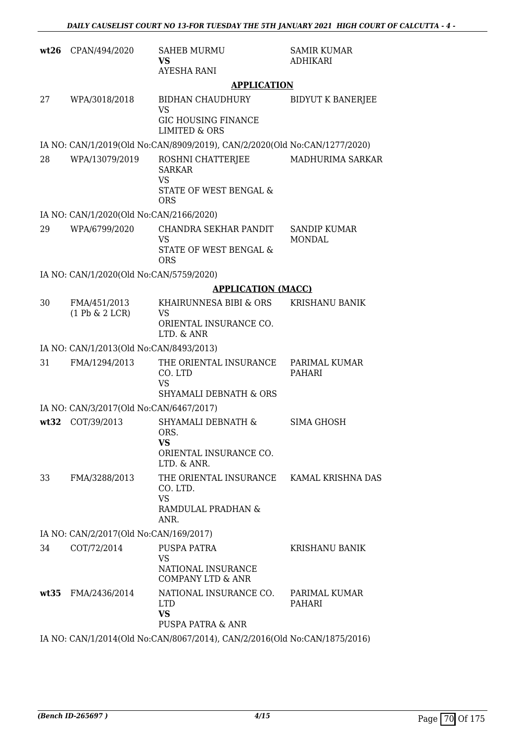| wt26 | CPAN/494/2020                           | <b>SAHEB MURMU</b><br>VS<br>AYESHA RANI                                                         | <b>SAMIR KUMAR</b><br><b>ADHIKARI</b> |
|------|-----------------------------------------|-------------------------------------------------------------------------------------------------|---------------------------------------|
|      |                                         | <b>APPLICATION</b>                                                                              |                                       |
| 27   | WPA/3018/2018                           | <b>BIDHAN CHAUDHURY</b><br><b>VS</b><br><b>GIC HOUSING FINANCE</b><br><b>LIMITED &amp; ORS</b>  | <b>BIDYUT K BANERJEE</b>              |
|      |                                         | IA NO: CAN/1/2019(Old No:CAN/8909/2019), CAN/2/2020(Old No:CAN/1277/2020)                       |                                       |
| 28   | WPA/13079/2019                          | ROSHNI CHATTERJEE<br><b>SARKAR</b><br>VS<br>STATE OF WEST BENGAL &<br><b>ORS</b>                | MADHURIMA SARKAR                      |
|      | IA NO: CAN/1/2020(Old No:CAN/2166/2020) |                                                                                                 |                                       |
| 29   | WPA/6799/2020                           | CHANDRA SEKHAR PANDIT<br><b>VS</b><br>STATE OF WEST BENGAL &<br><b>ORS</b>                      | <b>SANDIP KUMAR</b><br><b>MONDAL</b>  |
|      | IA NO: CAN/1/2020(Old No:CAN/5759/2020) |                                                                                                 |                                       |
|      |                                         | <b>APPLICATION (MACC)</b>                                                                       |                                       |
| 30   | FMA/451/2013<br>$(1$ Pb & $2$ LCR)      | KHAIRUNNESA BIBI & ORS<br>VS<br>ORIENTAL INSURANCE CO.<br>LTD. & ANR                            | <b>KRISHANU BANIK</b>                 |
|      | IA NO: CAN/1/2013(Old No:CAN/8493/2013) |                                                                                                 |                                       |
| 31   | FMA/1294/2013                           | THE ORIENTAL INSURANCE<br>CO. LTD<br><b>VS</b><br><b>SHYAMALI DEBNATH &amp; ORS</b>             | PARIMAL KUMAR<br>PAHARI               |
|      | IA NO: CAN/3/2017(Old No:CAN/6467/2017) |                                                                                                 |                                       |
| wt32 | COT/39/2013                             | <b>SHYAMALI DEBNATH &amp;</b><br>ORS.<br>VS<br>ORIENTAL INSURANCE CO.<br>LTD. & ANR.            | SIMA GHOSH                            |
| 33   | FMA/3288/2013                           | THE ORIENTAL INSURANCE KAMAL KRISHNA DAS<br>CO. LTD.<br><b>VS</b><br>RAMDULAL PRADHAN &<br>ANR. |                                       |
|      | IA NO: CAN/2/2017(Old No:CAN/169/2017)  |                                                                                                 |                                       |
| 34   | COT/72/2014                             | PUSPA PATRA<br><b>VS</b><br>NATIONAL INSURANCE<br><b>COMPANY LTD &amp; ANR</b>                  | <b>KRISHANU BANIK</b>                 |
|      | wt35 FMA/2436/2014                      | NATIONAL INSURANCE CO.<br><b>LTD</b><br><b>VS</b><br>PUSPA PATRA & ANR                          | PARIMAL KUMAR<br>PAHARI               |
|      |                                         | IA NO: CAN/1/2014(Old No:CAN/8067/2014), CAN/2/2016(Old No:CAN/1875/2016)                       |                                       |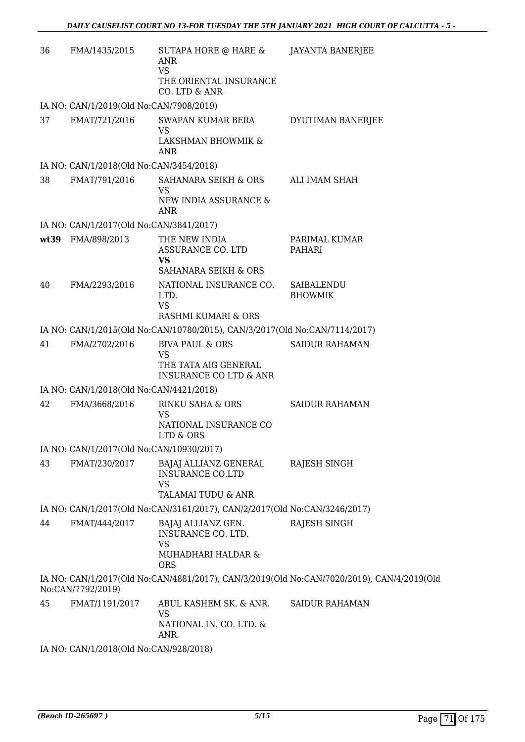| 36 | FMA/1435/2015                            | SUTAPA HORE @ HARE &<br><b>ANR</b><br><b>VS</b><br>THE ORIENTAL INSURANCE<br>CO. LTD & ANR           | <b>JAYANTA BANERJEE</b>                                                                   |
|----|------------------------------------------|------------------------------------------------------------------------------------------------------|-------------------------------------------------------------------------------------------|
|    | IA NO: CAN/1/2019(Old No:CAN/7908/2019)  |                                                                                                      |                                                                                           |
| 37 | FMAT/721/2016                            | SWAPAN KUMAR BERA<br><b>VS</b><br>LAKSHMAN BHOWMIK &                                                 | DYUTIMAN BANERJEE                                                                         |
|    | IA NO: CAN/1/2018(Old No:CAN/3454/2018)  | ANR                                                                                                  |                                                                                           |
| 38 | FMAT/791/2016                            | SAHANARA SEIKH & ORS<br>VS<br>NEW INDIA ASSURANCE &<br>ANR                                           | ALI IMAM SHAH                                                                             |
|    | IA NO: CAN/1/2017(Old No:CAN/3841/2017)  |                                                                                                      |                                                                                           |
|    | wt39 FMA/898/2013                        | THE NEW INDIA<br>ASSURANCE CO. LTD<br><b>VS</b>                                                      | PARIMAL KUMAR<br>PAHARI                                                                   |
|    |                                          | SAHANARA SEIKH & ORS                                                                                 |                                                                                           |
| 40 | FMA/2293/2016                            | NATIONAL INSURANCE CO.<br>LTD.<br><b>VS</b>                                                          | SAIBALENDU<br><b>BHOWMIK</b>                                                              |
|    |                                          | RASHMI KUMARI & ORS                                                                                  |                                                                                           |
|    |                                          | IA NO: CAN/1/2015(Old No:CAN/10780/2015), CAN/3/2017(Old No:CAN/7114/2017)                           |                                                                                           |
| 41 | FMA/2702/2016                            | <b>BIVA PAUL &amp; ORS</b><br><b>VS</b><br>THE TATA AIG GENERAL<br><b>INSURANCE CO LTD &amp; ANR</b> | <b>SAIDUR RAHAMAN</b>                                                                     |
|    | IA NO: CAN/1/2018(Old No:CAN/4421/2018)  |                                                                                                      |                                                                                           |
| 42 | FMA/3668/2016                            | RINKU SAHA & ORS<br>VS<br>NATIONAL INSURANCE CO<br>LTD & ORS                                         | <b>SAIDUR RAHAMAN</b>                                                                     |
|    | IA NO: CAN/1/2017(Old No:CAN/10930/2017) |                                                                                                      |                                                                                           |
| 43 | FMAT/230/2017                            | BAJAJ ALLIANZ GENERAL<br><b>INSURANCE CO.LTD</b><br>VS<br>TALAMAI TUDU & ANR                         | RAJESH SINGH                                                                              |
|    |                                          | IA NO: CAN/1/2017(Old No:CAN/3161/2017), CAN/2/2017(Old No:CAN/3246/2017)                            |                                                                                           |
| 44 | FMAT/444/2017                            | BAJAJ ALLIANZ GEN.<br>INSURANCE CO. LTD.<br><b>VS</b><br>MUHADHARI HALDAR &<br><b>ORS</b>            | RAJESH SINGH                                                                              |
|    | No:CAN/7792/2019)                        |                                                                                                      | IA NO: CAN/1/2017(Old No:CAN/4881/2017), CAN/3/2019(Old No:CAN/7020/2019), CAN/4/2019(Old |
| 45 | FMAT/1191/2017                           | ABUL KASHEM SK. & ANR.<br><b>VS</b><br>NATIONAL IN. CO. LTD. &<br>ANR.                               | <b>SAIDUR RAHAMAN</b>                                                                     |
|    | IA NO: CAN/1/2018(Old No:CAN/928/2018)   |                                                                                                      |                                                                                           |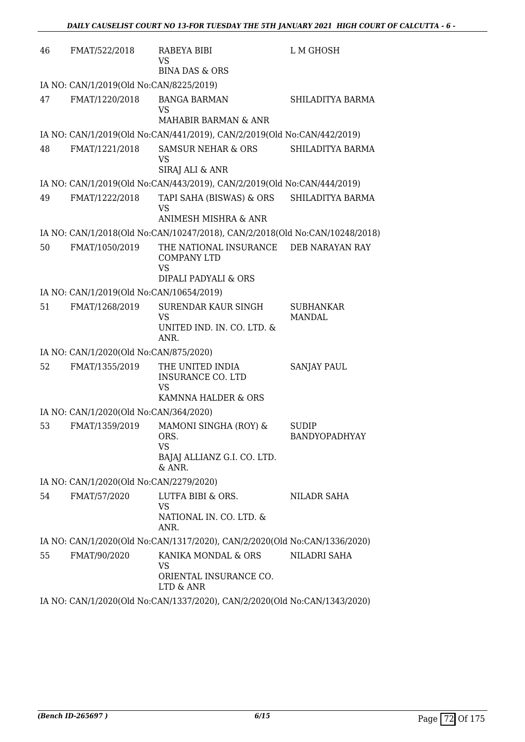| 46 | FMAT/522/2018                            | RABEYA BIBI<br>VS                                                                   | L M GHOSH                     |
|----|------------------------------------------|-------------------------------------------------------------------------------------|-------------------------------|
|    |                                          | <b>BINA DAS &amp; ORS</b>                                                           |                               |
|    | IA NO: CAN/1/2019(Old No:CAN/8225/2019)  |                                                                                     |                               |
| 47 | FMAT/1220/2018                           | <b>BANGA BARMAN</b><br>VS                                                           | SHILADITYA BARMA              |
|    |                                          | <b>MAHABIR BARMAN &amp; ANR</b>                                                     |                               |
|    |                                          | IA NO: CAN/1/2019(Old No:CAN/441/2019), CAN/2/2019(Old No:CAN/442/2019)             |                               |
| 48 | FMAT/1221/2018                           | <b>SAMSUR NEHAR &amp; ORS</b><br>VS<br>SIRAJ ALI & ANR                              | SHILADITYA BARMA              |
|    |                                          | IA NO: CAN/1/2019(Old No:CAN/443/2019), CAN/2/2019(Old No:CAN/444/2019)             |                               |
| 49 | FMAT/1222/2018                           | TAPI SAHA (BISWAS) & ORS<br>VS<br>ANIMESH MISHRA & ANR                              | SHILADITYA BARMA              |
|    |                                          | IA NO: CAN/1/2018(Old No:CAN/10247/2018), CAN/2/2018(Old No:CAN/10248/2018)         |                               |
| 50 | FMAT/1050/2019                           | THE NATIONAL INSURANCE DEB NARAYAN RAY<br><b>COMPANY LTD</b><br><b>VS</b>           |                               |
|    |                                          | DIPALI PADYALI & ORS                                                                |                               |
|    | IA NO: CAN/1/2019(Old No:CAN/10654/2019) |                                                                                     |                               |
| 51 | FMAT/1268/2019                           | <b>SURENDAR KAUR SINGH</b><br><b>VS</b><br>UNITED IND. IN. CO. LTD. &<br>ANR.       | <b>SUBHANKAR</b><br>MANDAL    |
|    | IA NO: CAN/1/2020(Old No:CAN/875/2020)   |                                                                                     |                               |
| 52 | FMAT/1355/2019                           | THE UNITED INDIA<br><b>INSURANCE CO. LTD</b><br><b>VS</b><br>KAMNNA HALDER & ORS    | <b>SANJAY PAUL</b>            |
|    | IA NO: CAN/1/2020(Old No:CAN/364/2020)   |                                                                                     |                               |
| 53 | FMAT/1359/2019                           | MAMONI SINGHA (ROY) &<br>ORS.<br><b>VS</b><br>BAJAJ ALLIANZ G.I. CO. LTD.<br>& ANR. | <b>SUDIP</b><br>BANDYOPADHYAY |
|    | IA NO: CAN/1/2020(Old No:CAN/2279/2020)  |                                                                                     |                               |
| 54 | FMAT/57/2020                             | LUTFA BIBI & ORS.<br><b>VS</b><br>NATIONAL IN. CO. LTD. &<br>ANR.                   | NILADR SAHA                   |
|    |                                          | IA NO: CAN/1/2020(Old No:CAN/1317/2020), CAN/2/2020(Old No:CAN/1336/2020)           |                               |
| 55 | FMAT/90/2020                             | KANIKA MONDAL & ORS<br>VS<br>ORIENTAL INSURANCE CO.<br>LTD & ANR                    | NILADRI SAHA                  |
|    |                                          | IA NO: CAN/1/2020(Old No:CAN/1337/2020), CAN/2/2020(Old No:CAN/1343/2020)           |                               |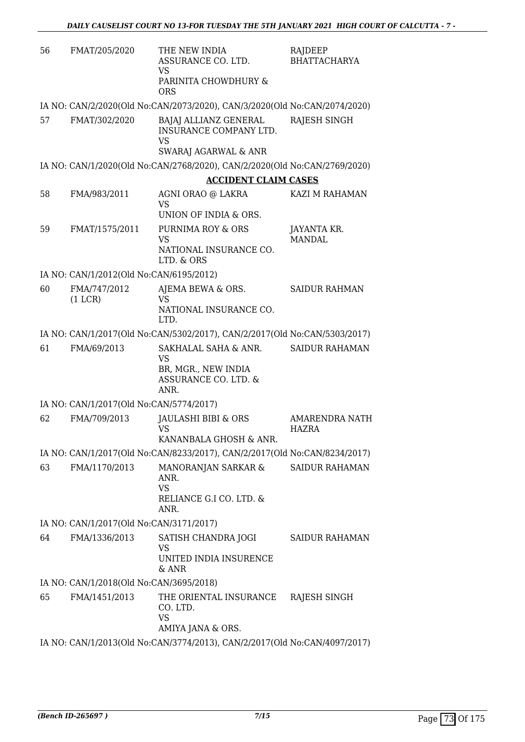| 56 | FMAT/205/2020                           | THE NEW INDIA<br>ASSURANCE CO. LTD.<br><b>VS</b><br>PARINITA CHOWDHURY &<br><b>ORS</b>   | RAJDEEP<br>BHATTACHARYA      |
|----|-----------------------------------------|------------------------------------------------------------------------------------------|------------------------------|
|    |                                         | IA NO: CAN/2/2020(Old No:CAN/2073/2020), CAN/3/2020(Old No:CAN/2074/2020)                |                              |
| 57 | FMAT/302/2020                           | BAJAJ ALLIANZ GENERAL<br><b>INSURANCE COMPANY LTD.</b><br><b>VS</b>                      | RAJESH SINGH                 |
|    |                                         | SWARAJ AGARWAL & ANR                                                                     |                              |
|    |                                         | IA NO: CAN/1/2020(Old No:CAN/2768/2020), CAN/2/2020(Old No:CAN/2769/2020)                |                              |
| 58 | FMA/983/2011                            | <b>ACCIDENT CLAIM CASES</b><br>AGNI ORAO @ LAKRA<br><b>VS</b>                            | KAZI M RAHAMAN               |
|    |                                         | UNION OF INDIA & ORS.                                                                    |                              |
| 59 | FMAT/1575/2011                          | PURNIMA ROY & ORS<br><b>VS</b><br>NATIONAL INSURANCE CO.                                 | JAYANTA KR.<br><b>MANDAL</b> |
|    |                                         | LTD. & ORS                                                                               |                              |
|    | IA NO: CAN/1/2012(Old No:CAN/6195/2012) |                                                                                          |                              |
| 60 | FMA/747/2012<br>(1 LCR)                 | AJEMA BEWA & ORS.<br><b>VS</b><br>NATIONAL INSURANCE CO.                                 | <b>SAIDUR RAHMAN</b>         |
|    |                                         | LTD.                                                                                     |                              |
|    |                                         | IA NO: CAN/1/2017(Old No:CAN/5302/2017), CAN/2/2017(Old No:CAN/5303/2017)                |                              |
| 61 | FMA/69/2013                             | SAKHALAL SAHA & ANR.<br><b>VS</b><br>BR, MGR., NEW INDIA<br>ASSURANCE CO. LTD. &<br>ANR. | <b>SAIDUR RAHAMAN</b>        |
|    | IA NO: CAN/1/2017(Old No:CAN/5774/2017) |                                                                                          |                              |
| 62 | FMA/709/2013                            | <b>JAULASHI BIBI &amp; ORS</b><br>VS<br>KANANBALA GHOSH & ANR.                           | AMARENDRA NATH<br>HAZRA      |
|    |                                         | IA NO: CAN/1/2017(Old No:CAN/8233/2017), CAN/2/2017(Old No:CAN/8234/2017)                |                              |
| 63 | FMA/1170/2013                           | MANORANJAN SARKAR &<br>ANR.<br><b>VS</b><br>RELIANCE G.I CO. LTD. &<br>ANR.              | <b>SAIDUR RAHAMAN</b>        |
|    | IA NO: CAN/1/2017(Old No:CAN/3171/2017) |                                                                                          |                              |
| 64 | FMA/1336/2013                           | SATISH CHANDRA JOGI<br><b>VS</b>                                                         | <b>SAIDUR RAHAMAN</b>        |
|    |                                         | UNITED INDIA INSURENCE<br>& ANR                                                          |                              |
|    | IA NO: CAN/1/2018(Old No:CAN/3695/2018) |                                                                                          |                              |
| 65 | FMA/1451/2013                           | THE ORIENTAL INSURANCE<br>CO. LTD.<br><b>VS</b><br>AMIYA JANA & ORS.                     | RAJESH SINGH                 |
|    |                                         | IA NO: CAN/1/2013(Old No:CAN/3774/2013), CAN/2/2017(Old No:CAN/4097/2017)                |                              |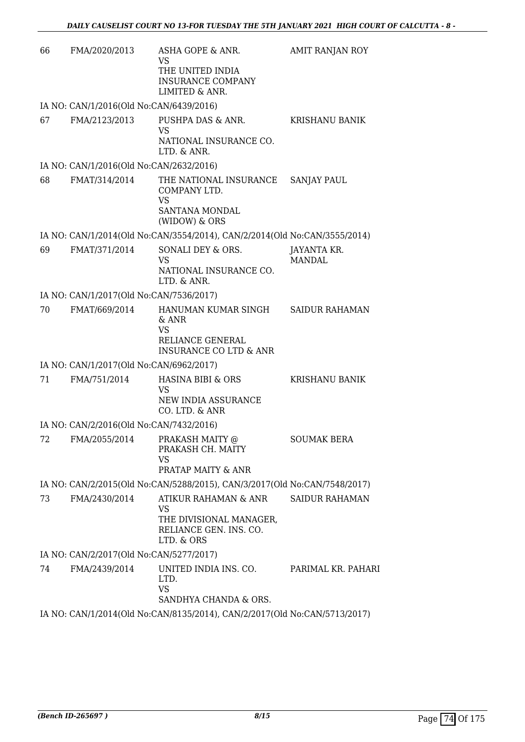| 66 | FMA/2020/2013                           | ASHA GOPE & ANR.<br>VS                                                                        | AMIT RANJAN ROY       |
|----|-----------------------------------------|-----------------------------------------------------------------------------------------------|-----------------------|
|    |                                         | THE UNITED INDIA<br><b>INSURANCE COMPANY</b><br>LIMITED & ANR.                                |                       |
|    | IA NO: CAN/1/2016(Old No:CAN/6439/2016) |                                                                                               |                       |
| 67 | FMA/2123/2013                           | PUSHPA DAS & ANR.<br><b>VS</b><br>NATIONAL INSURANCE CO.<br>LTD. & ANR.                       | KRISHANU BANIK        |
|    | IA NO: CAN/1/2016(Old No:CAN/2632/2016) |                                                                                               |                       |
| 68 | FMAT/314/2014                           | THE NATIONAL INSURANCE                                                                        | <b>SANJAY PAUL</b>    |
|    |                                         | COMPANY LTD.<br><b>VS</b><br>SANTANA MONDAL<br>(WIDOW) & ORS                                  |                       |
|    |                                         | IA NO: CAN/1/2014(Old No:CAN/3554/2014), CAN/2/2014(Old No:CAN/3555/2014)                     |                       |
| 69 | FMAT/371/2014                           | SONALI DEY & ORS.<br>VS<br>NATIONAL INSURANCE CO.                                             | JAYANTA KR.<br>MANDAL |
|    |                                         | LTD. & ANR.                                                                                   |                       |
|    | IA NO: CAN/1/2017(Old No:CAN/7536/2017) |                                                                                               |                       |
| 70 | FMAT/669/2014                           | HANUMAN KUMAR SINGH<br>& ANR<br>VS<br>RELIANCE GENERAL<br><b>INSURANCE CO LTD &amp; ANR</b>   | <b>SAIDUR RAHAMAN</b> |
|    | IA NO: CAN/1/2017(Old No:CAN/6962/2017) |                                                                                               |                       |
| 71 | FMA/751/2014                            | HASINA BIBI & ORS<br>VS<br>NEW INDIA ASSURANCE<br>CO. LTD. & ANR                              | KRISHANU BANIK        |
|    | IA NO: CAN/2/2016(Old No:CAN/7432/2016) |                                                                                               |                       |
| 72 | FMA/2055/2014                           | PRAKASH MAITY @<br>PRAKASH CH. MAITY<br>VS                                                    | <b>SOUMAK BERA</b>    |
|    |                                         | PRATAP MAITY & ANR                                                                            |                       |
|    |                                         | IA NO: CAN/2/2015(Old No:CAN/5288/2015), CAN/3/2017(Old No:CAN/7548/2017)                     |                       |
| 73 | FMA/2430/2014                           | ATIKUR RAHAMAN & ANR<br>VS<br>THE DIVISIONAL MANAGER,<br>RELIANCE GEN. INS. CO.<br>LTD. & ORS | <b>SAIDUR RAHAMAN</b> |
|    | IA NO: CAN/2/2017(Old No:CAN/5277/2017) |                                                                                               |                       |
| 74 | FMA/2439/2014                           | UNITED INDIA INS. CO.<br>LTD.                                                                 | PARIMAL KR. PAHARI    |
|    |                                         | <b>VS</b><br>SANDHYA CHANDA & ORS.                                                            |                       |
|    |                                         | IA NO: CAN/1/2014/Old No:CAN/8135/2014) CAN/2/2017/Old No:CAN/5713/2017)                      |                       |

IA NO: CAN/1/2014(Old No:CAN/8135/2014), CAN/2/2017(Old No:CAN/5713/2017)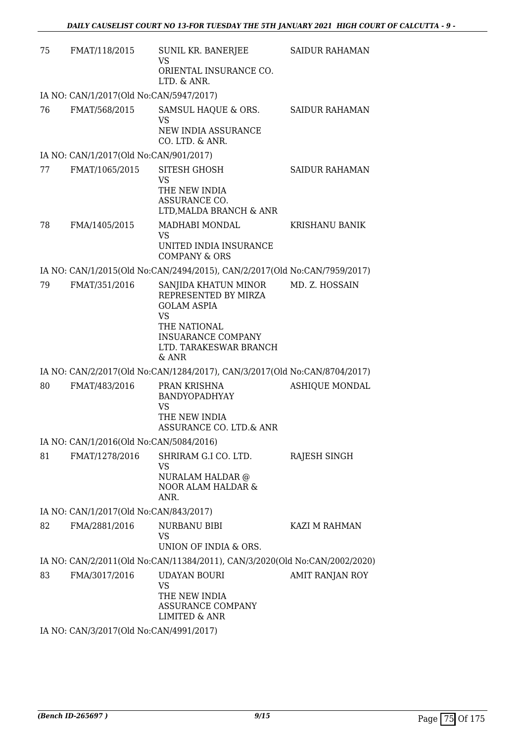| 75 | FMAT/118/2015                           | SUNIL KR. BANERJEE<br>VS                                                                                                                                        | SAIDUR RAHAMAN        |
|----|-----------------------------------------|-----------------------------------------------------------------------------------------------------------------------------------------------------------------|-----------------------|
|    |                                         | ORIENTAL INSURANCE CO.<br>LTD. & ANR.                                                                                                                           |                       |
|    | IA NO: CAN/1/2017(Old No:CAN/5947/2017) |                                                                                                                                                                 |                       |
| 76 | FMAT/568/2015                           | SAMSUL HAQUE & ORS.<br><b>VS</b><br>NEW INDIA ASSURANCE                                                                                                         | <b>SAIDUR RAHAMAN</b> |
|    |                                         | CO. LTD. & ANR.                                                                                                                                                 |                       |
|    | IA NO: CAN/1/2017(Old No:CAN/901/2017)  |                                                                                                                                                                 |                       |
| 77 | FMAT/1065/2015                          | SITESH GHOSH<br>VS<br>THE NEW INDIA<br>ASSURANCE CO.<br>LTD, MALDA BRANCH & ANR                                                                                 | <b>SAIDUR RAHAMAN</b> |
| 78 | FMA/1405/2015                           | MADHABI MONDAL<br><b>VS</b>                                                                                                                                     | <b>KRISHANU BANIK</b> |
|    |                                         | UNITED INDIA INSURANCE<br><b>COMPANY &amp; ORS</b>                                                                                                              |                       |
|    |                                         | IA NO: CAN/1/2015(Old No:CAN/2494/2015), CAN/2/2017(Old No:CAN/7959/2017)                                                                                       |                       |
| 79 | FMAT/351/2016                           | SANJIDA KHATUN MINOR<br>REPRESENTED BY MIRZA<br><b>GOLAM ASPIA</b><br><b>VS</b><br>THE NATIONAL<br><b>INSUARANCE COMPANY</b><br>LTD. TARAKESWAR BRANCH<br>& ANR | MD. Z. HOSSAIN        |
|    |                                         | IA NO: CAN/2/2017(Old No:CAN/1284/2017), CAN/3/2017(Old No:CAN/8704/2017)                                                                                       |                       |
| 80 | FMAT/483/2016                           | PRAN KRISHNA<br><b>BANDYOPADHYAY</b><br>VS<br>THE NEW INDIA<br>ASSURANCE CO. LTD.& ANR                                                                          | <b>ASHIQUE MONDAL</b> |
|    | IA NO: CAN/1/2016(Old No:CAN/5084/2016) |                                                                                                                                                                 |                       |
| 81 | FMAT/1278/2016                          | SHRIRAM G.I CO. LTD.<br>VS<br><b>NURALAM HALDAR</b> @<br><b>NOOR ALAM HALDAR &amp;</b><br>ANR.                                                                  | RAJESH SINGH          |
|    | IA NO: CAN/1/2017(Old No:CAN/843/2017)  |                                                                                                                                                                 |                       |
| 82 | FMA/2881/2016                           | NURBANU BIBI<br>VS<br>UNION OF INDIA & ORS.                                                                                                                     | KAZI M RAHMAN         |
|    |                                         | IA NO: CAN/2/2011(Old No:CAN/11384/2011), CAN/3/2020(Old No:CAN/2002/2020)                                                                                      |                       |
| 83 | FMA/3017/2016                           | <b>UDAYAN BOURI</b><br>VS<br>THE NEW INDIA<br>ASSURANCE COMPANY                                                                                                 | AMIT RANJAN ROY       |
|    |                                         | LIMITED & ANR                                                                                                                                                   |                       |

IA NO: CAN/3/2017(Old No:CAN/4991/2017)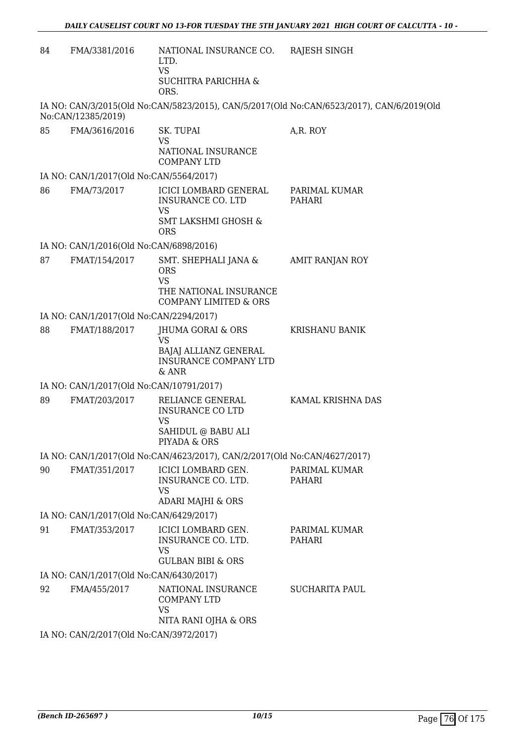| 84 | FMA/3381/2016                            | NATIONAL INSURANCE CO.<br>LTD.                                                                   | RAJESH SINGH                                                                              |
|----|------------------------------------------|--------------------------------------------------------------------------------------------------|-------------------------------------------------------------------------------------------|
|    |                                          | <b>VS</b><br>SUCHITRA PARICHHA &<br>ORS.                                                         |                                                                                           |
|    | No:CAN/12385/2019)                       |                                                                                                  | IA NO: CAN/3/2015(Old No:CAN/5823/2015), CAN/5/2017(Old No:CAN/6523/2017), CAN/6/2019(Old |
| 85 | FMA/3616/2016                            | SK. TUPAI<br>VS                                                                                  | A,R. ROY                                                                                  |
|    |                                          | NATIONAL INSURANCE<br><b>COMPANY LTD</b>                                                         |                                                                                           |
|    | IA NO: CAN/1/2017(Old No:CAN/5564/2017)  |                                                                                                  |                                                                                           |
| 86 | FMA/73/2017                              | ICICI LOMBARD GENERAL<br>INSURANCE CO. LTD<br>VS<br><b>SMT LAKSHMI GHOSH &amp;</b><br><b>ORS</b> | PARIMAL KUMAR<br><b>PAHARI</b>                                                            |
|    | IA NO: CAN/1/2016(Old No:CAN/6898/2016)  |                                                                                                  |                                                                                           |
| 87 | FMAT/154/2017                            | SMT. SHEPHALI JANA &<br><b>ORS</b>                                                               | AMIT RANJAN ROY                                                                           |
|    |                                          | <b>VS</b><br>THE NATIONAL INSURANCE<br><b>COMPANY LIMITED &amp; ORS</b>                          |                                                                                           |
|    | IA NO: CAN/1/2017(Old No:CAN/2294/2017)  |                                                                                                  |                                                                                           |
| 88 | FMAT/188/2017                            | JHUMA GORAI & ORS<br><b>VS</b>                                                                   | <b>KRISHANU BANIK</b>                                                                     |
|    |                                          | BAJAJ ALLIANZ GENERAL<br><b>INSURANCE COMPANY LTD</b><br>$&$ ANR                                 |                                                                                           |
|    | IA NO: CAN/1/2017(Old No:CAN/10791/2017) |                                                                                                  |                                                                                           |
| 89 | FMAT/203/2017                            | RELIANCE GENERAL<br><b>INSURANCE CO LTD</b><br><b>VS</b>                                         | KAMAL KRISHNA DAS                                                                         |
|    |                                          | SAHIDUL @ BABU ALI<br>PIYADA & ORS                                                               |                                                                                           |
|    |                                          | IA NO: CAN/1/2017(Old No:CAN/4623/2017), CAN/2/2017(Old No:CAN/4627/2017)                        |                                                                                           |
| 90 | FMAT/351/2017                            | ICICI LOMBARD GEN.<br>INSURANCE CO. LTD.<br>VS                                                   | PARIMAL KUMAR<br>PAHARI                                                                   |
|    |                                          | <b>ADARI MAJHI &amp; ORS</b>                                                                     |                                                                                           |
|    | IA NO: CAN/1/2017(Old No:CAN/6429/2017)  |                                                                                                  |                                                                                           |
| 91 | FMAT/353/2017                            | ICICI LOMBARD GEN.<br>INSURANCE CO. LTD.<br>VS<br><b>GULBAN BIBI &amp; ORS</b>                   | PARIMAL KUMAR<br>PAHARI                                                                   |
|    | IA NO: CAN/1/2017(Old No:CAN/6430/2017)  |                                                                                                  |                                                                                           |
| 92 | FMA/455/2017                             | NATIONAL INSURANCE<br><b>COMPANY LTD</b><br>VS<br>NITA RANI OJHA & ORS                           | <b>SUCHARITA PAUL</b>                                                                     |
|    | IA NO: CAN/2/2017(Old No:CAN/3972/2017)  |                                                                                                  |                                                                                           |
|    |                                          |                                                                                                  |                                                                                           |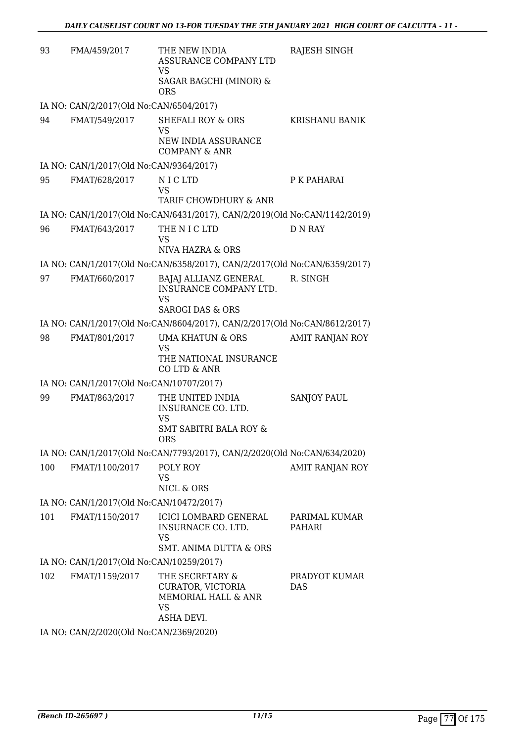| 93  | FMA/459/2017                             | THE NEW INDIA<br>ASSURANCE COMPANY LTD<br>VS<br>SAGAR BAGCHI (MINOR) &<br><b>ORS</b>                      | RAJESH SINGH            |
|-----|------------------------------------------|-----------------------------------------------------------------------------------------------------------|-------------------------|
|     | IA NO: CAN/2/2017(Old No:CAN/6504/2017)  |                                                                                                           |                         |
| 94  | FMAT/549/2017                            | <b>SHEFALI ROY &amp; ORS</b><br>VS<br>NEW INDIA ASSURANCE<br><b>COMPANY &amp; ANR</b>                     | <b>KRISHANU BANIK</b>   |
|     | IA NO: CAN/1/2017(Old No:CAN/9364/2017)  |                                                                                                           |                         |
| 95  | FMAT/628/2017                            | NICLTD<br>VS<br>TARIF CHOWDHURY & ANR                                                                     | P K PAHARAI             |
|     |                                          | IA NO: CAN/1/2017(Old No:CAN/6431/2017), CAN/2/2019(Old No:CAN/1142/2019)                                 |                         |
| 96  | FMAT/643/2017                            | THE N I C LTD<br><b>VS</b><br>NIVA HAZRA & ORS                                                            | <b>D N RAY</b>          |
|     |                                          | IA NO: CAN/1/2017(Old No:CAN/6358/2017), CAN/2/2017(Old No:CAN/6359/2017)                                 |                         |
| 97  | FMAT/660/2017                            | <b>BAJAJ ALLIANZ GENERAL</b><br><b>INSURANCE COMPANY LTD.</b><br><b>VS</b><br><b>SAROGI DAS &amp; ORS</b> | R. SINGH                |
|     |                                          | IA NO: CAN/1/2017(Old No:CAN/8604/2017), CAN/2/2017(Old No:CAN/8612/2017)                                 |                         |
| 98  | FMAT/801/2017                            | <b>UMA KHATUN &amp; ORS</b>                                                                               | AMIT RANJAN ROY         |
|     |                                          | VS<br>THE NATIONAL INSURANCE<br>CO LTD & ANR                                                              |                         |
|     | IA NO: CAN/1/2017(Old No:CAN/10707/2017) |                                                                                                           |                         |
| 99  | FMAT/863/2017                            | THE UNITED INDIA<br><b>INSURANCE CO. LTD.</b><br>VS<br><b>SMT SABITRI BALA ROY &amp;</b><br><b>ORS</b>    | SANJOY PAUL             |
|     |                                          | IA NO: CAN/1/2017(Old No:CAN/7793/2017), CAN/2/2020(Old No:CAN/634/2020)                                  |                         |
| 100 | FMAT/1100/2017                           | POLY ROY<br>VS<br>NICL & ORS                                                                              | AMIT RANJAN ROY         |
|     | IA NO: CAN/1/2017(Old No:CAN/10472/2017) |                                                                                                           |                         |
| 101 | FMAT/1150/2017                           | ICICI LOMBARD GENERAL<br>INSURNACE CO. LTD.<br><b>VS</b><br>SMT. ANIMA DUTTA & ORS                        | PARIMAL KUMAR<br>PAHARI |
|     | IA NO: CAN/1/2017(Old No:CAN/10259/2017) |                                                                                                           |                         |
| 102 | FMAT/1159/2017                           | THE SECRETARY &<br>CURATOR, VICTORIA<br>MEMORIAL HALL & ANR<br>VS<br>ASHA DEVI.                           | PRADYOT KUMAR<br>DAS.   |
|     |                                          |                                                                                                           |                         |

IA NO: CAN/2/2020(Old No:CAN/2369/2020)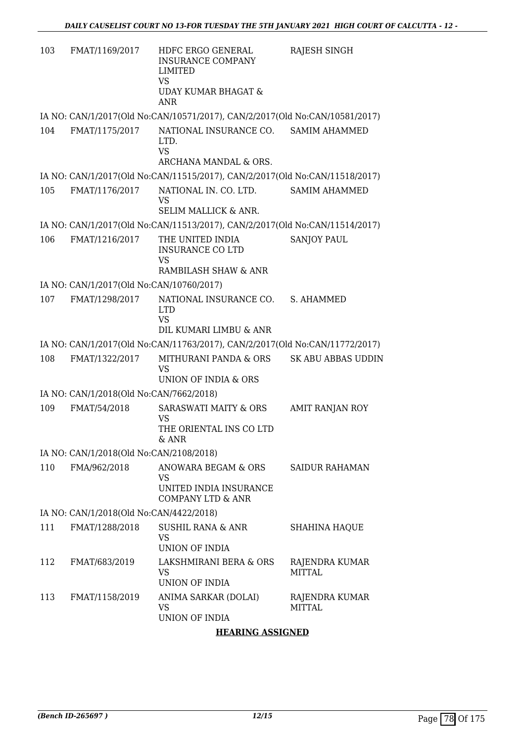| 103 | FMAT/1169/2017                           | HDFC ERGO GENERAL<br><b>INSURANCE COMPANY</b><br>LIMITED<br><b>VS</b><br>UDAY KUMAR BHAGAT &<br><b>ANR</b> | RAJESH SINGH                    |
|-----|------------------------------------------|------------------------------------------------------------------------------------------------------------|---------------------------------|
|     |                                          | IA NO: CAN/1/2017(Old No:CAN/10571/2017), CAN/2/2017(Old No:CAN/10581/2017)                                |                                 |
| 104 | FMAT/1175/2017                           | NATIONAL INSURANCE CO.<br>LTD.<br><b>VS</b><br>ARCHANA MANDAL & ORS.                                       | <b>SAMIM AHAMMED</b>            |
|     |                                          | IA NO: CAN/1/2017(Old No:CAN/11515/2017), CAN/2/2017(Old No:CAN/11518/2017)                                |                                 |
| 105 | FMAT/1176/2017                           | NATIONAL IN. CO. LTD.<br>VS<br>SELIM MALLICK & ANR.                                                        | <b>SAMIM AHAMMED</b>            |
|     |                                          | IA NO: CAN/1/2017(Old No:CAN/11513/2017), CAN/2/2017(Old No:CAN/11514/2017)                                |                                 |
| 106 | FMAT/1216/2017                           | THE UNITED INDIA<br><b>INSURANCE CO LTD</b><br><b>VS</b>                                                   | <b>SANJOY PAUL</b>              |
|     |                                          | RAMBILASH SHAW & ANR                                                                                       |                                 |
|     | IA NO: CAN/1/2017(Old No:CAN/10760/2017) |                                                                                                            |                                 |
| 107 | FMAT/1298/2017                           | NATIONAL INSURANCE CO.<br><b>LTD</b><br><b>VS</b><br>DIL KUMARI LIMBU & ANR                                | S. AHAMMED                      |
|     |                                          | IA NO: CAN/1/2017(Old No:CAN/11763/2017), CAN/2/2017(Old No:CAN/11772/2017)                                |                                 |
| 108 | FMAT/1322/2017                           | MITHURANI PANDA & ORS<br>VS<br>UNION OF INDIA & ORS                                                        | <b>SK ABU ABBAS UDDIN</b>       |
|     | IA NO: CAN/1/2018(Old No:CAN/7662/2018)  |                                                                                                            |                                 |
| 109 | FMAT/54/2018                             | SARASWATI MAITY & ORS<br>VS<br>THE ORIENTAL INS CO LTD<br>& ANR                                            | AMIT RANJAN ROY                 |
|     | IA NO: CAN/1/2018(Old No:CAN/2108/2018)  |                                                                                                            |                                 |
| 110 | FMA/962/2018                             | ANOWARA BEGAM & ORS<br>VS<br>UNITED INDIA INSURANCE                                                        | <b>SAIDUR RAHAMAN</b>           |
|     |                                          | <b>COMPANY LTD &amp; ANR</b>                                                                               |                                 |
|     | IA NO: CAN/1/2018(Old No:CAN/4422/2018)  |                                                                                                            |                                 |
| 111 | FMAT/1288/2018                           | <b>SUSHIL RANA &amp; ANR</b><br>VS<br><b>UNION OF INDIA</b>                                                | <b>SHAHINA HAQUE</b>            |
| 112 | FMAT/683/2019                            | LAKSHMIRANI BERA & ORS<br>VS<br><b>UNION OF INDIA</b>                                                      | RAJENDRA KUMAR<br><b>MITTAL</b> |
| 113 | FMAT/1158/2019                           | ANIMA SARKAR (DOLAI)<br>VS<br>UNION OF INDIA                                                               | RAJENDRA KUMAR<br><b>MITTAL</b> |
|     |                                          |                                                                                                            |                                 |

### **HEARING ASSIGNED**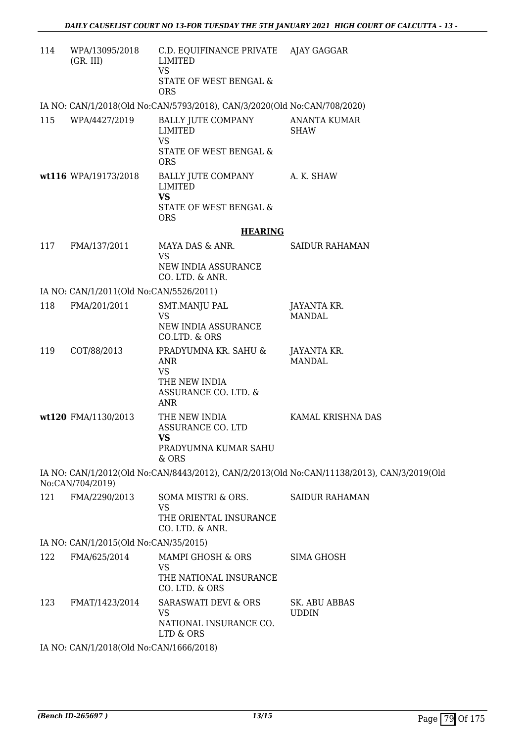| 114 | WPA/13095/2018<br>(GR. III)             | C.D. EQUIFINANCE PRIVATE AJAY GAGGAR<br>LIMITED<br><b>VS</b><br>STATE OF WEST BENGAL &    |                                                                                            |
|-----|-----------------------------------------|-------------------------------------------------------------------------------------------|--------------------------------------------------------------------------------------------|
|     |                                         | <b>ORS</b>                                                                                |                                                                                            |
|     |                                         | IA NO: CAN/1/2018(Old No:CAN/5793/2018), CAN/3/2020(Old No:CAN/708/2020)                  |                                                                                            |
| 115 | WPA/4427/2019                           | <b>BALLY JUTE COMPANY</b><br>LIMITED<br><b>VS</b><br>STATE OF WEST BENGAL &<br><b>ORS</b> | <b>ANANTA KUMAR</b><br><b>SHAW</b>                                                         |
|     | wt116 WPA/19173/2018                    | BALLY JUTE COMPANY<br><b>LIMITED</b><br><b>VS</b>                                         | A. K. SHAW                                                                                 |
|     |                                         | STATE OF WEST BENGAL &<br><b>ORS</b>                                                      |                                                                                            |
|     |                                         | <b>HEARING</b>                                                                            |                                                                                            |
| 117 | FMA/137/2011                            | MAYA DAS & ANR.<br><b>VS</b>                                                              | SAIDUR RAHAMAN                                                                             |
|     |                                         | NEW INDIA ASSURANCE<br>CO. LTD. & ANR.                                                    |                                                                                            |
|     | IA NO: CAN/1/2011(Old No:CAN/5526/2011) |                                                                                           |                                                                                            |
| 118 | FMA/201/2011                            | SMT.MANJU PAL<br><b>VS</b><br>NEW INDIA ASSURANCE                                         | JAYANTA KR.<br><b>MANDAL</b>                                                               |
| 119 | COT/88/2013                             | CO.LTD. & ORS<br>PRADYUMNA KR. SAHU &<br>ANR                                              | JAYANTA KR.<br><b>MANDAL</b>                                                               |
|     |                                         | <b>VS</b><br>THE NEW INDIA<br>ASSURANCE CO. LTD. &<br>ANR                                 |                                                                                            |
|     | wt120 FMA/1130/2013                     | THE NEW INDIA<br><b>ASSURANCE CO. LTD</b><br>VS                                           | KAMAL KRISHNA DAS                                                                          |
|     |                                         | PRADYUMNA KUMAR SAHU<br>& ORS                                                             |                                                                                            |
|     | No:CAN/704/2019)                        |                                                                                           | IA NO: CAN/1/2012(Old No:CAN/8443/2012), CAN/2/2013(Old No:CAN/11138/2013), CAN/3/2019(Old |
| 121 | FMA/2290/2013                           | SOMA MISTRI & ORS.<br><b>VS</b><br>THE ORIENTAL INSURANCE<br>CO. LTD. & ANR.              | <b>SAIDUR RAHAMAN</b>                                                                      |
|     | IA NO: CAN/1/2015(Old No:CAN/35/2015)   |                                                                                           |                                                                                            |
| 122 | FMA/625/2014                            | MAMPI GHOSH & ORS<br>VS<br>THE NATIONAL INSURANCE<br>CO. LTD. & ORS                       | SIMA GHOSH                                                                                 |
| 123 | FMAT/1423/2014                          | <b>SARASWATI DEVI &amp; ORS</b><br>VS<br>NATIONAL INSURANCE CO.                           | <b>SK. ABU ABBAS</b><br><b>UDDIN</b>                                                       |
|     | IA NO: CAN/1/2018(Old No:CAN/1666/2018) | LTD & ORS                                                                                 |                                                                                            |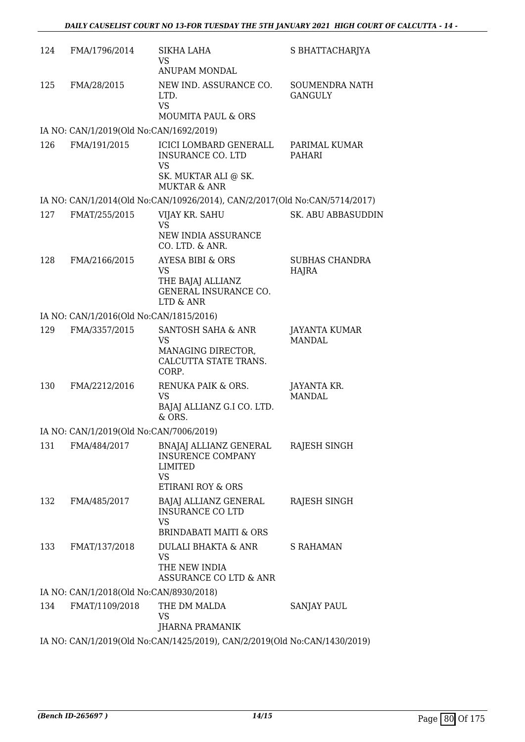| 124 | FMA/1796/2014                           | SIKHA LAHA<br>VS.<br>ANUPAM MONDAL                                                                   | S BHATTACHARJYA                         |
|-----|-----------------------------------------|------------------------------------------------------------------------------------------------------|-----------------------------------------|
| 125 | FMA/28/2015                             | NEW IND. ASSURANCE CO.<br>LTD.<br><b>VS</b><br><b>MOUMITA PAUL &amp; ORS</b>                         | <b>SOUMENDRA NATH</b><br><b>GANGULY</b> |
|     | IA NO: CAN/1/2019(Old No:CAN/1692/2019) |                                                                                                      |                                         |
| 126 | FMA/191/2015                            | ICICI LOMBARD GENERALL<br>INSURANCE CO. LTD<br>VS<br>SK. MUKTAR ALI @ SK.<br><b>MUKTAR &amp; ANR</b> | PARIMAL KUMAR<br>PAHARI                 |
|     |                                         | IA NO: CAN/1/2014(Old No:CAN/10926/2014), CAN/2/2017(Old No:CAN/5714/2017)                           |                                         |
| 127 | FMAT/255/2015                           | VIJAY KR. SAHU<br><b>VS</b><br>NEW INDIA ASSURANCE<br>CO. LTD. & ANR.                                | SK. ABU ABBASUDDIN                      |
| 128 | FMA/2166/2015                           | AYESA BIBI & ORS<br>VS<br>THE BAJAJ ALLIANZ<br>GENERAL INSURANCE CO.<br>LTD & ANR                    | <b>SUBHAS CHANDRA</b><br>HAJRA          |
|     | IA NO: CAN/1/2016(Old No:CAN/1815/2016) |                                                                                                      |                                         |
| 129 | FMA/3357/2015                           | SANTOSH SAHA & ANR<br><b>VS</b><br>MANAGING DIRECTOR,<br>CALCUTTA STATE TRANS.<br>CORP.              | JAYANTA KUMAR<br><b>MANDAL</b>          |
| 130 | FMA/2212/2016                           | RENUKA PAIK & ORS.<br>VS<br>BAJAJ ALLIANZ G.I CO. LTD.<br>$&$ ORS.                                   | JAYANTA KR.<br><b>MANDAL</b>            |
|     | IA NO: CAN/1/2019(Old No:CAN/7006/2019) |                                                                                                      |                                         |
| 131 | FMA/484/2017                            | BNAJAJ ALLIANZ GENERAL<br><b>INSURENCE COMPANY</b><br>LIMITED<br><b>VS</b><br>ETIRANI ROY & ORS      | RAJESH SINGH                            |
| 132 | FMA/485/2017                            | BAJAJ ALLIANZ GENERAL<br><b>INSURANCE CO LTD</b><br><b>VS</b><br><b>BRINDABATI MAITI &amp; ORS</b>   | RAJESH SINGH                            |
| 133 | FMAT/137/2018                           | DULALI BHAKTA & ANR<br><b>VS</b><br>THE NEW INDIA<br>ASSURANCE CO LTD & ANR                          | <b>S RAHAMAN</b>                        |
|     | IA NO: CAN/1/2018(Old No:CAN/8930/2018) |                                                                                                      |                                         |
| 134 | FMAT/1109/2018                          | THE DM MALDA<br>VS<br>JHARNA PRAMANIK                                                                | <b>SANJAY PAUL</b>                      |
|     |                                         | IA NO: CAN/1/2019(Old No:CAN/1425/2019), CAN/2/2019(Old No:CAN/1430/2019)                            |                                         |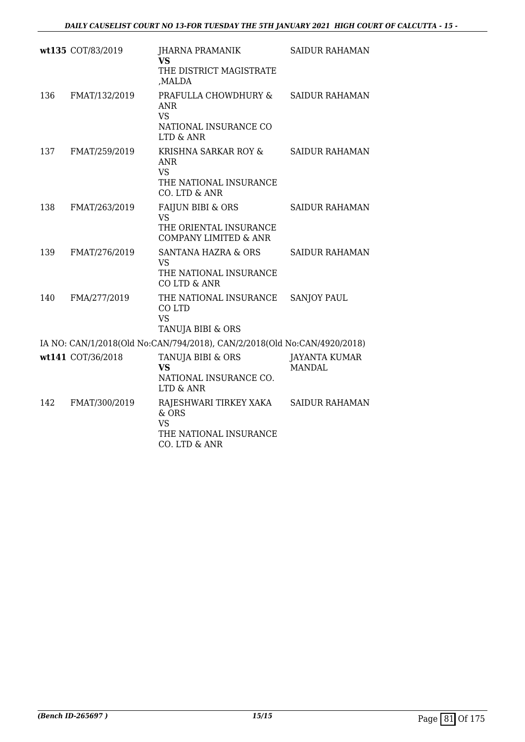|     | wt135 COT/83/2019 | JHARNA PRAMANIK<br><b>VS</b>                                                               | <b>SAIDUR RAHAMAN</b>                 |
|-----|-------------------|--------------------------------------------------------------------------------------------|---------------------------------------|
|     |                   | THE DISTRICT MAGISTRATE<br>,MALDA                                                          |                                       |
| 136 | FMAT/132/2019     | PRAFULLA CHOWDHURY &<br>ANR<br><b>VS</b><br>NATIONAL INSURANCE CO                          | <b>SAIDUR RAHAMAN</b>                 |
|     |                   | LTD & ANR                                                                                  |                                       |
| 137 | FMAT/259/2019     | KRISHNA SARKAR ROY &<br><b>ANR</b><br><b>VS</b><br>THE NATIONAL INSURANCE<br>CO. LTD & ANR | <b>SAIDUR RAHAMAN</b>                 |
| 138 | FMAT/263/2019     | <b>FAIJUN BIBI &amp; ORS</b>                                                               | <b>SAIDUR RAHAMAN</b>                 |
|     |                   | <b>VS</b><br>THE ORIENTAL INSURANCE<br><b>COMPANY LIMITED &amp; ANR</b>                    |                                       |
| 139 | FMAT/276/2019     | <b>SANTANA HAZRA &amp; ORS</b><br><b>VS</b><br>THE NATIONAL INSURANCE<br>CO LTD & ANR      | <b>SAIDUR RAHAMAN</b>                 |
| 140 | FMA/277/2019      | THE NATIONAL INSURANCE<br>CO LTD<br><b>VS</b><br>TANUJA BIBI & ORS                         | <b>SANJOY PAUL</b>                    |
|     |                   | IA NO: CAN/1/2018(Old No:CAN/794/2018), CAN/2/2018(Old No:CAN/4920/2018)                   |                                       |
|     | wt141 COT/36/2018 | TANUJA BIBI & ORS<br><b>VS</b><br>NATIONAL INSURANCE CO.<br>LTD & ANR                      | <b>JAYANTA KUMAR</b><br><b>MANDAL</b> |
| 142 | FMAT/300/2019     | RAJESHWARI TIRKEY XAKA<br>$&$ ORS<br><b>VS</b><br>THE NATIONAL INSURANCE<br>CO. LTD & ANR  | <b>SAIDUR RAHAMAN</b>                 |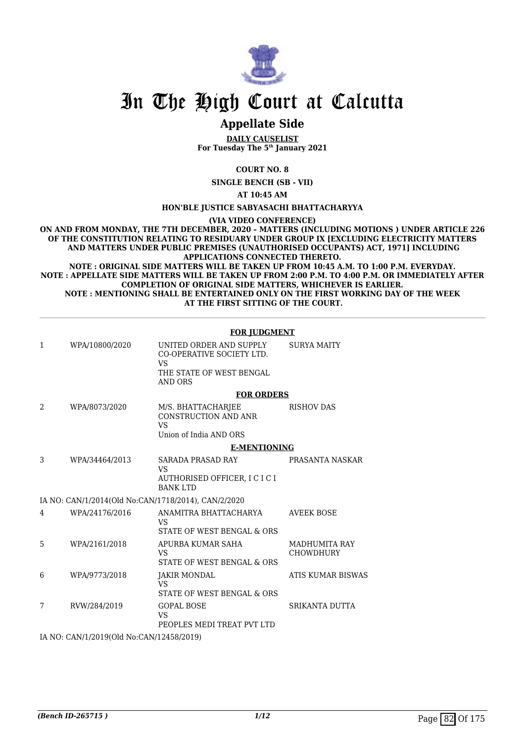

# In The High Court at Calcutta

## **Appellate Side**

**DAILY CAUSELIST For Tuesday The 5th January 2021**

**COURT NO. 8**

**SINGLE BENCH (SB - VII)**

**AT 10:45 AM**

#### **HON'BLE JUSTICE SABYASACHI BHATTACHARYYA**

**(VIA VIDEO CONFERENCE)**

**ON AND FROM MONDAY, THE 7TH DECEMBER, 2020 – MATTERS (INCLUDING MOTIONS ) UNDER ARTICLE 226 OF THE CONSTITUTION RELATING TO RESIDUARY UNDER GROUP IX [EXCLUDING ELECTRICITY MATTERS AND MATTERS UNDER PUBLIC PREMISES (UNAUTHORISED OCCUPANTS) ACT, 1971] INCLUDING APPLICATIONS CONNECTED THERETO.**

**NOTE : ORIGINAL SIDE MATTERS WILL BE TAKEN UP FROM 10:45 A.M. TO 1:00 P.M. EVERYDAY. NOTE : APPELLATE SIDE MATTERS WILL BE TAKEN UP FROM 2:00 P.M. TO 4:00 P.M. OR IMMEDIATELY AFTER COMPLETION OF ORIGINAL SIDE MATTERS, WHICHEVER IS EARLIER. NOTE : MENTIONING SHALL BE ENTERTAINED ONLY ON THE FIRST WORKING DAY OF THE WEEK AT THE FIRST SITTING OF THE COURT.**

|                |                                               | <b>FOR JUDGMENT</b>                                                                      |                                          |
|----------------|-----------------------------------------------|------------------------------------------------------------------------------------------|------------------------------------------|
| 1              | WPA/10800/2020                                | UNITED ORDER AND SUPPLY<br>CO-OPERATIVE SOCIETY LTD.<br>VS                               | <b>SURYA MAITY</b>                       |
|                |                                               | THE STATE OF WEST BENGAL<br><b>AND ORS</b>                                               |                                          |
|                |                                               | <b>FOR ORDERS</b>                                                                        |                                          |
| $\mathcal{D}$  | WPA/8073/2020                                 | M/S. BHATTACHARJEE<br><b>CONSTRUCTION AND ANR</b><br><b>VS</b><br>Union of India AND ORS | <b>RISHOV DAS</b>                        |
|                |                                               | <b>E-MENTIONING</b>                                                                      |                                          |
| 3              | WPA/34464/2013                                | SARADA PRASAD RAY                                                                        | PRASANTA NASKAR                          |
|                |                                               | VS<br>AUTHORISED OFFICER, I C I C I<br><b>BANK LTD</b>                                   |                                          |
|                |                                               | IA NO: CAN/1/2014(Old No:CAN/1718/2014), CAN/2/2020                                      |                                          |
| $\overline{4}$ | WPA/24176/2016                                | ANAMITRA BHATTACHARYA<br>VS<br>STATE OF WEST BENGAL & ORS                                | <b>AVEEK BOSE</b>                        |
| 5              | WPA/2161/2018                                 | APURBA KUMAR SAHA<br><b>VS</b><br>STATE OF WEST BENGAL & ORS                             | <b>MADHUMITA RAY</b><br><b>CHOWDHURY</b> |
| 6              | WPA/9773/2018                                 | JAKIR MONDAL<br>VS<br>STATE OF WEST BENGAL & ORS                                         | <b>ATIS KUMAR BISWAS</b>                 |
| 7              | RVW/284/2019                                  | <b>GOPAL BOSE</b><br>VS<br>PEOPLES MEDI TREAT PVT LTD                                    | SRIKANTA DUTTA                           |
|                | $H$ MO $A$ MUS 19949(01) MU $A$ MUS 15919949) |                                                                                          |                                          |

IA NO: CAN/1/2019(Old No:CAN/12458/2019)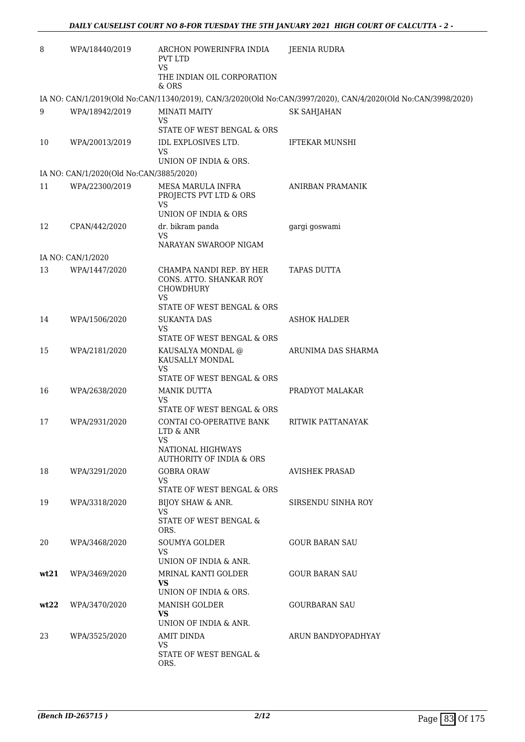| 8    | WPA/18440/2019                          | ARCHON POWERINFRA INDIA<br><b>PVT LTD</b><br><b>VS</b>                                  | <b>JEENIA RUDRA</b>                                                                                          |
|------|-----------------------------------------|-----------------------------------------------------------------------------------------|--------------------------------------------------------------------------------------------------------------|
|      |                                         | THE INDIAN OIL CORPORATION<br>& ORS                                                     |                                                                                                              |
|      |                                         |                                                                                         | IA NO: CAN/1/2019(Old No:CAN/11340/2019), CAN/3/2020(Old No:CAN/3997/2020), CAN/4/2020(Old No:CAN/3998/2020) |
| 9    | WPA/18942/2019                          | <b>MINATI MAITY</b><br><b>VS</b>                                                        | <b>SK SAHJAHAN</b>                                                                                           |
|      |                                         | STATE OF WEST BENGAL & ORS                                                              |                                                                                                              |
| 10   | WPA/20013/2019                          | IDL EXPLOSIVES LTD.<br>VS<br>UNION OF INDIA & ORS.                                      | <b>IFTEKAR MUNSHI</b>                                                                                        |
|      | IA NO: CAN/1/2020(Old No:CAN/3885/2020) |                                                                                         |                                                                                                              |
| 11   | WPA/22300/2019                          | <b>MESA MARULA INFRA</b><br>PROJECTS PVT LTD & ORS<br><b>VS</b><br>UNION OF INDIA & ORS | ANIRBAN PRAMANIK                                                                                             |
| 12   | CPAN/442/2020                           | dr. bikram panda<br>VS                                                                  | gargi goswami                                                                                                |
|      |                                         | NARAYAN SWAROOP NIGAM                                                                   |                                                                                                              |
|      | IA NO: CAN/1/2020                       |                                                                                         |                                                                                                              |
| 13   | WPA/1447/2020                           | CHAMPA NANDI REP. BY HER<br>CONS. ATTO. SHANKAR ROY<br><b>CHOWDHURY</b><br><b>VS</b>    | <b>TAPAS DUTTA</b>                                                                                           |
|      |                                         | STATE OF WEST BENGAL & ORS                                                              |                                                                                                              |
| 14   | WPA/1506/2020                           | <b>SUKANTA DAS</b><br>VS<br>STATE OF WEST BENGAL & ORS                                  | <b>ASHOK HALDER</b>                                                                                          |
| 15   | WPA/2181/2020                           | KAUSALYA MONDAL @<br>KAUSALLY MONDAL<br><b>VS</b>                                       | ARUNIMA DAS SHARMA                                                                                           |
|      |                                         | STATE OF WEST BENGAL & ORS                                                              |                                                                                                              |
| 16   | WPA/2638/2020                           | <b>MANIK DUTTA</b><br>VS<br>STATE OF WEST BENGAL & ORS                                  | PRADYOT MALAKAR                                                                                              |
| 17   | WPA/2931/2020                           | CONTAI CO-OPERATIVE BANK<br>LTD & ANR<br>VS<br><b>NATIONAL HIGHWAYS</b>                 | RITWIK PATTANAYAK                                                                                            |
|      |                                         | <b>AUTHORITY OF INDIA &amp; ORS</b>                                                     |                                                                                                              |
| 18   | WPA/3291/2020                           | <b>GOBRA ORAW</b><br>VS<br>STATE OF WEST BENGAL & ORS                                   | <b>AVISHEK PRASAD</b>                                                                                        |
| 19   | WPA/3318/2020                           | BIJOY SHAW & ANR.                                                                       | SIRSENDU SINHA ROY                                                                                           |
|      |                                         | <b>VS</b><br>STATE OF WEST BENGAL &<br>ORS.                                             |                                                                                                              |
| 20   | WPA/3468/2020                           | <b>SOUMYA GOLDER</b><br>VS                                                              | <b>GOUR BARAN SAU</b>                                                                                        |
|      |                                         | UNION OF INDIA & ANR.                                                                   |                                                                                                              |
| wt21 | WPA/3469/2020                           | MRINAL KANTI GOLDER<br><b>VS</b><br>UNION OF INDIA & ORS.                               | <b>GOUR BARAN SAU</b>                                                                                        |
| wt22 | WPA/3470/2020                           | <b>MANISH GOLDER</b><br><b>VS</b>                                                       | <b>GOURBARAN SAU</b>                                                                                         |
|      |                                         | UNION OF INDIA & ANR.                                                                   |                                                                                                              |
| 23   | WPA/3525/2020                           | AMIT DINDA<br><b>VS</b><br>STATE OF WEST BENGAL &<br>ORS.                               | ARUN BANDYOPADHYAY                                                                                           |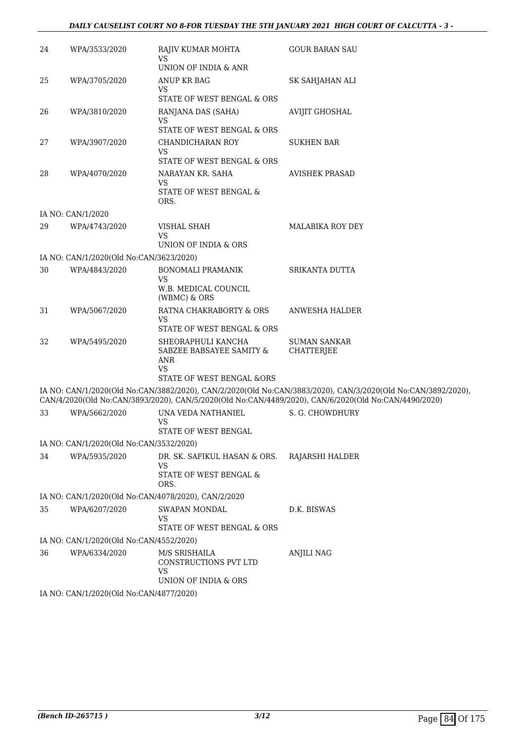#### *DAILY CAUSELIST COURT NO 8-FOR TUESDAY THE 5TH JANUARY 2021 HIGH COURT OF CALCUTTA - 3 -*

| 24 | WPA/3533/2020                           | RAJIV KUMAR MOHTA<br><b>VS</b>                                                                  | <b>GOUR BARAN SAU</b>                                                                                                                                                                                                |
|----|-----------------------------------------|-------------------------------------------------------------------------------------------------|----------------------------------------------------------------------------------------------------------------------------------------------------------------------------------------------------------------------|
|    |                                         | UNION OF INDIA & ANR                                                                            |                                                                                                                                                                                                                      |
| 25 | WPA/3705/2020                           | ANUP KR BAG<br>VS                                                                               | SK SAHJAHAN ALI                                                                                                                                                                                                      |
|    |                                         | STATE OF WEST BENGAL & ORS                                                                      |                                                                                                                                                                                                                      |
| 26 | WPA/3810/2020                           | RANJANA DAS (SAHA)<br><b>VS</b><br>STATE OF WEST BENGAL & ORS                                   | <b>AVIJIT GHOSHAL</b>                                                                                                                                                                                                |
| 27 | WPA/3907/2020                           | CHANDICHARAN ROY<br>VS                                                                          | <b>SUKHEN BAR</b>                                                                                                                                                                                                    |
|    |                                         | STATE OF WEST BENGAL & ORS                                                                      |                                                                                                                                                                                                                      |
| 28 | WPA/4070/2020                           | NARAYAN KR. SAHA<br><b>VS</b><br>STATE OF WEST BENGAL &                                         | <b>AVISHEK PRASAD</b>                                                                                                                                                                                                |
|    |                                         | ORS.                                                                                            |                                                                                                                                                                                                                      |
|    | IA NO: CAN/1/2020                       |                                                                                                 |                                                                                                                                                                                                                      |
| 29 | WPA/4743/2020                           | VISHAL SHAH<br>VS                                                                               | <b>MALABIKA ROY DEY</b>                                                                                                                                                                                              |
|    |                                         | UNION OF INDIA & ORS                                                                            |                                                                                                                                                                                                                      |
|    | IA NO: CAN/1/2020(Old No:CAN/3623/2020) |                                                                                                 |                                                                                                                                                                                                                      |
| 30 | WPA/4843/2020                           | <b>BONOMALI PRAMANIK</b><br><b>VS</b>                                                           | SRIKANTA DUTTA                                                                                                                                                                                                       |
|    |                                         | W.B. MEDICAL COUNCIL<br>(WBMC) & ORS                                                            |                                                                                                                                                                                                                      |
| 31 | WPA/5067/2020                           | RATNA CHAKRABORTY & ORS<br>VS                                                                   | ANWESHA HALDER                                                                                                                                                                                                       |
|    |                                         | STATE OF WEST BENGAL & ORS                                                                      |                                                                                                                                                                                                                      |
| 32 | WPA/5495/2020                           | SHEORAPHULI KANCHA<br>SABZEE BABSAYEE SAMITY &<br>ANR<br><b>VS</b><br>STATE OF WEST BENGAL &ORS | <b>SUMAN SANKAR</b><br><b>CHATTERJEE</b>                                                                                                                                                                             |
|    |                                         |                                                                                                 | IA NO: CAN/1/2020(Old No:CAN/3882/2020), CAN/2/2020(Old No:CAN/3883/2020), CAN/3/2020(Old No:CAN/3892/2020),<br>CAN/4/2020(Old No:CAN/3893/2020), CAN/5/2020(Old No:CAN/4489/2020), CAN/6/2020(Old No:CAN/4490/2020) |
| 33 | WPA/5662/2020                           | UNA VEDA NATHANIEL                                                                              | S. G. CHOWDHURY                                                                                                                                                                                                      |
|    |                                         | <b>VS</b><br>STATE OF WEST BENGAL                                                               |                                                                                                                                                                                                                      |
|    | IA NO: CAN/1/2020(Old No:CAN/3532/2020) |                                                                                                 |                                                                                                                                                                                                                      |
| 34 | WPA/5935/2020                           | DR. SK. SAFIKUL HASAN & ORS.<br>VS<br>STATE OF WEST BENGAL &<br>ORS.                            | RAJARSHI HALDER                                                                                                                                                                                                      |
|    |                                         | IA NO: CAN/1/2020(Old No:CAN/4078/2020), CAN/2/2020                                             |                                                                                                                                                                                                                      |
| 35 | WPA/6207/2020                           | SWAPAN MONDAL                                                                                   | D.K. BISWAS                                                                                                                                                                                                          |
|    |                                         | VS<br>STATE OF WEST BENGAL & ORS                                                                |                                                                                                                                                                                                                      |
|    | IA NO: CAN/1/2020(Old No:CAN/4552/2020) |                                                                                                 |                                                                                                                                                                                                                      |
| 36 | WPA/6334/2020                           | M/S SRISHAILA<br>CONSTRUCTIONS PVT LTD<br><b>VS</b><br>UNION OF INDIA & ORS                     | <b>ANJILI NAG</b>                                                                                                                                                                                                    |
|    | IA NO: CAN/1/2020(Old No:CAN/4877/2020) |                                                                                                 |                                                                                                                                                                                                                      |
|    |                                         |                                                                                                 |                                                                                                                                                                                                                      |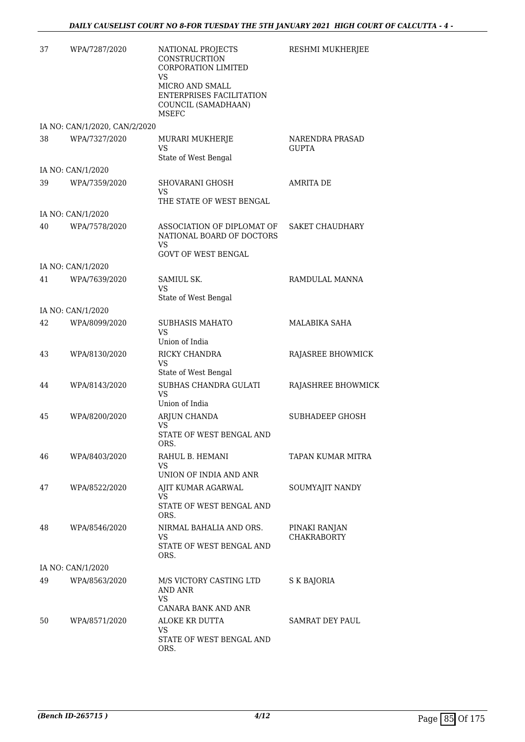| 37 | WPA/7287/2020                 | NATIONAL PROJECTS<br>CONSTRUCRTION<br>CORPORATION LIMITED<br>VS<br>MICRO AND SMALL<br><b>ENTERPRISES FACILITATION</b><br>COUNCIL (SAMADHAAN)<br>MSEFC | RESHMI MUKHERJEE                    |
|----|-------------------------------|-------------------------------------------------------------------------------------------------------------------------------------------------------|-------------------------------------|
|    | IA NO: CAN/1/2020, CAN/2/2020 |                                                                                                                                                       |                                     |
| 38 | WPA/7327/2020                 | MURARI MUKHERJE<br>VS<br>State of West Bengal                                                                                                         | <b>NARENDRA PRASAD</b><br>GUPTA     |
|    | IA NO: CAN/1/2020             |                                                                                                                                                       |                                     |
| 39 | WPA/7359/2020                 | SHOVARANI GHOSH<br>VS<br>THE STATE OF WEST BENGAL                                                                                                     | <b>AMRITA DE</b>                    |
|    | IA NO: CAN/1/2020             |                                                                                                                                                       |                                     |
| 40 | WPA/7578/2020                 | ASSOCIATION OF DIPLOMAT OF<br>NATIONAL BOARD OF DOCTORS<br>VS<br><b>GOVT OF WEST BENGAL</b>                                                           | SAKET CHAUDHARY                     |
|    | IA NO: CAN/1/2020             |                                                                                                                                                       |                                     |
| 41 | WPA/7639/2020                 | SAMIUL SK.<br>VS<br>State of West Bengal                                                                                                              | RAMDULAL MANNA                      |
|    | IA NO: CAN/1/2020             |                                                                                                                                                       |                                     |
| 42 | WPA/8099/2020                 | SUBHASIS MAHATO<br>VS<br>Union of India                                                                                                               | MALABIKA SAHA                       |
| 43 | WPA/8130/2020                 | RICKY CHANDRA<br>VS<br>State of West Bengal                                                                                                           | RAJASREE BHOWMICK                   |
| 44 | WPA/8143/2020                 | SUBHAS CHANDRA GULATI<br>VS<br>Union of India                                                                                                         | RAJASHREE BHOWMICK                  |
| 45 | WPA/8200/2020                 | ARJUN CHANDA<br><b>VS</b><br>STATE OF WEST BENGAL AND                                                                                                 | SUBHADEEP GHOSH                     |
| 46 | WPA/8403/2020                 | ORS.<br>RAHUL B. HEMANI<br><b>VS</b><br>UNION OF INDIA AND ANR                                                                                        | TAPAN KUMAR MITRA                   |
| 47 | WPA/8522/2020                 | AJIT KUMAR AGARWAL<br>VS<br>STATE OF WEST BENGAL AND                                                                                                  | SOUMYAJIT NANDY                     |
| 48 | WPA/8546/2020                 | ORS.<br>NIRMAL BAHALIA AND ORS.<br>VS<br>STATE OF WEST BENGAL AND<br>ORS.                                                                             | PINAKI RANJAN<br><b>CHAKRABORTY</b> |
|    | IA NO: CAN/1/2020             |                                                                                                                                                       |                                     |
| 49 | WPA/8563/2020                 | M/S VICTORY CASTING LTD<br>AND ANR<br>VS                                                                                                              | S K BAJORIA                         |
| 50 | WPA/8571/2020                 | CANARA BANK AND ANR<br>ALOKE KR DUTTA<br>VS<br>STATE OF WEST BENGAL AND<br>ORS.                                                                       | SAMRAT DEY PAUL                     |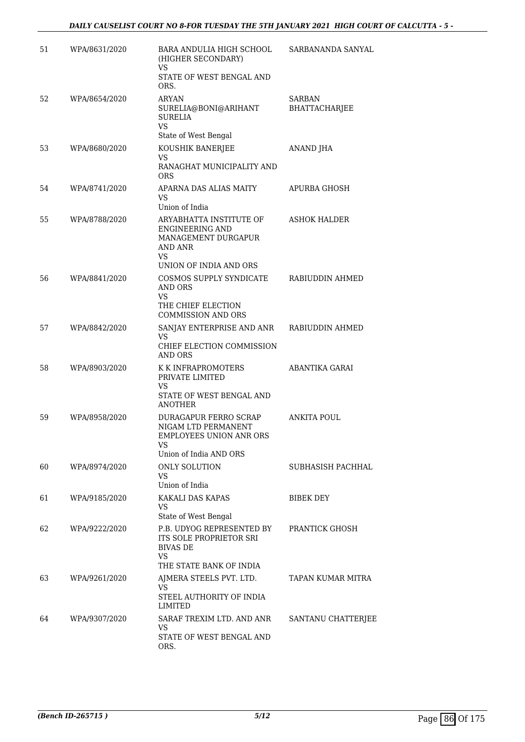| 51 | WPA/8631/2020 | BARA ANDULIA HIGH SCHOOL<br>(HIGHER SECONDARY)<br><b>VS</b>                                                           | SARBANANDA SANYAL                     |
|----|---------------|-----------------------------------------------------------------------------------------------------------------------|---------------------------------------|
|    |               | STATE OF WEST BENGAL AND<br>ORS.                                                                                      |                                       |
| 52 | WPA/8654/2020 | <b>ARYAN</b><br>SURELIA@BONI@ARIHANT<br><b>SURELIA</b><br><b>VS</b><br>State of West Bengal                           | <b>SARBAN</b><br><b>BHATTACHARJEE</b> |
| 53 | WPA/8680/2020 | KOUSHIK BANERJEE<br>VS<br>RANAGHAT MUNICIPALITY AND<br>ORS                                                            | ANAND JHA                             |
| 54 | WPA/8741/2020 | APARNA DAS ALIAS MAITY<br>VS<br>Union of India                                                                        | <b>APURBA GHOSH</b>                   |
| 55 | WPA/8788/2020 | ARYABHATTA INSTITUTE OF<br><b>ENGINEERING AND</b><br>MANAGEMENT DURGAPUR<br>AND ANR<br>VS                             | <b>ASHOK HALDER</b>                   |
| 56 | WPA/8841/2020 | UNION OF INDIA AND ORS<br>COSMOS SUPPLY SYNDICATE<br>AND ORS<br>VS<br>THE CHIEF ELECTION<br><b>COMMISSION AND ORS</b> | RABIUDDIN AHMED                       |
| 57 | WPA/8842/2020 | SANJAY ENTERPRISE AND ANR<br><b>VS</b><br>CHIEF ELECTION COMMISSION<br>AND ORS                                        | RABIUDDIN AHMED                       |
| 58 | WPA/8903/2020 | K K INFRAPROMOTERS<br>PRIVATE LIMITED<br>VS<br>STATE OF WEST BENGAL AND<br><b>ANOTHER</b>                             | ABANTIKA GARAI                        |
| 59 | WPA/8958/2020 | <b>DURAGAPUR FERRO SCRAP</b><br>NIGAM LTD PERMANENT<br><b>EMPLOYEES UNION ANR ORS</b><br>VS<br>Union of India AND ORS | <b>ANKITA POUL</b>                    |
| 60 | WPA/8974/2020 | ONLY SOLUTION<br>VS<br>Union of India                                                                                 | SUBHASISH PACHHAL                     |
| 61 | WPA/9185/2020 | KAKALI DAS KAPAS<br>VS<br>State of West Bengal                                                                        | BIBEK DEY                             |
| 62 | WPA/9222/2020 | P.B. UDYOG REPRESENTED BY<br>ITS SOLE PROPRIETOR SRI<br><b>BIVAS DE</b><br>VS<br>THE STATE BANK OF INDIA              | PRANTICK GHOSH                        |
| 63 | WPA/9261/2020 | AJMERA STEELS PVT. LTD.<br>VS<br>STEEL AUTHORITY OF INDIA<br>LIMITED                                                  | TAPAN KUMAR MITRA                     |
| 64 | WPA/9307/2020 | SARAF TREXIM LTD. AND ANR<br>VS<br>STATE OF WEST BENGAL AND<br>ORS.                                                   | SANTANU CHATTERJEE                    |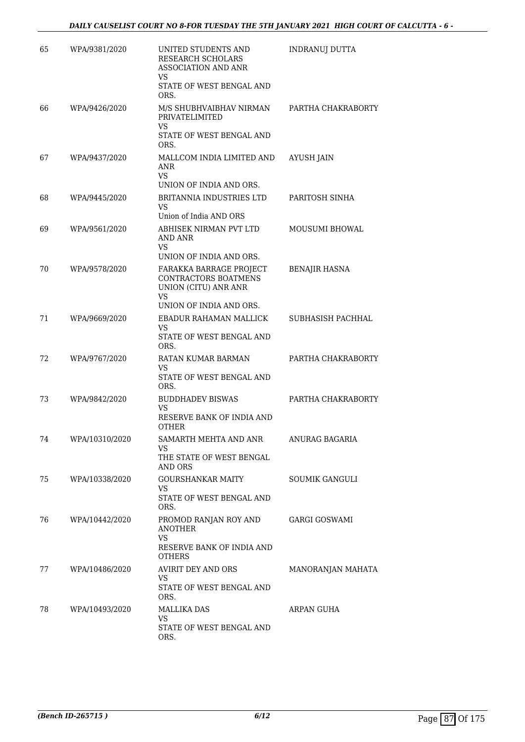| 65 | WPA/9381/2020  | UNITED STUDENTS AND<br>RESEARCH SCHOLARS<br><b>ASSOCIATION AND ANR</b><br><b>VS</b>                                    | INDRANUJ DUTTA        |
|----|----------------|------------------------------------------------------------------------------------------------------------------------|-----------------------|
|    |                | STATE OF WEST BENGAL AND<br>ORS.                                                                                       |                       |
| 66 | WPA/9426/2020  | M/S SHUBHVAIBHAV NIRMAN<br>PRIVATELIMITED<br><b>VS</b>                                                                 | PARTHA CHAKRABORTY    |
|    |                | STATE OF WEST BENGAL AND<br>ORS.                                                                                       |                       |
| 67 | WPA/9437/2020  | MALLCOM INDIA LIMITED AND<br>ANR<br><b>VS</b>                                                                          | <b>AYUSH JAIN</b>     |
|    |                | UNION OF INDIA AND ORS.                                                                                                |                       |
| 68 | WPA/9445/2020  | BRITANNIA INDUSTRIES LTD<br>VS<br>Union of India AND ORS                                                               | PARITOSH SINHA        |
| 69 | WPA/9561/2020  | ABHISEK NIRMAN PVT LTD<br>AND ANR<br>VS<br>UNION OF INDIA AND ORS.                                                     | <b>MOUSUMI BHOWAL</b> |
| 70 | WPA/9578/2020  | FARAKKA BARRAGE PROJECT<br>CONTRACTORS BOATMENS<br><b>UNION (CITU) ANR ANR</b><br><b>VS</b><br>UNION OF INDIA AND ORS. | <b>BENAJIR HASNA</b>  |
| 71 | WPA/9669/2020  | EBADUR RAHAMAN MALLICK                                                                                                 | SUBHASISH PACHHAL     |
|    |                | VS<br>STATE OF WEST BENGAL AND<br>ORS.                                                                                 |                       |
| 72 | WPA/9767/2020  | RATAN KUMAR BARMAN                                                                                                     | PARTHA CHAKRABORTY    |
|    |                | VS<br>STATE OF WEST BENGAL AND<br>ORS.                                                                                 |                       |
| 73 | WPA/9842/2020  | <b>BUDDHADEV BISWAS</b><br>VS<br>RESERVE BANK OF INDIA AND<br><b>OTHER</b>                                             | PARTHA CHAKRABORTY    |
| 74 | WPA/10310/2020 | SAMARTH MEHTA AND ANR<br>VS<br>THE STATE OF WEST BENGAL                                                                | <b>ANURAG BAGARIA</b> |
|    |                | AND ORS                                                                                                                |                       |
| 75 | WPA/10338/2020 | <b>GOURSHANKAR MAITY</b><br>VS.                                                                                        | <b>SOUMIK GANGULI</b> |
|    |                | STATE OF WEST BENGAL AND<br>ORS.                                                                                       |                       |
| 76 | WPA/10442/2020 | PROMOD RANJAN ROY AND<br><b>ANOTHER</b><br><b>VS</b><br>RESERVE BANK OF INDIA AND<br><b>OTHERS</b>                     | GARGI GOSWAMI         |
| 77 | WPA/10486/2020 | AVIRIT DEY AND ORS<br><b>VS</b>                                                                                        | MANORANJAN MAHATA     |
|    |                | STATE OF WEST BENGAL AND<br>ORS.                                                                                       |                       |
| 78 | WPA/10493/2020 | <b>MALLIKA DAS</b><br><b>VS</b>                                                                                        | ARPAN GUHA            |
|    |                | STATE OF WEST BENGAL AND<br>ORS.                                                                                       |                       |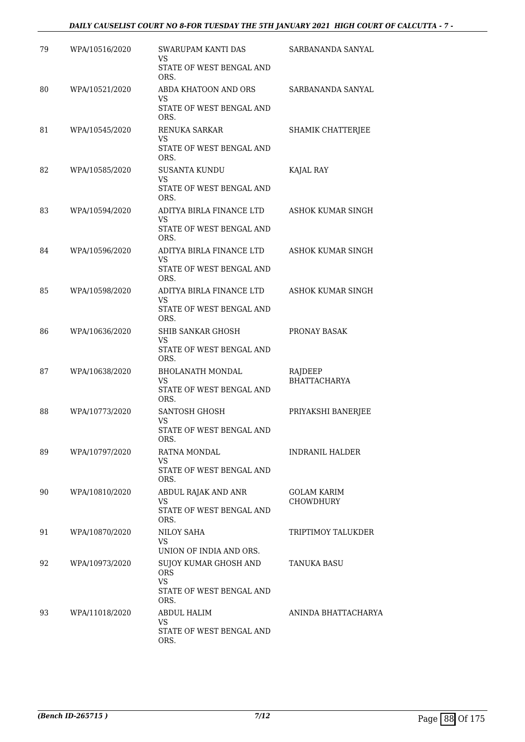### *DAILY CAUSELIST COURT NO 8-FOR TUESDAY THE 5TH JANUARY 2021 HIGH COURT OF CALCUTTA - 7 -*

| 79 | WPA/10516/2020 | <b>SWARUPAM KANTI DAS</b><br>VS                  | SARBANANDA SANYAL                      |
|----|----------------|--------------------------------------------------|----------------------------------------|
|    |                | STATE OF WEST BENGAL AND<br>ORS.                 |                                        |
| 80 | WPA/10521/2020 | ABDA KHATOON AND ORS<br>VS                       | SARBANANDA SANYAL                      |
|    |                | STATE OF WEST BENGAL AND<br>ORS.                 |                                        |
| 81 | WPA/10545/2020 | <b>RENUKA SARKAR</b><br>VS                       | SHAMIK CHATTERJEE                      |
|    |                | STATE OF WEST BENGAL AND<br>ORS.                 |                                        |
| 82 | WPA/10585/2020 | <b>SUSANTA KUNDU</b><br><b>VS</b>                | KAJAL RAY                              |
|    |                | STATE OF WEST BENGAL AND<br>ORS.                 |                                        |
| 83 | WPA/10594/2020 | ADITYA BIRLA FINANCE LTD<br>VS                   | ASHOK KUMAR SINGH                      |
|    |                | STATE OF WEST BENGAL AND<br>ORS.                 |                                        |
| 84 | WPA/10596/2020 | ADITYA BIRLA FINANCE LTD<br>VS                   | ASHOK KUMAR SINGH                      |
|    |                | STATE OF WEST BENGAL AND<br>ORS.                 |                                        |
| 85 | WPA/10598/2020 | ADITYA BIRLA FINANCE LTD<br>VS                   | ASHOK KUMAR SINGH                      |
|    |                | STATE OF WEST BENGAL AND<br>ORS.                 |                                        |
| 86 | WPA/10636/2020 | SHIB SANKAR GHOSH<br>VS                          | PRONAY BASAK                           |
|    |                | STATE OF WEST BENGAL AND<br>ORS.                 |                                        |
| 87 | WPA/10638/2020 | <b>BHOLANATH MONDAL</b><br>VS                    | RAJDEEP<br><b>BHATTACHARYA</b>         |
|    |                | STATE OF WEST BENGAL AND<br>ORS.                 |                                        |
| 88 | WPA/10773/2020 | <b>SANTOSH GHOSH</b><br>VS                       | PRIYAKSHI BANERJEE                     |
|    |                | STATE OF WEST BENGAL AND<br>ORS.                 |                                        |
| 89 | WPA/10797/2020 | RATNA MONDAL<br><b>VS</b>                        | <b>INDRANIL HALDER</b>                 |
|    |                | STATE OF WEST BENGAL AND<br>ORS.                 |                                        |
| 90 | WPA/10810/2020 | ABDUL RAJAK AND ANR<br><b>VS</b>                 | <b>GOLAM KARIM</b><br><b>CHOWDHURY</b> |
|    |                | STATE OF WEST BENGAL AND<br>ORS.                 |                                        |
| 91 | WPA/10870/2020 | NILOY SAHA<br>VS                                 | TRIPTIMOY TALUKDER                     |
|    |                | UNION OF INDIA AND ORS.                          |                                        |
| 92 | WPA/10973/2020 | SUJOY KUMAR GHOSH AND<br><b>ORS</b><br><b>VS</b> | TANUKA BASU                            |
|    |                | STATE OF WEST BENGAL AND<br>ORS.                 |                                        |
| 93 | WPA/11018/2020 | ABDUL HALIM                                      | ANINDA BHATTACHARYA                    |
|    |                | <b>VS</b><br>STATE OF WEST BENGAL AND<br>ORS.    |                                        |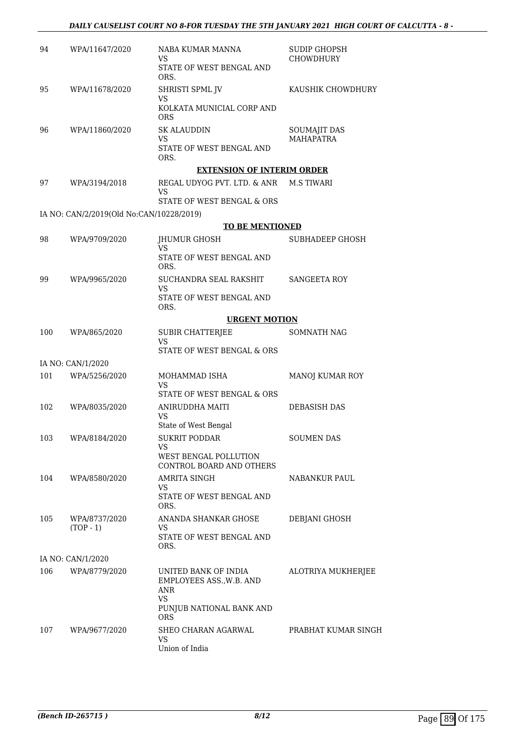| 94  | WPA/11647/2020                           | NABA KUMAR MANNA<br>VS<br>STATE OF WEST BENGAL AND<br>ORS.                                              | <b>SUDIP GHOPSH</b><br><b>CHOWDHURY</b> |
|-----|------------------------------------------|---------------------------------------------------------------------------------------------------------|-----------------------------------------|
| 95  | WPA/11678/2020                           | SHRISTI SPML JV<br>VS<br>KOLKATA MUNICIAL CORP AND<br><b>ORS</b>                                        | KAUSHIK CHOWDHURY                       |
| 96  | WPA/11860/2020                           | <b>SK ALAUDDIN</b><br>VS<br>STATE OF WEST BENGAL AND<br>ORS.                                            | SOUMAJIT DAS<br><b>MAHAPATRA</b>        |
|     |                                          | <b>EXTENSION OF INTERIM ORDER</b>                                                                       |                                         |
| 97  | WPA/3194/2018                            | REGAL UDYOG PVT. LTD. & ANR<br>VS<br>STATE OF WEST BENGAL & ORS                                         | <b>M.S TIWARI</b>                       |
|     | IA NO: CAN/2/2019(Old No:CAN/10228/2019) |                                                                                                         |                                         |
|     |                                          | <b>TO BE MENTIONED</b>                                                                                  |                                         |
| 98  | WPA/9709/2020                            | JHUMUR GHOSH<br>VS                                                                                      | SUBHADEEP GHOSH                         |
|     |                                          | STATE OF WEST BENGAL AND<br>ORS.                                                                        |                                         |
| 99  | WPA/9965/2020                            | SUCHANDRA SEAL RAKSHIT<br><b>VS</b>                                                                     | SANGEETA ROY                            |
|     |                                          | STATE OF WEST BENGAL AND<br>ORS.                                                                        |                                         |
|     |                                          | <b>URGENT MOTION</b>                                                                                    |                                         |
| 100 | WPA/865/2020                             | <b>SUBIR CHATTERJEE</b><br><b>VS</b><br>STATE OF WEST BENGAL & ORS                                      | SOMNATH NAG                             |
|     | IA NO: CAN/1/2020                        |                                                                                                         |                                         |
| 101 | WPA/5256/2020                            | MOHAMMAD ISHA                                                                                           | MANOJ KUMAR ROY                         |
|     |                                          | VS<br>STATE OF WEST BENGAL & ORS                                                                        |                                         |
| 102 | WPA/8035/2020                            | ANIRUDDHA MAITI<br>VS                                                                                   | <b>DEBASISH DAS</b>                     |
| 103 | WPA/8184/2020                            | State of West Bengal<br><b>SUKRIT PODDAR</b>                                                            | <b>SOUMEN DAS</b>                       |
|     |                                          | VS<br>WEST BENGAL POLLUTION<br>CONTROL BOARD AND OTHERS                                                 |                                         |
| 104 | WPA/8580/2020                            | AMRITA SINGH                                                                                            | NABANKUR PAUL                           |
|     |                                          | VS.<br>STATE OF WEST BENGAL AND<br>ORS.                                                                 |                                         |
| 105 | WPA/8737/2020<br>$(TOP - 1)$             | ANANDA SHANKAR GHOSE<br>VS                                                                              | DEBJANI GHOSH                           |
|     |                                          | STATE OF WEST BENGAL AND<br>ORS.                                                                        |                                         |
|     | IA NO: CAN/1/2020                        |                                                                                                         |                                         |
| 106 | WPA/8779/2020                            | UNITED BANK OF INDIA<br>EMPLOYEES ASS., W.B. AND<br>ANR<br><b>VS</b><br>PUNJUB NATIONAL BANK AND<br>ORS | ALOTRIYA MUKHERJEE                      |
| 107 | WPA/9677/2020                            | SHEO CHARAN AGARWAL<br><b>VS</b><br>Union of India                                                      | PRABHAT KUMAR SINGH                     |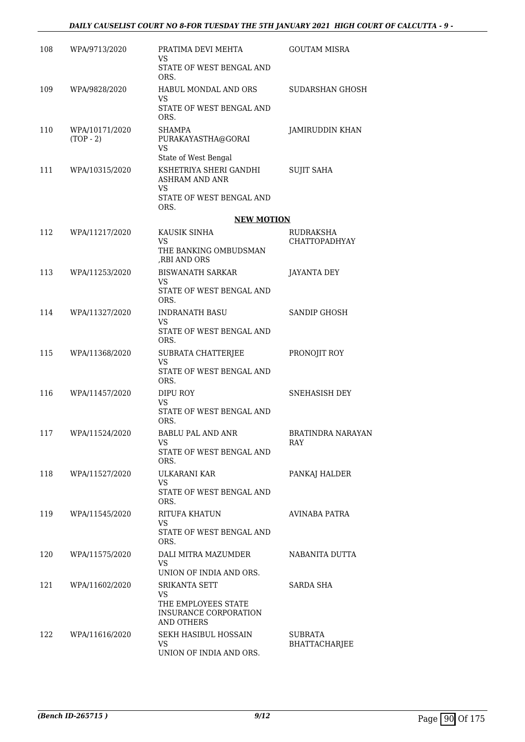| 108 | WPA/9713/2020                 | PRATIMA DEVI MEHTA<br>VS                                          | <b>GOUTAM MISRA</b>             |
|-----|-------------------------------|-------------------------------------------------------------------|---------------------------------|
|     |                               | STATE OF WEST BENGAL AND<br>ORS.                                  |                                 |
| 109 | WPA/9828/2020                 | <b>HABUL MONDAL AND ORS</b><br>VS                                 | SUDARSHAN GHOSH                 |
|     |                               | STATE OF WEST BENGAL AND<br>ORS.                                  |                                 |
| 110 | WPA/10171/2020<br>$(TOP - 2)$ | <b>SHAMPA</b><br>PURAKAYASTHA@GORAI<br>VS<br>State of West Bengal | JAMIRUDDIN KHAN                 |
| 111 | WPA/10315/2020                | KSHETRIYA SHERI GANDHI<br>ASHRAM AND ANR<br>VS.                   | SUJIT SAHA                      |
|     |                               | STATE OF WEST BENGAL AND<br>ORS.                                  |                                 |
|     |                               | <b>NEW MOTION</b>                                                 |                                 |
| 112 | WPA/11217/2020                | KAUSIK SINHA<br>VS<br>THE BANKING OMBUDSMAN<br>,RBI AND ORS       | RUDRAKSHA<br>CHATTOPADHYAY      |
| 113 | WPA/11253/2020                | <b>BISWANATH SARKAR</b><br>VS                                     | JAYANTA DEY                     |
|     |                               | STATE OF WEST BENGAL AND<br>ORS.                                  |                                 |
| 114 | WPA/11327/2020                | <b>INDRANATH BASU</b><br>VS                                       | SANDIP GHOSH                    |
|     |                               | STATE OF WEST BENGAL AND<br>ORS.                                  |                                 |
| 115 | WPA/11368/2020                | SUBRATA CHATTERJEE<br>VS                                          | PRONOJIT ROY                    |
|     |                               | STATE OF WEST BENGAL AND<br>ORS.                                  |                                 |
| 116 | WPA/11457/2020                | DIPU ROY<br>VS.                                                   | SNEHASISH DEY                   |
|     |                               | STATE OF WEST BENGAL AND<br>ORS.                                  |                                 |
| 117 | WPA/11524/2020                | BABLU PAL AND ANR<br>VS                                           | BRATINDRA NARAYAN<br><b>RAY</b> |
|     |                               | STATE OF WEST BENGAL AND<br>ORS.                                  |                                 |
| 118 | WPA/11527/2020                | ULKARANI KAR<br><b>VS</b>                                         | PANKAJ HALDER                   |
|     |                               | STATE OF WEST BENGAL AND<br>ORS.                                  |                                 |
| 119 | WPA/11545/2020                | RITUFA KHATUN<br>VS                                               | AVINABA PATRA                   |
|     |                               | STATE OF WEST BENGAL AND<br>ORS.                                  |                                 |
| 120 | WPA/11575/2020                | DALI MITRA MAZUMDER<br>VS.<br>UNION OF INDIA AND ORS.             | NABANITA DUTTA                  |
| 121 | WPA/11602/2020                | <b>SRIKANTA SETT</b><br>VS                                        | SARDA SHA                       |
|     |                               | THE EMPLOYEES STATE<br>INSURANCE CORPORATION<br>AND OTHERS        |                                 |
| 122 | WPA/11616/2020                | SEKH HASIBUL HOSSAIN<br>VS                                        | SUBRATA<br><b>BHATTACHARJEE</b> |
|     |                               | UNION OF INDIA AND ORS.                                           |                                 |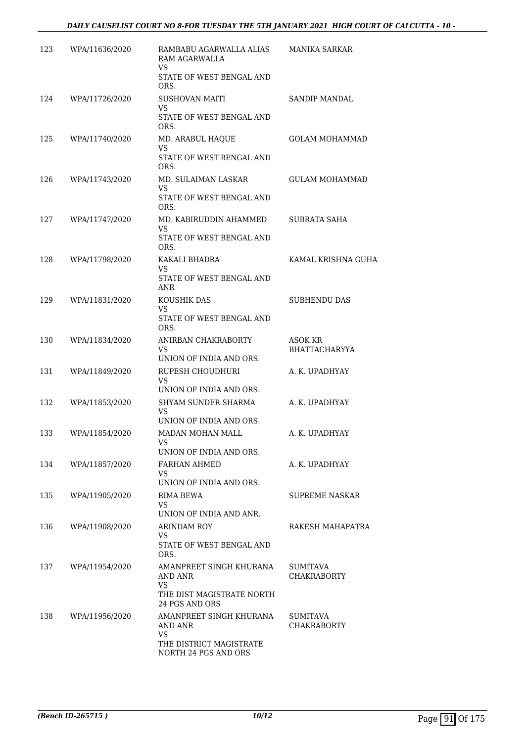| 123 | WPA/11636/2020 | RAMBABU AGARWALLA ALIAS<br><b>RAM AGARWALLA</b><br><b>VS</b> | <b>MANIKA SARKAR</b>                   |
|-----|----------------|--------------------------------------------------------------|----------------------------------------|
|     |                | STATE OF WEST BENGAL AND<br>ORS.                             |                                        |
| 124 | WPA/11726/2020 | SUSHOVAN MAITI<br>VS.                                        | SANDIP MANDAL                          |
|     |                | STATE OF WEST BENGAL AND<br>ORS.                             |                                        |
| 125 | WPA/11740/2020 | MD. ARABUL HAQUE<br>VS                                       | <b>GOLAM MOHAMMAD</b>                  |
|     |                | STATE OF WEST BENGAL AND<br>ORS.                             |                                        |
| 126 | WPA/11743/2020 | MD. SULAIMAN LASKAR<br>VS                                    | GULAM MOHAMMAD                         |
|     |                | STATE OF WEST BENGAL AND<br>ORS.                             |                                        |
| 127 | WPA/11747/2020 | MD. KABIRUDDIN AHAMMED<br>VS                                 | SUBRATA SAHA                           |
|     |                | STATE OF WEST BENGAL AND<br>ORS.                             |                                        |
| 128 | WPA/11798/2020 | KAKALI BHADRA<br>VS                                          | KAMAL KRISHNA GUHA                     |
|     |                | STATE OF WEST BENGAL AND<br>ANR                              |                                        |
| 129 | WPA/11831/2020 | KOUSHIK DAS<br>VS                                            | SUBHENDU DAS                           |
|     |                | STATE OF WEST BENGAL AND<br>ORS.                             |                                        |
| 130 | WPA/11834/2020 | ANIRBAN CHAKRABORTY<br>VS                                    | <b>ASOK KR</b><br><b>BHATTACHARYYA</b> |
|     |                | UNION OF INDIA AND ORS.                                      |                                        |
| 131 | WPA/11849/2020 | RUPESH CHOUDHURI<br>VS<br>UNION OF INDIA AND ORS.            | A. K. UPADHYAY                         |
| 132 | WPA/11853/2020 | SHYAM SUNDER SHARMA                                          | A. K. UPADHYAY                         |
|     |                | VS<br>UNION OF INDIA AND ORS.                                |                                        |
| 133 | WPA/11854/2020 | MADAN MOHAN MALL                                             | A. K. UPADHYAY                         |
|     |                | VS<br>UNION OF INDIA AND ORS.                                |                                        |
| 134 | WPA/11857/2020 | FARHAN AHMED<br>VS                                           | A. K. UPADHYAY                         |
|     |                | UNION OF INDIA AND ORS.                                      |                                        |
| 135 | WPA/11905/2020 | RIMA BEWA<br>VS                                              | SUPREME NASKAR                         |
|     |                | UNION OF INDIA AND ANR.                                      |                                        |
| 136 | WPA/11908/2020 | ARINDAM ROY<br>VS                                            | RAKESH MAHAPATRA                       |
|     |                | STATE OF WEST BENGAL AND<br>ORS.                             |                                        |
| 137 | WPA/11954/2020 | AMANPREET SINGH KHURANA<br>AND ANR                           | SUMITAVA<br><b>CHAKRABORTY</b>         |
|     |                | <b>VS</b>                                                    |                                        |
|     |                | THE DIST MAGISTRATE NORTH<br>24 PGS AND ORS                  |                                        |
| 138 | WPA/11956/2020 | AMANPREET SINGH KHURANA<br>AND ANR                           | <b>SUMITAVA</b><br><b>CHAKRABORTY</b>  |
|     |                | VS                                                           |                                        |
|     |                | THE DISTRICT MAGISTRATE<br>NORTH 24 PGS AND ORS              |                                        |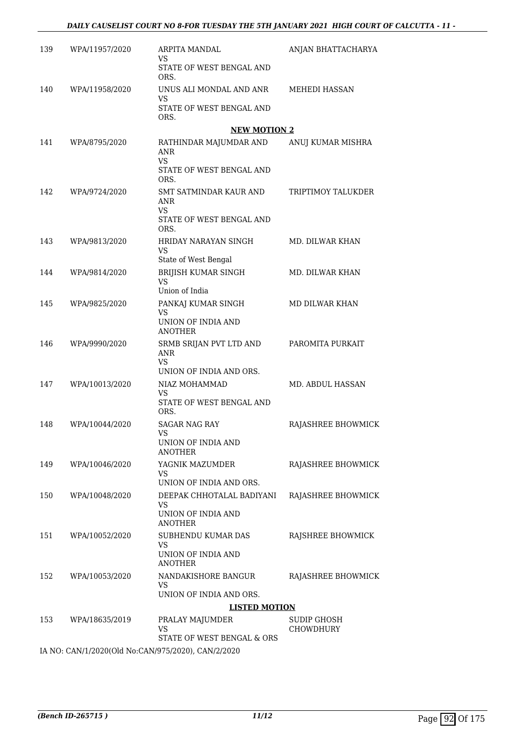| 139 | WPA/11957/2020 | ARPITA MANDAL<br>VS                                                             | ANJAN BHATTACHARYA              |
|-----|----------------|---------------------------------------------------------------------------------|---------------------------------|
|     |                | STATE OF WEST BENGAL AND<br>ORS.                                                |                                 |
| 140 | WPA/11958/2020 | UNUS ALI MONDAL AND ANR<br>VS                                                   | MEHEDI HASSAN                   |
|     |                | STATE OF WEST BENGAL AND<br>ORS.                                                |                                 |
|     |                | <b>NEW MOTION 2</b>                                                             |                                 |
| 141 | WPA/8795/2020  | RATHINDAR MAJUMDAR AND<br><b>ANR</b><br><b>VS</b>                               | ANUJ KUMAR MISHRA               |
|     |                | STATE OF WEST BENGAL AND<br>ORS.                                                |                                 |
| 142 | WPA/9724/2020  | SMT SATMINDAR KAUR AND<br>ANR<br>VS<br>STATE OF WEST BENGAL AND                 | TRIPTIMOY TALUKDER              |
|     |                | ORS.                                                                            |                                 |
| 143 | WPA/9813/2020  | HRIDAY NARAYAN SINGH<br>VS                                                      | MD. DILWAR KHAN                 |
|     |                | State of West Bengal                                                            |                                 |
| 144 | WPA/9814/2020  | BRIJISH KUMAR SINGH<br><b>VS</b>                                                | MD. DILWAR KHAN                 |
| 145 | WPA/9825/2020  | Union of India<br>PANKAJ KUMAR SINGH                                            | MD DILWAR KHAN                  |
|     |                | VS<br>UNION OF INDIA AND                                                        |                                 |
|     |                | <b>ANOTHER</b>                                                                  |                                 |
| 146 | WPA/9990/2020  | SRMB SRIJAN PVT LTD AND<br><b>ANR</b><br>VS                                     | PAROMITA PURKAIT                |
| 147 | WPA/10013/2020 | UNION OF INDIA AND ORS.<br>NIAZ MOHAMMAD                                        | MD. ABDUL HASSAN                |
|     |                | VS                                                                              |                                 |
|     |                | STATE OF WEST BENGAL AND<br>ORS.                                                |                                 |
| 148 | WPA/10044/2020 | SAGAR NAG RAY<br>VS                                                             | RAJASHREE BHOWMICK              |
|     |                | UNION OF INDIA AND<br><b>ANOTHER</b>                                            |                                 |
| 149 | WPA/10046/2020 | YAGNIK MAZUMDER                                                                 | RAJASHREE BHOWMICK              |
|     |                | VS.<br>UNION OF INDIA AND ORS.                                                  |                                 |
| 150 | WPA/10048/2020 | DEEPAK CHHOTALAL BADIYANI                                                       | RAJASHREE BHOWMICK              |
|     |                | <b>VS</b><br>UNION OF INDIA AND<br><b>ANOTHER</b>                               |                                 |
| 151 | WPA/10052/2020 | SUBHENDU KUMAR DAS                                                              | RAJSHREE BHOWMICK               |
|     |                | VS<br>UNION OF INDIA AND<br><b>ANOTHER</b>                                      |                                 |
| 152 | WPA/10053/2020 | NANDAKISHORE BANGUR<br>VS.                                                      | RAJASHREE BHOWMICK              |
|     |                | UNION OF INDIA AND ORS.                                                         |                                 |
|     |                | <b>LISTED MOTION</b>                                                            |                                 |
| 153 | WPA/18635/2019 | PRALAY MAJUMDER<br>VS                                                           | SUDIP GHOSH<br><b>CHOWDHURY</b> |
|     |                | STATE OF WEST BENGAL & ORS<br>IA NO: CAN/1/2020(Old No:CAN/975/2020) CAN/2/2020 |                                 |

IA NO: CAN/1/2020(Old No:CAN/975/2020), CAN/2/2020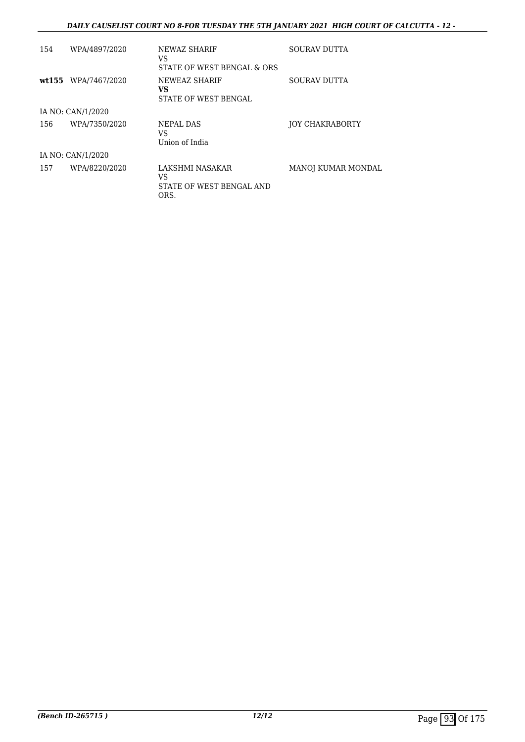### *DAILY CAUSELIST COURT NO 8-FOR TUESDAY THE 5TH JANUARY 2021 HIGH COURT OF CALCUTTA - 12 -*

| 154 | WPA/4897/2020       | NEWAZ SHARIF<br>VS<br>STATE OF WEST BENGAL & ORS          | <b>SOURAV DUTTA</b>       |
|-----|---------------------|-----------------------------------------------------------|---------------------------|
|     | wt155 WPA/7467/2020 | NEWEAZ SHARIF<br>VS.<br>STATE OF WEST BENGAL              | SOURAV DUTTA              |
|     | IA NO: CAN/1/2020   |                                                           |                           |
| 156 | WPA/7350/2020       | NEPAL DAS<br><b>VS</b><br>Union of India                  | <b>JOY CHAKRABORTY</b>    |
|     | IA NO: CAN/1/2020   |                                                           |                           |
| 157 | WPA/8220/2020       | LAKSHMI NASAKAR<br>VS<br>STATE OF WEST BENGAL AND<br>ORS. | <b>MANOJ KUMAR MONDAL</b> |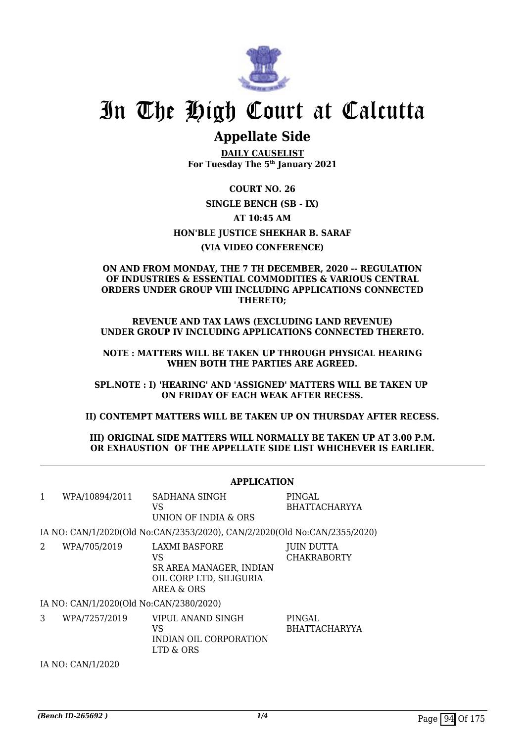

# In The High Court at Calcutta

## **Appellate Side**

**DAILY CAUSELIST For Tuesday The 5th January 2021**

**COURT NO. 26 SINGLE BENCH (SB - IX) AT 10:45 AM HON'BLE JUSTICE SHEKHAR B. SARAF (VIA VIDEO CONFERENCE)**

### **ON AND FROM MONDAY, THE 7 TH DECEMBER, 2020 -- REGULATION OF INDUSTRIES & ESSENTIAL COMMODITIES & VARIOUS CENTRAL ORDERS UNDER GROUP VIII INCLUDING APPLICATIONS CONNECTED THERETO;**

**REVENUE AND TAX LAWS (EXCLUDING LAND REVENUE) UNDER GROUP IV INCLUDING APPLICATIONS CONNECTED THERETO.**

**NOTE : MATTERS WILL BE TAKEN UP THROUGH PHYSICAL HEARING WHEN BOTH THE PARTIES ARE AGREED.**

**SPL.NOTE : I) 'HEARING' AND 'ASSIGNED' MATTERS WILL BE TAKEN UP ON FRIDAY OF EACH WEAK AFTER RECESS.**

**II) CONTEMPT MATTERS WILL BE TAKEN UP ON THURSDAY AFTER RECESS.**

**III) ORIGINAL SIDE MATTERS WILL NORMALLY BE TAKEN UP AT 3.00 P.M. OR EXHAUSTION OF THE APPELLATE SIDE LIST WHICHEVER IS EARLIER.**

|              |                                         | <b>APPLICATION</b>                                                                      |                                  |
|--------------|-----------------------------------------|-----------------------------------------------------------------------------------------|----------------------------------|
| $\mathbf{1}$ | WPA/10894/2011                          | SADHANA SINGH<br>VS<br>UNION OF INDIA & ORS                                             | PINGAL<br><b>BHATTACHARYYA</b>   |
|              |                                         | IA NO: CAN/1/2020(Old No:CAN/2353/2020), CAN/2/2020(Old No:CAN/2355/2020)               |                                  |
| 2            | WPA/705/2019                            | LAXMI BASFORE<br>VS<br>SR AREA MANAGER, INDIAN<br>OIL CORP LTD, SILIGURIA<br>AREA & ORS | JUIN DUTTA<br><b>CHAKRABORTY</b> |
|              | IA NO: CAN/1/2020(Old No:CAN/2380/2020) |                                                                                         |                                  |
| 3            | WPA/7257/2019                           | VIPUL ANAND SINGH<br>VS<br>INDIAN OIL CORPORATION<br>LTD & ORS                          | PINGAL<br><b>BHATTACHARYYA</b>   |
|              | IA NO: CAN/1/2020                       |                                                                                         |                                  |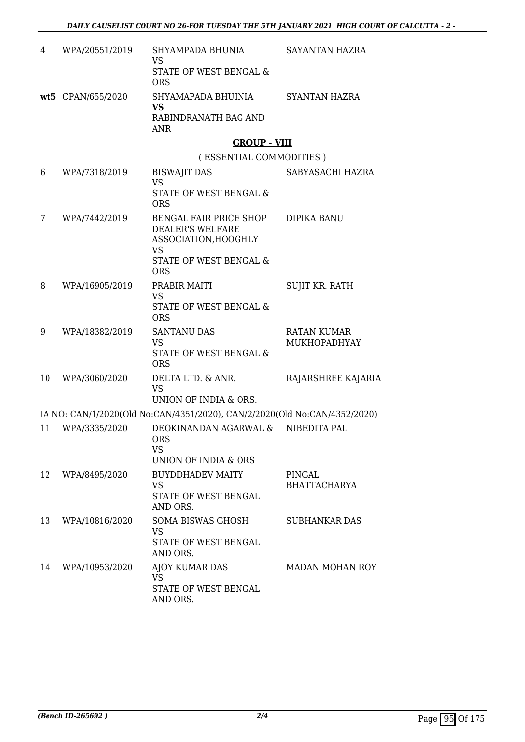| 4  | WPA/20551/2019    | SHYAMPADA BHUNIA<br><b>VS</b>                                             | <b>SAYANTAN HAZRA</b>              |
|----|-------------------|---------------------------------------------------------------------------|------------------------------------|
|    |                   | STATE OF WEST BENGAL &<br><b>ORS</b>                                      |                                    |
|    | wt5 CPAN/655/2020 | SHYAMAPADA BHUINIA<br><b>VS</b>                                           | SYANTAN HAZRA                      |
|    |                   | RABINDRANATH BAG AND<br><b>ANR</b>                                        |                                    |
|    |                   | <b>GROUP - VIII</b>                                                       |                                    |
|    |                   | (ESSENTIAL COMMODITIES)                                                   |                                    |
| 6  | WPA/7318/2019     | <b>BISWAJIT DAS</b>                                                       | SABYASACHI HAZRA                   |
|    |                   | <b>VS</b><br>STATE OF WEST BENGAL &<br><b>ORS</b>                         |                                    |
| 7  | WPA/7442/2019     | BENGAL FAIR PRICE SHOP<br><b>DEALER'S WELFARE</b><br>ASSOCIATION, HOOGHLY | <b>DIPIKA BANU</b>                 |
|    |                   | <b>VS</b><br>STATE OF WEST BENGAL &<br><b>ORS</b>                         |                                    |
| 8  | WPA/16905/2019    | PRABIR MAITI                                                              | <b>SUJIT KR. RATH</b>              |
|    |                   | <b>VS</b><br>STATE OF WEST BENGAL &<br><b>ORS</b>                         |                                    |
| 9  | WPA/18382/2019    | <b>SANTANU DAS</b><br><b>VS</b><br>STATE OF WEST BENGAL &                 | <b>RATAN KUMAR</b><br>MUKHOPADHYAY |
|    |                   | <b>ORS</b>                                                                |                                    |
| 10 | WPA/3060/2020     | DELTA LTD. & ANR.<br><b>VS</b>                                            | RAJARSHREE KAJARIA                 |
|    |                   | UNION OF INDIA & ORS.                                                     |                                    |
|    |                   | IA NO: CAN/1/2020(Old No:CAN/4351/2020), CAN/2/2020(Old No:CAN/4352/2020) |                                    |
| 11 | WPA/3335/2020     | DEOKINANDAN AGARWAL &<br><b>ORS</b><br><b>VS</b>                          | NIBEDITA PAL                       |
|    |                   | UNION OF INDIA & ORS                                                      |                                    |
| 12 | WPA/8495/2020     | <b>BUYDDHADEV MAITY</b><br><b>VS</b>                                      | PINGAL<br><b>BHATTACHARYA</b>      |
|    |                   | STATE OF WEST BENGAL<br>AND ORS.                                          |                                    |
| 13 | WPA/10816/2020    | <b>SOMA BISWAS GHOSH</b><br><b>VS</b>                                     | SUBHANKAR DAS                      |
|    |                   | <b>STATE OF WEST BENGAL</b><br>AND ORS.                                   |                                    |
| 14 | WPA/10953/2020    | AJOY KUMAR DAS<br><b>VS</b>                                               | MADAN MOHAN ROY                    |
|    |                   | STATE OF WEST BENGAL<br>AND ORS.                                          |                                    |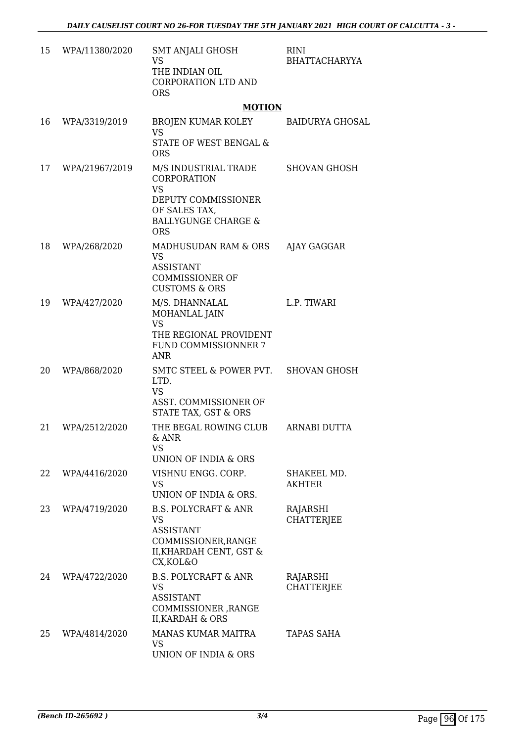| 15 | WPA/11380/2020 | <b>SMT ANJALI GHOSH</b><br>VS<br>THE INDIAN OIL<br>CORPORATION LTD AND<br><b>ORS</b>                                                     | <b>RINI</b><br>BHATTACHARYYA  |
|----|----------------|------------------------------------------------------------------------------------------------------------------------------------------|-------------------------------|
|    |                | <b>MOTION</b>                                                                                                                            |                               |
| 16 | WPA/3319/2019  | BROJEN KUMAR KOLEY<br><b>VS</b><br><b>STATE OF WEST BENGAL &amp;</b><br><b>ORS</b>                                                       | <b>BAIDURYA GHOSAL</b>        |
| 17 | WPA/21967/2019 | M/S INDUSTRIAL TRADE<br>CORPORATION<br><b>VS</b><br>DEPUTY COMMISSIONER<br>OF SALES TAX,<br><b>BALLYGUNGE CHARGE &amp;</b><br><b>ORS</b> | <b>SHOVAN GHOSH</b>           |
| 18 | WPA/268/2020   | MADHUSUDAN RAM & ORS<br><b>VS</b><br><b>ASSISTANT</b><br><b>COMMISSIONER OF</b><br><b>CUSTOMS &amp; ORS</b>                              | AJAY GAGGAR                   |
| 19 | WPA/427/2020   | M/S. DHANNALAL<br>MOHANLAL JAIN<br><b>VS</b>                                                                                             | L.P. TIWARI                   |
|    |                | THE REGIONAL PROVIDENT<br><b>FUND COMMISSIONNER 7</b><br><b>ANR</b>                                                                      |                               |
| 20 | WPA/868/2020   | SMTC STEEL & POWER PVT.<br>LTD.<br><b>VS</b><br>ASST. COMMISSIONER OF<br>STATE TAX, GST & ORS                                            | <b>SHOVAN GHOSH</b>           |
| 21 | WPA/2512/2020  | THE BEGAL ROWING CLUB<br>$&$ ANR<br>VS<br>UNION OF INDIA & ORS                                                                           | <b>ARNABI DUTTA</b>           |
| 22 | WPA/4416/2020  | VISHNU ENGG. CORP.<br><b>VS</b><br>UNION OF INDIA & ORS.                                                                                 | SHAKEEL MD.<br><b>AKHTER</b>  |
| 23 | WPA/4719/2020  | <b>B.S. POLYCRAFT &amp; ANR</b><br><b>VS</b><br><b>ASSISTANT</b><br>COMMISSIONER, RANGE<br>II, KHARDAH CENT, GST &<br>CX, KOL&O          | RAJARSHI<br><b>CHATTERJEE</b> |
| 24 | WPA/4722/2020  | <b>B.S. POLYCRAFT &amp; ANR</b><br><b>VS</b><br><b>ASSISTANT</b><br>COMMISSIONER, RANGE<br><b>II, KARDAH &amp; ORS</b>                   | RAJARSHI<br><b>CHATTERJEE</b> |
| 25 | WPA/4814/2020  | <b>MANAS KUMAR MAITRA</b><br><b>VS</b><br>UNION OF INDIA & ORS                                                                           | TAPAS SAHA                    |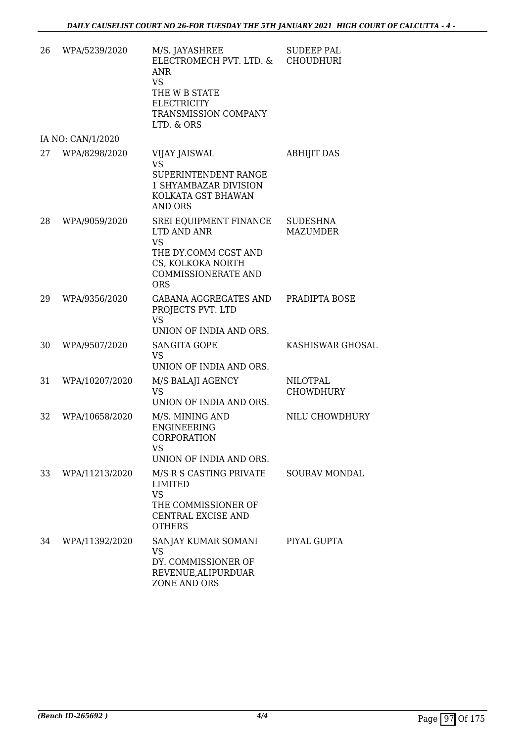| 26 | WPA/5239/2020     | M/S. JAYASHREE<br>ELECTROMECH PVT. LTD. &<br>ANR<br><b>VS</b><br>THE W B STATE<br><b>ELECTRICITY</b><br>TRANSMISSION COMPANY<br>LTD. & ORS  | <b>SUDEEP PAL</b><br><b>CHOUDHURI</b> |
|----|-------------------|---------------------------------------------------------------------------------------------------------------------------------------------|---------------------------------------|
|    | IA NO: CAN/1/2020 |                                                                                                                                             |                                       |
| 27 | WPA/8298/2020     | VIJAY JAISWAL<br><b>VS</b><br>SUPERINTENDENT RANGE<br>1 SHYAMBAZAR DIVISION<br>KOLKATA GST BHAWAN<br><b>AND ORS</b>                         | <b>ABHIJIT DAS</b>                    |
| 28 | WPA/9059/2020     | SREI EQUIPMENT FINANCE<br>LTD AND ANR<br><b>VS</b><br>THE DY.COMM CGST AND<br>CS, KOLKOKA NORTH<br><b>COMMISSIONERATE AND</b><br><b>ORS</b> | <b>SUDESHNA</b><br><b>MAZUMDER</b>    |
| 29 | WPA/9356/2020     | <b>GABANA AGGREGATES AND</b><br>PROJECTS PVT. LTD<br><b>VS</b><br>UNION OF INDIA AND ORS.                                                   | PRADIPTA BOSE                         |
| 30 | WPA/9507/2020     | <b>SANGITA GOPE</b><br><b>VS</b><br>UNION OF INDIA AND ORS.                                                                                 | KASHISWAR GHOSAL                      |
| 31 | WPA/10207/2020    | M/S BALAJI AGENCY<br><b>VS</b><br>UNION OF INDIA AND ORS.                                                                                   | <b>NILOTPAL</b><br><b>CHOWDHURY</b>   |
| 32 | WPA/10658/2020    | M/S. MINING AND<br><b>ENGINEERING</b><br>CORPORATION<br>VS<br>UNION OF INDIA AND ORS.                                                       | NILU CHOWDHURY                        |
| 33 | WPA/11213/2020    | M/S R S CASTING PRIVATE<br>LIMITED<br><b>VS</b><br>THE COMMISSIONER OF<br>CENTRAL EXCISE AND<br><b>OTHERS</b>                               | <b>SOURAV MONDAL</b>                  |
| 34 | WPA/11392/2020    | SANJAY KUMAR SOMANI<br><b>VS</b><br>DY. COMMISSIONER OF<br>REVENUE, ALIPURDUAR<br>ZONE AND ORS                                              | PIYAL GUPTA                           |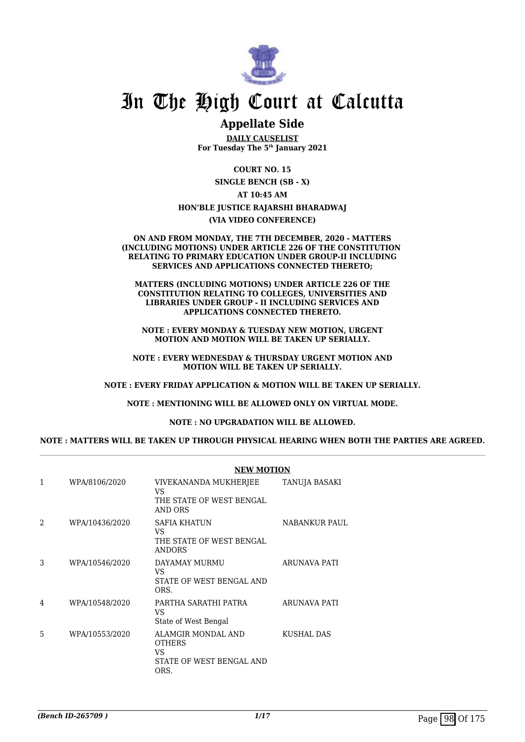

## In The High Court at Calcutta

### **Appellate Side**

**DAILY CAUSELIST For Tuesday The 5th January 2021**

**COURT NO. 15**

**SINGLE BENCH (SB - X) AT 10:45 AM HON'BLE JUSTICE RAJARSHI BHARADWAJ**

**(VIA VIDEO CONFERENCE)**

#### **ON AND FROM MONDAY, THE 7TH DECEMBER, 2020 - MATTERS (INCLUDING MOTIONS) UNDER ARTICLE 226 OF THE CONSTITUTION RELATING TO PRIMARY EDUCATION UNDER GROUP-II INCLUDING SERVICES AND APPLICATIONS CONNECTED THERETO;**

**MATTERS (INCLUDING MOTIONS) UNDER ARTICLE 226 OF THE CONSTITUTION RELATING TO COLLEGES, UNIVERSITIES AND LIBRARIES UNDER GROUP - II INCLUDING SERVICES AND APPLICATIONS CONNECTED THERETO.**

**NOTE : EVERY MONDAY & TUESDAY NEW MOTION, URGENT MOTION AND MOTION WILL BE TAKEN UP SERIALLY.**

**NOTE : EVERY WEDNESDAY & THURSDAY URGENT MOTION AND MOTION WILL BE TAKEN UP SERIALLY.**

**NOTE : EVERY FRIDAY APPLICATION & MOTION WILL BE TAKEN UP SERIALLY.**

**NOTE : MENTIONING WILL BE ALLOWED ONLY ON VIRTUAL MODE.**

**NOTE : NO UPGRADATION WILL BE ALLOWED.**

**NOTE : MATTERS WILL BE TAKEN UP THROUGH PHYSICAL HEARING WHEN BOTH THE PARTIES ARE AGREED.**

|                |                | <b>NEW MOTION</b>                                                             |               |  |
|----------------|----------------|-------------------------------------------------------------------------------|---------------|--|
| $\mathbf{1}$   | WPA/8106/2020  | VIVEKANANDA MUKHERJEE<br>VS<br>THE STATE OF WEST BENGAL<br>AND ORS            | TANUJA BASAKI |  |
| $\mathfrak{D}$ | WPA/10436/2020 | SAFIA KHATUN<br>VS.<br>THE STATE OF WEST BENGAL<br><b>ANDORS</b>              | NABANKUR PAUL |  |
| 3              | WPA/10546/2020 | DAYAMAY MURMU<br>VS<br>STATE OF WEST BENGAL AND<br>ORS.                       | ARUNAVA PATI  |  |
| 4              | WPA/10548/2020 | PARTHA SARATHI PATRA<br>VS<br>State of West Bengal                            | ARUNAVA PATI  |  |
| 5              | WPA/10553/2020 | ALAMGIR MONDAL AND<br><b>OTHERS</b><br>VS<br>STATE OF WEST BENGAL AND<br>ORS. | KUSHAL DAS    |  |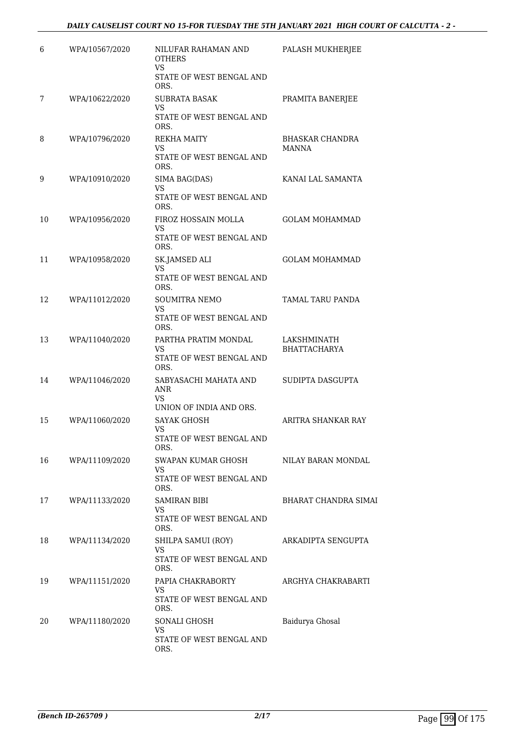### *DAILY CAUSELIST COURT NO 15-FOR TUESDAY THE 5TH JANUARY 2021 HIGH COURT OF CALCUTTA - 2 -*

| 6  | WPA/10567/2020 | NILUFAR RAHAMAN AND<br><b>OTHERS</b><br><b>VS</b><br>STATE OF WEST BENGAL AND | PALASH MUKHERJEE                   |
|----|----------------|-------------------------------------------------------------------------------|------------------------------------|
|    |                | ORS.                                                                          |                                    |
| 7  | WPA/10622/2020 | <b>SUBRATA BASAK</b><br><b>VS</b><br>STATE OF WEST BENGAL AND<br>ORS.         | PRAMITA BANERJEE                   |
| 8  | WPA/10796/2020 | <b>REKHA MAITY</b><br>VS<br>STATE OF WEST BENGAL AND<br>ORS.                  | <b>BHASKAR CHANDRA</b><br>MANNA    |
| 9  | WPA/10910/2020 | SIMA BAG(DAS)<br>VS<br>STATE OF WEST BENGAL AND<br>ORS.                       | KANAI LAL SAMANTA                  |
| 10 | WPA/10956/2020 | FIROZ HOSSAIN MOLLA<br>VS<br>STATE OF WEST BENGAL AND<br>ORS.                 | <b>GOLAM MOHAMMAD</b>              |
| 11 | WPA/10958/2020 | SK.JAMSED ALI<br>VS.<br>STATE OF WEST BENGAL AND<br>ORS.                      | <b>GOLAM MOHAMMAD</b>              |
| 12 | WPA/11012/2020 | <b>SOUMITRA NEMO</b><br>VS<br>STATE OF WEST BENGAL AND                        | <b>TAMAL TARU PANDA</b>            |
| 13 | WPA/11040/2020 | ORS.<br>PARTHA PRATIM MONDAL<br><b>VS</b><br>STATE OF WEST BENGAL AND<br>ORS. | LAKSHMINATH<br><b>BHATTACHARYA</b> |
| 14 | WPA/11046/2020 | SABYASACHI MAHATA AND<br>ANR<br>VS<br>UNION OF INDIA AND ORS.                 | SUDIPTA DASGUPTA                   |
| 15 | WPA/11060/2020 | <b>SAYAK GHOSH</b><br>VS<br>STATE OF WEST BENGAL AND                          | ARITRA SHANKAR RAY                 |
| 16 | WPA/11109/2020 | ORS.<br>SWAPAN KUMAR GHOSH<br>VS<br>STATE OF WEST BENGAL AND<br>ORS.          | NILAY BARAN MONDAL                 |
| 17 | WPA/11133/2020 | SAMIRAN BIBI<br>VS<br>STATE OF WEST BENGAL AND<br>ORS.                        | <b>BHARAT CHANDRA SIMAI</b>        |
| 18 | WPA/11134/2020 | SHILPA SAMUI (ROY)<br><b>VS</b><br>STATE OF WEST BENGAL AND<br>ORS.           | ARKADIPTA SENGUPTA                 |
| 19 | WPA/11151/2020 | PAPIA CHAKRABORTY<br>VS.<br>STATE OF WEST BENGAL AND<br>ORS.                  | ARGHYA CHAKRABARTI                 |
| 20 | WPA/11180/2020 | SONALI GHOSH<br>VS<br>STATE OF WEST BENGAL AND<br>ORS.                        | Baidurya Ghosal                    |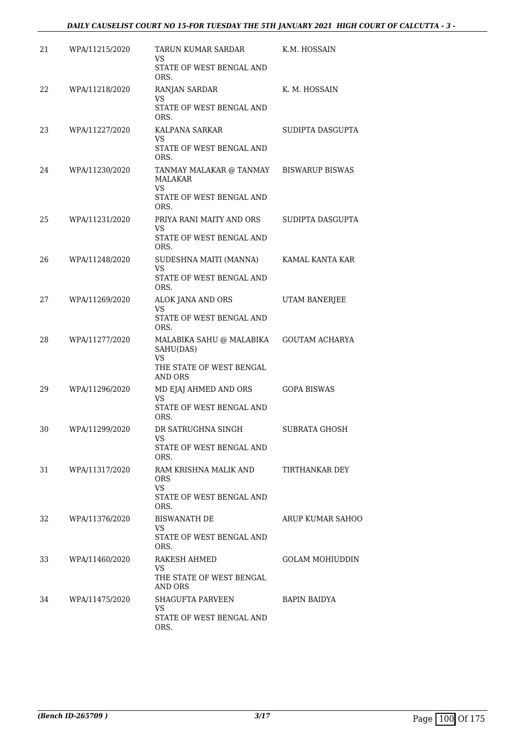### *DAILY CAUSELIST COURT NO 15-FOR TUESDAY THE 5TH JANUARY 2021 HIGH COURT OF CALCUTTA - 3 -*

| 21 | WPA/11215/2020 | TARUN KUMAR SARDAR<br>VS                               | K.M. HOSSAIN           |
|----|----------------|--------------------------------------------------------|------------------------|
|    |                | STATE OF WEST BENGAL AND<br>ORS.                       |                        |
| 22 | WPA/11218/2020 | RANJAN SARDAR<br>VS                                    | K. M. HOSSAIN          |
|    |                | STATE OF WEST BENGAL AND<br>ORS.                       |                        |
| 23 | WPA/11227/2020 | KALPANA SARKAR<br>VS.                                  | SUDIPTA DASGUPTA       |
|    |                | STATE OF WEST BENGAL AND<br>ORS.                       |                        |
| 24 | WPA/11230/2020 | TANMAY MALAKAR @ TANMAY<br><b>MALAKAR</b><br><b>VS</b> | <b>BISWARUP BISWAS</b> |
|    |                | STATE OF WEST BENGAL AND<br>ORS.                       |                        |
| 25 | WPA/11231/2020 | PRIYA RANI MAITY AND ORS<br>VS                         | SUDIPTA DASGUPTA       |
|    |                | STATE OF WEST BENGAL AND<br>ORS.                       |                        |
| 26 | WPA/11248/2020 | SUDESHNA MAITI (MANNA)<br>VS                           | KAMAL KANTA KAR        |
|    |                | STATE OF WEST BENGAL AND<br>ORS.                       |                        |
| 27 | WPA/11269/2020 | ALOK JANA AND ORS<br>VS                                | UTAM BANERJEE          |
|    |                | STATE OF WEST BENGAL AND<br>ORS.                       |                        |
| 28 | WPA/11277/2020 | MALABIKA SAHU @ MALABIKA<br>SAHU(DAS)<br>VS            | <b>GOUTAM ACHARYA</b>  |
|    |                | THE STATE OF WEST BENGAL<br>AND ORS                    |                        |
| 29 | WPA/11296/2020 | MD EJAJ AHMED AND ORS<br><b>VS</b>                     | <b>GOPA BISWAS</b>     |
|    |                | STATE OF WEST BENGAL AND<br>ORS.                       |                        |
| 30 | WPA/11299/2020 | DR SATRUGHNA SINGH<br>VS                               | <b>SUBRATA GHOSH</b>   |
|    |                | STATE OF WEST BENGAL AND<br>ORS.                       |                        |
| 31 | WPA/11317/2020 | RAM KRISHNA MALIK AND<br><b>ORS</b>                    | TIRTHANKAR DEY         |
|    |                | <b>VS</b><br>STATE OF WEST BENGAL AND<br>ORS.          |                        |
| 32 | WPA/11376/2020 | <b>BISWANATH DE</b><br>VS.                             | ARUP KUMAR SAHOO       |
|    |                | STATE OF WEST BENGAL AND<br>ORS.                       |                        |
| 33 | WPA/11460/2020 | RAKESH AHMED<br>VS.                                    | GOLAM MOHIUDDIN        |
|    |                | THE STATE OF WEST BENGAL<br>AND ORS                    |                        |
| 34 | WPA/11475/2020 | <b>SHAGUFTA PARVEEN</b><br><b>VS</b>                   | BAPIN BAIDYA           |
|    |                | STATE OF WEST BENGAL AND<br>ORS.                       |                        |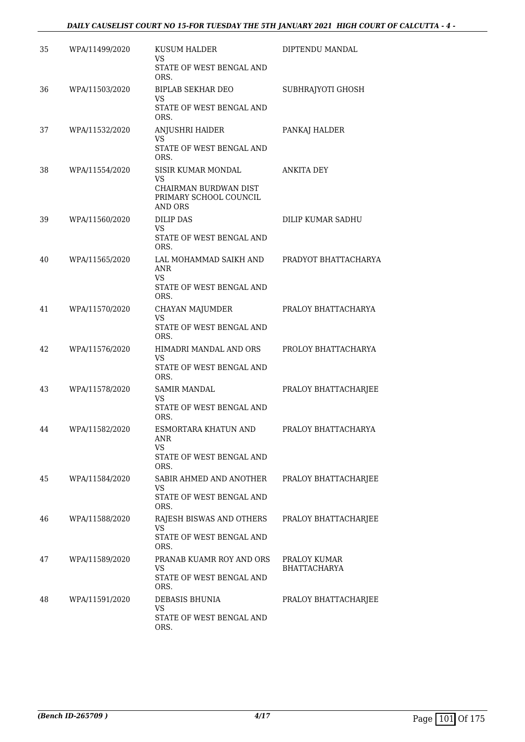### *DAILY CAUSELIST COURT NO 15-FOR TUESDAY THE 5TH JANUARY 2021 HIGH COURT OF CALCUTTA - 4 -*

| 35 | WPA/11499/2020 | <b>KUSUM HALDER</b><br>VS                                         | DIPTENDU MANDAL                     |
|----|----------------|-------------------------------------------------------------------|-------------------------------------|
|    |                | STATE OF WEST BENGAL AND<br>ORS.                                  |                                     |
| 36 | WPA/11503/2020 | <b>BIPLAB SEKHAR DEO</b><br>VS                                    | SUBHRAJYOTI GHOSH                   |
|    |                | STATE OF WEST BENGAL AND<br>ORS.                                  |                                     |
| 37 | WPA/11532/2020 | ANJUSHRI HAIDER<br>VS                                             | PANKAJ HALDER                       |
|    |                | STATE OF WEST BENGAL AND<br>ORS.                                  |                                     |
| 38 | WPA/11554/2020 | <b>SISIR KUMAR MONDAL</b><br>VS                                   | ANKITA DEY                          |
|    |                | CHAIRMAN BURDWAN DIST<br>PRIMARY SCHOOL COUNCIL<br><b>AND ORS</b> |                                     |
| 39 | WPA/11560/2020 | <b>DILIP DAS</b><br>VS                                            | DILIP KUMAR SADHU                   |
|    |                | STATE OF WEST BENGAL AND<br>ORS.                                  |                                     |
| 40 | WPA/11565/2020 | LAL MOHAMMAD SAIKH AND<br><b>ANR</b>                              | PRADYOT BHATTACHARYA                |
|    |                | VS.<br>STATE OF WEST BENGAL AND<br>ORS.                           |                                     |
| 41 | WPA/11570/2020 | CHAYAN MAJUMDER<br>VS                                             | PRALOY BHATTACHARYA                 |
|    |                | STATE OF WEST BENGAL AND<br>ORS.                                  |                                     |
| 42 | WPA/11576/2020 | HIMADRI MANDAL AND ORS<br><b>VS</b>                               | PROLOY BHATTACHARYA                 |
|    |                | STATE OF WEST BENGAL AND<br>ORS.                                  |                                     |
| 43 | WPA/11578/2020 | <b>SAMIR MANDAL</b><br><b>VS</b>                                  | PRALOY BHATTACHARJEE                |
|    |                | STATE OF WEST BENGAL AND<br>ORS.                                  |                                     |
| 44 | WPA/11582/2020 | ESMORTARA KHATUN AND<br>ANR<br>VS                                 | PRALOY BHATTACHARYA                 |
|    |                | STATE OF WEST BENGAL AND<br>ORS.                                  |                                     |
| 45 | WPA/11584/2020 | SABIR AHMED AND ANOTHER<br>VS                                     | PRALOY BHATTACHARJEE                |
|    |                | STATE OF WEST BENGAL AND<br>ORS.                                  |                                     |
| 46 | WPA/11588/2020 | RAJESH BISWAS AND OTHERS<br>VS                                    | PRALOY BHATTACHARJEE                |
|    |                | STATE OF WEST BENGAL AND<br>ORS.                                  |                                     |
| 47 | WPA/11589/2020 | PRANAB KUAMR ROY AND ORS<br><b>VS</b>                             | PRALOY KUMAR<br><b>BHATTACHARYA</b> |
|    |                | STATE OF WEST BENGAL AND<br>ORS.                                  |                                     |
| 48 | WPA/11591/2020 | DEBASIS BHUNIA<br>VS                                              | PRALOY BHATTACHARJEE                |
|    |                | STATE OF WEST BENGAL AND<br>ORS.                                  |                                     |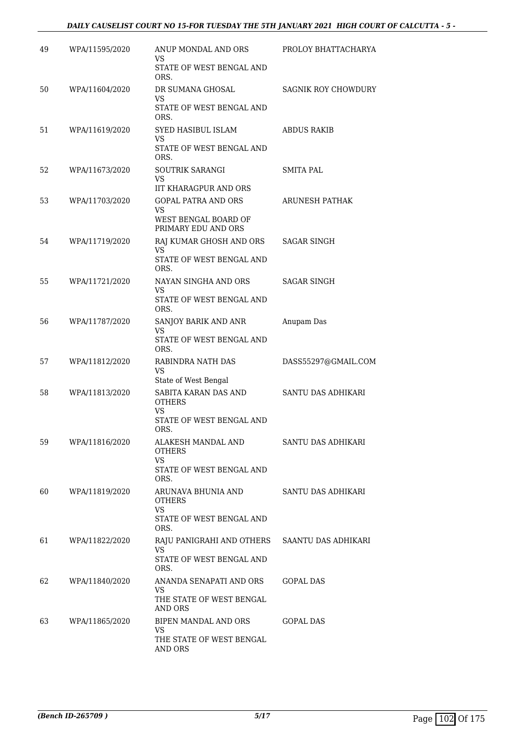### *DAILY CAUSELIST COURT NO 15-FOR TUESDAY THE 5TH JANUARY 2021 HIGH COURT OF CALCUTTA - 5 -*

| 49 | WPA/11595/2020 | ANUP MONDAL AND ORS<br>VS                                                        | PROLOY BHATTACHARYA       |
|----|----------------|----------------------------------------------------------------------------------|---------------------------|
|    |                | STATE OF WEST BENGAL AND<br>ORS.                                                 |                           |
| 50 | WPA/11604/2020 | DR SUMANA GHOSAL<br>VS                                                           | SAGNIK ROY CHOWDURY       |
|    |                | STATE OF WEST BENGAL AND<br>ORS.                                                 |                           |
| 51 | WPA/11619/2020 | SYED HASIBUL ISLAM<br>VS<br><b>STATE OF WEST BENGAL AND</b>                      | ABDUS RAKIB               |
|    |                | ORS.                                                                             |                           |
| 52 | WPA/11673/2020 | <b>SOUTRIK SARANGI</b><br><b>VS</b><br><b>IIT KHARAGPUR AND ORS</b>              | SMITA PAL                 |
| 53 | WPA/11703/2020 | <b>GOPAL PATRA AND ORS</b><br>VS<br>WEST BENGAL BOARD OF                         | ARUNESH PATHAK            |
| 54 | WPA/11719/2020 | PRIMARY EDU AND ORS<br>RAJ KUMAR GHOSH AND ORS<br>VS<br>STATE OF WEST BENGAL AND | <b>SAGAR SINGH</b>        |
|    |                | ORS.                                                                             |                           |
| 55 | WPA/11721/2020 | NAYAN SINGHA AND ORS<br>VS<br>STATE OF WEST BENGAL AND                           | SAGAR SINGH               |
| 56 | WPA/11787/2020 | ORS.<br>SANJOY BARIK AND ANR                                                     | Anupam Das                |
|    |                | VS<br>STATE OF WEST BENGAL AND<br>ORS.                                           |                           |
| 57 | WPA/11812/2020 | RABINDRA NATH DAS<br>VS                                                          | DASS55297@GMAIL.COM       |
| 58 | WPA/11813/2020 | State of West Bengal<br>SABITA KARAN DAS AND                                     | SANTU DAS ADHIKARI        |
|    |                | <b>OTHERS</b><br>VS                                                              |                           |
|    |                | STATE OF WEST BENGAL AND<br>ORS.                                                 |                           |
| 59 | WPA/11816/2020 | ALAKESH MANDAL AND<br><b>OTHERS</b><br>VS                                        | <b>SANTU DAS ADHIKARI</b> |
|    |                | STATE OF WEST BENGAL AND<br>ORS.                                                 |                           |
| 60 | WPA/11819/2020 | ARUNAVA BHUNIA AND<br><b>OTHERS</b><br><b>VS</b>                                 | SANTU DAS ADHIKARI        |
|    |                | STATE OF WEST BENGAL AND<br>ORS.                                                 |                           |
| 61 | WPA/11822/2020 | RAJU PANIGRAHI AND OTHERS<br>VS.                                                 | SAANTU DAS ADHIKARI       |
|    |                | STATE OF WEST BENGAL AND<br>ORS.                                                 |                           |
| 62 | WPA/11840/2020 | ANANDA SENAPATI AND ORS<br><b>VS</b>                                             | GOPAL DAS                 |
|    |                | THE STATE OF WEST BENGAL<br>AND ORS                                              |                           |
| 63 | WPA/11865/2020 | BIPEN MANDAL AND ORS<br>VS.                                                      | GOPAL DAS                 |
|    |                | THE STATE OF WEST BENGAL<br>AND ORS                                              |                           |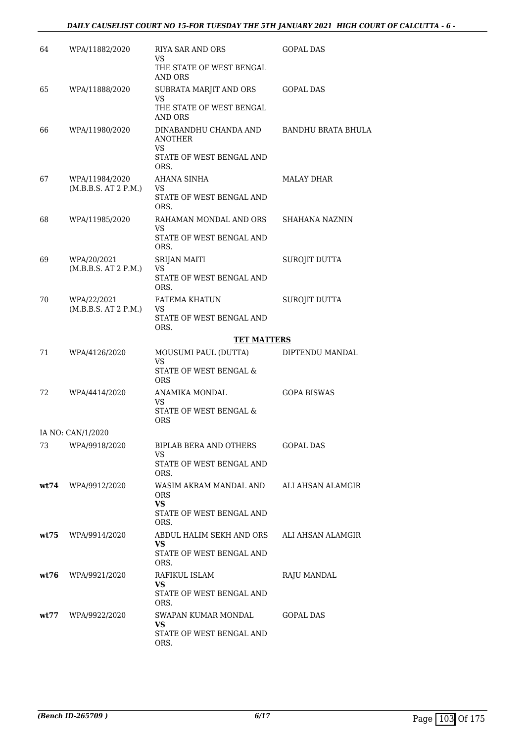### *DAILY CAUSELIST COURT NO 15-FOR TUESDAY THE 5TH JANUARY 2021 HIGH COURT OF CALCUTTA - 6 -*

| 64   | WPA/11882/2020                         | RIYA SAR AND ORS<br>VS                                             | <b>GOPAL DAS</b>          |
|------|----------------------------------------|--------------------------------------------------------------------|---------------------------|
|      |                                        | THE STATE OF WEST BENGAL<br>AND ORS                                |                           |
| 65   | WPA/11888/2020                         | SUBRATA MARJIT AND ORS<br><b>VS</b>                                | GOPAL DAS                 |
|      |                                        | THE STATE OF WEST BENGAL<br>AND ORS                                |                           |
| 66   | WPA/11980/2020                         | DINABANDHU CHANDA AND<br>ANOTHER<br>VS<br>STATE OF WEST BENGAL AND | <b>BANDHU BRATA BHULA</b> |
|      |                                        | ORS.                                                               |                           |
| 67   | WPA/11984/2020<br>(M.B.B.S. AT 2 P.M.) | AHANA SINHA<br>VS<br>STATE OF WEST BENGAL AND<br>ORS.              | MALAY DHAR                |
| 68   | WPA/11985/2020                         | RAHAMAN MONDAL AND ORS<br>VS.                                      | SHAHANA NAZNIN            |
|      |                                        | STATE OF WEST BENGAL AND<br>ORS.                                   |                           |
| 69   | WPA/20/2021<br>(M.B.B.S. AT 2 P.M.)    | <b>SRIJAN MAITI</b><br>VS                                          | SUROJIT DUTTA             |
|      |                                        | STATE OF WEST BENGAL AND<br>ORS.                                   |                           |
| 70   | WPA/22/2021<br>(M.B.B.S. AT 2 P.M.)    | <b>FATEMA KHATUN</b><br>VS                                         | SUROJIT DUTTA             |
|      |                                        | STATE OF WEST BENGAL AND<br>ORS.                                   |                           |
|      |                                        | <b>TET MATTERS</b>                                                 |                           |
| 71   | WPA/4126/2020                          | MOUSUMI PAUL (DUTTA)<br>VS                                         | DIPTENDU MANDAL           |
|      |                                        | STATE OF WEST BENGAL &<br><b>ORS</b>                               |                           |
| 72   | WPA/4414/2020                          | ANAMIKA MONDAL<br>VS                                               | <b>GOPA BISWAS</b>        |
|      |                                        | STATE OF WEST BENGAL &<br>ORS                                      |                           |
|      | IA NO: CAN/1/2020                      |                                                                    |                           |
| 73   | WPA/9918/2020                          | BIPLAB BERA AND OTHERS<br>VS.                                      | GOPAL DAS                 |
|      |                                        | STATE OF WEST BENGAL AND<br>ORS.                                   |                           |
| wt74 | WPA/9912/2020                          | WASIM AKRAM MANDAL AND<br><b>ORS</b><br><b>VS</b>                  | ALI AHSAN ALAMGIR         |
|      |                                        | STATE OF WEST BENGAL AND<br>ORS.                                   |                           |
| wt75 | WPA/9914/2020                          | ABDUL HALIM SEKH AND ORS<br>VS                                     | ALI AHSAN ALAMGIR         |
|      |                                        | STATE OF WEST BENGAL AND<br>ORS.                                   |                           |
| wt76 | WPA/9921/2020                          | RAFIKUL ISLAM<br>VS                                                | RAJU MANDAL               |
|      |                                        | STATE OF WEST BENGAL AND<br>ORS.                                   |                           |
| wt77 | WPA/9922/2020                          | SWAPAN KUMAR MONDAL<br>VS.                                         | <b>GOPAL DAS</b>          |
|      |                                        | STATE OF WEST BENGAL AND<br>ORS.                                   |                           |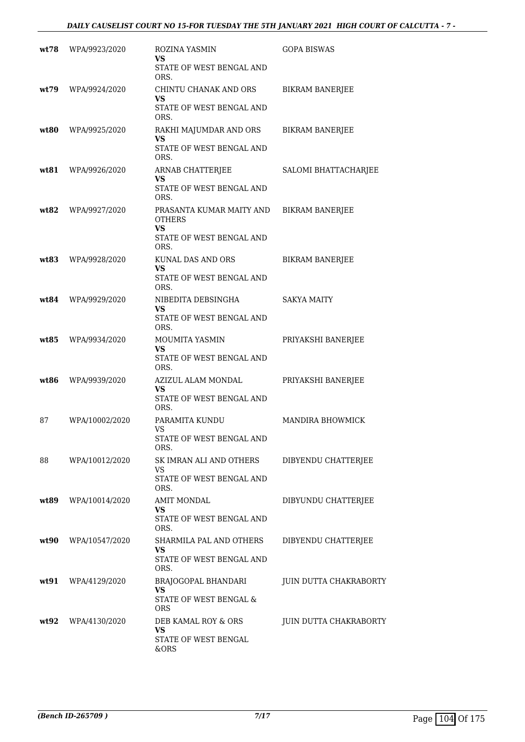| wt78  | WPA/9923/2020  | ROZINA YASMIN<br>VS<br>STATE OF WEST BENGAL AND<br>ORS.                             | <b>GOPA BISWAS</b>     |
|-------|----------------|-------------------------------------------------------------------------------------|------------------------|
| wt.79 | WPA/9924/2020  | CHINTU CHANAK AND ORS<br>VS<br>STATE OF WEST BENGAL AND<br>ORS.                     | <b>BIKRAM BANERJEE</b> |
| wt80  | WPA/9925/2020  | RAKHI MAJUMDAR AND ORS<br>VS<br>STATE OF WEST BENGAL AND<br>ORS.                    | <b>BIKRAM BANERJEE</b> |
| wt81  | WPA/9926/2020  | ARNAB CHATTERJEE<br>VS<br>STATE OF WEST BENGAL AND<br>ORS.                          | SALOMI BHATTACHARJEE   |
| wt82  | WPA/9927/2020  | PRASANTA KUMAR MAITY AND<br><b>OTHERS</b><br>VS<br>STATE OF WEST BENGAL AND<br>ORS. | <b>BIKRAM BANERJEE</b> |
| wt83  | WPA/9928/2020  | <b>KUNAL DAS AND ORS</b><br>VS<br>STATE OF WEST BENGAL AND<br>ORS.                  | <b>BIKRAM BANERJEE</b> |
| wt84  | WPA/9929/2020  | NIBEDITA DEBSINGHA<br>VS<br>STATE OF WEST BENGAL AND<br>ORS.                        | SAKYA MAITY            |
| wt85  | WPA/9934/2020  | MOUMITA YASMIN<br><b>VS</b><br>STATE OF WEST BENGAL AND<br>ORS.                     | PRIYAKSHI BANERJEE     |
| wt86  | WPA/9939/2020  | AZIZUL ALAM MONDAL<br>VS<br>STATE OF WEST BENGAL AND<br>ORS.                        | PRIYAKSHI BANERJEE     |
| 87    | WPA/10002/2020 | PARAMITA KUNDU<br>VS<br>STATE OF WEST BENGAL AND<br>ORS.                            | MANDIRA BHOWMICK       |
| 88    | WPA/10012/2020 | SK IMRAN ALI AND OTHERS<br><b>VS</b><br>STATE OF WEST BENGAL AND<br>ORS.            | DIBYENDU CHATTERJEE    |
| wt89  | WPA/10014/2020 | <b>AMIT MONDAL</b><br>VS<br>STATE OF WEST BENGAL AND<br>ORS.                        | DIBYUNDU CHATTERJEE    |
| wt90  | WPA/10547/2020 | SHARMILA PAL AND OTHERS<br>VS<br>STATE OF WEST BENGAL AND<br>ORS.                   | DIBYENDU CHATTERJEE    |
| wt91  | WPA/4129/2020  | BRAJOGOPAL BHANDARI<br>VS<br>STATE OF WEST BENGAL &<br><b>ORS</b>                   | JUIN DUTTA CHAKRABORTY |
| wt92  | WPA/4130/2020  | DEB KAMAL ROY & ORS<br><b>VS</b><br>STATE OF WEST BENGAL<br>&ORS                    | JUIN DUTTA CHAKRABORTY |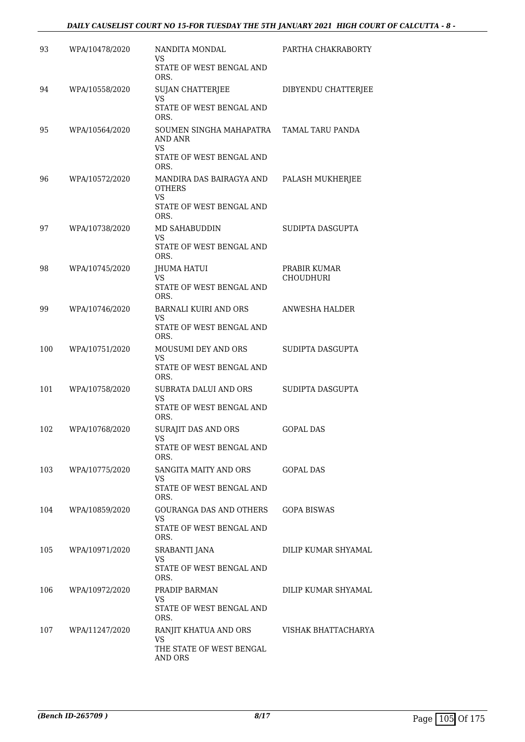### *DAILY CAUSELIST COURT NO 15-FOR TUESDAY THE 5TH JANUARY 2021 HIGH COURT OF CALCUTTA - 8 -*

| 93  | WPA/10478/2020 | NANDITA MONDAL<br>VS.<br>STATE OF WEST BENGAL AND                                          | PARTHA CHAKRABORTY               |
|-----|----------------|--------------------------------------------------------------------------------------------|----------------------------------|
| 94  | WPA/10558/2020 | ORS.<br><b>SUJAN CHATTERJEE</b><br>VS<br>STATE OF WEST BENGAL AND                          | DIBYENDU CHATTERJEE              |
| 95  | WPA/10564/2020 | ORS.<br>SOUMEN SINGHA MAHAPATRA<br>AND ANR<br><b>VS</b>                                    | TAMAL TARU PANDA                 |
|     |                | STATE OF WEST BENGAL AND<br>ORS.                                                           |                                  |
| 96  | WPA/10572/2020 | MANDIRA DAS BAIRAGYA AND<br><b>OTHERS</b><br><b>VS</b><br>STATE OF WEST BENGAL AND<br>ORS. | PALASH MUKHERJEE                 |
| 97  | WPA/10738/2020 | <b>MD SAHABUDDIN</b><br>VS.<br>STATE OF WEST BENGAL AND<br>ORS.                            | SUDIPTA DASGUPTA                 |
| 98  | WPA/10745/2020 | JHUMA HATUI<br>VS.<br>STATE OF WEST BENGAL AND<br>ORS.                                     | PRABIR KUMAR<br><b>CHOUDHURI</b> |
| 99  | WPA/10746/2020 | <b>BARNALI KUIRI AND ORS</b><br>VS.<br>STATE OF WEST BENGAL AND<br>ORS.                    | ANWESHA HALDER                   |
| 100 | WPA/10751/2020 | MOUSUMI DEY AND ORS<br>VS<br>STATE OF WEST BENGAL AND<br>ORS.                              | SUDIPTA DASGUPTA                 |
| 101 | WPA/10758/2020 | SUBRATA DALUI AND ORS<br><b>VS</b><br>STATE OF WEST BENGAL AND<br>ORS.                     | SUDIPTA DASGUPTA                 |
| 102 | WPA/10768/2020 | SURAJIT DAS AND ORS<br>VS<br>STATE OF WEST BENGAL AND<br>ORS.                              | <b>GOPAL DAS</b>                 |
| 103 | WPA/10775/2020 | SANGITA MAITY AND ORS<br>VS<br>STATE OF WEST BENGAL AND<br>ORS.                            | <b>GOPAL DAS</b>                 |
| 104 | WPA/10859/2020 | <b>GOURANGA DAS AND OTHERS</b><br>VS.<br>STATE OF WEST BENGAL AND<br>ORS.                  | <b>GOPA BISWAS</b>               |
| 105 | WPA/10971/2020 | SRABANTI JANA<br>VS<br>STATE OF WEST BENGAL AND                                            | DILIP KUMAR SHYAMAL              |
| 106 | WPA/10972/2020 | ORS.<br>PRADIP BARMAN<br>VS<br>STATE OF WEST BENGAL AND<br>ORS.                            | DILIP KUMAR SHYAMAL              |
| 107 | WPA/11247/2020 | RANJIT KHATUA AND ORS<br>VS.<br>THE STATE OF WEST BENGAL<br>AND ORS                        | VISHAK BHATTACHARYA              |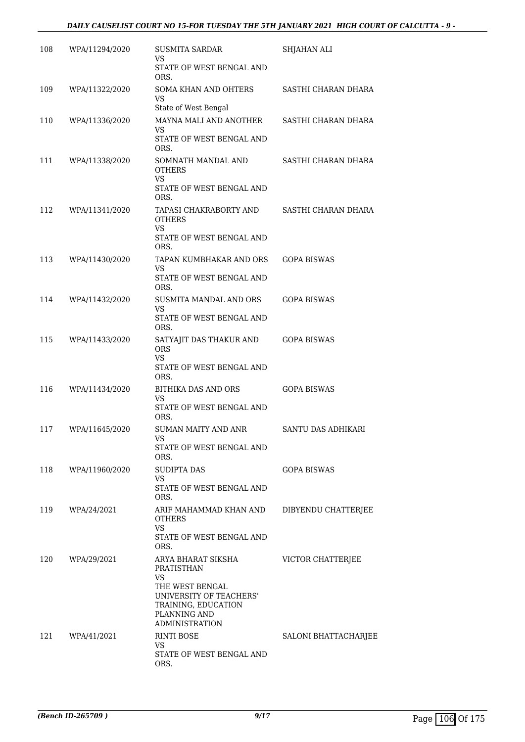### *DAILY CAUSELIST COURT NO 15-FOR TUESDAY THE 5TH JANUARY 2021 HIGH COURT OF CALCUTTA - 9 -*

| 108 | WPA/11294/2020 | <b>SUSMITA SARDAR</b><br>VS                                                                                                 | SHJAHAN ALI          |
|-----|----------------|-----------------------------------------------------------------------------------------------------------------------------|----------------------|
|     |                | STATE OF WEST BENGAL AND<br>ORS.                                                                                            |                      |
| 109 | WPA/11322/2020 | <b>SOMA KHAN AND OHTERS</b><br><b>VS</b><br>State of West Bengal                                                            | SASTHI CHARAN DHARA  |
| 110 | WPA/11336/2020 | MAYNA MALI AND ANOTHER<br><b>VS</b><br>STATE OF WEST BENGAL AND                                                             | SASTHI CHARAN DHARA  |
| 111 | WPA/11338/2020 | ORS.<br>SOMNATH MANDAL AND<br><b>OTHERS</b><br>VS<br>STATE OF WEST BENGAL AND<br>ORS.                                       | SASTHI CHARAN DHARA  |
| 112 | WPA/11341/2020 | TAPASI CHAKRABORTY AND<br><b>OTHERS</b><br>VS<br>STATE OF WEST BENGAL AND<br>ORS.                                           | SASTHI CHARAN DHARA  |
| 113 | WPA/11430/2020 | TAPAN KUMBHAKAR AND ORS<br>VS<br>STATE OF WEST BENGAL AND<br>ORS.                                                           | <b>GOPA BISWAS</b>   |
| 114 | WPA/11432/2020 | SUSMITA MANDAL AND ORS<br><b>VS</b><br>STATE OF WEST BENGAL AND<br>ORS.                                                     | <b>GOPA BISWAS</b>   |
| 115 | WPA/11433/2020 | SATYAJIT DAS THAKUR AND<br><b>ORS</b><br><b>VS</b><br>STATE OF WEST BENGAL AND                                              | <b>GOPA BISWAS</b>   |
| 116 | WPA/11434/2020 | ORS.<br>BITHIKA DAS AND ORS<br><b>VS</b><br>STATE OF WEST BENGAL AND<br>ORS.                                                | <b>GOPA BISWAS</b>   |
| 117 | WPA/11645/2020 | <b>SUMAN MAITY AND ANR</b><br>VS<br>STATE OF WEST BENGAL AND                                                                | SANTU DAS ADHIKARI   |
| 118 | WPA/11960/2020 | ORS.<br><b>SUDIPTA DAS</b><br>VS<br>STATE OF WEST BENGAL AND<br>ORS.                                                        | <b>GOPA BISWAS</b>   |
| 119 | WPA/24/2021    | ARIF MAHAMMAD KHAN AND<br><b>OTHERS</b><br><b>VS</b><br>STATE OF WEST BENGAL AND<br>ORS.                                    | DIBYENDU CHATTERJEE  |
| 120 | WPA/29/2021    | ARYA BHARAT SIKSHA<br>PRATISTHAN<br>VS<br>THE WEST BENGAL<br>UNIVERSITY OF TEACHERS'<br>TRAINING, EDUCATION<br>PLANNING AND | VICTOR CHATTERJEE    |
| 121 | WPA/41/2021    | <b>ADMINISTRATION</b><br><b>RINTI BOSE</b><br>VS<br>STATE OF WEST BENGAL AND<br>ORS.                                        | SALONI BHATTACHARJEE |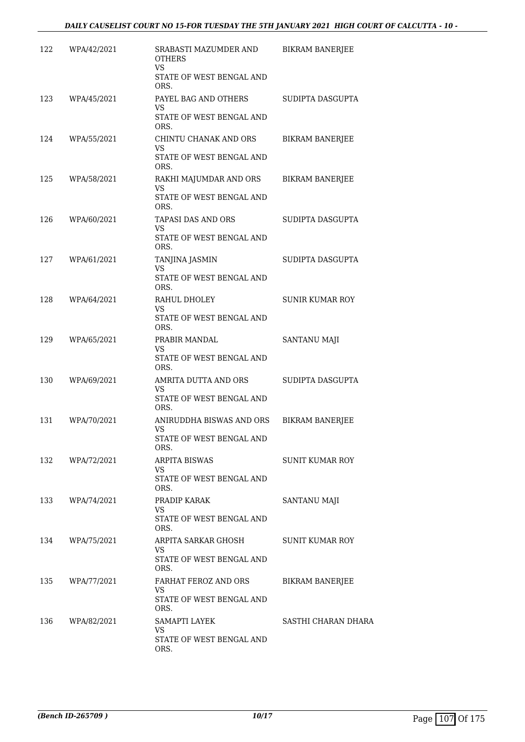| 122 | WPA/42/2021 | SRABASTI MAZUMDER AND<br><b>OTHERS</b><br><b>VS</b>                    | <b>BIKRAM BANERJEE</b> |
|-----|-------------|------------------------------------------------------------------------|------------------------|
|     |             | STATE OF WEST BENGAL AND<br>ORS.                                       |                        |
| 123 | WPA/45/2021 | PAYEL BAG AND OTHERS<br>VS.<br>STATE OF WEST BENGAL AND<br>ORS.        | SUDIPTA DASGUPTA       |
| 124 | WPA/55/2021 | CHINTU CHANAK AND ORS<br><b>VS</b><br>STATE OF WEST BENGAL AND<br>ORS. | <b>BIKRAM BANERJEE</b> |
| 125 | WPA/58/2021 | RAKHI MAJUMDAR AND ORS<br>VS.<br>STATE OF WEST BENGAL AND<br>ORS.      | <b>BIKRAM BANERJEE</b> |
| 126 | WPA/60/2021 | TAPASI DAS AND ORS<br>VS<br>STATE OF WEST BENGAL AND<br>ORS.           | SUDIPTA DASGUPTA       |
| 127 | WPA/61/2021 | <b>TANJINA JASMIN</b><br>VS<br>STATE OF WEST BENGAL AND<br>ORS.        | SUDIPTA DASGUPTA       |
| 128 | WPA/64/2021 | RAHUL DHOLEY<br>VS<br>STATE OF WEST BENGAL AND                         | <b>SUNIR KUMAR ROY</b> |
| 129 | WPA/65/2021 | ORS.<br>PRABIR MANDAL<br><b>VS</b><br>STATE OF WEST BENGAL AND<br>ORS. | SANTANU MAJI           |
| 130 | WPA/69/2021 | AMRITA DUTTA AND ORS<br>VS<br>STATE OF WEST BENGAL AND<br>ORS.         | SUDIPTA DASGUPTA       |
| 131 | WPA/70/2021 | ANIRUDDHA BISWAS AND ORS<br>VS<br>STATE OF WEST BENGAL AND<br>ORS.     | <b>BIKRAM BANERJEE</b> |
| 132 | WPA/72/2021 | <b>ARPITA BISWAS</b><br>VS.<br>STATE OF WEST BENGAL AND<br>ORS.        | <b>SUNIT KUMAR ROY</b> |
| 133 | WPA/74/2021 | PRADIP KARAK<br>VS.<br>STATE OF WEST BENGAL AND<br>ORS.                | <b>SANTANU MAJI</b>    |
| 134 | WPA/75/2021 | ARPITA SARKAR GHOSH<br>VS.<br>STATE OF WEST BENGAL AND<br>ORS.         | <b>SUNIT KUMAR ROY</b> |
| 135 | WPA/77/2021 | FARHAT FEROZ AND ORS<br>VS.<br>STATE OF WEST BENGAL AND<br>ORS.        | <b>BIKRAM BANERJEE</b> |
| 136 | WPA/82/2021 | SAMAPTI LAYEK<br><b>VS</b><br>STATE OF WEST BENGAL AND<br>ORS.         | SASTHI CHARAN DHARA    |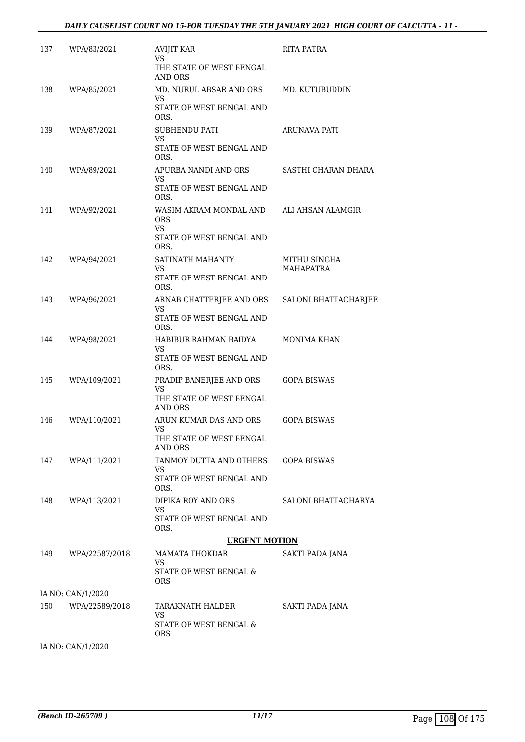| 137 | WPA/83/2021       | <b>AVIJIT KAR</b><br><b>VS</b><br>THE STATE OF WEST BENGAL<br>AND ORS           | <b>RITA PATRA</b>                |
|-----|-------------------|---------------------------------------------------------------------------------|----------------------------------|
| 138 | WPA/85/2021       | MD. NURUL ABSAR AND ORS<br>VS<br>STATE OF WEST BENGAL AND<br>ORS.               | MD. KUTUBUDDIN                   |
| 139 | WPA/87/2021       | <b>SUBHENDU PATI</b><br><b>VS</b><br>STATE OF WEST BENGAL AND<br>ORS.           | ARUNAVA PATI                     |
| 140 | WPA/89/2021       | APURBA NANDI AND ORS<br>VS<br>STATE OF WEST BENGAL AND                          | SASTHI CHARAN DHARA              |
| 141 | WPA/92/2021       | ORS.<br>WASIM AKRAM MONDAL AND<br><b>ORS</b><br>VS.<br>STATE OF WEST BENGAL AND | ALI AHSAN ALAMGIR                |
| 142 | WPA/94/2021       | ORS.<br>SATINATH MAHANTY<br>VS<br>STATE OF WEST BENGAL AND                      | MITHU SINGHA<br><b>MAHAPATRA</b> |
| 143 | WPA/96/2021       | ORS.<br>ARNAB CHATTERJEE AND ORS<br>VS<br>STATE OF WEST BENGAL AND              | SALONI BHATTACHARJEE             |
| 144 | WPA/98/2021       | ORS.<br>HABIBUR RAHMAN BAIDYA<br>VS<br>STATE OF WEST BENGAL AND                 | <b>MONIMA KHAN</b>               |
| 145 | WPA/109/2021      | ORS.<br>PRADIP BANERJEE AND ORS<br>VS<br>THE STATE OF WEST BENGAL               | <b>GOPA BISWAS</b>               |
| 146 | WPA/110/2021      | AND ORS<br>ARUN KUMAR DAS AND ORS<br>VS<br>THE STATE OF WEST BENGAL             | <b>GOPA BISWAS</b>               |
| 147 | WPA/111/2021      | AND ORS<br>TANMOY DUTTA AND OTHERS<br>VS<br>STATE OF WEST BENGAL AND            | <b>GOPA BISWAS</b>               |
| 148 | WPA/113/2021      | ORS.<br>DIPIKA ROY AND ORS<br>VS<br>STATE OF WEST BENGAL AND<br>ORS.            | SALONI BHATTACHARYA              |
|     |                   | <b>URGENT MOTION</b>                                                            |                                  |
| 149 | WPA/22587/2018    | MAMATA THOKDAR<br>VS<br>STATE OF WEST BENGAL &<br>ORS                           | SAKTI PADA JANA                  |
|     | IA NO: CAN/1/2020 |                                                                                 |                                  |
| 150 | WPA/22589/2018    | TARAKNATH HALDER<br>VS.<br>STATE OF WEST BENGAL &                               | SAKTI PADA JANA                  |
|     | IA NO: CAN/1/2020 | <b>ORS</b>                                                                      |                                  |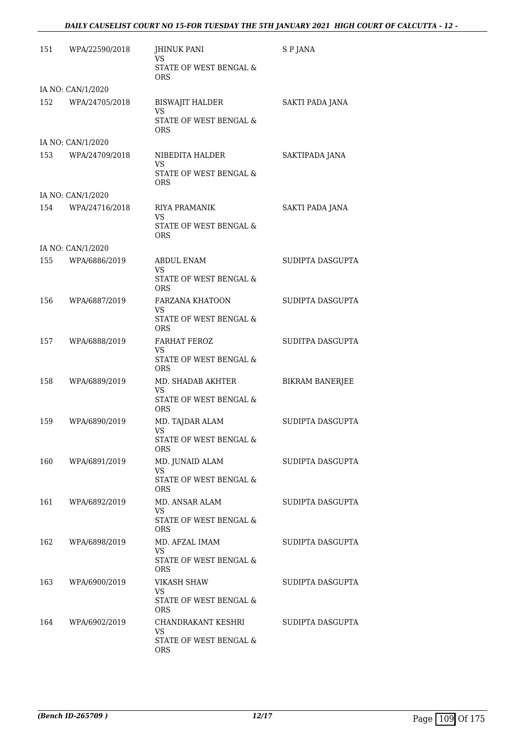#### *DAILY CAUSELIST COURT NO 15-FOR TUESDAY THE 5TH JANUARY 2021 HIGH COURT OF CALCUTTA - 12 -*

| 151 | WPA/22590/2018    | <b>JHINUK PANI</b><br>VS.<br>STATE OF WEST BENGAL &<br><b>ORS</b> | S P JANA               |
|-----|-------------------|-------------------------------------------------------------------|------------------------|
|     | IA NO: CAN/1/2020 |                                                                   |                        |
| 152 | WPA/24705/2018    | <b>BISWAJIT HALDER</b><br>VS                                      | SAKTI PADA JANA        |
|     |                   | STATE OF WEST BENGAL &<br><b>ORS</b>                              |                        |
|     | IA NO: CAN/1/2020 |                                                                   |                        |
| 153 | WPA/24709/2018    | NIBEDITA HALDER<br>VS                                             | SAKTIPADA JANA         |
|     |                   | STATE OF WEST BENGAL &<br><b>ORS</b>                              |                        |
|     | IA NO: CAN/1/2020 |                                                                   |                        |
| 154 | WPA/24716/2018    | <b>RIYA PRAMANIK</b><br>VS                                        | SAKTI PADA JANA        |
|     |                   | STATE OF WEST BENGAL &<br><b>ORS</b>                              |                        |
|     | IA NO: CAN/1/2020 |                                                                   |                        |
| 155 | WPA/6886/2019     | <b>ABDUL ENAM</b><br>VS                                           | SUDIPTA DASGUPTA       |
|     |                   | STATE OF WEST BENGAL &<br><b>ORS</b>                              |                        |
| 156 | WPA/6887/2019     | <b>FARZANA KHATOON</b><br>VS                                      | SUDIPTA DASGUPTA       |
|     |                   | STATE OF WEST BENGAL &<br><b>ORS</b>                              |                        |
| 157 | WPA/6888/2019     | <b>FARHAT FEROZ</b><br>VS                                         | SUDITPA DASGUPTA       |
|     |                   | STATE OF WEST BENGAL &<br><b>ORS</b>                              |                        |
| 158 | WPA/6889/2019     | MD. SHADAB AKHTER<br><b>VS</b>                                    | <b>BIKRAM BANERJEE</b> |
|     |                   | STATE OF WEST BENGAL &<br><b>ORS</b>                              |                        |
| 159 | WPA/6890/2019     | MD. TAJDAR ALAM<br><b>VS</b>                                      | SUDIPTA DASGUPTA       |
|     |                   | STATE OF WEST BENGAL &<br>ORS                                     |                        |
| 160 | WPA/6891/2019     | MD. JUNAID ALAM<br>VS.                                            | SUDIPTA DASGUPTA       |
|     |                   | STATE OF WEST BENGAL &<br><b>ORS</b>                              |                        |
| 161 | WPA/6892/2019     | MD. ANSAR ALAM<br>VS                                              | SUDIPTA DASGUPTA       |
|     |                   | STATE OF WEST BENGAL &<br><b>ORS</b>                              |                        |
| 162 | WPA/6898/2019     | MD. AFZAL IMAM<br>VS.                                             | SUDIPTA DASGUPTA       |
|     |                   | STATE OF WEST BENGAL &<br><b>ORS</b>                              |                        |
| 163 | WPA/6900/2019     | <b>VIKASH SHAW</b><br>VS.                                         | SUDIPTA DASGUPTA       |
|     |                   | STATE OF WEST BENGAL &<br><b>ORS</b>                              |                        |
| 164 | WPA/6902/2019     | CHANDRAKANT KESHRI<br>VS.                                         | SUDIPTA DASGUPTA       |
|     |                   | STATE OF WEST BENGAL &<br>ORS                                     |                        |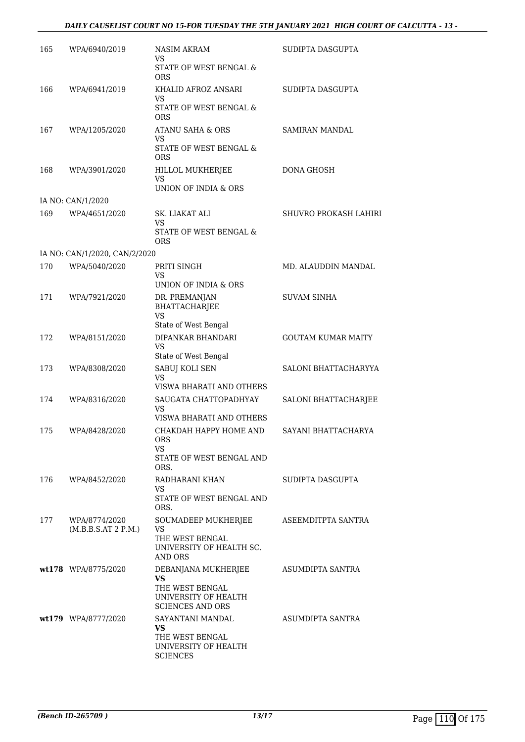#### *DAILY CAUSELIST COURT NO 15-FOR TUESDAY THE 5TH JANUARY 2021 HIGH COURT OF CALCUTTA - 13 -*

| 165 | WPA/6940/2019                        | <b>NASIM AKRAM</b><br>VS<br>STATE OF WEST BENGAL &                                   | SUDIPTA DASGUPTA             |
|-----|--------------------------------------|--------------------------------------------------------------------------------------|------------------------------|
| 166 | WPA/6941/2019                        | ORS<br>KHALID AFROZ ANSARI<br><b>VS</b><br>STATE OF WEST BENGAL &                    | SUDIPTA DASGUPTA             |
|     |                                      | ORS                                                                                  |                              |
| 167 | WPA/1205/2020                        | ATANU SAHA & ORS<br>VS<br><b>STATE OF WEST BENGAL &amp;</b>                          | <b>SAMIRAN MANDAL</b>        |
|     |                                      | <b>ORS</b>                                                                           |                              |
| 168 | WPA/3901/2020                        | HILLOL MUKHERJEE<br><b>VS</b>                                                        | <b>DONA GHOSH</b>            |
|     |                                      | UNION OF INDIA & ORS                                                                 |                              |
|     | IA NO: CAN/1/2020                    |                                                                                      |                              |
| 169 | WPA/4651/2020                        | SK. LIAKAT ALI<br>VS                                                                 | <b>SHUVRO PROKASH LAHIRI</b> |
|     |                                      | STATE OF WEST BENGAL &<br>ORS                                                        |                              |
|     | IA NO: CAN/1/2020, CAN/2/2020        |                                                                                      |                              |
| 170 | WPA/5040/2020                        | PRITI SINGH                                                                          | MD. ALAUDDIN MANDAL          |
|     |                                      | VS<br>UNION OF INDIA & ORS                                                           |                              |
| 171 | WPA/7921/2020                        | DR. PREMANJAN<br><b>BHATTACHARJEE</b><br><b>VS</b>                                   | <b>SUVAM SINHA</b>           |
|     |                                      | State of West Bengal                                                                 |                              |
| 172 | WPA/8151/2020                        | DIPANKAR BHANDARI<br>VS                                                              | <b>GOUTAM KUMAR MAITY</b>    |
| 173 | WPA/8308/2020                        | State of West Bengal<br>SABUJ KOLI SEN                                               | SALONI BHATTACHARYYA         |
|     |                                      | <b>VS</b><br>VISWA BHARATI AND OTHERS                                                |                              |
| 174 | WPA/8316/2020                        | SAUGATA CHATTOPADHYAY<br>VS                                                          | SALONI BHATTACHARJEE         |
|     |                                      | VISWA BHARATI AND OTHERS                                                             |                              |
| 175 | WPA/8428/2020                        | CHAKDAH HAPPY HOME AND<br><b>ORS</b><br>VS.                                          | SAYANI BHATTACHARYA          |
|     |                                      | STATE OF WEST BENGAL AND<br>ORS.                                                     |                              |
| 176 | WPA/8452/2020                        | RADHARANI KHAN<br>VS                                                                 | SUDIPTA DASGUPTA             |
|     |                                      | STATE OF WEST BENGAL AND<br>ORS.                                                     |                              |
| 177 | WPA/8774/2020<br>(M.B.B.S.AT 2 P.M.) | SOUMADEEP MUKHERJEE<br>VS                                                            | ASEEMDITPTA SANTRA           |
|     |                                      | THE WEST BENGAL<br>UNIVERSITY OF HEALTH SC.<br>AND ORS                               |                              |
|     | wt178 WPA/8775/2020                  | DEBANJANA MUKHERJEE<br><b>VS</b>                                                     | ASUMDIPTA SANTRA             |
|     |                                      | THE WEST BENGAL<br>UNIVERSITY OF HEALTH<br><b>SCIENCES AND ORS</b>                   |                              |
|     | wt179 WPA/8777/2020                  | SAYANTANI MANDAL<br>VS<br>THE WEST BENGAL<br>UNIVERSITY OF HEALTH<br><b>SCIENCES</b> | ASUMDIPTA SANTRA             |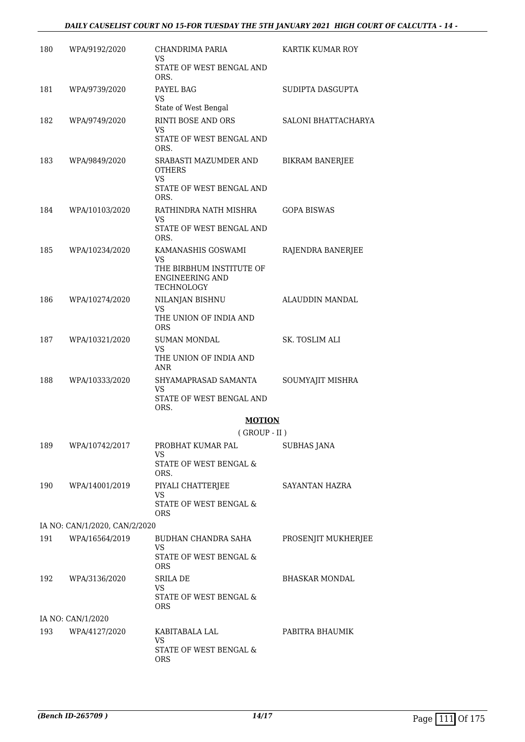#### *DAILY CAUSELIST COURT NO 15-FOR TUESDAY THE 5TH JANUARY 2021 HIGH COURT OF CALCUTTA - 14 -*

| 180 | WPA/9192/2020                 | CHANDRIMA PARIA<br>VS                                                           | KARTIK KUMAR ROY       |
|-----|-------------------------------|---------------------------------------------------------------------------------|------------------------|
|     |                               | STATE OF WEST BENGAL AND<br>ORS.                                                |                        |
| 181 | WPA/9739/2020                 | PAYEL BAG<br>VS<br>State of West Bengal                                         | SUDIPTA DASGUPTA       |
| 182 | WPA/9749/2020                 | RINTI BOSE AND ORS                                                              | SALONI BHATTACHARYA    |
|     |                               | <b>VS</b><br>STATE OF WEST BENGAL AND<br>ORS.                                   |                        |
| 183 | WPA/9849/2020                 | SRABASTI MAZUMDER AND<br><b>OTHERS</b><br><b>VS</b><br>STATE OF WEST BENGAL AND | <b>BIKRAM BANERJEE</b> |
| 184 | WPA/10103/2020                | ORS.<br>RATHINDRA NATH MISHRA<br>VS<br>STATE OF WEST BENGAL AND<br>ORS.         | <b>GOPA BISWAS</b>     |
| 185 | WPA/10234/2020                | KAMANASHIS GOSWAMI<br><b>VS</b>                                                 | RAJENDRA BANERJEE      |
|     |                               | THE BIRBHUM INSTITUTE OF<br><b>ENGINEERING AND</b><br><b>TECHNOLOGY</b>         |                        |
| 186 | WPA/10274/2020                | NILANJAN BISHNU<br>VS                                                           | ALAUDDIN MANDAL        |
|     |                               | THE UNION OF INDIA AND<br>ORS                                                   |                        |
| 187 | WPA/10321/2020                | <b>SUMAN MONDAL</b><br><b>VS</b><br>THE UNION OF INDIA AND                      | <b>SK. TOSLIM ALI</b>  |
|     |                               | ANR                                                                             |                        |
| 188 | WPA/10333/2020                | SHYAMAPRASAD SAMANTA<br>VS<br>STATE OF WEST BENGAL AND<br>ORS.                  | SOUMYAJIT MISHRA       |
|     |                               | <b>MOTION</b>                                                                   |                        |
|     |                               | $($ GROUP - II $)$                                                              |                        |
| 189 | WPA/10742/2017                | PROBHAT KUMAR PAL<br>VS<br>STATE OF WEST BENGAL &<br>ORS.                       | <b>SUBHAS JANA</b>     |
| 190 | WPA/14001/2019                | PIYALI CHATTERJEE<br><b>VS</b>                                                  | <b>SAYANTAN HAZRA</b>  |
|     |                               | STATE OF WEST BENGAL &<br>ORS                                                   |                        |
|     | IA NO: CAN/1/2020, CAN/2/2020 |                                                                                 |                        |
| 191 | WPA/16564/2019                | BUDHAN CHANDRA SAHA<br><b>VS</b><br>STATE OF WEST BENGAL &                      | PROSENJIT MUKHERJEE    |
|     |                               | ORS                                                                             |                        |
| 192 | WPA/3136/2020                 | SRILA DE<br>VS<br>STATE OF WEST BENGAL &<br>ORS                                 | <b>BHASKAR MONDAL</b>  |
|     | IA NO: CAN/1/2020             |                                                                                 |                        |
| 193 | WPA/4127/2020                 | KABITABALA LAL<br><b>VS</b><br>STATE OF WEST BENGAL &<br><b>ORS</b>             | PABITRA BHAUMIK        |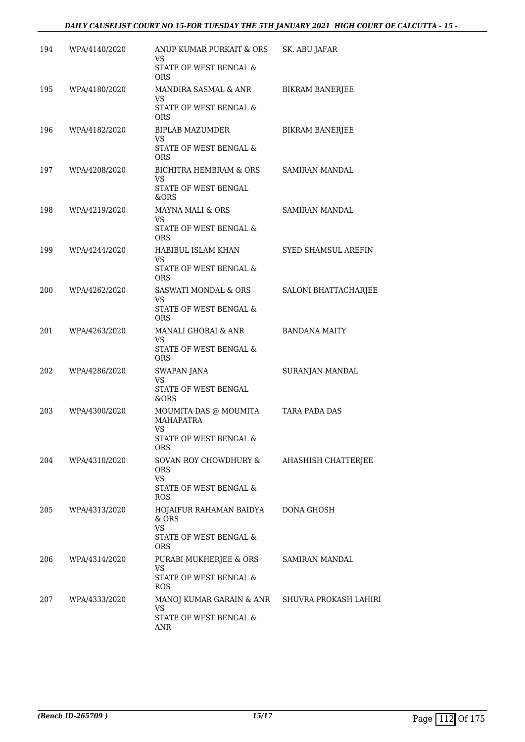#### *DAILY CAUSELIST COURT NO 15-FOR TUESDAY THE 5TH JANUARY 2021 HIGH COURT OF CALCUTTA - 15 -*

| 194 | WPA/4140/2020 | ANUP KUMAR PURKAIT & ORS<br>VS                       | SK. ABU JAFAR                |
|-----|---------------|------------------------------------------------------|------------------------------|
|     |               | STATE OF WEST BENGAL &<br>ORS                        |                              |
| 195 | WPA/4180/2020 | MANDIRA SASMAL & ANR<br>VS                           | <b>BIKRAM BANERIEE</b>       |
|     |               | STATE OF WEST BENGAL &<br><b>ORS</b>                 |                              |
| 196 | WPA/4182/2020 | BIPLAB MAZUMDER<br>VS                                | <b>BIKRAM BANERJEE</b>       |
|     |               | STATE OF WEST BENGAL &<br><b>ORS</b>                 |                              |
| 197 | WPA/4208/2020 | BICHITRA HEMBRAM & ORS<br>VS<br>STATE OF WEST BENGAL | SAMIRAN MANDAL               |
|     |               | &ORS                                                 |                              |
| 198 | WPA/4219/2020 | MAYNA MALI & ORS<br>VS<br>STATE OF WEST BENGAL &     | <b>SAMIRAN MANDAL</b>        |
|     |               | <b>ORS</b>                                           |                              |
| 199 | WPA/4244/2020 | HABIBUL ISLAM KHAN<br>VS                             | <b>SYED SHAMSUL AREFIN</b>   |
|     |               | STATE OF WEST BENGAL &<br>ORS                        |                              |
| 200 | WPA/4262/2020 | <b>SASWATI MONDAL &amp; ORS</b><br>VS                | SALONI BHATTACHARJEE         |
|     |               | STATE OF WEST BENGAL &<br><b>ORS</b>                 |                              |
| 201 | WPA/4263/2020 | MANALI GHORAI & ANR<br>VS                            | <b>BANDANA MAITY</b>         |
|     |               | STATE OF WEST BENGAL &<br><b>ORS</b>                 |                              |
| 202 | WPA/4286/2020 | SWAPAN JANA<br><b>VS</b>                             | SURANJAN MANDAL              |
|     |               | STATE OF WEST BENGAL<br>&ORS                         |                              |
| 203 | WPA/4300/2020 | MOUMITA DAS @ MOUMITA<br><b>MAHAPATRA</b><br>VS      | TARA PADA DAS                |
|     |               | STATE OF WEST BENGAL &<br>ORS                        |                              |
| 204 | WPA/4310/2020 | SOVAN ROY CHOWDHURY &<br><b>ORS</b>                  | AHASHISH CHATTERJEE          |
|     |               | <b>VS</b><br>STATE OF WEST BENGAL &<br>ROS           |                              |
| 205 | WPA/4313/2020 | HOJAIFUR RAHAMAN BAIDYA<br>$&$ ORS                   | <b>DONA GHOSH</b>            |
|     |               | <b>VS</b><br>STATE OF WEST BENGAL &<br>ORS           |                              |
| 206 | WPA/4314/2020 | PURABI MUKHERJEE & ORS<br><b>VS</b>                  | SAMIRAN MANDAL               |
|     |               | STATE OF WEST BENGAL &<br><b>ROS</b>                 |                              |
| 207 | WPA/4333/2020 | MANOJ KUMAR GARAIN & ANR<br>VS                       | <b>SHUVRA PROKASH LAHIRI</b> |
|     |               | STATE OF WEST BENGAL &<br>ANR                        |                              |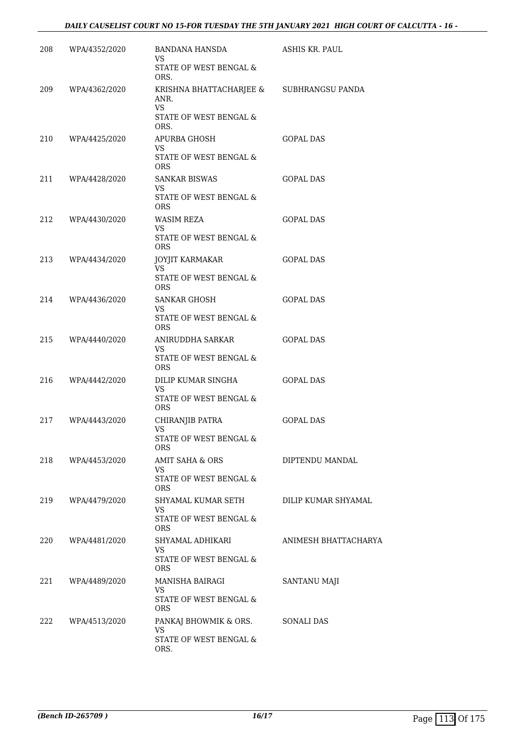| STATE OF WEST BENGAL &<br>ORS.<br>209<br>WPA/4362/2020<br>KRISHNA BHATTACHARJEE & SUBHRANGSU PANDA<br>ANR.<br>VS.<br>STATE OF WEST BENGAL &<br>ORS.<br>210<br>WPA/4425/2020<br>APURBA GHOSH<br><b>GOPAL DAS</b><br>VS<br>STATE OF WEST BENGAL &<br><b>ORS</b><br>211<br>WPA/4428/2020<br><b>SANKAR BISWAS</b><br><b>GOPAL DAS</b><br>VS.<br>STATE OF WEST BENGAL &<br>ORS.<br>212<br>WPA/4430/2020<br><b>WASIM REZA</b><br><b>GOPAL DAS</b><br>VS.<br>STATE OF WEST BENGAL &<br>ORS.<br>213<br>WPA/4434/2020<br>JOYJIT KARMAKAR<br><b>GOPAL DAS</b><br>VS.<br>STATE OF WEST BENGAL &<br><b>ORS</b><br>214<br>WPA/4436/2020<br><b>SANKAR GHOSH</b><br><b>GOPAL DAS</b><br>VS<br>STATE OF WEST BENGAL &<br><b>ORS</b><br>ANIRUDDHA SARKAR<br><b>GOPAL DAS</b><br>215<br>WPA/4440/2020<br>VS<br>STATE OF WEST BENGAL &<br><b>ORS</b><br>216<br>WPA/4442/2020<br>DILIP KUMAR SINGHA<br><b>GOPAL DAS</b><br>VS.<br>STATE OF WEST BENGAL &<br><b>ORS</b><br>217<br>WPA/4443/2020<br>CHIRANJIB PATRA<br><b>GOPAL DAS</b><br>VS<br>STATE OF WEST BENGAL $\&$<br>ORS |  |
|-------------------------------------------------------------------------------------------------------------------------------------------------------------------------------------------------------------------------------------------------------------------------------------------------------------------------------------------------------------------------------------------------------------------------------------------------------------------------------------------------------------------------------------------------------------------------------------------------------------------------------------------------------------------------------------------------------------------------------------------------------------------------------------------------------------------------------------------------------------------------------------------------------------------------------------------------------------------------------------------------------------------------------------------------------------|--|
|                                                                                                                                                                                                                                                                                                                                                                                                                                                                                                                                                                                                                                                                                                                                                                                                                                                                                                                                                                                                                                                             |  |
|                                                                                                                                                                                                                                                                                                                                                                                                                                                                                                                                                                                                                                                                                                                                                                                                                                                                                                                                                                                                                                                             |  |
|                                                                                                                                                                                                                                                                                                                                                                                                                                                                                                                                                                                                                                                                                                                                                                                                                                                                                                                                                                                                                                                             |  |
|                                                                                                                                                                                                                                                                                                                                                                                                                                                                                                                                                                                                                                                                                                                                                                                                                                                                                                                                                                                                                                                             |  |
|                                                                                                                                                                                                                                                                                                                                                                                                                                                                                                                                                                                                                                                                                                                                                                                                                                                                                                                                                                                                                                                             |  |
|                                                                                                                                                                                                                                                                                                                                                                                                                                                                                                                                                                                                                                                                                                                                                                                                                                                                                                                                                                                                                                                             |  |
|                                                                                                                                                                                                                                                                                                                                                                                                                                                                                                                                                                                                                                                                                                                                                                                                                                                                                                                                                                                                                                                             |  |
|                                                                                                                                                                                                                                                                                                                                                                                                                                                                                                                                                                                                                                                                                                                                                                                                                                                                                                                                                                                                                                                             |  |
|                                                                                                                                                                                                                                                                                                                                                                                                                                                                                                                                                                                                                                                                                                                                                                                                                                                                                                                                                                                                                                                             |  |
|                                                                                                                                                                                                                                                                                                                                                                                                                                                                                                                                                                                                                                                                                                                                                                                                                                                                                                                                                                                                                                                             |  |
|                                                                                                                                                                                                                                                                                                                                                                                                                                                                                                                                                                                                                                                                                                                                                                                                                                                                                                                                                                                                                                                             |  |
|                                                                                                                                                                                                                                                                                                                                                                                                                                                                                                                                                                                                                                                                                                                                                                                                                                                                                                                                                                                                                                                             |  |
|                                                                                                                                                                                                                                                                                                                                                                                                                                                                                                                                                                                                                                                                                                                                                                                                                                                                                                                                                                                                                                                             |  |
| 218<br>WPA/4453/2020<br>AMIT SAHA & ORS<br>DIPTENDU MANDAL<br>VS.                                                                                                                                                                                                                                                                                                                                                                                                                                                                                                                                                                                                                                                                                                                                                                                                                                                                                                                                                                                           |  |
| STATE OF WEST BENGAL &<br><b>ORS</b>                                                                                                                                                                                                                                                                                                                                                                                                                                                                                                                                                                                                                                                                                                                                                                                                                                                                                                                                                                                                                        |  |
| 219<br>SHYAMAL KUMAR SETH<br>DILIP KUMAR SHYAMAL<br>WPA/4479/2020<br>VS<br>STATE OF WEST BENGAL &<br>ORS                                                                                                                                                                                                                                                                                                                                                                                                                                                                                                                                                                                                                                                                                                                                                                                                                                                                                                                                                    |  |
| SHYAMAL ADHIKARI<br>ANIMESH BHATTACHARYA<br>220<br>WPA/4481/2020<br>VS<br>STATE OF WEST BENGAL &<br><b>ORS</b>                                                                                                                                                                                                                                                                                                                                                                                                                                                                                                                                                                                                                                                                                                                                                                                                                                                                                                                                              |  |
| 221<br>WPA/4489/2020<br>MANISHA BAIRAGI<br>SANTANU MAJI<br>VS.<br>STATE OF WEST BENGAL &                                                                                                                                                                                                                                                                                                                                                                                                                                                                                                                                                                                                                                                                                                                                                                                                                                                                                                                                                                    |  |
| ORS<br>222<br>WPA/4513/2020<br>PANKAJ BHOWMIK & ORS.<br>SONALI DAS<br>VS.<br>STATE OF WEST BENGAL &<br>ORS.                                                                                                                                                                                                                                                                                                                                                                                                                                                                                                                                                                                                                                                                                                                                                                                                                                                                                                                                                 |  |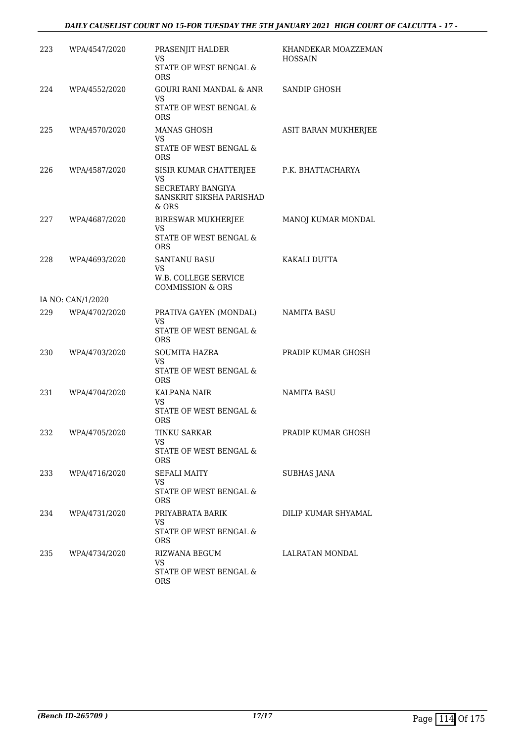#### *DAILY CAUSELIST COURT NO 15-FOR TUESDAY THE 5TH JANUARY 2021 HIGH COURT OF CALCUTTA - 17 -*

| 223 | WPA/4547/2020     | PRASENJIT HALDER<br>VS<br>STATE OF WEST BENGAL &<br><b>ORS</b>                                | KHANDEKAR MOAZZEMAN<br><b>HOSSAIN</b> |
|-----|-------------------|-----------------------------------------------------------------------------------------------|---------------------------------------|
| 224 | WPA/4552/2020     | GOURI RANI MANDAL & ANR<br>VS.<br>STATE OF WEST BENGAL &<br><b>ORS</b>                        | <b>SANDIP GHOSH</b>                   |
| 225 | WPA/4570/2020     | <b>MANAS GHOSH</b><br>VS.<br>STATE OF WEST BENGAL &<br><b>ORS</b>                             | ASIT BARAN MUKHERJEE                  |
| 226 | WPA/4587/2020     | SISIR KUMAR CHATTERJEE<br>VS<br><b>SECRETARY BANGIYA</b><br>SANSKRIT SIKSHA PARISHAD<br>& ORS | P.K. BHATTACHARYA                     |
| 227 | WPA/4687/2020     | BIRESWAR MUKHERJEE<br>VS.<br>STATE OF WEST BENGAL &<br><b>ORS</b>                             | MANOJ KUMAR MONDAL                    |
| 228 | WPA/4693/2020     | <b>SANTANU BASU</b><br>VS<br>W.B. COLLEGE SERVICE<br><b>COMMISSION &amp; ORS</b>              | KAKALI DUTTA                          |
|     | IA NO: CAN/1/2020 |                                                                                               |                                       |
| 229 | WPA/4702/2020     | PRATIVA GAYEN (MONDAL)<br>VS<br>STATE OF WEST BENGAL &<br><b>ORS</b>                          | NAMITA BASU                           |
| 230 | WPA/4703/2020     | <b>SOUMITA HAZRA</b><br>VS.<br>STATE OF WEST BENGAL &<br><b>ORS</b>                           | PRADIP KUMAR GHOSH                    |
| 231 | WPA/4704/2020     | KALPANA NAIR<br>VS<br>STATE OF WEST BENGAL &<br><b>ORS</b>                                    | NAMITA BASU                           |
| 232 | WPA/4705/2020     | TINKU SARKAR<br>VS<br>STATE OF WEST BENGAL &<br>ORS                                           | PRADIP KUMAR GHOSH                    |
| 233 | WPA/4716/2020     | SEFALI MAITY<br><b>VS</b><br>STATE OF WEST BENGAL &<br>ORS                                    | SUBHAS JANA                           |
| 234 | WPA/4731/2020     | PRIYABRATA BARIK<br>VS<br>STATE OF WEST BENGAL &<br>ORS                                       | DILIP KUMAR SHYAMAL                   |
| 235 | WPA/4734/2020     | RIZWANA BEGUM<br>VS<br>STATE OF WEST BENGAL &<br>ORS                                          | LALRATAN MONDAL                       |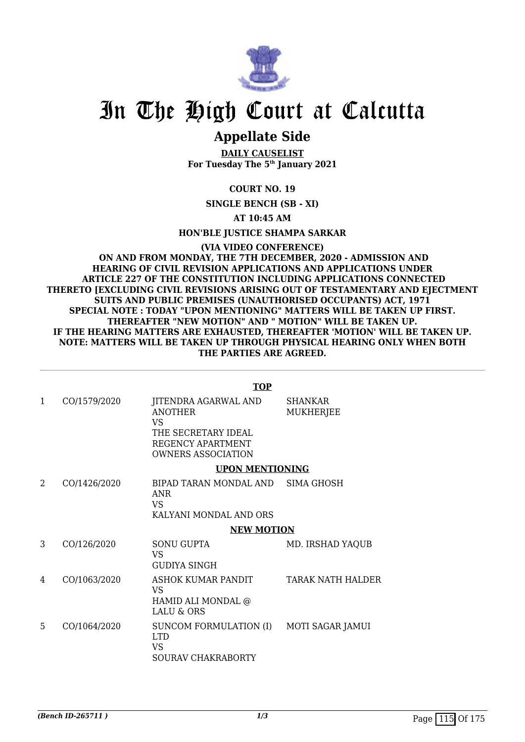

### **Appellate Side**

**DAILY CAUSELIST For Tuesday The 5th January 2021**

**COURT NO. 19**

**SINGLE BENCH (SB - XI)**

**AT 10:45 AM**

**HON'BLE JUSTICE SHAMPA SARKAR**

**(VIA VIDEO CONFERENCE) ON AND FROM MONDAY, THE 7TH DECEMBER, 2020 - ADMISSION AND HEARING OF CIVIL REVISION APPLICATIONS AND APPLICATIONS UNDER ARTICLE 227 OF THE CONSTITUTION INCLUDING APPLICATIONS CONNECTED THERETO [EXCLUDING CIVIL REVISIONS ARISING OUT OF TESTAMENTARY AND EJECTMENT SUITS AND PUBLIC PREMISES (UNAUTHORISED OCCUPANTS) ACT, 1971 SPECIAL NOTE : TODAY "UPON MENTIONING" MATTERS WILL BE TAKEN UP FIRST. THEREAFTER "NEW MOTION" AND " MOTION" WILL BE TAKEN UP. IF THE HEARING MATTERS ARE EXHAUSTED, THEREAFTER 'MOTION' WILL BE TAKEN UP. NOTE: MATTERS WILL BE TAKEN UP THROUGH PHYSICAL HEARING ONLY WHEN BOTH THE PARTIES ARE AGREED.**

#### **TOP**

| 1 | CO/1579/2020 | JITENDRA AGARWAL AND<br><b>ANOTHER</b><br>VS<br>THE SECRETARY IDEAL<br>REGENCY APARTMENT<br><b>OWNERS ASSOCIATION</b> | <b>SHANKAR</b><br><b>MUKHERJEE</b> |
|---|--------------|-----------------------------------------------------------------------------------------------------------------------|------------------------------------|
|   |              | <b>UPON MENTIONING</b>                                                                                                |                                    |
| 2 | CO/1426/2020 | BIPAD TARAN MONDAL AND SIMA GHOSH<br><b>ANR</b><br>VS<br>KALYANI MONDAL AND ORS                                       |                                    |
|   |              | <b>NEW MOTION</b>                                                                                                     |                                    |
| 3 | CO/126/2020  | <b>SONU GUPTA</b><br>VS<br><b>GUDIYA SINGH</b>                                                                        | MD. IRSHAD YAQUB                   |
| 4 | CO/1063/2020 | ASHOK KUMAR PANDIT<br>VS<br>HAMID ALI MONDAL @<br><b>LALU &amp; ORS</b>                                               | <b>TARAK NATH HALDER</b>           |
| 5 | CO/1064/2020 | SUNCOM FORMULATION (I) MOTI SAGAR JAMUI<br><b>LTD</b><br>VS<br><b>SOURAV CHAKRABORTY</b>                              |                                    |
|   |              |                                                                                                                       |                                    |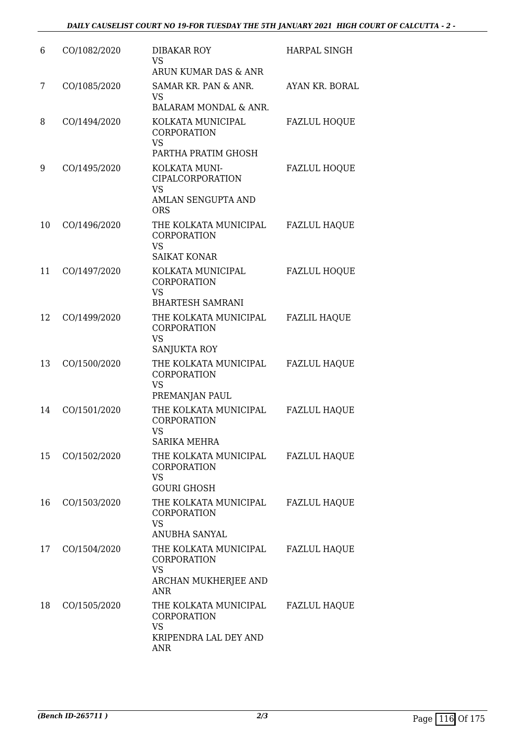| 6  | CO/1082/2020 | DIBAKAR ROY<br><b>VS</b><br>ARUN KUMAR DAS & ANR                                                         | <b>HARPAL SINGH</b> |
|----|--------------|----------------------------------------------------------------------------------------------------------|---------------------|
| 7  | CO/1085/2020 | SAMAR KR. PAN & ANR.<br><b>VS</b><br>BALARAM MONDAL & ANR.                                               | AYAN KR. BORAL      |
| 8  | CO/1494/2020 | KOLKATA MUNICIPAL<br><b>CORPORATION</b><br><b>VS</b>                                                     | <b>FAZLUL HOQUE</b> |
| 9  | CO/1495/2020 | PARTHA PRATIM GHOSH<br>KOLKATA MUNI-<br>CIPALCORPORATION                                                 | <b>FAZLUL HOQUE</b> |
|    |              | <b>VS</b><br>AMLAN SENGUPTA AND<br><b>ORS</b>                                                            |                     |
| 10 | CO/1496/2020 | THE KOLKATA MUNICIPAL<br><b>CORPORATION</b><br><b>VS</b><br><b>SAIKAT KONAR</b>                          | <b>FAZLUL HAQUE</b> |
| 11 | CO/1497/2020 | KOLKATA MUNICIPAL<br><b>CORPORATION</b><br><b>VS</b>                                                     | <b>FAZLUL HOQUE</b> |
| 12 | CO/1499/2020 | <b>BHARTESH SAMRANI</b><br>THE KOLKATA MUNICIPAL<br><b>CORPORATION</b><br><b>VS</b><br>SANJUKTA ROY      | <b>FAZLIL HAQUE</b> |
| 13 | CO/1500/2020 | THE KOLKATA MUNICIPAL<br><b>CORPORATION</b><br><b>VS</b><br>PREMANJAN PAUL                               | <b>FAZLUL HAQUE</b> |
| 14 | CO/1501/2020 | THE KOLKATA MUNICIPAL<br><b>CORPORATION</b><br>VS<br><b>SARIKA MEHRA</b>                                 | <b>FAZLUL HAQUE</b> |
| 15 | CO/1502/2020 | THE KOLKATA MUNICIPAL<br>CORPORATION<br><b>VS</b><br><b>GOURI GHOSH</b>                                  | <b>FAZLUL HAQUE</b> |
| 16 | CO/1503/2020 | THE KOLKATA MUNICIPAL<br>CORPORATION<br><b>VS</b>                                                        | <b>FAZLUL HAQUE</b> |
| 17 | CO/1504/2020 | ANUBHA SANYAL<br>THE KOLKATA MUNICIPAL<br>CORPORATION<br><b>VS</b><br>ARCHAN MUKHERJEE AND<br><b>ANR</b> | <b>FAZLUL HAQUE</b> |
| 18 | CO/1505/2020 | THE KOLKATA MUNICIPAL<br>CORPORATION<br><b>VS</b><br>KRIPENDRA LAL DEY AND<br><b>ANR</b>                 | <b>FAZLUL HAQUE</b> |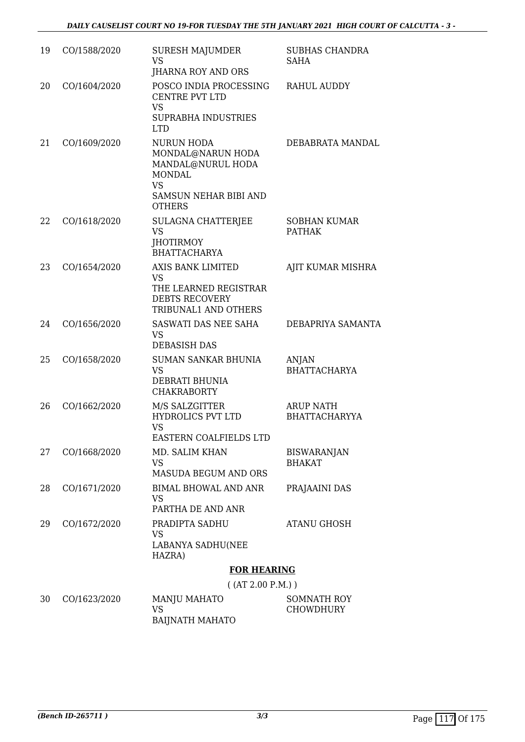| 19 | CO/1588/2020 | <b>SURESH MAJUMDER</b><br><b>VS</b><br><b>IHARNA ROY AND ORS</b>                                                                           | <b>SUBHAS CHANDRA</b><br><b>SAHA</b>     |
|----|--------------|--------------------------------------------------------------------------------------------------------------------------------------------|------------------------------------------|
| 20 | CO/1604/2020 | POSCO INDIA PROCESSING<br><b>CENTRE PVT LTD</b><br><b>VS</b><br>SUPRABHA INDUSTRIES<br><b>LTD</b>                                          | <b>RAHUL AUDDY</b>                       |
| 21 | CO/1609/2020 | <b>NURUN HODA</b><br>MONDAL@NARUN HODA<br>MANDAL@NURUL HODA<br><b>MONDAL</b><br><b>VS</b><br><b>SAMSUN NEHAR BIBI AND</b><br><b>OTHERS</b> | DEBABRATA MANDAL                         |
| 22 | CO/1618/2020 | SULAGNA CHATTERJEE<br><b>VS</b><br><b>JHOTIRMOY</b><br><b>BHATTACHARYA</b>                                                                 | <b>SOBHAN KUMAR</b><br><b>PATHAK</b>     |
| 23 | CO/1654/2020 | <b>AXIS BANK LIMITED</b><br><b>VS</b><br>THE LEARNED REGISTRAR<br><b>DEBTS RECOVERY</b><br>TRIBUNAL1 AND OTHERS                            | AJIT KUMAR MISHRA                        |
| 24 | CO/1656/2020 | SASWATI DAS NEE SAHA<br><b>VS</b><br><b>DEBASISH DAS</b>                                                                                   | DEBAPRIYA SAMANTA                        |
| 25 | CO/1658/2020 | <b>SUMAN SANKAR BHUNIA</b><br><b>VS</b><br>DEBRATI BHUNIA<br><b>CHAKRABORTY</b>                                                            | <b>ANJAN</b><br><b>BHATTACHARYA</b>      |
| 26 | CO/1662/2020 | M/S SALZGITTER<br><b>HYDROLICS PVT LTD</b><br><b>VS</b><br><b>EASTERN COALFIELDS LTD</b>                                                   | <b>ARUP NATH</b><br><b>BHATTACHARYYA</b> |
| 27 | CO/1668/2020 | MD. SALIM KHAN<br><b>VS</b><br>MASUDA BEGUM AND ORS                                                                                        | <b>BISWARANJAN</b><br><b>BHAKAT</b>      |
| 28 | CO/1671/2020 | <b>BIMAL BHOWAL AND ANR</b><br>VS<br>PARTHA DE AND ANR                                                                                     | PRAJAAINI DAS                            |
| 29 | CO/1672/2020 | PRADIPTA SADHU<br><b>VS</b><br>LABANYA SADHU(NEE<br>HAZRA)                                                                                 | <b>ATANU GHOSH</b>                       |
|    |              | <b>FOR HEARING</b>                                                                                                                         |                                          |
|    |              | ( (AT 2.00 P.M.) )                                                                                                                         |                                          |

| 30 | CO/1623/2020 | MANJU MAHATO    | SOMNATH ROY |
|----|--------------|-----------------|-------------|
|    |              |                 | CHOWDHURY   |
|    |              | BAIJNATH MAHATO |             |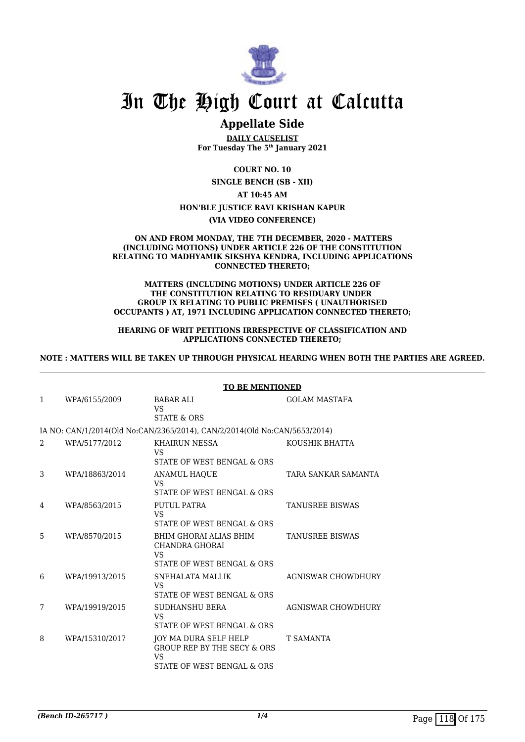

### **Appellate Side**

**DAILY CAUSELIST For Tuesday The 5th January 2021**

**COURT NO. 10**

**SINGLE BENCH (SB - XII) AT 10:45 AM HON'BLE JUSTICE RAVI KRISHAN KAPUR**

**(VIA VIDEO CONFERENCE)**

#### **ON AND FROM MONDAY, THE 7TH DECEMBER, 2020 - MATTERS (INCLUDING MOTIONS) UNDER ARTICLE 226 OF THE CONSTITUTION RELATING TO MADHYAMIK SIKSHYA KENDRA, INCLUDING APPLICATIONS CONNECTED THERETO;**

#### **MATTERS (INCLUDING MOTIONS) UNDER ARTICLE 226 OF THE CONSTITUTION RELATING TO RESIDUARY UNDER GROUP IX RELATING TO PUBLIC PREMISES ( UNAUTHORISED OCCUPANTS ) AT, 1971 INCLUDING APPLICATION CONNECTED THERETO;**

#### **HEARING OF WRIT PETITIONS IRRESPECTIVE OF CLASSIFICATION AND APPLICATIONS CONNECTED THERETO;**

#### **NOTE : MATTERS WILL BE TAKEN UP THROUGH PHYSICAL HEARING WHEN BOTH THE PARTIES ARE AGREED.**

|   |                | TO DE MENTIONED                                                                                     |                           |
|---|----------------|-----------------------------------------------------------------------------------------------------|---------------------------|
| 1 | WPA/6155/2009  | <b>BABAR ALI</b><br>VS<br><b>STATE &amp; ORS</b>                                                    | <b>GOLAM MASTAFA</b>      |
|   |                | IA NO: CAN/1/2014(Old No:CAN/2365/2014), CAN/2/2014(Old No:CAN/5653/2014)                           |                           |
| 2 | WPA/5177/2012  | <b>KHAIRUN NESSA</b><br>VS<br>STATE OF WEST BENGAL & ORS                                            | KOUSHIK BHATTA            |
| 3 | WPA/18863/2014 | <b>ANAMUL HAOUE</b><br>VS<br>STATE OF WEST BENGAL & ORS                                             | TARA SANKAR SAMANTA       |
| 4 | WPA/8563/2015  | PUTUL PATRA<br>VS<br>STATE OF WEST BENGAL & ORS                                                     | <b>TANUSREE BISWAS</b>    |
| 5 | WPA/8570/2015  | BHIM GHORAI ALIAS BHIM<br><b>CHANDRA GHORAI</b><br>VS<br>STATE OF WEST BENGAL & ORS                 | <b>TANUSREE BISWAS</b>    |
| 6 | WPA/19913/2015 | SNEHALATA MALLIK<br>VS.<br>STATE OF WEST BENGAL & ORS                                               | <b>AGNISWAR CHOWDHURY</b> |
| 7 | WPA/19919/2015 | <b>SUDHANSHU BERA</b><br>VS<br>STATE OF WEST BENGAL & ORS                                           | <b>AGNISWAR CHOWDHURY</b> |
| 8 | WPA/15310/2017 | JOY MA DURA SELF HELP<br><b>GROUP REP BY THE SECY &amp; ORS</b><br>VS<br>STATE OF WEST BENGAL & ORS | <b>T SAMANTA</b>          |

#### **TO BE MENTIONED**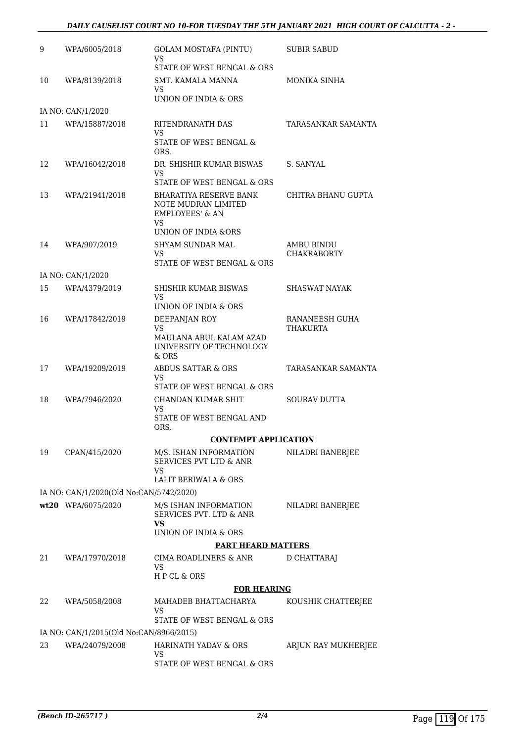#### *DAILY CAUSELIST COURT NO 10-FOR TUESDAY THE 5TH JANUARY 2021 HIGH COURT OF CALCUTTA - 2 -*

| 9  | WPA/6005/2018                           | <b>GOLAM MOSTAFA (PINTU)</b><br>VS<br>STATE OF WEST BENGAL & ORS                  | SUBIR SABUD                      |
|----|-----------------------------------------|-----------------------------------------------------------------------------------|----------------------------------|
| 10 | WPA/8139/2018                           | SMT. KAMALA MANNA<br>VS<br>UNION OF INDIA & ORS                                   | MONIKA SINHA                     |
|    | IA NO: CAN/1/2020                       |                                                                                   |                                  |
| 11 | WPA/15887/2018                          | RITENDRANATH DAS<br>VS<br>STATE OF WEST BENGAL &<br>ORS.                          | TARASANKAR SAMANTA               |
| 12 | WPA/16042/2018                          | DR. SHISHIR KUMAR BISWAS<br>VS<br>STATE OF WEST BENGAL & ORS                      | S. SANYAL                        |
| 13 | WPA/21941/2018                          | BHARATIYA RESERVE BANK<br>NOTE MUDRAN LIMITED<br><b>EMPLOYEES' &amp; AN</b><br>VS | CHITRA BHANU GUPTA               |
| 14 | WPA/907/2019                            | UNION OF INDIA & ORS<br>SHYAM SUNDAR MAL<br>VS<br>STATE OF WEST BENGAL & ORS      | AMBU BINDU<br><b>CHAKRABORTY</b> |
|    | IA NO: CAN/1/2020                       |                                                                                   |                                  |
| 15 | WPA/4379/2019                           | SHISHIR KUMAR BISWAS<br>VS<br>UNION OF INDIA & ORS                                | <b>SHASWAT NAYAK</b>             |
| 16 | WPA/17842/2019                          | DEEPANJAN ROY                                                                     | RANANEESH GUHA                   |
|    |                                         | VS<br>MAULANA ABUL KALAM AZAD<br>UNIVERSITY OF TECHNOLOGY<br>& ORS                | <b>THAKURTA</b>                  |
| 17 | WPA/19209/2019                          | <b>ABDUS SATTAR &amp; ORS</b><br>VS<br>STATE OF WEST BENGAL & ORS                 | TARASANKAR SAMANTA               |
| 18 | WPA/7946/2020                           | CHANDAN KUMAR SHIT<br>VS<br>STATE OF WEST BENGAL AND                              | <b>SOURAV DUTTA</b>              |
|    |                                         | ORS.                                                                              |                                  |
|    |                                         | <b>CONTEMPT APPLICATION</b>                                                       |                                  |
| 19 | CPAN/415/2020                           | M/S. ISHAN INFORMATION<br>SERVICES PVT LTD & ANR<br><b>VS</b>                     | NILADRI BANERJEE                 |
|    |                                         | <b>LALIT BERIWALA &amp; ORS</b>                                                   |                                  |
|    | IA NO: CAN/1/2020(Old No:CAN/5742/2020) |                                                                                   |                                  |
|    | wt20 WPA/6075/2020                      | M/S ISHAN INFORMATION<br>SERVICES PVT. LTD & ANR<br><b>VS</b>                     | NILADRI BANERJEE                 |
|    |                                         | UNION OF INDIA & ORS                                                              |                                  |
|    |                                         | <b>PART HEARD MATTERS</b>                                                         |                                  |
| 21 | WPA/17970/2018                          | CIMA ROADLINERS & ANR<br>VS<br>HPCL & ORS                                         | D CHATTARAJ                      |
|    |                                         | <b>FOR HEARING</b>                                                                |                                  |
| 22 | WPA/5058/2008                           | MAHADEB BHATTACHARYA<br>VS<br>STATE OF WEST BENGAL & ORS                          | KOUSHIK CHATTERJEE               |
|    | IA NO: CAN/1/2015(Old No:CAN/8966/2015) |                                                                                   |                                  |
| 23 | WPA/24079/2008                          | HARINATH YADAV & ORS<br>VS                                                        | ARJUN RAY MUKHERJEE              |
|    |                                         | STATE OF WEST BENGAL & ORS                                                        |                                  |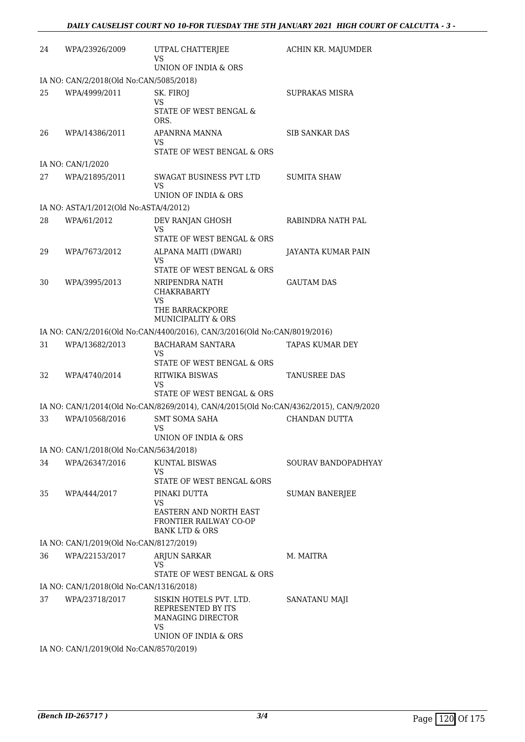| 24 | WPA/23926/2009                          | UTPAL CHATTERJEE<br>VS                                                                           | ACHIN KR. MAJUMDER     |
|----|-----------------------------------------|--------------------------------------------------------------------------------------------------|------------------------|
|    |                                         | UNION OF INDIA & ORS                                                                             |                        |
|    | IA NO: CAN/2/2018(Old No:CAN/5085/2018) |                                                                                                  |                        |
| 25 | WPA/4999/2011                           | SK. FIROJ<br><b>VS</b>                                                                           | <b>SUPRAKAS MISRA</b>  |
|    |                                         | STATE OF WEST BENGAL &<br>ORS.                                                                   |                        |
| 26 | WPA/14386/2011                          | APANRNA MANNA<br>VS                                                                              | <b>SIB SANKAR DAS</b>  |
|    |                                         | STATE OF WEST BENGAL & ORS                                                                       |                        |
|    | IA NO: CAN/1/2020                       |                                                                                                  |                        |
| 27 | WPA/21895/2011                          | SWAGAT BUSINESS PVT LTD<br>VS                                                                    | <b>SUMITA SHAW</b>     |
|    |                                         | UNION OF INDIA & ORS                                                                             |                        |
|    | IA NO: ASTA/1/2012(Old No:ASTA/4/2012)  |                                                                                                  |                        |
| 28 | WPA/61/2012                             | DEV RANJAN GHOSH<br>VS                                                                           | RABINDRA NATH PAL      |
|    |                                         | STATE OF WEST BENGAL & ORS                                                                       |                        |
| 29 | WPA/7673/2012                           | ALPANA MAITI (DWARI)<br>VS                                                                       | JAYANTA KUMAR PAIN     |
|    |                                         | STATE OF WEST BENGAL & ORS                                                                       |                        |
| 30 | WPA/3995/2013                           | NRIPENDRA NATH<br><b>CHAKRABARTY</b><br><b>VS</b>                                                | <b>GAUTAM DAS</b>      |
|    |                                         | THE BARRACKPORE<br>MUNICIPALITY & ORS                                                            |                        |
|    |                                         | IA NO: CAN/2/2016(Old No:CAN/4400/2016), CAN/3/2016(Old No:CAN/8019/2016)                        |                        |
| 31 | WPA/13682/2013                          | <b>BACHARAM SANTARA</b><br>VS<br>STATE OF WEST BENGAL & ORS                                      | <b>TAPAS KUMAR DEY</b> |
| 32 |                                         | RITWIKA BISWAS                                                                                   | TANUSREE DAS           |
|    | WPA/4740/2014                           | VS<br>STATE OF WEST BENGAL & ORS                                                                 |                        |
|    |                                         | IA NO: CAN/1/2014(Old No:CAN/8269/2014), CAN/4/2015(Old No:CAN/4362/2015), CAN/9/2020            |                        |
| 33 | WPA/10568/2016                          | <b>SMT SOMA SAHA</b><br>VS                                                                       | <b>CHANDAN DUTTA</b>   |
|    |                                         | UNION OF INDIA & ORS                                                                             |                        |
|    | IA NO: CAN/1/2018(Old No:CAN/5634/2018) |                                                                                                  |                        |
| 34 | WPA/26347/2016                          | KUNTAL BISWAS<br><b>VS</b><br>STATE OF WEST BENGAL &ORS                                          | SOURAV BANDOPADHYAY    |
| 35 | WPA/444/2017                            | PINAKI DUTTA                                                                                     | <b>SUMAN BANERJEE</b>  |
|    |                                         | VS<br>EASTERN AND NORTH EAST<br><b>FRONTIER RAILWAY CO-OP</b><br><b>BANK LTD &amp; ORS</b>       |                        |
|    | IA NO: CAN/1/2019(Old No:CAN/8127/2019) |                                                                                                  |                        |
| 36 | WPA/22153/2017                          | ARJUN SARKAR                                                                                     | M. MAITRA              |
|    |                                         | VS<br>STATE OF WEST BENGAL & ORS                                                                 |                        |
|    | IA NO: CAN/1/2018(Old No:CAN/1316/2018) |                                                                                                  |                        |
| 37 | WPA/23718/2017                          | SISKIN HOTELS PVT. LTD.<br>REPRESENTED BY ITS<br>MANAGING DIRECTOR<br>VS<br>UNION OF INDIA & ORS | SANATANU MAJI          |
|    | $(2010(213)$ $\sigma$ $(20107)$         |                                                                                                  |                        |

IA NO: CAN/1/2019(Old No:CAN/8570/2019)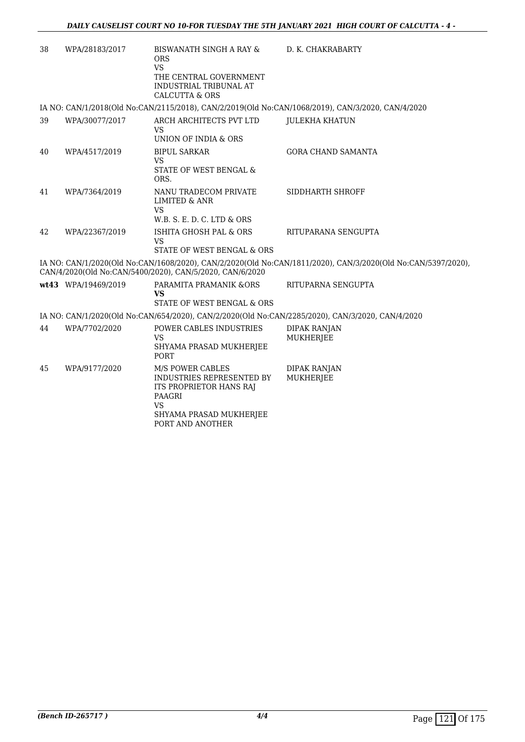| 38 | WPA/28183/2017      | <b>BISWANATH SINGH A RAY &amp;</b><br><b>ORS</b><br><b>VS</b><br>THE CENTRAL GOVERNMENT<br><b>INDUSTRIAL TRIBUNAL AT</b><br><b>CALCUTTA &amp; ORS</b> | D. K. CHAKRABARTY                                                                                            |
|----|---------------------|-------------------------------------------------------------------------------------------------------------------------------------------------------|--------------------------------------------------------------------------------------------------------------|
|    |                     |                                                                                                                                                       | IA NO: CAN/1/2018(Old No:CAN/2115/2018), CAN/2/2019(Old No:CAN/1068/2019), CAN/3/2020, CAN/4/2020            |
| 39 | WPA/30077/2017      | ARCH ARCHITECTS PVT LTD<br><b>VS</b><br>UNION OF INDIA & ORS                                                                                          | <b>JULEKHA KHATUN</b>                                                                                        |
| 40 | WPA/4517/2019       | <b>BIPUL SARKAR</b><br><b>VS</b><br>STATE OF WEST BENGAL &<br>ORS.                                                                                    | <b>GORA CHAND SAMANTA</b>                                                                                    |
| 41 | WPA/7364/2019       | NANU TRADECOM PRIVATE<br><b>LIMITED &amp; ANR</b><br><b>VS</b><br>W.B. S. E. D. C. LTD & ORS                                                          | SIDDHARTH SHROFF                                                                                             |
| 42 | WPA/22367/2019      | ISHITA GHOSH PAL & ORS<br>VS<br>STATE OF WEST BENGAL & ORS                                                                                            | RITUPARANA SENGUPTA                                                                                          |
|    |                     | CAN/4/2020(Old No:CAN/5400/2020), CAN/5/2020, CAN/6/2020                                                                                              | IA NO: CAN/1/2020(Old No:CAN/1608/2020), CAN/2/2020(Old No:CAN/1811/2020), CAN/3/2020(Old No:CAN/5397/2020), |
|    | wt43 WPA/19469/2019 | PARAMITA PRAMANIK &ORS<br>VS<br>STATE OF WEST BENGAL & ORS                                                                                            | RITUPARNA SENGUPTA                                                                                           |
|    |                     |                                                                                                                                                       | IA NO: CAN/1/2020(Old No:CAN/654/2020), CAN/2/2020(Old No:CAN/2285/2020), CAN/3/2020, CAN/4/2020             |
| 44 | WPA/7702/2020       | POWER CABLES INDUSTRIES<br><b>VS</b><br>SHYAMA PRASAD MUKHERJEE<br><b>PORT</b>                                                                        | <b>DIPAK RANJAN</b><br><b>MUKHERJEE</b>                                                                      |
| 45 | WPA/9177/2020       | M/S POWER CABLES<br>INDUSTRIES REPRESENTED BY<br>ITS PROPRIETOR HANS RAJ<br>PAAGRI<br><b>VS</b><br>SHYAMA PRASAD MUKHERJEE<br>PORT AND ANOTHER        | <b>DIPAK RANJAN</b><br><b>MUKHERJEE</b>                                                                      |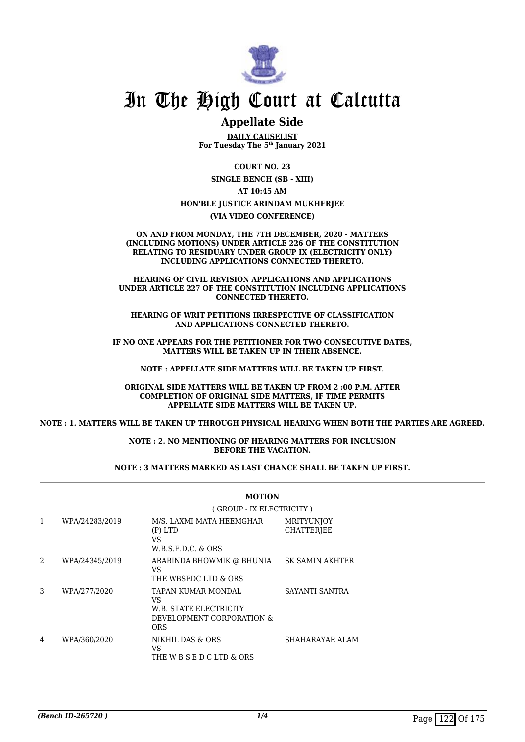

#### **Appellate Side**

**DAILY CAUSELIST For Tuesday The 5th January 2021**

**COURT NO. 23 SINGLE BENCH (SB - XIII)**

**AT 10:45 AM**

#### **HON'BLE JUSTICE ARINDAM MUKHERJEE**

**(VIA VIDEO CONFERENCE)**

**ON AND FROM MONDAY, THE 7TH DECEMBER, 2020 - MATTERS (INCLUDING MOTIONS) UNDER ARTICLE 226 OF THE CONSTITUTION RELATING TO RESIDUARY UNDER GROUP IX (ELECTRICITY ONLY) INCLUDING APPLICATIONS CONNECTED THERETO.**

**HEARING OF CIVIL REVISION APPLICATIONS AND APPLICATIONS UNDER ARTICLE 227 OF THE CONSTITUTION INCLUDING APPLICATIONS CONNECTED THERETO.**

**HEARING OF WRIT PETITIONS IRRESPECTIVE OF CLASSIFICATION AND APPLICATIONS CONNECTED THERETO.**

**IF NO ONE APPEARS FOR THE PETITIONER FOR TWO CONSECUTIVE DATES, MATTERS WILL BE TAKEN UP IN THEIR ABSENCE.**

**NOTE : APPELLATE SIDE MATTERS WILL BE TAKEN UP FIRST.**

**ORIGINAL SIDE MATTERS WILL BE TAKEN UP FROM 2 :00 P.M. AFTER COMPLETION OF ORIGINAL SIDE MATTERS, IF TIME PERMITS APPELLATE SIDE MATTERS WILL BE TAKEN UP.**

**NOTE : 1. MATTERS WILL BE TAKEN UP THROUGH PHYSICAL HEARING WHEN BOTH THE PARTIES ARE AGREED.**

**NOTE : 2. NO MENTIONING OF HEARING MATTERS FOR INCLUSION BEFORE THE VACATION.**

#### **NOTE : 3 MATTERS MARKED AS LAST CHANCE SHALL BE TAKEN UP FIRST.**

|                |                | (GROUP - IX ELECTRICITY)                                                                      |                                        |  |
|----------------|----------------|-----------------------------------------------------------------------------------------------|----------------------------------------|--|
| $\mathbf{1}$   | WPA/24283/2019 | M/S. LAXMI MATA HEEMGHAR<br>$(P)$ LTD<br>VS<br>$W.B.S.E.D.C. \& ORS$                          | <b>MRITYUNJOY</b><br><b>CHATTERJEE</b> |  |
| $\mathfrak{D}$ | WPA/24345/2019 | ARABINDA BHOWMIK @ BHUNIA<br>VS.<br>THE WBSEDC LTD & ORS                                      | <b>SK SAMIN AKHTER</b>                 |  |
| 3              | WPA/277/2020   | TAPAN KUMAR MONDAL<br>VS<br><b>W.B. STATE ELECTRICITY</b><br>DEVELOPMENT CORPORATION &<br>ORS | SAYANTI SANTRA                         |  |
| 4              | WPA/360/2020   | NIKHIL DAS & ORS<br>VS<br>THE W B S E D C LTD & ORS                                           | SHAHARAYAR ALAM                        |  |

#### **MOTION**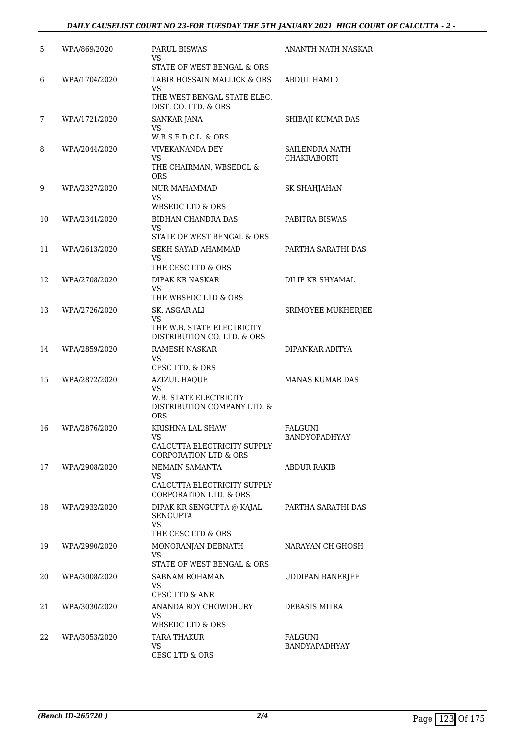| 5  | WPA/869/2020  | <b>PARUL BISWAS</b><br>VS                                                           | ANANTH NATH NASKAR                   |
|----|---------------|-------------------------------------------------------------------------------------|--------------------------------------|
|    |               | STATE OF WEST BENGAL & ORS                                                          |                                      |
| 6  | WPA/1704/2020 | TABIR HOSSAIN MALLICK & ORS<br>VS                                                   | <b>ABDUL HAMID</b>                   |
|    |               | THE WEST BENGAL STATE ELEC.<br>DIST. CO. LTD. & ORS                                 |                                      |
| 7  | WPA/1721/2020 | <b>SANKAR JANA</b><br>VS                                                            | SHIBAJI KUMAR DAS                    |
|    |               | W.B.S.E.D.C.L. & ORS                                                                |                                      |
| 8  | WPA/2044/2020 | <b>VIVEKANANDA DEY</b><br>VS<br>THE CHAIRMAN, WBSEDCL &<br><b>ORS</b>               | SAILENDRA NATH<br><b>CHAKRABORTI</b> |
| 9  | WPA/2327/2020 | <b>NUR MAHAMMAD</b><br>VS<br>WBSEDC LTD & ORS                                       | SK SHAHJAHAN                         |
| 10 | WPA/2341/2020 | <b>BIDHAN CHANDRA DAS</b><br>VS                                                     | PABITRA BISWAS                       |
|    |               | STATE OF WEST BENGAL & ORS                                                          |                                      |
| 11 | WPA/2613/2020 | SEKH SAYAD AHAMMAD<br>VS<br>THE CESC LTD & ORS                                      | PARTHA SARATHI DAS                   |
| 12 | WPA/2708/2020 | DIPAK KR NASKAR                                                                     | DILIP KR SHYAMAL                     |
|    |               | VS<br>THE WBSEDC LTD & ORS                                                          |                                      |
| 13 | WPA/2726/2020 | SK. ASGAR ALI                                                                       | <b>SRIMOYEE MUKHERJEE</b>            |
|    |               | VS<br>THE W.B. STATE ELECTRICITY<br>DISTRIBUTION CO. LTD. & ORS                     |                                      |
| 14 | WPA/2859/2020 | RAMESH NASKAR<br>VS<br>CESC LTD. & ORS                                              | DIPANKAR ADITYA                      |
| 15 | WPA/2872/2020 | <b>AZIZUL HAQUE</b>                                                                 | <b>MANAS KUMAR DAS</b>               |
|    |               | VS<br>W.B. STATE ELECTRICITY<br>DISTRIBUTION COMPANY LTD. &<br><b>ORS</b>           |                                      |
| 16 | WPA/2876/2020 | KRISHNA LAL SHAW<br>CALCUTTA ELECTRICITY SUPPLY<br><b>CORPORATION LTD &amp; ORS</b> | FALGUNI<br>BANDYOPADHYAY             |
| 17 | WPA/2908/2020 | NEMAIN SAMANTA<br>VS.                                                               | ABDUR RAKIB                          |
|    |               | CALCUTTA ELECTRICITY SUPPLY<br><b>CORPORATION LTD. &amp; ORS</b>                    |                                      |
| 18 | WPA/2932/2020 | DIPAK KR SENGUPTA @ KAJAL<br><b>SENGUPTA</b><br>VS<br>THE CESC LTD & ORS            | PARTHA SARATHI DAS                   |
| 19 | WPA/2990/2020 | MONORANJAN DEBNATH<br>VS                                                            | NARAYAN CH GHOSH                     |
|    |               | STATE OF WEST BENGAL & ORS                                                          |                                      |
| 20 | WPA/3008/2020 | SABNAM ROHAMAN<br>VS<br>CESC LTD & ANR                                              | <b>UDDIPAN BANERJEE</b>              |
| 21 | WPA/3030/2020 | ANANDA ROY CHOWDHURY<br>VS<br>WBSEDC LTD & ORS                                      | DEBASIS MITRA                        |
| 22 | WPA/3053/2020 | <b>TARA THAKUR</b>                                                                  | FALGUNI                              |
|    |               | VS.<br>CESC LTD & ORS                                                               | BANDYAPADHYAY                        |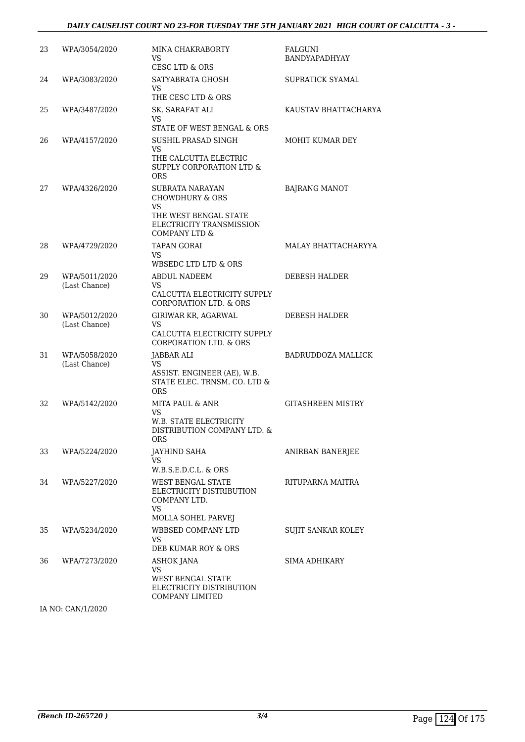#### *DAILY CAUSELIST COURT NO 23-FOR TUESDAY THE 5TH JANUARY 2021 HIGH COURT OF CALCUTTA - 3 -*

| 23 | WPA/3054/2020                  | MINA CHAKRABORTY<br>VS.<br>CESC LTD & ORS                                                                                 | <b>FALGUNI</b><br>BANDYAPADHYAY |
|----|--------------------------------|---------------------------------------------------------------------------------------------------------------------------|---------------------------------|
| 24 | WPA/3083/2020                  | SATYABRATA GHOSH<br>VS<br>THE CESC LTD & ORS                                                                              | SUPRATICK SYAMAL                |
| 25 | WPA/3487/2020                  | SK. SARAFAT ALI<br>VS.<br>STATE OF WEST BENGAL & ORS                                                                      | KAUSTAV BHATTACHARYA            |
| 26 | WPA/4157/2020                  | SUSHIL PRASAD SINGH<br>VS.<br>THE CALCUTTA ELECTRIC<br>SUPPLY CORPORATION LTD &<br><b>ORS</b>                             | MOHIT KUMAR DEY                 |
| 27 | WPA/4326/2020                  | SUBRATA NARAYAN<br><b>CHOWDHURY &amp; ORS</b><br>VS<br>THE WEST BENGAL STATE<br>ELECTRICITY TRANSMISSION<br>COMPANY LTD & | <b>BAJRANG MANOT</b>            |
| 28 | WPA/4729/2020                  | <b>TAPAN GORAI</b><br>VS.<br>WBSEDC LTD LTD & ORS                                                                         | MALAY BHATTACHARYYA             |
| 29 | WPA/5011/2020<br>(Last Chance) | <b>ABDUL NADEEM</b><br>VS.<br>CALCUTTA ELECTRICITY SUPPLY<br><b>CORPORATION LTD. &amp; ORS</b>                            | <b>DEBESH HALDER</b>            |
| 30 | WPA/5012/2020<br>(Last Chance) | GIRIWAR KR, AGARWAL<br>VS<br>CALCUTTA ELECTRICITY SUPPLY<br><b>CORPORATION LTD. &amp; ORS</b>                             | DEBESH HALDER                   |
| 31 | WPA/5058/2020<br>(Last Chance) | JABBAR ALI<br>VS<br>ASSIST. ENGINEER (AE), W.B.<br>STATE ELEC. TRNSM. CO. LTD &<br><b>ORS</b>                             | <b>BADRUDDOZA MALLICK</b>       |
| 32 | WPA/5142/2020                  | <b>MITA PAUL &amp; ANR</b><br>VS<br>W.B. STATE ELECTRICITY<br>DISTRIBUTION COMPANY LTD. &<br>ORS                          | <b>GITASHREEN MISTRY</b>        |
| 33 | WPA/5224/2020                  | <b>JAYHIND SAHA</b><br>VS.<br>$W.B.S.E.D.C.L. \& ORS$                                                                     | ANIRBAN BANERJEE                |
| 34 | WPA/5227/2020                  | WEST BENGAL STATE<br>ELECTRICITY DISTRIBUTION<br>COMPANY LTD.<br><b>VS</b><br><b>MOLLA SOHEL PARVEJ</b>                   | RITUPARNA MAITRA                |
| 35 | WPA/5234/2020                  | <b>WBBSED COMPANY LTD</b><br>VS.<br>DEB KUMAR ROY & ORS                                                                   | SUJIT SANKAR KOLEY              |
| 36 | WPA/7273/2020                  | ASHOK JANA<br>VS<br><b>WEST BENGAL STATE</b><br>ELECTRICITY DISTRIBUTION<br><b>COMPANY LIMITED</b>                        | SIMA ADHIKARY                   |

IA NO: CAN/1/2020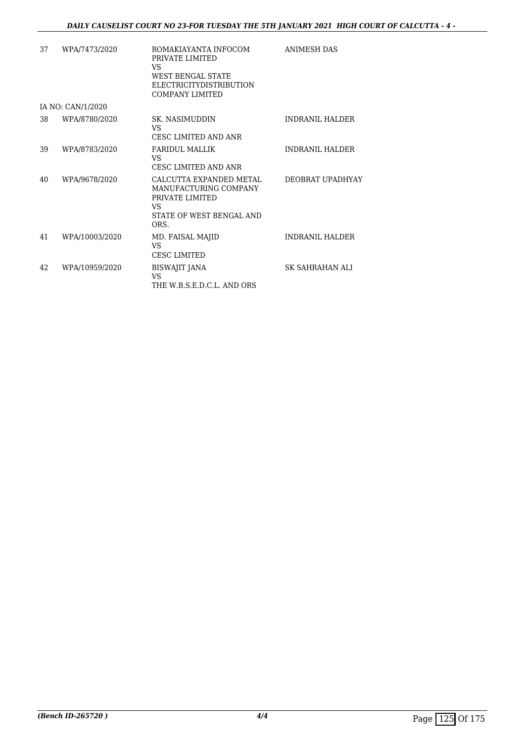| 37 | WPA/7473/2020     | ROMAKIAYANTA INFOCOM<br>PRIVATE LIMITED<br>VS.<br><b>WEST BENGAL STATE</b><br><b>ELECTRICITYDISTRIBUTION</b><br><b>COMPANY LIMITED</b> | <b>ANIMESH DAS</b>      |
|----|-------------------|----------------------------------------------------------------------------------------------------------------------------------------|-------------------------|
|    | IA NO: CAN/1/2020 |                                                                                                                                        |                         |
| 38 | WPA/8780/2020     | SK. NASIMUDDIN<br>VS<br><b>CESC LIMITED AND ANR</b>                                                                                    | <b>INDRANIL HALDER</b>  |
| 39 | WPA/8783/2020     | <b>FARIDUL MALLIK</b><br>VS.<br><b>CESC LIMITED AND ANR</b>                                                                            | <b>INDRANII. HALDER</b> |
| 40 | WPA/9678/2020     | CALCUTTA EXPANDED METAL<br>MANUFACTURING COMPANY<br>PRIVATE LIMITED<br>VS.<br>STATE OF WEST BENGAL AND<br>ORS.                         | DEOBRAT UPADHYAY        |
| 41 | WPA/10003/2020    | MD. FAISAL MAJID<br>VS<br><b>CESC LIMITED</b>                                                                                          | <b>INDRANIL HALDER</b>  |
| 42 | WPA/10959/2020    | BISWAJIT JANA<br><b>VS</b><br>THE W.B.S.E.D.C.L. AND ORS                                                                               | SK SAHRAHAN ALI         |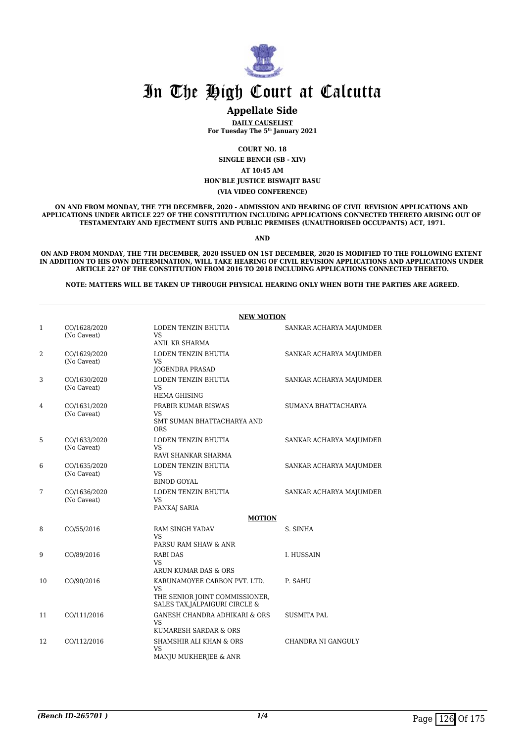

#### **Appellate Side**

**DAILY CAUSELIST For Tuesday The 5th January 2021**

**COURT NO. 18**

**SINGLE BENCH (SB - XIV)**

**AT 10:45 AM**

**HON'BLE JUSTICE BISWAJIT BASU**

**(VIA VIDEO CONFERENCE)**

**ON AND FROM MONDAY, THE 7TH DECEMBER, 2020 - ADMISSION AND HEARING OF CIVIL REVISION APPLICATIONS AND APPLICATIONS UNDER ARTICLE 227 OF THE CONSTITUTION INCLUDING APPLICATIONS CONNECTED THERETO ARISING OUT OF TESTAMENTARY AND EJECTMENT SUITS AND PUBLIC PREMISES (UNAUTHORISED OCCUPANTS) ACT, 1971.**

**AND**

**ON AND FROM MONDAY, THE 7TH DECEMBER, 2020 ISSUED ON 1ST DECEMBER, 2020 IS MODIFIED TO THE FOLLOWING EXTENT IN ADDITION TO HIS OWN DETERMINATION, WILL TAKE HEARING OF CIVIL REVISION APPLICATIONS AND APPLICATIONS UNDER ARTICLE 227 OF THE CONSTITUTION FROM 2016 TO 2018 INCLUDING APPLICATIONS CONNECTED THERETO.**

**NOTE: MATTERS WILL BE TAKEN UP THROUGH PHYSICAL HEARING ONLY WHEN BOTH THE PARTIES ARE AGREED.**

|                | <b>NEW MOTION</b>           |                                                                                                               |                         |  |  |
|----------------|-----------------------------|---------------------------------------------------------------------------------------------------------------|-------------------------|--|--|
| 1              | CO/1628/2020<br>(No Caveat) | LODEN TENZIN BHUTIA<br><b>VS</b><br>ANIL KR SHARMA                                                            | SANKAR ACHARYA MAJUMDER |  |  |
| 2              | CO/1629/2020<br>(No Caveat) | LODEN TENZIN BHUTIA<br><b>VS</b><br><b>JOGENDRA PRASAD</b>                                                    | SANKAR ACHARYA MAJUMDER |  |  |
| 3              | CO/1630/2020<br>(No Caveat) | LODEN TENZIN BHUTIA<br><b>VS</b><br><b>HEMA GHISING</b>                                                       | SANKAR ACHARYA MAJUMDER |  |  |
| $\overline{4}$ | CO/1631/2020<br>(No Caveat) | PRABIR KUMAR BISWAS<br><b>VS</b><br>SMT SUMAN BHATTACHARYA AND<br><b>ORS</b>                                  | SUMANA BHATTACHARYA     |  |  |
| 5              | CO/1633/2020<br>(No Caveat) | LODEN TENZIN BHUTIA<br><b>VS</b><br>RAVI SHANKAR SHARMA                                                       | SANKAR ACHARYA MAJUMDER |  |  |
| 6              | CO/1635/2020<br>(No Caveat) | LODEN TENZIN BHUTIA<br><b>VS</b><br><b>BINOD GOYAL</b>                                                        | SANKAR ACHARYA MAJUMDER |  |  |
| 7              | CO/1636/2020<br>(No Caveat) | LODEN TENZIN BHUTIA<br><b>VS</b><br>PANKAJ SARIA                                                              | SANKAR ACHARYA MAJUMDER |  |  |
|                |                             | <b>MOTION</b>                                                                                                 |                         |  |  |
| 8              | CO/55/2016                  | <b>RAM SINGH YADAV</b><br><b>VS</b><br>PARSU RAM SHAW & ANR                                                   | S. SINHA                |  |  |
| 9              | CO/89/2016                  | <b>RABI DAS</b><br><b>VS</b><br>ARUN KUMAR DAS & ORS                                                          | I. HUSSAIN              |  |  |
| 10             | CO/90/2016                  | KARUNAMOYEE CARBON PVT. LTD.<br><b>VS</b><br>THE SENIOR JOINT COMMISSIONER,<br>SALES TAX, JALPAIGURI CIRCLE & | P. SAHU                 |  |  |
| 11             | CO/111/2016                 | <b>GANESH CHANDRA ADHIKARI &amp; ORS</b><br><b>VS</b><br>KUMARESH SARDAR & ORS                                | <b>SUSMITA PAL</b>      |  |  |
| 12             | CO/112/2016                 | <b>SHAMSHIR ALI KHAN &amp; ORS</b><br><b>VS</b><br>MANJU MUKHERJEE & ANR                                      | CHANDRA NI GANGULY      |  |  |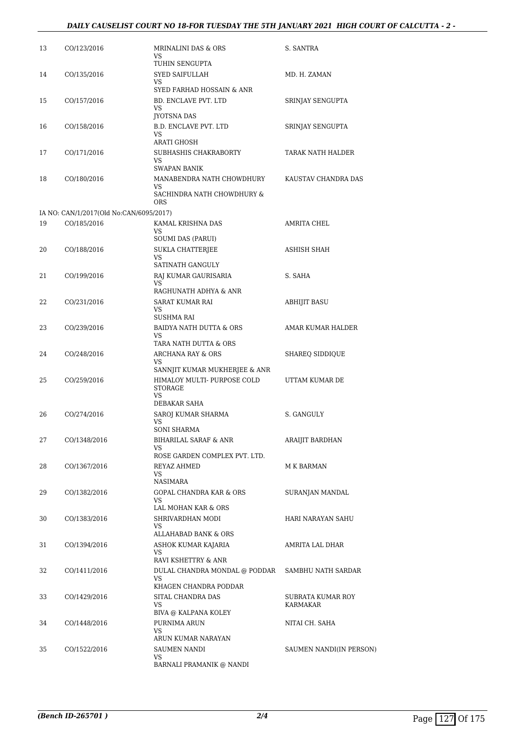#### *DAILY CAUSELIST COURT NO 18-FOR TUESDAY THE 5TH JANUARY 2021 HIGH COURT OF CALCUTTA - 2 -*

| 13 | CO/123/2016                             | MRINALINI DAS & ORS<br>VS.                                                     | S. SANTRA                     |
|----|-----------------------------------------|--------------------------------------------------------------------------------|-------------------------------|
| 14 | CO/135/2016                             | TUHIN SENGUPTA<br>SYED SAIFULLAH<br>VS                                         | MD. H. ZAMAN                  |
| 15 | CO/157/2016                             | SYED FARHAD HOSSAIN & ANR<br>BD. ENCLAVE PVT. LTD<br>VS                        | SRINJAY SENGUPTA              |
| 16 | CO/158/2016                             | JYOTSNA DAS<br><b>B.D. ENCLAVE PVT. LTD</b><br>VS<br>ARATI GHOSH               | SRINJAY SENGUPTA              |
| 17 | CO/171/2016                             | SUBHASHIS CHAKRABORTY<br>VS.<br>SWAPAN BANIK                                   | TARAK NATH HALDER             |
| 18 | CO/180/2016                             | MANABENDRA NATH CHOWDHURY<br>VS<br>SACHINDRA NATH CHOWDHURY &<br>ORS           | KAUSTAV CHANDRA DAS           |
|    | IA NO: CAN/1/2017(Old No:CAN/6095/2017) |                                                                                |                               |
| 19 | CO/185/2016                             | KAMAL KRISHNA DAS<br>VS                                                        | <b>AMRITA CHEL</b>            |
| 20 | CO/188/2016                             | <b>SOUMI DAS (PARUI)</b><br><b>SUKLA CHATTERJEE</b><br>VS                      | ASHISH SHAH                   |
| 21 | CO/199/2016                             | SATINATH GANGULY<br>RAJ KUMAR GAURISARIA<br>VS                                 | S. SAHA                       |
| 22 | CO/231/2016                             | RAGHUNATH ADHYA & ANR<br>SARAT KUMAR RAI<br>VS.                                | <b>ABHIJIT BASU</b>           |
| 23 | CO/239/2016                             | SUSHMA RAI<br>BAIDYA NATH DUTTA & ORS<br>VS                                    | AMAR KUMAR HALDER             |
| 24 | CO/248/2016                             | TARA NATH DUTTA & ORS<br>ARCHANA RAY & ORS<br>VS                               | SHAREQ SIDDIQUE               |
| 25 | CO/259/2016                             | SANNJIT KUMAR MUKHERJEE & ANR<br>HIMALOY MULTI- PURPOSE COLD<br>STORAGE<br>VS. | UTTAM KUMAR DE                |
| 26 | CO/274/2016                             | DEBAKAR SAHA<br>SAROJ KUMAR SHARMA<br>VS                                       | S. GANGULY                    |
| 27 | CO/1348/2016                            | SONI SHARMA<br>BIHARILAL SARAF & ANR<br>VS                                     | ARAIJIT BARDHAN               |
| 28 | CO/1367/2016                            | ROSE GARDEN COMPLEX PVT. LTD.<br>REYAZ AHMED<br>VS                             | M K BARMAN                    |
| 29 | CO/1382/2016                            | NASIMARA<br>GOPAL CHANDRA KAR & ORS<br>VS.                                     | SURANJAN MANDAL               |
| 30 | CO/1383/2016                            | LAL MOHAN KAR & ORS<br>SHRIVARDHAN MODI<br>VS.                                 | HARI NARAYAN SAHU             |
| 31 | CO/1394/2016                            | ALLAHABAD BANK & ORS<br>ASHOK KUMAR KAJARIA<br>VS                              | AMRITA LAL DHAR               |
| 32 | CO/1411/2016                            | RAVI KSHETTRY & ANR<br>DULAL CHANDRA MONDAL @ PODDAR<br>VS                     | SAMBHU NATH SARDAR            |
| 33 | CO/1429/2016                            | KHAGEN CHANDRA PODDAR<br>SITAL CHANDRA DAS<br>VS                               | SUBRATA KUMAR ROY<br>KARMAKAR |
| 34 | CO/1448/2016                            | BIVA @ KALPANA KOLEY<br>PURNIMA ARUN<br><b>VS</b>                              | NITAI CH. SAHA                |
| 35 | CO/1522/2016                            | ARUN KUMAR NARAYAN<br>SAUMEN NANDI<br>VS<br>BARNALI PRAMANIK @ NANDI           | SAUMEN NANDI(IN PERSON)       |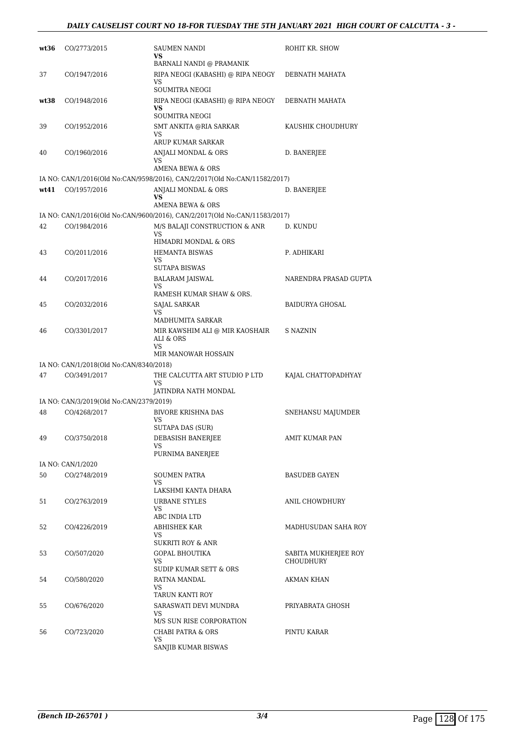#### *DAILY CAUSELIST COURT NO 18-FOR TUESDAY THE 5TH JANUARY 2021 HIGH COURT OF CALCUTTA - 3 -*

| wt36 | CO/2773/2015                            | SAUMEN NANDI<br><b>VS</b><br>BARNALI NANDI @ PRAMANIK                      | ROHIT KR. SHOW                    |
|------|-----------------------------------------|----------------------------------------------------------------------------|-----------------------------------|
| 37   | CO/1947/2016                            | RIPA NEOGI (KABASHI) @ RIPA NEOGY<br>VS                                    | DEBNATH MAHATA                    |
| wt38 | CO/1948/2016                            | SOUMITRA NEOGI<br>RIPA NEOGI (KABASHI) @ RIPA NEOGY<br>VS                  | DEBNATH MAHATA                    |
| 39   | CO/1952/2016                            | <b>SOUMITRA NEOGI</b><br>SMT ANKITA @RIA SARKAR<br>VS                      | KAUSHIK CHOUDHURY                 |
| 40   | CO/1960/2016                            | ARUP KUMAR SARKAR<br>ANJALI MONDAL & ORS<br>VS                             | D. BANERJEE                       |
|      |                                         | AMENA BEWA & ORS                                                           |                                   |
|      |                                         | IA NO: CAN/1/2016(Old No:CAN/9598/2016), CAN/2/2017(Old No:CAN/11582/2017) |                                   |
| wt41 | CO/1957/2016                            | ANJALI MONDAL & ORS<br>VS<br>AMENA BEWA & ORS                              | D. BANERJEE                       |
|      |                                         | IA NO: CAN/1/2016(Old No:CAN/9600/2016), CAN/2/2017(Old No:CAN/11583/2017) |                                   |
| 42   | CO/1984/2016                            | M/S BALAJI CONSTRUCTION & ANR<br>VS.<br>HIMADRI MONDAL & ORS               | D. KUNDU                          |
| 43   | CO/2011/2016                            | HEMANTA BISWAS<br>VS.<br><b>SUTAPA BISWAS</b>                              | P. ADHIKARI                       |
| 44   | CO/2017/2016                            | BALARAM JAISWAL<br>VS.<br>RAMESH KUMAR SHAW & ORS.                         | NARENDRA PRASAD GUPTA             |
| 45   | CO/2032/2016                            | <b>SAJAL SARKAR</b><br>VS<br>MADHUMITA SARKAR                              | <b>BAIDURYA GHOSAL</b>            |
| 46   | CO/3301/2017                            | MIR KAWSHIM ALI @ MIR KAOSHAIR<br>ALI & ORS<br>VS.                         | S NAZNIN                          |
|      |                                         | MIR MANOWAR HOSSAIN                                                        |                                   |
|      | IA NO: CAN/1/2018(Old No:CAN/8340/2018) |                                                                            |                                   |
| 47   | CO/3491/2017                            | THE CALCUTTA ART STUDIO P LTD<br>VS<br>JATINDRA NATH MONDAL                | KAJAL CHATTOPADHYAY               |
|      | IA NO: CAN/3/2019(Old No:CAN/2379/2019) |                                                                            |                                   |
| 48   | CO/4268/2017                            | <b>BIVORE KRISHNA DAS</b><br>VS                                            | SNEHANSU MAJUMDER                 |
| 49   | CO/3750/2018                            | SUTAPA DAS (SUR)<br>DEBASISH BANERJEE<br>VS                                | AMIT KUMAR PAN                    |
|      |                                         | PURNIMA BANERJEE                                                           |                                   |
|      | IA NO: CAN/1/2020                       |                                                                            |                                   |
| 50   | CO/2748/2019                            | <b>SOUMEN PATRA</b><br>VS<br>LAKSHMI KANTA DHARA                           | BASUDEB GAYEN                     |
| 51   | CO/2763/2019                            | URBANE STYLES<br>VS                                                        | ANIL CHOWDHURY                    |
| 52   | CO/4226/2019                            | ABC INDIA LTD<br><b>ABHISHEK KAR</b><br>VS.                                | MADHUSUDAN SAHA ROY               |
| 53   | CO/507/2020                             | <b>SUKRITI ROY &amp; ANR</b><br><b>GOPAL BHOUTIKA</b><br>VS.               | SABITA MUKHERJEE ROY<br>CHOUDHURY |
| 54   | CO/580/2020                             | SUDIP KUMAR SETT & ORS<br>RATNA MANDAL<br>VS.                              | AKMAN KHAN                        |
|      |                                         | TARUN KANTI ROY                                                            |                                   |
| 55   | CO/676/2020                             | SARASWATI DEVI MUNDRA<br>VS<br>M/S SUN RISE CORPORATION                    | PRIYABRATA GHOSH                  |
| 56   | CO/723/2020                             | CHABI PATRA & ORS<br>VS                                                    | PINTU KARAR                       |
|      |                                         | SANJIB KUMAR BISWAS                                                        |                                   |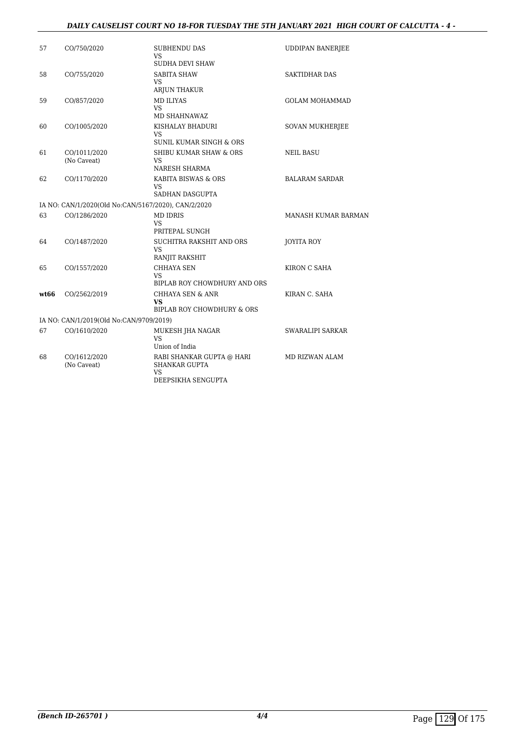#### *DAILY CAUSELIST COURT NO 18-FOR TUESDAY THE 5TH JANUARY 2021 HIGH COURT OF CALCUTTA - 4 -*

| 57   | CO/750/2020                                         | <b>SUBHENDU DAS</b><br>VS.                                                    | <b>UDDIPAN BANERJEE</b> |
|------|-----------------------------------------------------|-------------------------------------------------------------------------------|-------------------------|
|      |                                                     | SUDHA DEVI SHAW                                                               |                         |
| 58   | CO/755/2020                                         | <b>SABITA SHAW</b><br>VS.<br>ARJUN THAKUR                                     | <b>SAKTIDHAR DAS</b>    |
| 59   | CO/857/2020                                         | <b>MD ILIYAS</b><br>VS.                                                       | <b>GOLAM MOHAMMAD</b>   |
|      |                                                     | MD SHAHNAWAZ                                                                  |                         |
| 60   | CO/1005/2020                                        | KISHALAY BHADURI<br><b>VS</b><br>SUNIL KUMAR SINGH & ORS                      | <b>SOVAN MUKHERJEE</b>  |
| 61   | CO/1011/2020<br>(No Caveat)                         | SHIBU KUMAR SHAW & ORS<br><b>VS</b>                                           | <b>NEIL BASU</b>        |
|      |                                                     | NARESH SHARMA                                                                 |                         |
| 62   | CO/1170/2020                                        | KABITA BISWAS & ORS<br>VS.                                                    | <b>BALARAM SARDAR</b>   |
|      |                                                     | SADHAN DASGUPTA                                                               |                         |
|      | IA NO: CAN/1/2020(Old No:CAN/5167/2020), CAN/2/2020 |                                                                               |                         |
| 63   | CO/1286/2020                                        | MD IDRIS<br><b>VS</b>                                                         | MANASH KUMAR BARMAN     |
|      |                                                     | PRITEPAL SUNGH                                                                |                         |
| 64   | CO/1487/2020                                        | SUCHITRA RAKSHIT AND ORS<br>VS.<br>RANJIT RAKSHIT                             | JOYITA ROY              |
| 65   | CO/1557/2020                                        | CHHAYA SEN<br>VS.                                                             | KIRON C SAHA            |
|      |                                                     | BIPLAB ROY CHOWDHURY AND ORS                                                  |                         |
| wt66 | CO/2562/2019                                        | <b>CHHAYA SEN &amp; ANR</b><br><b>VS</b><br>BIPLAB ROY CHOWDHURY & ORS        | KIRAN C. SAHA           |
|      | IA NO: CAN/1/2019(Old No:CAN/9709/2019)             |                                                                               |                         |
| 67   | CO/1610/2020                                        | MUKESH JHA NAGAR                                                              | SWARALIPI SARKAR        |
|      |                                                     | VS.<br>Union of India                                                         |                         |
|      |                                                     |                                                                               |                         |
| 68   | CO/1612/2020<br>(No Caveat)                         | RABI SHANKAR GUPTA @ HARI<br><b>SHANKAR GUPTA</b><br>VS<br>DEEPSIKHA SENGUPTA | MD RIZWAN ALAM          |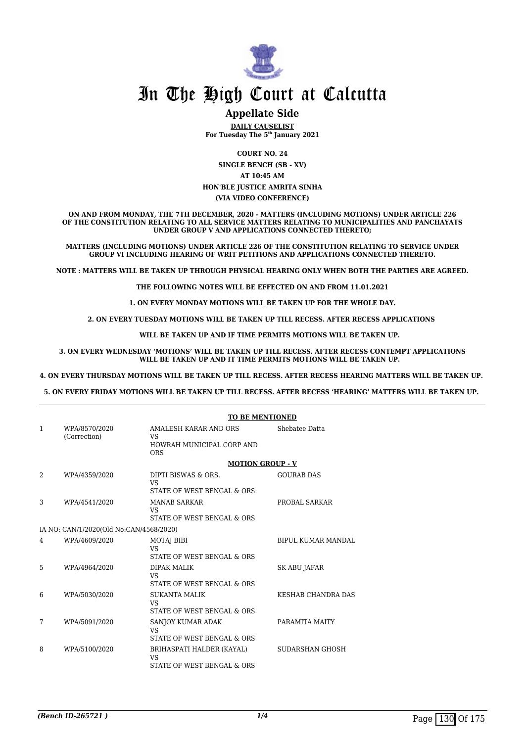

#### **Appellate Side**

**DAILY CAUSELIST For Tuesday The 5th January 2021**

> **COURT NO. 24 SINGLE BENCH (SB - XV)**

> > **AT 10:45 AM**

**HON'BLE JUSTICE AMRITA SINHA (VIA VIDEO CONFERENCE)**

**ON AND FROM MONDAY, THE 7TH DECEMBER, 2020 - MATTERS (INCLUDING MOTIONS) UNDER ARTICLE 226 OF THE CONSTITUTION RELATING TO ALL SERVICE MATTERS RELATING TO MUNICIPALITIES AND PANCHAYATS UNDER GROUP V AND APPLICATIONS CONNECTED THERETO;**

**MATTERS (INCLUDING MOTIONS) UNDER ARTICLE 226 OF THE CONSTITUTION RELATING TO SERVICE UNDER GROUP VI INCLUDING HEARING OF WRIT PETITIONS AND APPLICATIONS CONNECTED THERETO.**

**NOTE : MATTERS WILL BE TAKEN UP THROUGH PHYSICAL HEARING ONLY WHEN BOTH THE PARTIES ARE AGREED.**

**THE FOLLOWING NOTES WILL BE EFFECTED ON AND FROM 11.01.2021**

**1. ON EVERY MONDAY MOTIONS WILL BE TAKEN UP FOR THE WHOLE DAY.**

**2. ON EVERY TUESDAY MOTIONS WILL BE TAKEN UP TILL RECESS. AFTER RECESS APPLICATIONS** 

 **WILL BE TAKEN UP AND IF TIME PERMITS MOTIONS WILL BE TAKEN UP.**

**3. ON EVERY WEDNESDAY 'MOTIONS' WILL BE TAKEN UP TILL RECESS. AFTER RECESS CONTEMPT APPLICATIONS WILL BE TAKEN UP AND IT TIME PERMITS MOTIONS WILL BE TAKEN UP.**

**4. ON EVERY THURSDAY MOTIONS WILL BE TAKEN UP TILL RECESS. AFTER RECESS HEARING MATTERS WILL BE TAKEN UP.** 

**5. ON EVERY FRIDAY MOTIONS WILL BE TAKEN UP TILL RECESS. AFTER RECESS 'HEARING' MATTERS WILL BE TAKEN UP.** 

|                                         |                               | <b>TO BE MENTIONED</b>                                                        |                           |  |
|-----------------------------------------|-------------------------------|-------------------------------------------------------------------------------|---------------------------|--|
| 1                                       | WPA/8570/2020<br>(Correction) | AMALESH KARAR AND ORS<br><b>VS</b><br>HOWRAH MUNICIPAL CORP AND<br><b>ORS</b> | Shebatee Datta            |  |
|                                         |                               | <b>MOTION GROUP - V</b>                                                       |                           |  |
| 2                                       | WPA/4359/2020                 | DIPTI BISWAS & ORS.<br><b>VS</b><br>STATE OF WEST BENGAL & ORS.               | <b>GOURAB DAS</b>         |  |
| 3                                       | WPA/4541/2020                 | <b>MANAB SARKAR</b><br><b>VS</b><br>STATE OF WEST BENGAL & ORS                | PROBAL SARKAR             |  |
| IA NO: CAN/1/2020(Old No:CAN/4568/2020) |                               |                                                                               |                           |  |
| 4                                       | WPA/4609/2020                 | MOTAJ BIBI<br><b>VS</b><br>STATE OF WEST BENGAL & ORS                         | <b>BIPUL KUMAR MANDAL</b> |  |
| 5                                       | WPA/4964/2020                 | <b>DIPAK MALIK</b><br><b>VS</b><br>STATE OF WEST BENGAL & ORS                 | <b>SK ABU JAFAR</b>       |  |
| 6                                       | WPA/5030/2020                 | SUKANTA MALIK<br><b>VS</b><br>STATE OF WEST BENGAL & ORS                      | KESHAB CHANDRA DAS        |  |
| 7                                       | WPA/5091/2020                 | SANJOY KUMAR ADAK<br>VS.<br>STATE OF WEST BENGAL & ORS                        | PARAMITA MAITY            |  |
| 8                                       | WPA/5100/2020                 | BRIHASPATI HALDER (KAYAL)<br>VS<br>STATE OF WEST BENGAL & ORS                 | SUDARSHAN GHOSH           |  |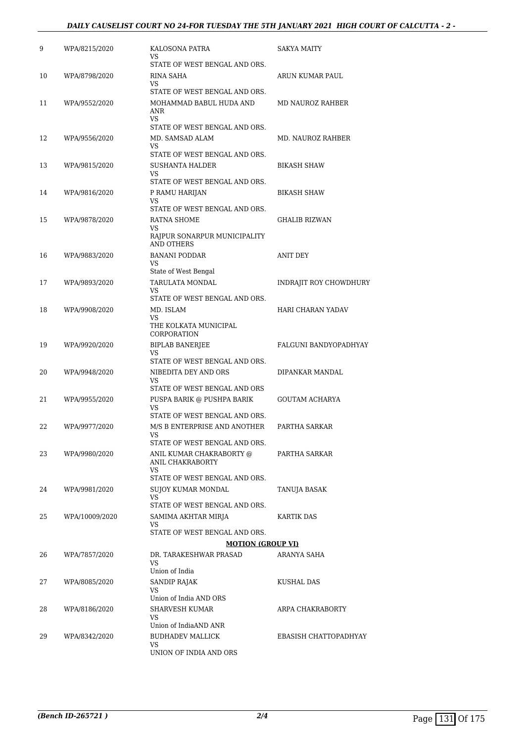#### *DAILY CAUSELIST COURT NO 24-FOR TUESDAY THE 5TH JANUARY 2021 HIGH COURT OF CALCUTTA - 2 -*

| 9  | WPA/8215/2020  | KALOSONA PATRA<br>VS                                          | <b>SAKYA MAITY</b>       |
|----|----------------|---------------------------------------------------------------|--------------------------|
| 10 | WPA/8798/2020  | STATE OF WEST BENGAL AND ORS.<br><b>RINA SAHA</b>             | ARUN KUMAR PAUL          |
|    |                | VS<br>STATE OF WEST BENGAL AND ORS.                           |                          |
| 11 | WPA/9552/2020  | MOHAMMAD BABUL HUDA AND<br>ANR                                | MD NAUROZ RAHBER         |
|    |                | VS<br>STATE OF WEST BENGAL AND ORS.                           |                          |
| 12 | WPA/9556/2020  | MD. SAMSAD ALAM<br>VS                                         | MD. NAUROZ RAHBER        |
|    |                | STATE OF WEST BENGAL AND ORS.                                 |                          |
| 13 | WPA/9815/2020  | SUSHANTA HALDER<br>VS                                         | <b>BIKASH SHAW</b>       |
|    |                | STATE OF WEST BENGAL AND ORS.                                 |                          |
| 14 | WPA/9816/2020  | P RAMU HARIJAN<br>VS<br>STATE OF WEST BENGAL AND ORS.         | <b>BIKASH SHAW</b>       |
| 15 | WPA/9878/2020  | RATNA SHOME                                                   | <b>GHALIB RIZWAN</b>     |
|    |                | VS.<br>RAJPUR SONARPUR MUNICIPALITY                           |                          |
|    |                | <b>AND OTHERS</b>                                             |                          |
| 16 | WPA/9883/2020  | <b>BANANI PODDAR</b><br>VS                                    | ANIT DEY                 |
|    |                | State of West Bengal                                          |                          |
| 17 | WPA/9893/2020  | TARULATA MONDAL<br>VS<br>STATE OF WEST BENGAL AND ORS.        | INDRAJIT ROY CHOWDHURY   |
| 18 | WPA/9908/2020  | MD. ISLAM                                                     | <b>HARI CHARAN YADAV</b> |
|    |                | VS.<br>THE KOLKATA MUNICIPAL<br>CORPORATION                   |                          |
| 19 | WPA/9920/2020  | <b>BIPLAB BANERJEE</b>                                        | FALGUNI BANDYOPADHYAY    |
|    |                | VS<br>STATE OF WEST BENGAL AND ORS.                           |                          |
| 20 | WPA/9948/2020  | NIBEDITA DEY AND ORS<br>VS                                    | DIPANKAR MANDAL          |
|    |                | STATE OF WEST BENGAL AND ORS                                  |                          |
| 21 | WPA/9955/2020  | PUSPA BARIK @ PUSHPA BARIK<br>VS                              | GOUTAM ACHARYA           |
| 22 | WPA/9977/2020  | STATE OF WEST BENGAL AND ORS.<br>M/S B ENTERPRISE AND ANOTHER | PARTHA SARKAR            |
|    |                | VS<br>STATE OF WEST BENGAL AND ORS.                           |                          |
| 23 | WPA/9980/2020  | ANIL KUMAR CHAKRABORTY @                                      | PARTHA SARKAR            |
|    |                | ANIL CHAKRABORTY<br>VS                                        |                          |
|    |                | STATE OF WEST BENGAL AND ORS.                                 |                          |
| 24 | WPA/9981/2020  | SUJOY KUMAR MONDAL<br>VS                                      | TANUJA BASAK             |
|    |                | STATE OF WEST BENGAL AND ORS.                                 |                          |
| 25 | WPA/10009/2020 | SAMIMA AKHTAR MIRJA<br>VS                                     | KARTIK DAS               |
|    |                | STATE OF WEST BENGAL AND ORS.                                 |                          |
|    |                | <b>MOTION (GROUP VI)</b>                                      |                          |
| 26 | WPA/7857/2020  | DR. TARAKESHWAR PRASAD<br>VS                                  | ARANYA SAHA              |
|    |                | Union of India<br><b>SANDIP RAJAK</b>                         |                          |
| 27 | WPA/8085/2020  | VS                                                            | KUSHAL DAS               |
|    |                | Union of India AND ORS                                        |                          |
| 28 | WPA/8186/2020  | <b>SHARVESH KUMAR</b><br>VS                                   | ARPA CHAKRABORTY         |
|    |                | Union of IndiaAND ANR                                         |                          |
| 29 | WPA/8342/2020  | <b>BUDHADEV MALLICK</b><br>VS                                 | EBASISH CHATTOPADHYAY    |
|    |                | UNION OF INDIA AND ORS                                        |                          |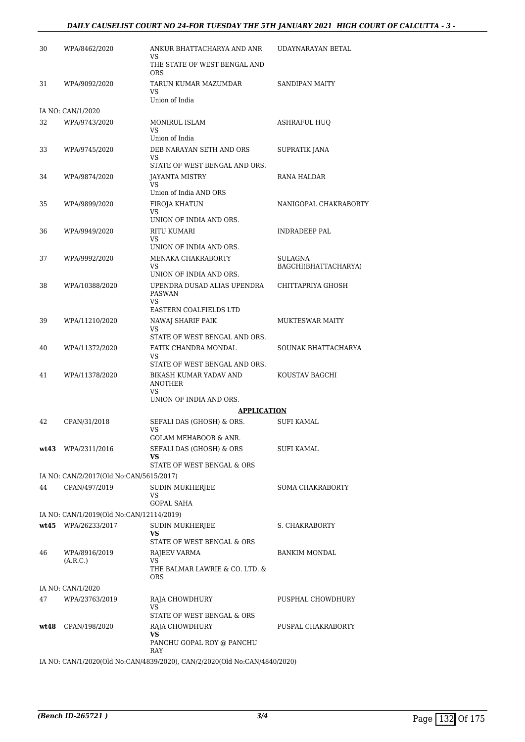#### *DAILY CAUSELIST COURT NO 24-FOR TUESDAY THE 5TH JANUARY 2021 HIGH COURT OF CALCUTTA - 3 -*

| 30 | WPA/8462/2020                            | ANKUR BHATTACHARYA AND ANR<br>VS<br>THE STATE OF WEST BENGAL AND<br>ORS                      | UDAYNARAYAN BETAL                      |
|----|------------------------------------------|----------------------------------------------------------------------------------------------|----------------------------------------|
| 31 | WPA/9092/2020                            | TARUN KUMAR MAZUMDAR<br>VS.<br>Union of India                                                | SANDIPAN MAITY                         |
|    | IA NO: CAN/1/2020                        |                                                                                              |                                        |
| 32 | WPA/9743/2020                            | MONIRUL ISLAM<br>VS.                                                                         | <b>ASHRAFUL HUQ</b>                    |
| 33 | WPA/9745/2020                            | Union of India<br>DEB NARAYAN SETH AND ORS<br>VS                                             | SUPRATIK JANA                          |
| 34 | WPA/9874/2020                            | STATE OF WEST BENGAL AND ORS.<br>JAYANTA MISTRY<br>VS.                                       | RANA HALDAR                            |
| 35 | WPA/9899/2020                            | Union of India AND ORS<br>FIROJA KHATUN<br>VS                                                | NANIGOPAL CHAKRABORTY                  |
| 36 | WPA/9949/2020                            | UNION OF INDIA AND ORS.<br><b>RITU KUMARI</b><br>VS.                                         | INDRADEEP PAL                          |
| 37 | WPA/9992/2020                            | UNION OF INDIA AND ORS.<br><b>MENAKA CHAKRABORTY</b><br>VS<br>UNION OF INDIA AND ORS.        | <b>SULAGNA</b><br>BAGCHI(BHATTACHARYA) |
| 38 | WPA/10388/2020                           | UPENDRA DUSAD ALIAS UPENDRA<br><b>PASWAN</b><br><b>VS</b>                                    | CHITTAPRIYA GHOSH                      |
| 39 | WPA/11210/2020                           | EASTERN COALFIELDS LTD<br>NAWAJ SHARIF PAIK<br>VS.                                           | <b>MUKTESWAR MAITY</b>                 |
| 40 | WPA/11372/2020                           | STATE OF WEST BENGAL AND ORS.<br>FATIK CHANDRA MONDAL<br>VS<br>STATE OF WEST BENGAL AND ORS. | SOUNAK BHATTACHARYA                    |
| 41 | WPA/11378/2020                           | BIKASH KUMAR YADAV AND<br><b>ANOTHER</b><br><b>VS</b>                                        | KOUSTAV BAGCHI                         |
|    |                                          | UNION OF INDIA AND ORS.                                                                      |                                        |
|    |                                          | <b>APPLICATION</b>                                                                           |                                        |
| 42 | CPAN/31/2018                             | SEFALI DAS (GHOSH) & ORS.<br>VS.<br>GOLAM MEHABOOB & ANR.                                    | <b>SUFI KAMAL</b>                      |
|    | wt43 WPA/2311/2016                       | SEFALI DAS (GHOSH) & ORS<br>VS                                                               | SUFI KAMAL                             |
|    | IA NO: CAN/2/2017(Old No:CAN/5615/2017)  | STATE OF WEST BENGAL & ORS                                                                   |                                        |
| 44 | CPAN/497/2019                            | <b>SUDIN MUKHERJEE</b>                                                                       | <b>SOMA CHAKRABORTY</b>                |
|    |                                          | VS                                                                                           |                                        |
|    |                                          | <b>GOPAL SAHA</b>                                                                            |                                        |
|    | IA NO: CAN/1/2019(Old No:CAN/12114/2019) |                                                                                              |                                        |
|    | wt45 WPA/26233/2017                      | SUDIN MUKHERJEE<br>VS<br>STATE OF WEST BENGAL & ORS                                          | S. CHAKRABORTY                         |
| 46 | WPA/8916/2019<br>(A.R.C.)                | RAJEEV VARMA<br>VS<br>THE BALMAR LAWRIE & CO. LTD. &<br>ORS                                  | <b>BANKIM MONDAL</b>                   |
|    | IA NO: CAN/1/2020                        |                                                                                              |                                        |
| 47 | WPA/23763/2019                           | RAJA CHOWDHURY<br>VS<br>STATE OF WEST BENGAL & ORS                                           | PUSPHAL CHOWDHURY                      |
|    | wt48 CPAN/198/2020                       | RAJA CHOWDHURY<br>VS<br>PANCHU GOPAL ROY @ PANCHU                                            | PUSPAL CHAKRABORTY                     |
|    |                                          | RAY<br>IA NO: CAN/1/2020(Old No:CAN/4839/2020), CAN/2/2020(Old No:CAN/4840/2020)             |                                        |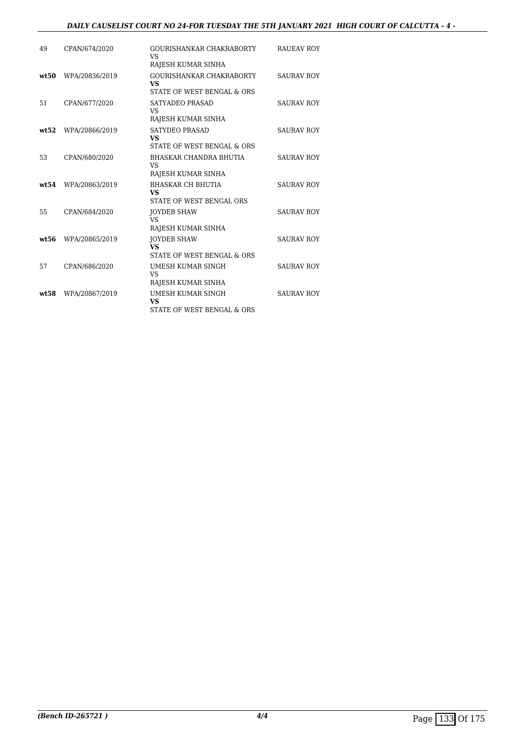#### *DAILY CAUSELIST COURT NO 24-FOR TUESDAY THE 5TH JANUARY 2021 HIGH COURT OF CALCUTTA - 4 -*

| 49    | CPAN/674/2020  | GOURISHANKAR CHAKRABORTY<br>VS.<br>RAJESH KUMAR SINHA               | <b>RAUEAV ROY</b> |
|-------|----------------|---------------------------------------------------------------------|-------------------|
| wt.50 | WPA/20836/2019 | GOURISHANKAR CHAKRABORTY<br><b>VS</b><br>STATE OF WEST BENGAL & ORS | <b>SAURAV ROY</b> |
| 51    | CPAN/677/2020  | SATYADEO PRASAD<br>VS.<br>RAJESH KUMAR SINHA                        | <b>SAURAV ROY</b> |
| wt.52 | WPA/20866/2019 | <b>SATYDEO PRASAD</b><br><b>VS</b><br>STATE OF WEST BENGAL & ORS    | <b>SAURAV ROY</b> |
| 53    | CPAN/680/2020  | BHASKAR CHANDRA BHUTIA<br><b>VS</b><br>RAJESH KUMAR SINHA           | <b>SAURAV ROY</b> |
| wt.54 | WPA/20863/2019 | <b>BHASKAR CH BHUTIA</b><br><b>VS</b><br>STATE OF WEST BENGAL ORS   | <b>SAURAV ROY</b> |
| 55    | CPAN/684/2020  | <b>JOYDEB SHAW</b><br><b>VS</b><br>RAJESH KUMAR SINHA               | <b>SAURAV ROY</b> |
| wt:56 | WPA/20865/2019 | <b>JOYDEB SHAW</b><br><b>VS</b><br>STATE OF WEST BENGAL & ORS       | <b>SAURAV ROY</b> |
| 57    | CPAN/686/2020  | UMESH KUMAR SINGH<br><b>VS</b><br>RAJESH KUMAR SINHA                | <b>SAURAV ROY</b> |
| wt:58 | WPA/20867/2019 | UMESH KUMAR SINGH<br><b>VS</b><br>STATE OF WEST BENGAL & ORS        | <b>SAURAV ROY</b> |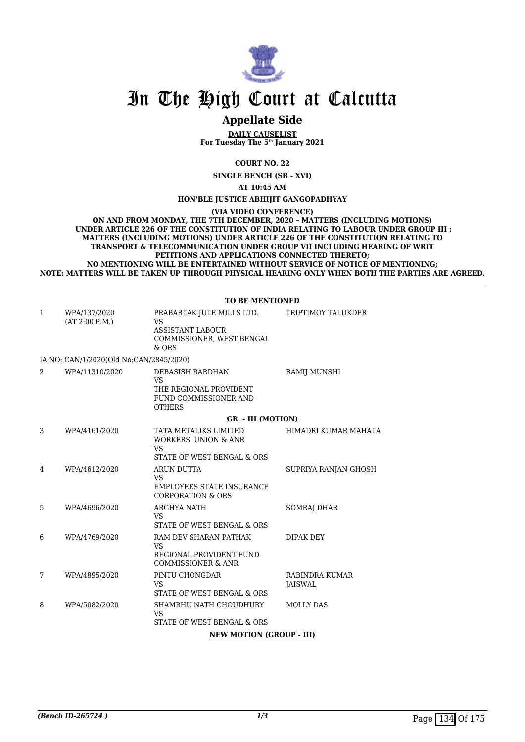

### **Appellate Side**

**DAILY CAUSELIST For Tuesday The 5th January 2021**

**COURT NO. 22**

**SINGLE BENCH (SB - XVI)**

**AT 10:45 AM**

**HON'BLE JUSTICE ABHIJIT GANGOPADHYAY**

**(VIA VIDEO CONFERENCE)**

**ON AND FROM MONDAY, THE 7TH DECEMBER, 2020 – MATTERS (INCLUDING MOTIONS) UNDER ARTICLE 226 OF THE CONSTITUTION OF INDIA RELATING TO LABOUR UNDER GROUP III ; MATTERS (INCLUDING MOTIONS) UNDER ARTICLE 226 OF THE CONSTITUTION RELATING TO TRANSPORT & TELECOMMUNICATION UNDER GROUP VII INCLUDING HEARING OF WRIT PETITIONS AND APPLICATIONS CONNECTED THERETO; NO MENTIONING WILL BE ENTERTAINED WITHOUT SERVICE OF NOTICE OF MENTIONING; NOTE: MATTERS WILL BE TAKEN UP THROUGH PHYSICAL HEARING ONLY WHEN BOTH THE PARTIES ARE AGREED.**

#### **TO BE MENTIONED**

| $\mathbf{1}$ | WPA/137/2020<br>(AT 2:00 P.M.)          | PRABARTAK JUTE MILLS LTD.<br><b>VS</b><br>ASSISTANT LABOUR<br>COMMISSIONER, WEST BENGAL<br>$&$ ORS  | TRIPTIMOY TALUKDER        |
|--------------|-----------------------------------------|-----------------------------------------------------------------------------------------------------|---------------------------|
|              | IA NO: CAN/1/2020(Old No:CAN/2845/2020) |                                                                                                     |                           |
| 2            | WPA/11310/2020                          | DEBASISH BARDHAN<br><b>VS</b><br>THE REGIONAL PROVIDENT<br>FUND COMMISSIONER AND<br><b>OTHERS</b>   | RAMIJ MUNSHI              |
|              |                                         | GR. - III (MOTION)                                                                                  |                           |
| 3            | WPA/4161/2020                           | TATA METALIKS LIMITED<br><b>WORKERS' UNION &amp; ANR</b><br><b>VS</b><br>STATE OF WEST BENGAL & ORS | HIMADRI KUMAR MAHATA      |
| 4            | WPA/4612/2020                           | <b>ARUN DUTTA</b><br>VS.<br><b>EMPLOYEES STATE INSURANCE</b><br><b>CORPORATION &amp; ORS</b>        | SUPRIYA RANJAN GHOSH      |
| 5            | WPA/4696/2020                           | ARGHYA NATH<br>VS.<br>STATE OF WEST BENGAL & ORS                                                    | SOMRAJ DHAR               |
| 6            | WPA/4769/2020                           | RAM DEV SHARAN PATHAK<br><b>VS</b><br>REGIONAL PROVIDENT FUND<br>COMMISSIONER & ANR                 | <b>DIPAK DEY</b>          |
| 7            | WPA/4895/2020                           | PINTU CHONGDAR<br><b>VS</b><br>STATE OF WEST BENGAL & ORS                                           | RABINDRA KUMAR<br>JAISWAL |
| 8            | WPA/5082/2020                           | SHAMBHU NATH CHOUDHURY<br>VS<br>STATE OF WEST BENGAL & ORS                                          | <b>MOLLY DAS</b>          |
|              |                                         | <b>NEW MOTION (GROUP - III)</b>                                                                     |                           |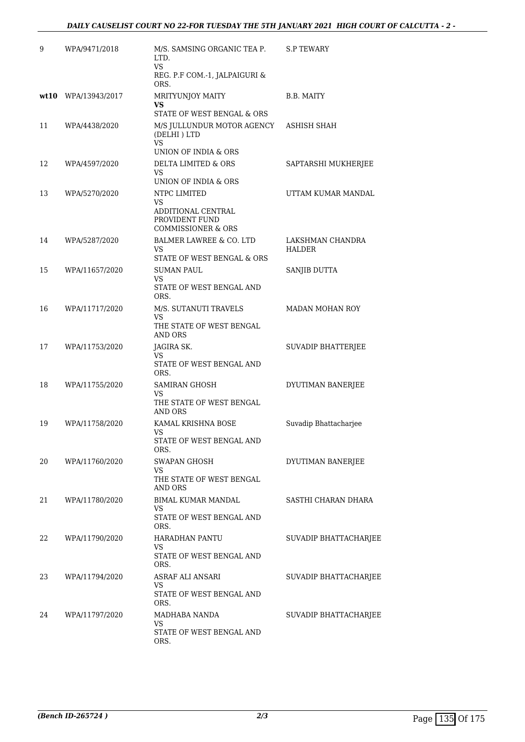| 9  | WPA/9471/2018       | M/S. SAMSING ORGANIC TEA P.<br>LTD.<br><b>VS</b><br>REG. P.F COM.-1, JALPAIGURI &                            | <b>S.P TEWARY</b>                 |
|----|---------------------|--------------------------------------------------------------------------------------------------------------|-----------------------------------|
|    | wt10 WPA/13943/2017 | ORS.<br>MRITYUNJOY MAITY<br>VS                                                                               | B.B. MAITY                        |
| 11 | WPA/4438/2020       | STATE OF WEST BENGAL & ORS<br>M/S JULLUNDUR MOTOR AGENCY<br>(DELHI) LTD<br><b>VS</b><br>UNION OF INDIA & ORS | ASHISH SHAH                       |
| 12 | WPA/4597/2020       | DELTA LIMITED & ORS<br>VS<br>UNION OF INDIA & ORS                                                            | SAPTARSHI MUKHERJEE               |
| 13 | WPA/5270/2020       | NTPC LIMITED<br>VS<br>ADDITIONAL CENTRAL<br>PROVIDENT FUND<br>COMMISSIONER & ORS                             | UTTAM KUMAR MANDAL                |
| 14 | WPA/5287/2020       | BALMER LAWREE & CO. LTD<br>VS<br>STATE OF WEST BENGAL & ORS                                                  | LAKSHMAN CHANDRA<br><b>HALDER</b> |
| 15 | WPA/11657/2020      | <b>SUMAN PAUL</b><br>VS<br>STATE OF WEST BENGAL AND<br>ORS.                                                  | SANJIB DUTTA                      |
| 16 | WPA/11717/2020      | M/S. SUTANUTI TRAVELS<br>VS<br>THE STATE OF WEST BENGAL<br>AND ORS                                           | <b>MADAN MOHAN ROY</b>            |
| 17 | WPA/11753/2020      | JAGIRA SK.<br>VS<br>STATE OF WEST BENGAL AND<br>ORS.                                                         | SUVADIP BHATTERJEE                |
| 18 | WPA/11755/2020      | <b>SAMIRAN GHOSH</b><br>VS<br>THE STATE OF WEST BENGAL<br>AND ORS                                            | DYUTIMAN BANERJEE                 |
| 19 | WPA/11758/2020      | KAMAL KRISHNA BOSE<br>VS<br>STATE OF WEST BENGAL AND<br>ORS.                                                 | Suvadip Bhattacharjee             |
| 20 | WPA/11760/2020      | <b>SWAPAN GHOSH</b><br>VS<br>THE STATE OF WEST BENGAL<br>AND ORS                                             | DYUTIMAN BANERJEE                 |
| 21 | WPA/11780/2020      | BIMAL KUMAR MANDAL<br>VS<br>STATE OF WEST BENGAL AND<br>ORS.                                                 | SASTHI CHARAN DHARA               |
| 22 | WPA/11790/2020      | HARADHAN PANTU<br>VS.<br>STATE OF WEST BENGAL AND<br>ORS.                                                    | <b>SUVADIP BHATTACHARJEE</b>      |
| 23 | WPA/11794/2020      | ASRAF ALI ANSARI<br>VS<br>STATE OF WEST BENGAL AND<br>ORS.                                                   | SUVADIP BHATTACHARJEE             |
| 24 | WPA/11797/2020      | MADHABA NANDA<br>VS<br>STATE OF WEST BENGAL AND<br>ORS.                                                      | SUVADIP BHATTACHARJEE             |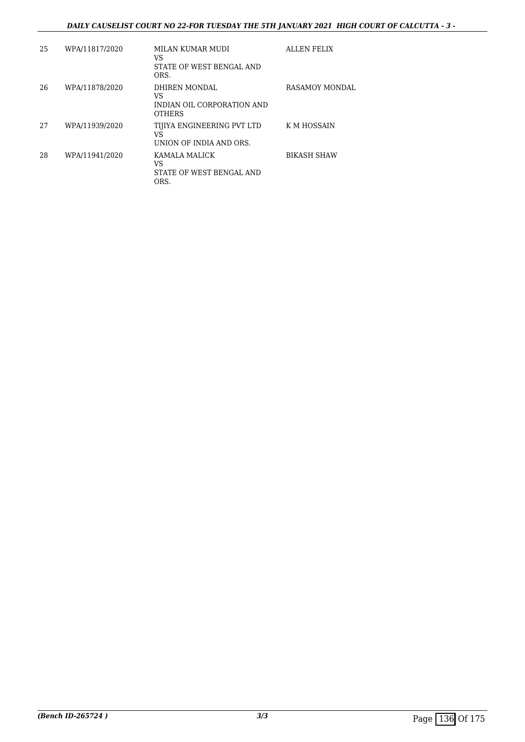#### *DAILY CAUSELIST COURT NO 22-FOR TUESDAY THE 5TH JANUARY 2021 HIGH COURT OF CALCUTTA - 3 -*

| 25 | WPA/11817/2020 | MILAN KUMAR MUDI<br>VS<br>STATE OF WEST BENGAL AND<br>ORS.         | ALLEN FELIX        |
|----|----------------|--------------------------------------------------------------------|--------------------|
| 26 | WPA/11878/2020 | DHIREN MONDAL<br>VS<br>INDIAN OIL CORPORATION AND<br><b>OTHERS</b> | RASAMOY MONDAL     |
| 27 | WPA/11939/2020 | TIJIYA ENGINEERING PVT LTD<br>VS<br>UNION OF INDIA AND ORS.        | K M HOSSAIN        |
| 28 | WPA/11941/2020 | KAMALA MALICK<br>VS<br>STATE OF WEST BENGAL AND<br>ORS.            | <b>BIKASH SHAW</b> |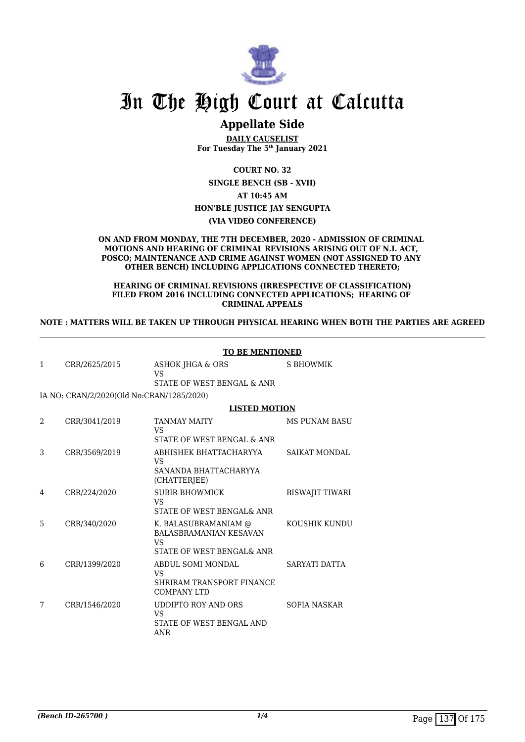

### **Appellate Side**

**DAILY CAUSELIST For Tuesday The 5th January 2021**

**COURT NO. 32**

**SINGLE BENCH (SB - XVII)**

**AT 10:45 AM**

**HON'BLE JUSTICE JAY SENGUPTA**

**(VIA VIDEO CONFERENCE)**

#### **ON AND FROM MONDAY, THE 7TH DECEMBER, 2020 - ADMISSION OF CRIMINAL MOTIONS AND HEARING OF CRIMINAL REVISIONS ARISING OUT OF N.I. ACT, POSCO; MAINTENANCE AND CRIME AGAINST WOMEN (NOT ASSIGNED TO ANY OTHER BENCH) INCLUDING APPLICATIONS CONNECTED THERETO;**

#### **HEARING OF CRIMINAL REVISIONS (IRRESPECTIVE OF CLASSIFICATION) FILED FROM 2016 INCLUDING CONNECTED APPLICATIONS; HEARING OF CRIMINAL APPEALS**

#### **NOTE : MATTERS WILL BE TAKEN UP THROUGH PHYSICAL HEARING WHEN BOTH THE PARTIES ARE AGREED**

|   |                                           | <b>TO BE MENTIONED</b>                                                                   |                        |
|---|-------------------------------------------|------------------------------------------------------------------------------------------|------------------------|
| 1 | CRR/2625/2015                             | ASHOK JHGA & ORS<br>VS<br>STATE OF WEST BENGAL & ANR                                     | S BHOWMIK              |
|   | IA NO: CRAN/2/2020(Old No:CRAN/1285/2020) |                                                                                          |                        |
|   |                                           | <b>LISTED MOTION</b>                                                                     |                        |
| 2 | CRR/3041/2019                             | <b>TANMAY MAITY</b><br>VS                                                                | <b>MS PUNAM BASU</b>   |
|   |                                           | STATE OF WEST BENGAL & ANR                                                               |                        |
| 3 | CRR/3569/2019                             | ABHISHEK BHATTACHARYYA<br>VS<br>SANANDA BHATTACHARYYA<br>(CHATTERJEE)                    | <b>SAIKAT MONDAL</b>   |
| 4 | CRR/224/2020                              | <b>SUBIR BHOWMICK</b><br>VS<br>STATE OF WEST BENGAL& ANR                                 | <b>BISWAJIT TIWARI</b> |
| 5 | CRR/340/2020                              | K. BALASUBRAMANIAM @<br><b>BALASBRAMANIAN KESAVAN</b><br>VS<br>STATE OF WEST BENGAL& ANR | KOUSHIK KUNDU          |
| 6 | CRR/1399/2020                             | ABDUL SOMI MONDAL<br>VS<br>SHRIRAM TRANSPORT FINANCE<br><b>COMPANY LTD</b>               | SARYATI DATTA          |
| 7 | CRR/1546/2020                             | UDDIPTO ROY AND ORS<br>VS.<br>STATE OF WEST BENGAL AND<br>ANR                            | <b>SOFIA NASKAR</b>    |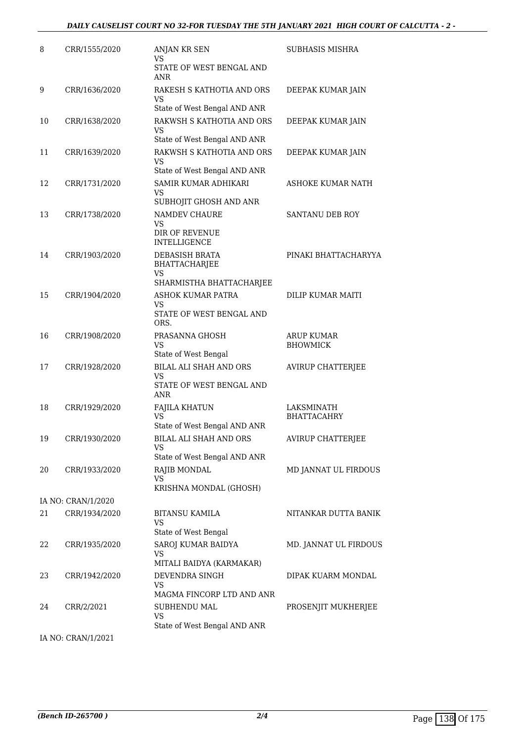| 8  | CRR/1555/2020      | ANJAN KR SEN<br>VS<br>STATE OF WEST BENGAL AND                         | SUBHASIS MISHRA                      |
|----|--------------------|------------------------------------------------------------------------|--------------------------------------|
|    |                    | ANR                                                                    |                                      |
| 9  | CRR/1636/2020      | RAKESH S KATHOTIA AND ORS<br>VS                                        | DEEPAK KUMAR JAIN                    |
|    |                    | State of West Bengal AND ANR                                           |                                      |
| 10 | CRR/1638/2020      | RAKWSH S KATHOTIA AND ORS<br>VS                                        | DEEPAK KUMAR JAIN                    |
|    |                    | State of West Bengal AND ANR<br>RAKWSH S KATHOTIA AND ORS              |                                      |
| 11 | CRR/1639/2020      | <b>VS</b><br>State of West Bengal AND ANR                              | DEEPAK KUMAR JAIN                    |
| 12 |                    | SAMIR KUMAR ADHIKARI                                                   | ASHOKE KUMAR NATH                    |
|    | CRR/1731/2020      | VS<br>SUBHOJIT GHOSH AND ANR                                           |                                      |
| 13 | CRR/1738/2020      | NAMDEV CHAURE                                                          | <b>SANTANU DEB ROY</b>               |
|    |                    | <b>VS</b><br>DIR OF REVENUE<br><b>INTELLIGENCE</b>                     |                                      |
| 14 | CRR/1903/2020      | DEBASISH BRATA<br><b>BHATTACHARJEE</b>                                 | PINAKI BHATTACHARYYA                 |
|    |                    | VS<br>SHARMISTHA BHATTACHARJEE                                         |                                      |
| 15 | CRR/1904/2020      | ASHOK KUMAR PATRA                                                      | DILIP KUMAR MAITI                    |
|    |                    | <b>VS</b><br>STATE OF WEST BENGAL AND<br>ORS.                          |                                      |
| 16 | CRR/1908/2020      | PRASANNA GHOSH<br><b>VS</b>                                            | <b>ARUP KUMAR</b><br><b>BHOWMICK</b> |
|    |                    | State of West Bengal                                                   |                                      |
| 17 | CRR/1928/2020      | BILAL ALI SHAH AND ORS<br><b>VS</b><br>STATE OF WEST BENGAL AND<br>ANR | <b>AVIRUP CHATTERJEE</b>             |
| 18 | CRR/1929/2020      | <b>FAJILA KHATUN</b>                                                   | LAKSMINATH                           |
|    |                    | VS<br>State of West Bengal AND ANR                                     | <b>BHATTACAHRY</b>                   |
| 19 | CRR/1930/2020      | BILAL ALI SHAH AND ORS                                                 | <b>AVIRUP CHATTERJEE</b>             |
|    |                    | <b>VS</b>                                                              |                                      |
|    |                    | State of West Bengal AND ANR                                           |                                      |
| 20 | CRR/1933/2020      | RAJIB MONDAL<br>VS                                                     | MD JANNAT UL FIRDOUS                 |
|    |                    | KRISHNA MONDAL (GHOSH)                                                 |                                      |
|    | IA NO: CRAN/1/2020 |                                                                        |                                      |
| 21 | CRR/1934/2020      | <b>BITANSU KAMILA</b><br>VS<br>State of West Bengal                    | NITANKAR DUTTA BANIK                 |
| 22 | CRR/1935/2020      | SAROJ KUMAR BAIDYA<br><b>VS</b><br>MITALI BAIDYA (KARMAKAR)            | MD. JANNAT UL FIRDOUS                |
| 23 | CRR/1942/2020      | DEVENDRA SINGH<br><b>VS</b>                                            | DIPAK KUARM MONDAL                   |
|    |                    | MAGMA FINCORP LTD AND ANR                                              |                                      |
| 24 | CRR/2/2021         | <b>SUBHENDU MAL</b><br><b>VS</b><br>State of West Bengal AND ANR       | PROSENJIT MUKHERJEE                  |

IA NO: CRAN/1/2021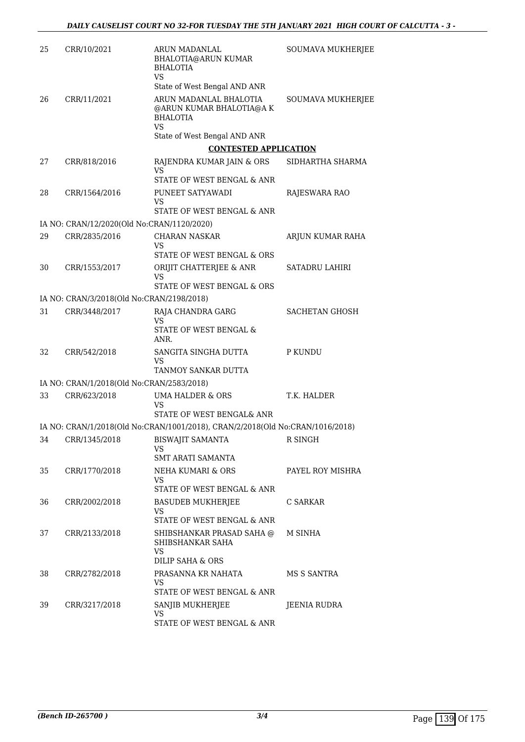| 25 | CRR/10/2021                                | ARUN MADANLAL<br>BHALOTIA@ARUN KUMAR<br><b>BHALOTIA</b><br>VS.                | SOUMAVA MUKHERJEE        |
|----|--------------------------------------------|-------------------------------------------------------------------------------|--------------------------|
|    |                                            | State of West Bengal AND ANR                                                  |                          |
| 26 | CRR/11/2021                                | ARUN MADANLAL BHALOTIA<br>@ARUN KUMAR BHALOTIA@A K<br><b>BHALOTIA</b>         | <b>SOUMAVA MUKHERJEE</b> |
|    |                                            | <b>VS</b><br>State of West Bengal AND ANR                                     |                          |
|    |                                            | <b>CONTESTED APPLICATION</b>                                                  |                          |
| 27 | CRR/818/2016                               | RAJENDRA KUMAR JAIN & ORS<br><b>VS</b>                                        | SIDHARTHA SHARMA         |
|    |                                            | STATE OF WEST BENGAL & ANR                                                    |                          |
| 28 | CRR/1564/2016                              | PUNEET SATYAWADI<br>VS                                                        | RAJESWARA RAO            |
|    |                                            | STATE OF WEST BENGAL & ANR                                                    |                          |
|    | IA NO: CRAN/12/2020(Old No:CRAN/1120/2020) |                                                                               |                          |
| 29 | CRR/2835/2016                              | <b>CHARAN NASKAR</b><br>VS                                                    | ARJUN KUMAR RAHA         |
|    |                                            | STATE OF WEST BENGAL & ORS                                                    |                          |
| 30 | CRR/1553/2017                              | ORIJIT CHATTERJEE & ANR<br>VS                                                 | <b>SATADRU LAHIRI</b>    |
|    |                                            | STATE OF WEST BENGAL & ORS                                                    |                          |
|    | IA NO: CRAN/3/2018(Old No:CRAN/2198/2018)  |                                                                               |                          |
| 31 | CRR/3448/2017                              | RAJA CHANDRA GARG<br><b>VS</b>                                                | SACHETAN GHOSH           |
|    |                                            | STATE OF WEST BENGAL &<br>ANR.                                                |                          |
| 32 | CRR/542/2018                               | SANGITA SINGHA DUTTA<br>VS                                                    | P KUNDU                  |
|    |                                            | TANMOY SANKAR DUTTA                                                           |                          |
|    | IA NO: CRAN/1/2018(Old No:CRAN/2583/2018)  |                                                                               |                          |
| 33 | CRR/623/2018                               | <b>UMA HALDER &amp; ORS</b><br>VS<br>STATE OF WEST BENGAL& ANR                | T.K. HALDER              |
|    |                                            | IA NO: CRAN/1/2018(Old No:CRAN/1001/2018), CRAN/2/2018(Old No:CRAN/1016/2018) |                          |
| 34 | CRR/1345/2018                              | <b>BISWAJIT SAMANTA</b><br>VS                                                 | R SINGH                  |
|    |                                            | SMT ARATI SAMANTA                                                             |                          |
| 35 | CRR/1770/2018                              | NEHA KUMARI & ORS<br>VS.                                                      | PAYEL ROY MISHRA         |
|    |                                            | STATE OF WEST BENGAL & ANR                                                    |                          |
| 36 | CRR/2002/2018                              | <b>BASUDEB MUKHERJEE</b><br>VS                                                | C SARKAR                 |
|    |                                            | STATE OF WEST BENGAL & ANR                                                    |                          |
| 37 | CRR/2133/2018                              | SHIBSHANKAR PRASAD SAHA @<br>SHIBSHANKAR SAHA<br>VS                           | M SINHA                  |
|    |                                            | DILIP SAHA & ORS                                                              |                          |
| 38 | CRR/2782/2018                              | PRASANNA KR NAHATA<br>VS.                                                     | MS S SANTRA              |
|    |                                            | STATE OF WEST BENGAL & ANR                                                    |                          |
| 39 | CRR/3217/2018                              | SANJIB MUKHERJEE<br>VS                                                        | JEENIA RUDRA             |
|    |                                            | STATE OF WEST BENGAL & ANR                                                    |                          |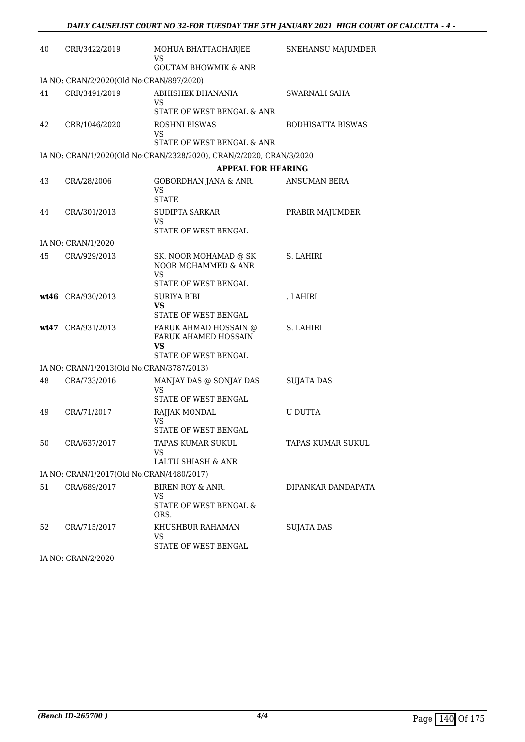| 40 | CRR/3422/2019                             | MOHUA BHATTACHARJEE<br>VS<br><b>GOUTAM BHOWMIK &amp; ANR</b>        | SNEHANSU MAJUMDER        |
|----|-------------------------------------------|---------------------------------------------------------------------|--------------------------|
|    | IA NO: CRAN/2/2020(Old No:CRAN/897/2020)  |                                                                     |                          |
| 41 | CRR/3491/2019                             | ABHISHEK DHANANIA<br>VS                                             | SWARNALI SAHA            |
|    |                                           | STATE OF WEST BENGAL & ANR                                          |                          |
| 42 | CRR/1046/2020                             | ROSHNI BISWAS<br>VS                                                 | <b>BODHISATTA BISWAS</b> |
|    |                                           | STATE OF WEST BENGAL & ANR                                          |                          |
|    |                                           | IA NO: CRAN/1/2020(Old No:CRAN/2328/2020), CRAN/2/2020, CRAN/3/2020 |                          |
| 43 | CRA/28/2006                               | <b>APPEAL FOR HEARING</b><br>GOBORDHAN JANA & ANR.                  | ANSUMAN BERA             |
|    |                                           | VS<br><b>STATE</b>                                                  |                          |
| 44 | CRA/301/2013                              | SUDIPTA SARKAR                                                      | PRABIR MAJUMDER          |
|    |                                           | VS<br>STATE OF WEST BENGAL                                          |                          |
|    | IA NO: CRAN/1/2020                        |                                                                     |                          |
| 45 | CRA/929/2013                              | SK. NOOR MOHAMAD @ SK<br>NOOR MOHAMMED & ANR<br>VS                  | S. LAHIRI                |
|    |                                           | STATE OF WEST BENGAL                                                |                          |
|    | wt46 CRA/930/2013                         | <b>SURIYA BIBI</b><br>VS                                            | . LAHIRI                 |
|    |                                           | STATE OF WEST BENGAL                                                |                          |
|    | wt47 CRA/931/2013                         | FARUK AHMAD HOSSAIN @<br>FARUK AHAMED HOSSAIN<br>VS.                | S. LAHIRI                |
|    |                                           | STATE OF WEST BENGAL                                                |                          |
|    | IA NO: CRAN/1/2013(Old No:CRAN/3787/2013) |                                                                     |                          |
| 48 | CRA/733/2016                              | MANJAY DAS @ SONJAY DAS<br><b>VS</b><br>STATE OF WEST BENGAL        | <b>SUJATA DAS</b>        |
| 49 | CRA/71/2017                               | RAJJAK MONDAL                                                       | <b>U DUTTA</b>           |
|    |                                           | VS<br>STATE OF WEST BENGAL                                          |                          |
| 50 | CRA/637/2017                              | TAPAS KUMAR SUKUL<br><b>VS</b><br>LALTU SHIASH & ANR                | TAPAS KUMAR SUKUL        |
|    | IA NO: CRAN/1/2017(Old No:CRAN/4480/2017) |                                                                     |                          |
| 51 | CRA/689/2017                              | BIREN ROY & ANR.                                                    | DIPANKAR DANDAPATA       |
|    |                                           | <b>VS</b><br>STATE OF WEST BENGAL &<br>ORS.                         |                          |
| 52 | CRA/715/2017                              | KHUSHBUR RAHAMAN<br><b>VS</b><br>STATE OF WEST BENGAL               | <b>SUJATA DAS</b>        |

IA NO: CRAN/2/2020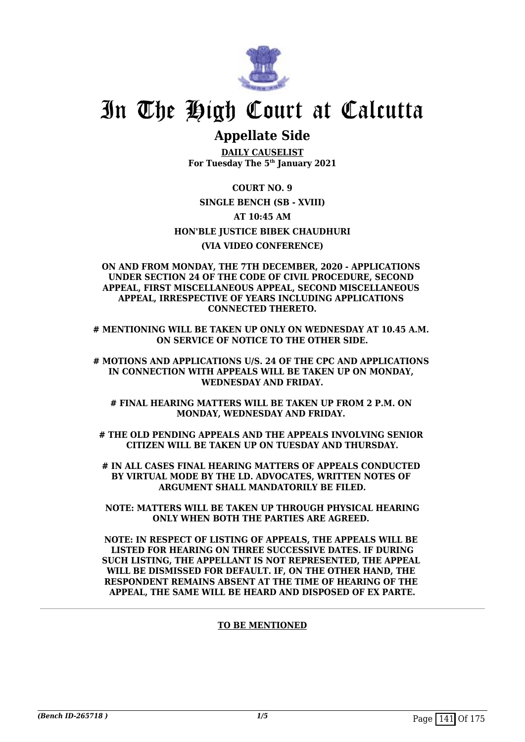

### **Appellate Side**

**DAILY CAUSELIST For Tuesday The 5th January 2021**

**COURT NO. 9 SINGLE BENCH (SB - XVIII) AT 10:45 AM HON'BLE JUSTICE BIBEK CHAUDHURI (VIA VIDEO CONFERENCE)**

#### **ON AND FROM MONDAY, THE 7TH DECEMBER, 2020 - APPLICATIONS UNDER SECTION 24 OF THE CODE OF CIVIL PROCEDURE, SECOND APPEAL, FIRST MISCELLANEOUS APPEAL, SECOND MISCELLANEOUS APPEAL, IRRESPECTIVE OF YEARS INCLUDING APPLICATIONS CONNECTED THERETO.**

**# MENTIONING WILL BE TAKEN UP ONLY ON WEDNESDAY AT 10.45 A.M. ON SERVICE OF NOTICE TO THE OTHER SIDE.**

**# MOTIONS AND APPLICATIONS U/S. 24 OF THE CPC AND APPLICATIONS IN CONNECTION WITH APPEALS WILL BE TAKEN UP ON MONDAY, WEDNESDAY AND FRIDAY.**

**# FINAL HEARING MATTERS WILL BE TAKEN UP FROM 2 P.M. ON MONDAY, WEDNESDAY AND FRIDAY.** 

**# THE OLD PENDING APPEALS AND THE APPEALS INVOLVING SENIOR CITIZEN WILL BE TAKEN UP ON TUESDAY AND THURSDAY.**

**# IN ALL CASES FINAL HEARING MATTERS OF APPEALS CONDUCTED BY VIRTUAL MODE BY THE LD. ADVOCATES, WRITTEN NOTES OF ARGUMENT SHALL MANDATORILY BE FILED.**

**NOTE: MATTERS WILL BE TAKEN UP THROUGH PHYSICAL HEARING ONLY WHEN BOTH THE PARTIES ARE AGREED.** 

**NOTE: IN RESPECT OF LISTING OF APPEALS, THE APPEALS WILL BE LISTED FOR HEARING ON THREE SUCCESSIVE DATES. IF DURING SUCH LISTING, THE APPELLANT IS NOT REPRESENTED, THE APPEAL WILL BE DISMISSED FOR DEFAULT. IF, ON THE OTHER HAND, THE RESPONDENT REMAINS ABSENT AT THE TIME OF HEARING OF THE APPEAL, THE SAME WILL BE HEARD AND DISPOSED OF EX PARTE.**

#### **TO BE MENTIONED**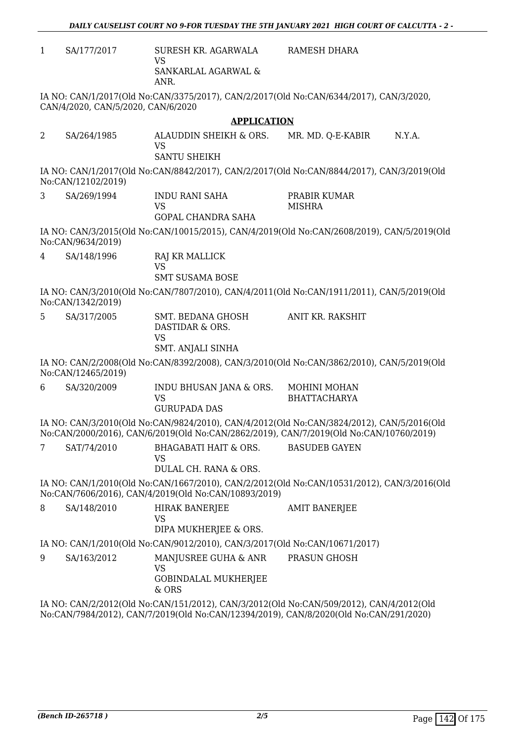RAMESH DHARA

1 SA/177/2017 SURESH KR. AGARWALA VS SANKARLAL AGARWAL & ANR.

IA NO: CAN/1/2017(Old No:CAN/3375/2017), CAN/2/2017(Old No:CAN/6344/2017), CAN/3/2020, CAN/4/2020, CAN/5/2020, CAN/6/2020

#### **APPLICATION**

2 SA/264/1985 ALAUDDIN SHEIKH & ORS. VS SANTU SHEIKH MR. MD. O-E-KABIR N.Y.A.

IA NO: CAN/1/2017(Old No:CAN/8842/2017), CAN/2/2017(Old No:CAN/8844/2017), CAN/3/2019(Old No:CAN/12102/2019)

3 SA/269/1994 INDU RANI SAHA VS GOPAL CHANDRA SAHA PRABIR KUMAR **MISHRA** 

IA NO: CAN/3/2015(Old No:CAN/10015/2015), CAN/4/2019(Old No:CAN/2608/2019), CAN/5/2019(Old No:CAN/9634/2019)

4 SA/148/1996 RAJ KR MALLICK

VS SMT SUSAMA BOSE

IA NO: CAN/3/2010(Old No:CAN/7807/2010), CAN/4/2011(Old No:CAN/1911/2011), CAN/5/2019(Old No:CAN/1342/2019)

5 SA/317/2005 SMT. BEDANA GHOSH DASTIDAR & ORS. VS SMT. ANJALI SINHA ANIT KR. RAKSHIT

IA NO: CAN/2/2008(Old No:CAN/8392/2008), CAN/3/2010(Old No:CAN/3862/2010), CAN/5/2019(Old No:CAN/12465/2019)

6 SA/320/2009 INDU BHUSAN JANA & ORS. VS GURUPADA DAS MOHINI MOHAN BHATTACHARYA

IA NO: CAN/3/2010(Old No:CAN/9824/2010), CAN/4/2012(Old No:CAN/3824/2012), CAN/5/2016(Old No:CAN/2000/2016), CAN/6/2019(Old No:CAN/2862/2019), CAN/7/2019(Old No:CAN/10760/2019)

7 SAT/74/2010 BHAGABATI HAIT & ORS. VS DULAL CH. RANA & ORS. BASUDEB GAYEN

IA NO: CAN/1/2010(Old No:CAN/1667/2010), CAN/2/2012(Old No:CAN/10531/2012), CAN/3/2016(Old No:CAN/7606/2016), CAN/4/2019(Old No:CAN/10893/2019)

8 SA/148/2010 HIRAK BANERJEE VS DIPA MUKHERJEE & ORS. AMIT BANERJEE IA NO: CAN/1/2010(Old No:CAN/9012/2010), CAN/3/2017(Old No:CAN/10671/2017) 9 SA/163/2012 MANJUSREE GUHA & ANR PRASUN GHOSH

VS GOBINDALAL MUKHERJEE & ORS

IA NO: CAN/2/2012(Old No:CAN/151/2012), CAN/3/2012(Old No:CAN/509/2012), CAN/4/2012(Old No:CAN/7984/2012), CAN/7/2019(Old No:CAN/12394/2019), CAN/8/2020(Old No:CAN/291/2020)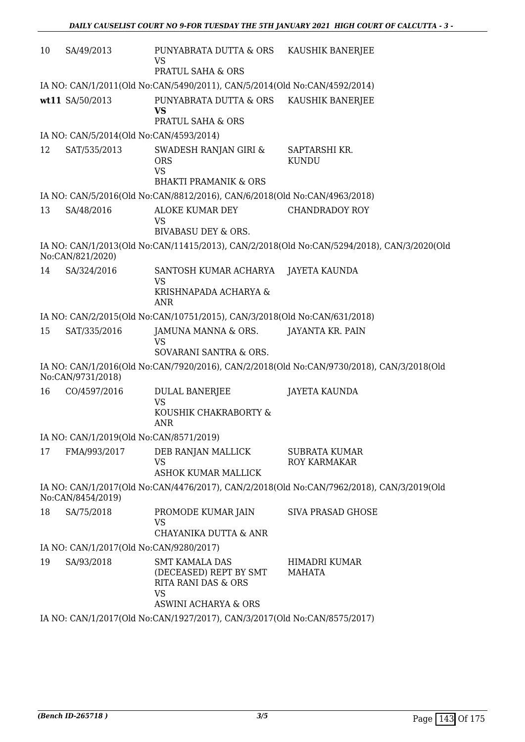| 10                                                                        | SA/49/2013                              | PUNYABRATA DUTTA & ORS KAUSHIK BANERJEE<br><b>VS</b><br>PRATUL SAHA & ORS            |                                                                                            |
|---------------------------------------------------------------------------|-----------------------------------------|--------------------------------------------------------------------------------------|--------------------------------------------------------------------------------------------|
|                                                                           |                                         | IA NO: CAN/1/2011(Old No:CAN/5490/2011), CAN/5/2014(Old No:CAN/4592/2014)            |                                                                                            |
|                                                                           | wt11 SA/50/2013                         | PUNYABRATA DUTTA & ORS<br><b>VS</b><br><b>PRATUL SAHA &amp; ORS</b>                  | KAUSHIK BANERJEE                                                                           |
|                                                                           | IA NO: CAN/5/2014(Old No:CAN/4593/2014) |                                                                                      |                                                                                            |
| 12                                                                        | SAT/535/2013                            | SWADESH RANJAN GIRI &<br><b>ORS</b><br><b>VS</b><br><b>BHAKTI PRAMANIK &amp; ORS</b> | SAPTARSHI KR.<br><b>KUNDU</b>                                                              |
|                                                                           |                                         | IA NO: CAN/5/2016(Old No:CAN/8812/2016), CAN/6/2018(Old No:CAN/4963/2018)            |                                                                                            |
| 13                                                                        | SA/48/2016                              | ALOKE KUMAR DEY<br><b>VS</b><br><b>BIVABASU DEY &amp; ORS.</b>                       | <b>CHANDRADOY ROY</b>                                                                      |
|                                                                           |                                         |                                                                                      | IA NO: CAN/1/2013(Old No:CAN/11415/2013), CAN/2/2018(Old No:CAN/5294/2018), CAN/3/2020(Old |
|                                                                           | No:CAN/821/2020)                        |                                                                                      |                                                                                            |
| 14                                                                        | SA/324/2016                             | SANTOSH KUMAR ACHARYA<br><b>VS</b><br>KRISHNAPADA ACHARYA &<br><b>ANR</b>            | JAYETA KAUNDA                                                                              |
|                                                                           |                                         | IA NO: CAN/2/2015(Old No:CAN/10751/2015), CAN/3/2018(Old No:CAN/631/2018)            |                                                                                            |
| 15                                                                        | SAT/335/2016                            | JAMUNA MANNA & ORS.<br><b>VS</b><br>SOVARANI SANTRA & ORS.                           | JAYANTA KR. PAIN                                                                           |
|                                                                           | No:CAN/9731/2018)                       |                                                                                      | IA NO: CAN/1/2016(Old No:CAN/7920/2016), CAN/2/2018(Old No:CAN/9730/2018), CAN/3/2018(Old  |
| 16                                                                        | CO/4597/2016                            | <b>DULAL BANERJEE</b><br><b>VS</b><br>KOUSHIK CHAKRABORTY &<br><b>ANR</b>            | JAYETA KAUNDA                                                                              |
|                                                                           | IA NO: CAN/1/2019(Old No:CAN/8571/2019) |                                                                                      |                                                                                            |
| 17                                                                        | FMA/993/2017                            | DEB RANJAN MALLICK<br><b>VS</b><br><b>ASHOK KUMAR MALLICK</b>                        | <b>SUBRATA KUMAR</b><br>ROY KARMAKAR                                                       |
|                                                                           | No:CAN/8454/2019)                       |                                                                                      | IA NO: CAN/1/2017(Old No:CAN/4476/2017), CAN/2/2018(Old No:CAN/7962/2018), CAN/3/2019(Old  |
| 18                                                                        | SA/75/2018                              | PROMODE KUMAR JAIN<br>VS<br>CHAYANIKA DUTTA & ANR                                    | <b>SIVA PRASAD GHOSE</b>                                                                   |
|                                                                           | IA NO: CAN/1/2017(Old No:CAN/9280/2017) |                                                                                      |                                                                                            |
| 19                                                                        | SA/93/2018                              | <b>SMT KAMALA DAS</b><br>(DECEASED) REPT BY SMT<br>RITA RANI DAS & ORS<br><b>VS</b>  | HIMADRI KUMAR<br>MAHATA                                                                    |
|                                                                           |                                         | ASWINI ACHARYA & ORS                                                                 |                                                                                            |
| IA NO: CAN/1/2017(Old No:CAN/1927/2017), CAN/3/2017(Old No:CAN/8575/2017) |                                         |                                                                                      |                                                                                            |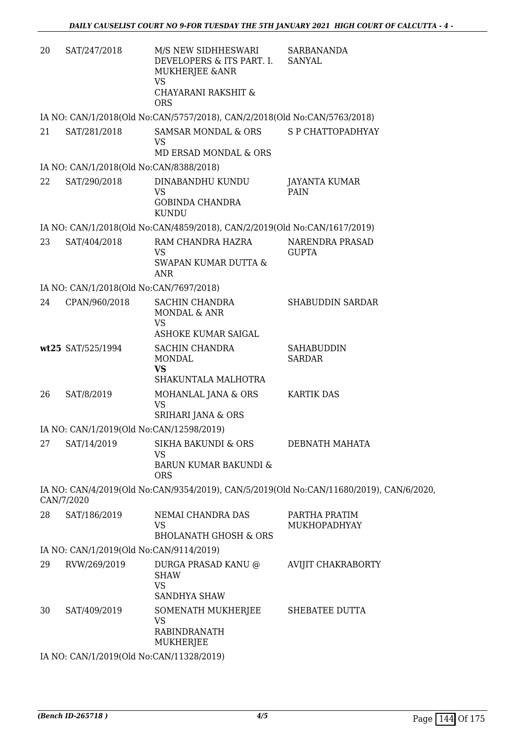| 20 | SAT/247/2018                             | M/S NEW SIDHHESWARI<br>DEVELOPERS & ITS PART. I.<br>MUKHERJEE & ANR<br><b>VS</b> | <b>SARBANANDA</b><br><b>SANYAL</b>                                                      |
|----|------------------------------------------|----------------------------------------------------------------------------------|-----------------------------------------------------------------------------------------|
|    |                                          | CHAYARANI RAKSHIT &<br><b>ORS</b>                                                |                                                                                         |
|    |                                          | IA NO: CAN/1/2018(Old No:CAN/5757/2018), CAN/2/2018(Old No:CAN/5763/2018)        |                                                                                         |
| 21 | SAT/281/2018                             | <b>SAMSAR MONDAL &amp; ORS</b><br><b>VS</b><br><b>MD ERSAD MONDAL &amp; ORS</b>  | S P CHATTOPADHYAY                                                                       |
|    | IA NO: CAN/1/2018(Old No:CAN/8388/2018)  |                                                                                  |                                                                                         |
| 22 | SAT/290/2018                             | DINABANDHU KUNDU<br><b>VS</b><br><b>GOBINDA CHANDRA</b><br><b>KUNDU</b>          | <b>JAYANTA KUMAR</b><br>PAIN                                                            |
|    |                                          | IA NO: CAN/1/2018(Old No:CAN/4859/2018), CAN/2/2019(Old No:CAN/1617/2019)        |                                                                                         |
| 23 | SAT/404/2018                             | RAM CHANDRA HAZRA<br><b>VS</b><br>SWAPAN KUMAR DUTTA &                           | NARENDRA PRASAD<br><b>GUPTA</b>                                                         |
|    | IA NO: CAN/1/2018(Old No:CAN/7697/2018)  | <b>ANR</b>                                                                       |                                                                                         |
| 24 | CPAN/960/2018                            | <b>SACHIN CHANDRA</b>                                                            | <b>SHABUDDIN SARDAR</b>                                                                 |
|    |                                          | MONDAL & ANR<br><b>VS</b>                                                        |                                                                                         |
|    |                                          | ASHOKE KUMAR SAIGAL                                                              |                                                                                         |
|    | wt25 SAT/525/1994                        | SACHIN CHANDRA<br><b>MONDAL</b><br><b>VS</b><br>SHAKUNTALA MALHOTRA              | <b>SAHABUDDIN</b><br><b>SARDAR</b>                                                      |
| 26 | SAT/8/2019                               | MOHANLAL JANA & ORS<br><b>VS</b><br>SRIHARI JANA & ORS                           | <b>KARTIK DAS</b>                                                                       |
|    | IA NO: CAN/1/2019(Old No:CAN/12598/2019) |                                                                                  |                                                                                         |
| 27 | SAT/14/2019                              | <b>SIKHA BAKUNDI &amp; ORS</b><br><b>VS</b>                                      | DEBNATH MAHATA                                                                          |
|    |                                          | <b>BARUN KUMAR BAKUNDI &amp;</b><br><b>ORS</b>                                   |                                                                                         |
|    | CAN/7/2020                               |                                                                                  | IA NO: CAN/4/2019(Old No:CAN/9354/2019), CAN/5/2019(Old No:CAN/11680/2019), CAN/6/2020, |
| 28 | SAT/186/2019                             | NEMAI CHANDRA DAS<br>VS<br><b>BHOLANATH GHOSH &amp; ORS</b>                      | PARTHA PRATIM<br>MUKHOPADHYAY                                                           |
|    | IA NO: CAN/1/2019(Old No:CAN/9114/2019)  |                                                                                  |                                                                                         |
| 29 | RVW/269/2019                             | DURGA PRASAD KANU @                                                              | AVIJIT CHAKRABORTY                                                                      |
|    |                                          | <b>SHAW</b><br><b>VS</b><br><b>SANDHYA SHAW</b>                                  |                                                                                         |
| 30 | SAT/409/2019                             | SOMENATH MUKHERJEE<br><b>VS</b>                                                  | SHEBATEE DUTTA                                                                          |
|    |                                          | <b>RABINDRANATH</b><br>MUKHERJEE                                                 |                                                                                         |
|    | IA NO: CAN/1/2019(Old No:CAN/11328/2019) |                                                                                  |                                                                                         |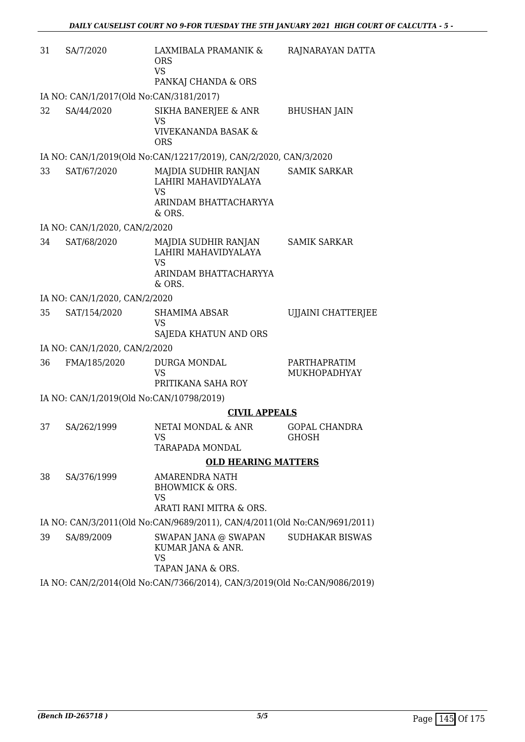| 31                                                                        | SA/7/2020                                                                 | LAXMIBALA PRAMANIK &<br><b>ORS</b><br><b>VS</b>                                              | RAJNARAYAN DATTA                     |  |  |
|---------------------------------------------------------------------------|---------------------------------------------------------------------------|----------------------------------------------------------------------------------------------|--------------------------------------|--|--|
|                                                                           |                                                                           | PANKAJ CHANDA & ORS                                                                          |                                      |  |  |
|                                                                           | IA NO: CAN/1/2017(Old No:CAN/3181/2017)                                   |                                                                                              |                                      |  |  |
| 32                                                                        | SA/44/2020                                                                | SIKHA BANERJEE & ANR<br>VS<br><b>VIVEKANANDA BASAK &amp;</b><br><b>ORS</b>                   | <b>BHUSHAN JAIN</b>                  |  |  |
|                                                                           |                                                                           | IA NO: CAN/1/2019(Old No:CAN/12217/2019), CAN/2/2020, CAN/3/2020                             |                                      |  |  |
| 33                                                                        | SAT/67/2020                                                               | MAJDIA SUDHIR RANJAN<br>LAHIRI MAHAVIDYALAYA<br><b>VS</b><br>ARINDAM BHATTACHARYYA<br>& ORS. | SAMIK SARKAR                         |  |  |
|                                                                           | IA NO: CAN/1/2020, CAN/2/2020                                             |                                                                                              |                                      |  |  |
| 34                                                                        | SAT/68/2020                                                               | MAJDIA SUDHIR RANJAN<br>LAHIRI MAHAVIDYALAYA<br><b>VS</b><br>ARINDAM BHATTACHARYYA<br>& ORS. | <b>SAMIK SARKAR</b>                  |  |  |
|                                                                           | IA NO: CAN/1/2020, CAN/2/2020                                             |                                                                                              |                                      |  |  |
| 35                                                                        | SAT/154/2020                                                              | <b>SHAMIMA ABSAR</b><br><b>VS</b><br>SAJEDA KHATUN AND ORS                                   | <b>UJJAINI CHATTERJEE</b>            |  |  |
|                                                                           | IA NO: CAN/1/2020, CAN/2/2020                                             |                                                                                              |                                      |  |  |
| 36                                                                        | FMA/185/2020                                                              | DURGA MONDAL<br><b>VS</b><br>PRITIKANA SAHA ROY                                              | PARTHAPRATIM<br>MUKHOPADHYAY         |  |  |
|                                                                           | IA NO: CAN/1/2019(Old No:CAN/10798/2019)                                  |                                                                                              |                                      |  |  |
|                                                                           |                                                                           | <b>CIVIL APPEALS</b>                                                                         |                                      |  |  |
| 37                                                                        | SA/262/1999                                                               | NETAI MONDAL & ANR<br>VS<br>TARAPADA MONDAL                                                  | <b>GOPAL CHANDRA</b><br><b>GHOSH</b> |  |  |
|                                                                           |                                                                           | <b>OLD HEARING MATTERS</b>                                                                   |                                      |  |  |
| 38                                                                        | SA/376/1999                                                               | AMARENDRA NATH<br><b>BHOWMICK &amp; ORS.</b><br>VS<br>ARATI RANI MITRA & ORS.                |                                      |  |  |
|                                                                           | IA NO: CAN/3/2011(Old No:CAN/9689/2011), CAN/4/2011(Old No:CAN/9691/2011) |                                                                                              |                                      |  |  |
| 39                                                                        | SA/89/2009                                                                | SWAPAN JANA @ SWAPAN<br>KUMAR JANA & ANR.<br><b>VS</b><br>TAPAN JANA & ORS.                  | <b>SUDHAKAR BISWAS</b>               |  |  |
| IA NO: CAN/2/2014(Old No:CAN/7366/2014), CAN/3/2019(Old No:CAN/9086/2019) |                                                                           |                                                                                              |                                      |  |  |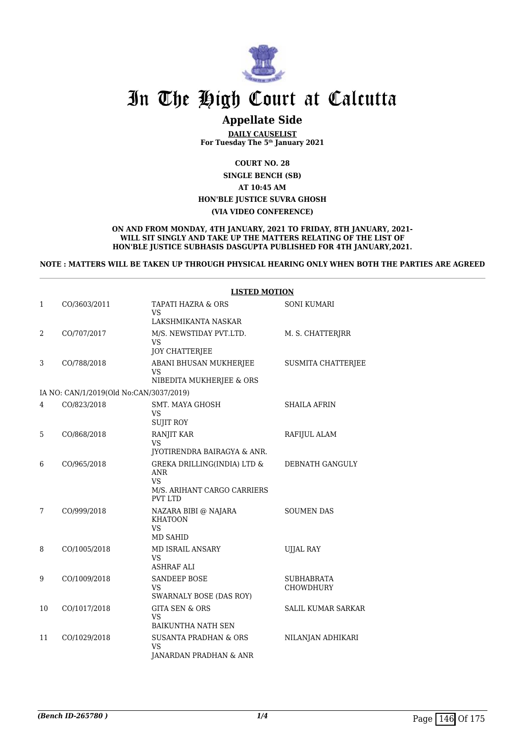

### **Appellate Side**

**DAILY CAUSELIST For Tuesday The 5th January 2021**

**COURT NO. 28**

**SINGLE BENCH (SB)**

**AT 10:45 AM**

**HON'BLE JUSTICE SUVRA GHOSH**

#### **(VIA VIDEO CONFERENCE)**

**ON AND FROM MONDAY, 4TH JANUARY, 2021 TO FRIDAY, 8TH JANUARY, 2021- WILL SIT SINGLY AND TAKE UP THE MATTERS RELATING OF THE LIST OF HON'BLE JUSTICE SUBHASIS DASGUPTA PUBLISHED FOR 4TH JANUARY,2021.**

**NOTE : MATTERS WILL BE TAKEN UP THROUGH PHYSICAL HEARING ONLY WHEN BOTH THE PARTIES ARE AGREED**

|    |                                         | <b>LISTED MOTION</b>                                                                                    |                                       |  |
|----|-----------------------------------------|---------------------------------------------------------------------------------------------------------|---------------------------------------|--|
| 1  | CO/3603/2011                            | TAPATI HAZRA & ORS<br>VS.                                                                               | <b>SONI KUMARI</b>                    |  |
|    |                                         | LAKSHMIKANTA NASKAR                                                                                     |                                       |  |
| 2  | CO/707/2017                             | M/S. NEWSTIDAY PVT.LTD.<br>VS.                                                                          | M. S. CHATTERJRR                      |  |
|    |                                         | <b>JOY CHATTERJEE</b>                                                                                   |                                       |  |
| 3  | CO/788/2018                             | ABANI BHUSAN MUKHERJEE<br>VS<br>NIBEDITA MUKHERJEE & ORS                                                | SUSMITA CHATTERJEE                    |  |
|    | IA NO: CAN/1/2019(Old No:CAN/3037/2019) |                                                                                                         |                                       |  |
| 4  | CO/823/2018                             | <b>SMT. MAYA GHOSH</b><br>VS.<br><b>SUJIT ROY</b>                                                       | <b>SHAILA AFRIN</b>                   |  |
| 5  | CO/868/2018                             | RANJIT KAR<br>VS.<br>JYOTIRENDRA BAIRAGYA & ANR.                                                        | RAFIJUL ALAM                          |  |
| 6  | CO/965/2018                             | GREKA DRILLING(INDIA) LTD &<br><b>ANR</b><br><b>VS</b><br>M/S. ARIHANT CARGO CARRIERS<br><b>PVT LTD</b> | DEBNATH GANGULY                       |  |
| 7  | CO/999/2018                             | NAZARA BIBI @ NAJARA<br><b>KHATOON</b><br>VS.<br><b>MD SAHID</b>                                        | <b>SOUMEN DAS</b>                     |  |
| 8  | CO/1005/2018                            | <b>MD ISRAIL ANSARY</b><br><b>VS</b><br><b>ASHRAF ALI</b>                                               | <b>UJJAL RAY</b>                      |  |
| 9  | CO/1009/2018                            | <b>SANDEEP BOSE</b><br>VS<br><b>SWARNALY BOSE (DAS ROY)</b>                                             | <b>SUBHABRATA</b><br><b>CHOWDHURY</b> |  |
| 10 | CO/1017/2018                            | <b>GITA SEN &amp; ORS</b><br><b>VS</b><br><b>BAIKUNTHA NATH SEN</b>                                     | <b>SALIL KUMAR SARKAR</b>             |  |
| 11 | CO/1029/2018                            | <b>SUSANTA PRADHAN &amp; ORS</b><br>VS<br>JANARDAN PRADHAN & ANR                                        | NILANJAN ADHIKARI                     |  |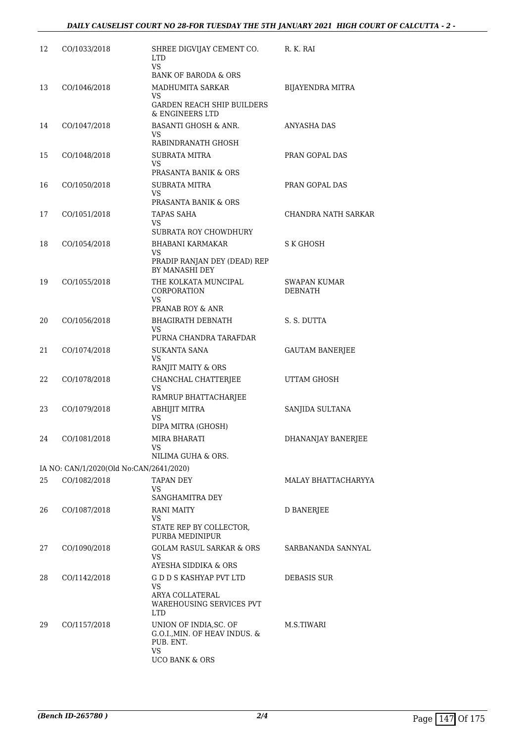| 12 | CO/1033/2018                            | SHREE DIGVIJAY CEMENT CO.<br><b>LTD</b><br>VS.               | R. K. RAI              |
|----|-----------------------------------------|--------------------------------------------------------------|------------------------|
|    |                                         | <b>BANK OF BARODA &amp; ORS</b>                              |                        |
| 13 | CO/1046/2018                            | MADHUMITA SARKAR<br>VS                                       | BIJAYENDRA MITRA       |
|    |                                         | <b>GARDEN REACH SHIP BUILDERS</b><br>& ENGINEERS LTD         |                        |
| 14 | CO/1047/2018                            | <b>BASANTI GHOSH &amp; ANR.</b><br>VS.<br>RABINDRANATH GHOSH | ANYASHA DAS            |
| 15 | CO/1048/2018                            | <b>SUBRATA MITRA</b>                                         | PRAN GOPAL DAS         |
|    |                                         | VS<br>PRASANTA BANIK & ORS                                   |                        |
| 16 | CO/1050/2018                            | SUBRATA MITRA<br>VS.                                         | PRAN GOPAL DAS         |
|    |                                         | PRASANTA BANIK & ORS                                         |                        |
| 17 | CO/1051/2018                            | TAPAS SAHA                                                   | CHANDRA NATH SARKAR    |
|    |                                         | VS<br>SUBRATA ROY CHOWDHURY                                  |                        |
| 18 | CO/1054/2018                            | <b>BHABANI KARMAKAR</b>                                      | S K GHOSH              |
|    |                                         | VS<br>PRADIP RANJAN DEY (DEAD) REP<br>BY MANASHI DEY         |                        |
| 19 | CO/1055/2018                            | THE KOLKATA MUNCIPAL                                         | SWAPAN KUMAR           |
|    |                                         | CORPORATION<br>VS.                                           | <b>DEBNATH</b>         |
|    |                                         | PRANAB ROY & ANR                                             |                        |
| 20 | CO/1056/2018                            | <b>BHAGIRATH DEBNATH</b><br>VS                               | S. S. DUTTA            |
|    |                                         | PURNA CHANDRA TARAFDAR                                       |                        |
| 21 | CO/1074/2018                            | SUKANTA SANA<br>VS.<br>RANJIT MAITY & ORS                    | <b>GAUTAM BANERJEE</b> |
| 22 | CO/1078/2018                            | CHANCHAL CHATTERJEE                                          | UTTAM GHOSH            |
|    |                                         | VS<br>RAMRUP BHATTACHARJEE                                   |                        |
| 23 | CO/1079/2018                            | ABHIJIT MITRA                                                | SANJIDA SULTANA        |
|    |                                         | VS<br>DIPA MITRA (GHOSH)                                     |                        |
| 24 | CO/1081/2018                            | MIRA BHARATI                                                 | DHANANJAY BANERJEE     |
|    |                                         | VS.<br>NILIMA GUHA & ORS.                                    |                        |
|    | IA NO: CAN/1/2020(Old No:CAN/2641/2020) |                                                              |                        |
| 25 | CO/1082/2018                            | <b>TAPAN DEY</b>                                             | MALAY BHATTACHARYYA    |
|    |                                         | VS.<br>SANGHAMITRA DEY                                       |                        |
| 26 | CO/1087/2018                            | RANI MAITY                                                   | <b>D BANERJEE</b>      |
|    |                                         | VS.                                                          |                        |
|    |                                         | STATE REP BY COLLECTOR,<br>PURBA MEDINIPUR                   |                        |
| 27 | CO/1090/2018                            | <b>GOLAM RASUL SARKAR &amp; ORS</b>                          | SARBANANDA SANNYAL     |
|    |                                         | VS.<br>AYESHA SIDDIKA & ORS                                  |                        |
| 28 | CO/1142/2018                            | G D D S KASHYAP PVT LTD                                      | DEBASIS SUR            |
|    |                                         | VS.<br>ARYA COLLATERAL                                       |                        |
|    |                                         | <b>WAREHOUSING SERVICES PVT</b><br><b>LTD</b>                |                        |
| 29 | CO/1157/2018                            | UNION OF INDIA, SC. OF                                       | M.S.TIWARI             |
|    |                                         | G.O.I., MIN. OF HEAV INDUS. &<br>PUB. ENT.                   |                        |
|    |                                         | VS.<br><b>UCO BANK &amp; ORS</b>                             |                        |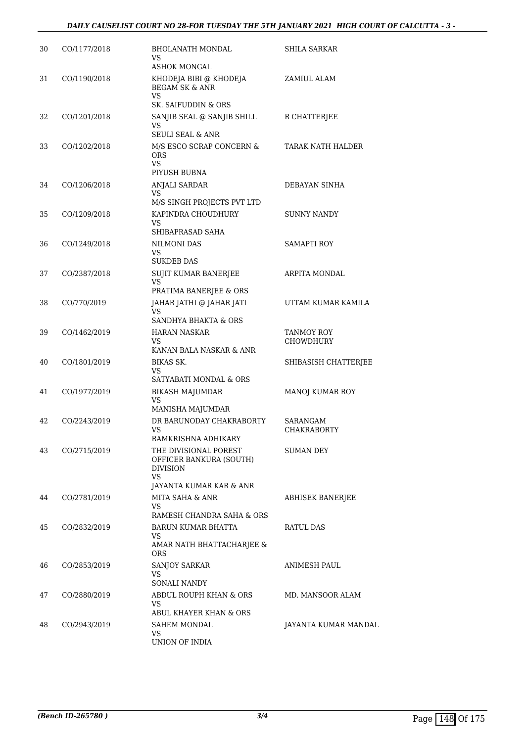| 30 | CO/1177/2018 | <b>BHOLANATH MONDAL</b><br>VS<br><b>ASHOK MONGAL</b>                                                 | <b>SHILA SARKAR</b>            |
|----|--------------|------------------------------------------------------------------------------------------------------|--------------------------------|
| 31 | CO/1190/2018 | KHODEJA BIBI @ KHODEJA<br><b>BEGAM SK &amp; ANR</b><br>VS<br>SK. SAIFUDDIN & ORS                     | ZAMIUL ALAM                    |
| 32 | CO/1201/2018 | SANJIB SEAL @ SANJIB SHILL<br>VS<br><b>SEULI SEAL &amp; ANR</b>                                      | R CHATTERJEE                   |
| 33 | CO/1202/2018 | M/S ESCO SCRAP CONCERN &<br>ORS.<br>VS<br>PIYUSH BUBNA                                               | TARAK NATH HALDER              |
| 34 | CO/1206/2018 | ANJALI SARDAR<br>VS<br>M/S SINGH PROJECTS PVT LTD                                                    | DEBAYAN SINHA                  |
| 35 | CO/1209/2018 | KAPINDRA CHOUDHURY<br>VS<br>SHIBAPRASAD SAHA                                                         | <b>SUNNY NANDY</b>             |
| 36 | CO/1249/2018 | <b>NILMONI DAS</b><br>VS<br><b>SUKDEB DAS</b>                                                        | <b>SAMAPTI ROY</b>             |
| 37 | CO/2387/2018 | SUJIT KUMAR BANERJEE<br>VS<br>PRATIMA BANERJEE & ORS                                                 | <b>ARPITA MONDAL</b>           |
| 38 | CO/770/2019  | JAHAR JATHI @ JAHAR JATI<br>VS<br>SANDHYA BHAKTA & ORS                                               | UTTAM KUMAR KAMILA             |
| 39 | CO/1462/2019 | HARAN NASKAR<br>VS<br>KANAN BALA NASKAR & ANR                                                        | TANMOY ROY<br><b>CHOWDHURY</b> |
| 40 | CO/1801/2019 | BIKAS SK.<br>VS<br>SATYABATI MONDAL & ORS                                                            | SHIBASISH CHATTERJEE           |
| 41 | CO/1977/2019 | <b>BIKASH MAJUMDAR</b><br><b>VS</b><br>MANISHA MAJUMDAR                                              | MANOJ KUMAR ROY                |
| 42 | CO/2243/2019 | DR BARUNODAY CHAKRABORTY<br><b>VS</b><br>RAMKRISHNA ADHIKARY                                         | SARANGAM<br>CHAKRABORTY        |
| 43 | CO/2715/2019 | THE DIVISIONAL POREST<br>OFFICER BANKURA (SOUTH)<br><b>DIVISION</b><br>VS<br>JAYANTA KUMAR KAR & ANR | SUMAN DEY                      |
| 44 | CO/2781/2019 | MITA SAHA & ANR<br>VS<br>RAMESH CHANDRA SAHA & ORS                                                   | ABHISEK BANERJEE               |
| 45 | CO/2832/2019 | BARUN KUMAR BHATTA<br>VS<br>AMAR NATH BHATTACHARJEE &<br>ORS                                         | RATUL DAS                      |
| 46 | CO/2853/2019 | <b>SANJOY SARKAR</b><br>VS<br>SONALI NANDY                                                           | ANIMESH PAUL                   |
| 47 | CO/2880/2019 | ABDUL ROUPH KHAN & ORS<br>VS.<br>ABUL KHAYER KHAN & ORS                                              | MD. MANSOOR ALAM               |
| 48 | CO/2943/2019 | SAHEM MONDAL<br>VS<br>UNION OF INDIA                                                                 | JAYANTA KUMAR MANDAL           |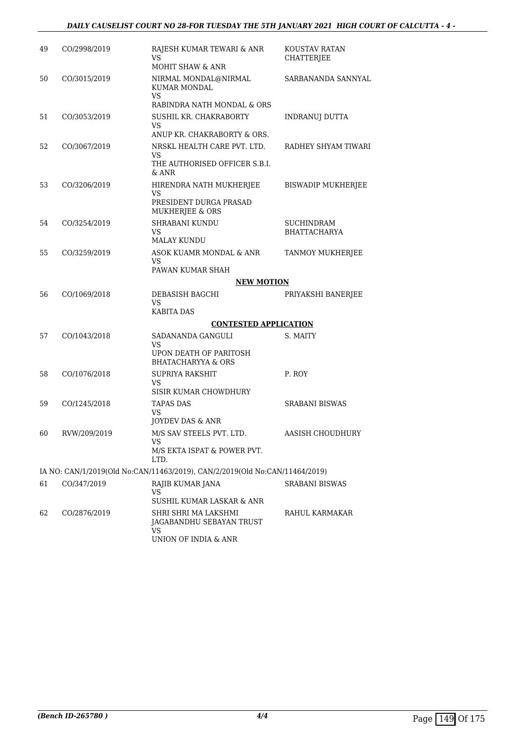#### *DAILY CAUSELIST COURT NO 28-FOR TUESDAY THE 5TH JANUARY 2021 HIGH COURT OF CALCUTTA - 4 -*

| 49 | CO/2998/2019 | RAJESH KUMAR TEWARI & ANR<br>VS<br><b>MOHIT SHAW &amp; ANR</b>                                              | <b>KOUSTAV RATAN</b><br><b>CHATTERJEE</b> |
|----|--------------|-------------------------------------------------------------------------------------------------------------|-------------------------------------------|
| 50 | CO/3015/2019 | NIRMAL MONDAL@NIRMAL<br>KUMAR MONDAL<br><b>VS</b><br>RABINDRA NATH MONDAL & ORS                             | SARBANANDA SANNYAL                        |
| 51 | CO/3053/2019 | SUSHIL KR. CHAKRABORTY<br>VS<br>ANUP KR. CHAKRABORTY & ORS.                                                 | INDRANUJ DUTTA                            |
| 52 | CO/3067/2019 | NRSKL HEALTH CARE PVT. LTD.<br>VS<br>THE AUTHORISED OFFICER S.B.I.<br>& ANR                                 | RADHEY SHYAM TIWARI                       |
| 53 | CO/3206/2019 | HIRENDRA NATH MUKHERJEE<br>VS<br>PRESIDENT DURGA PRASAD<br>MUKHERJEE & ORS                                  | <b>BISWADIP MUKHERJEE</b>                 |
| 54 | CO/3254/2019 | SHRABANI KUNDU<br>VS<br><b>MALAY KUNDU</b>                                                                  | <b>SUCHINDRAM</b><br><b>BHATTACHARYA</b>  |
| 55 | CO/3259/2019 | ASOK KUAMR MONDAL & ANR<br>VS<br>PAWAN KUMAR SHAH                                                           | <b>TANMOY MUKHERJEE</b>                   |
|    |              | <b>NEW MOTION</b>                                                                                           |                                           |
| 56 | CO/1069/2018 | DEBASISH BAGCHI<br><b>VS</b>                                                                                | PRIYAKSHI BANERJEE                        |
|    |              | <b>KABITA DAS</b><br><b>CONTESTED APPLICATION</b>                                                           |                                           |
| 57 | CO/1043/2018 | SADANANDA GANGULI                                                                                           | S. MAITY                                  |
|    |              | VS<br>UPON DEATH OF PARITOSH<br><b>BHATACHARYYA &amp; ORS</b>                                               |                                           |
| 58 | CO/1076/2018 | SUPRIYA RAKSHIT<br>VS<br>SISIR KUMAR CHOWDHURY                                                              | P. ROY                                    |
| 59 | CO/1245/2018 | <b>TAPAS DAS</b><br><b>VS</b><br>JOYDEV DAS & ANR                                                           | SRABANI BISWAS                            |
| 60 | RVW/209/2019 | M/S SAV STEELS PVT. LTD.<br>VS<br>M/S EKTA ISPAT & POWER PVT.<br>LTD.                                       | <b>AASISH CHOUDHURY</b>                   |
|    |              | IA NO: CAN/1/2019(Old No:CAN/11463/2019), CAN/2/2019(Old No:CAN/11464/2019)                                 |                                           |
| 61 | CO/347/2019  | RAJIB KUMAR JANA<br>VS                                                                                      | SRABANI BISWAS                            |
| 62 | CO/2876/2019 | SUSHIL KUMAR LASKAR & ANR<br>SHRI SHRI MA LAKSHMI<br>JAGABANDHU SEBAYAN TRUST<br>VS<br>UNION OF INDIA & ANR | RAHUL KARMAKAR                            |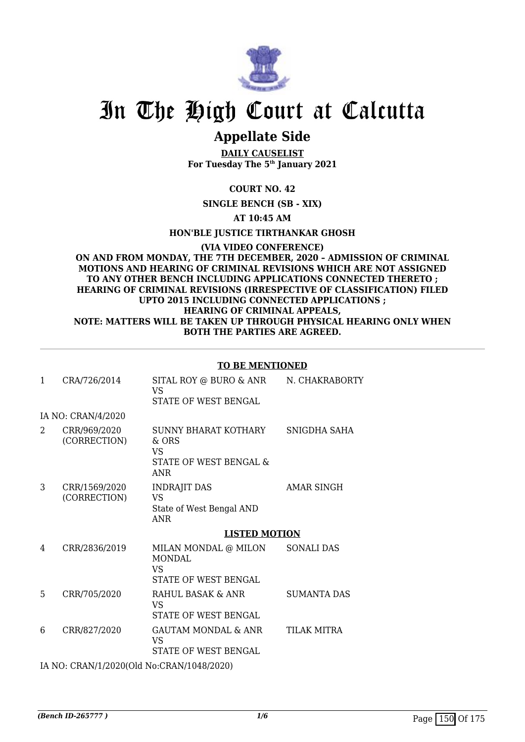

## **Appellate Side**

**DAILY CAUSELIST For Tuesday The 5th January 2021**

**COURT NO. 42**

**SINGLE BENCH (SB - XIX)**

**AT 10:45 AM**

**HON'BLE JUSTICE TIRTHANKAR GHOSH**

**(VIA VIDEO CONFERENCE) ON AND FROM MONDAY, THE 7TH DECEMBER, 2020 – ADMISSION OF CRIMINAL MOTIONS AND HEARING OF CRIMINAL REVISIONS WHICH ARE NOT ASSIGNED TO ANY OTHER BENCH INCLUDING APPLICATIONS CONNECTED THERETO ; HEARING OF CRIMINAL REVISIONS (IRRESPECTIVE OF CLASSIFICATION) FILED UPTO 2015 INCLUDING CONNECTED APPLICATIONS ; HEARING OF CRIMINAL APPEALS, NOTE: MATTERS WILL BE TAKEN UP THROUGH PHYSICAL HEARING ONLY WHEN BOTH THE PARTIES ARE AGREED.**

#### **TO BE MENTIONED**

| 1 | CRA/726/2014                              | SITAL ROY @ BURO & ANR<br><b>VS</b><br>STATE OF WEST BENGAL                        | N. CHAKRABORTY     |
|---|-------------------------------------------|------------------------------------------------------------------------------------|--------------------|
|   | IA NO: CRAN/4/2020                        |                                                                                    |                    |
| 2 | CRR/969/2020<br>(CORRECTION)              | SUNNY BHARAT KOTHARY<br>& ORS<br><b>VS</b><br>STATE OF WEST BENGAL &<br><b>ANR</b> | SNIGDHA SAHA       |
| 3 | CRR/1569/2020<br>(CORRECTION)             | <b>INDRAJIT DAS</b><br>VS<br>State of West Bengal AND<br><b>ANR</b>                | <b>AMAR SINGH</b>  |
|   |                                           | <b>LISTED MOTION</b>                                                               |                    |
| 4 | CRR/2836/2019                             | MILAN MONDAL @ MILON<br><b>MONDAL</b><br><b>VS</b><br>STATE OF WEST BENGAL         | <b>SONALI DAS</b>  |
| 5 | CRR/705/2020                              | RAHUL BASAK & ANR<br>VS<br>STATE OF WEST BENGAL                                    | <b>SUMANTA DAS</b> |
| 6 | CRR/827/2020                              | <b>GAUTAM MONDAL &amp; ANR</b><br><b>VS</b><br><b>STATE OF WEST BENGAL</b>         | <b>TILAK MITRA</b> |
|   | $71.370.07117110000101137.07117110100000$ |                                                                                    |                    |

IA NO: CRAN/1/2020(Old No:CRAN/1048/2020)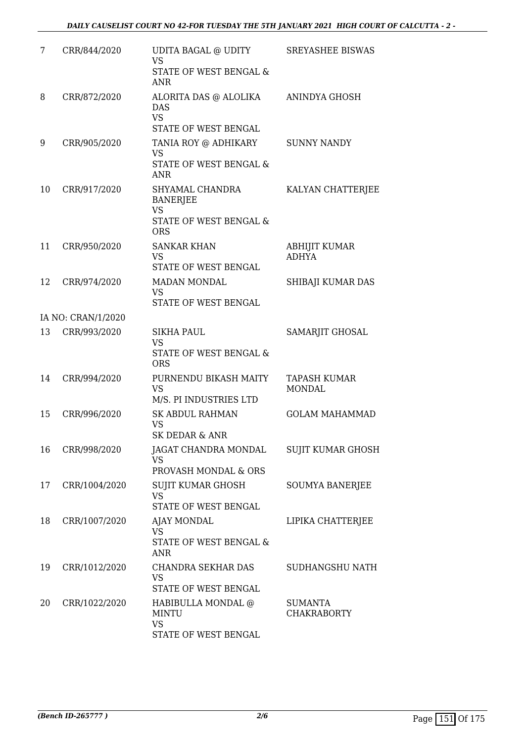| 7  | CRR/844/2020       | UDITA BAGAL @ UDITY<br><b>VS</b><br><b>STATE OF WEST BENGAL &amp;</b><br>ANR.           | <b>SREYASHEE BISWAS</b>              |
|----|--------------------|-----------------------------------------------------------------------------------------|--------------------------------------|
| 8  | CRR/872/2020       | ALORITA DAS @ ALOLIKA<br><b>DAS</b><br><b>VS</b><br>STATE OF WEST BENGAL                | ANINDYA GHOSH                        |
| 9  | CRR/905/2020       | TANIA ROY @ ADHIKARY<br><b>VS</b><br><b>STATE OF WEST BENGAL &amp;</b><br><b>ANR</b>    | <b>SUNNY NANDY</b>                   |
| 10 | CRR/917/2020       | SHYAMAL CHANDRA<br><b>BANERJEE</b><br><b>VS</b><br>STATE OF WEST BENGAL &<br><b>ORS</b> | KALYAN CHATTERJEE                    |
| 11 | CRR/950/2020       | <b>SANKAR KHAN</b><br><b>VS</b><br>STATE OF WEST BENGAL                                 | ABHIJIT KUMAR<br><b>ADHYA</b>        |
| 12 | CRR/974/2020       | <b>MADAN MONDAL</b><br><b>VS</b><br>STATE OF WEST BENGAL                                | SHIBAJI KUMAR DAS                    |
|    | IA NO: CRAN/1/2020 |                                                                                         |                                      |
| 13 | CRR/993/2020       | SIKHA PAUL<br><b>VS</b><br>STATE OF WEST BENGAL &<br><b>ORS</b>                         | SAMARJIT GHOSAL                      |
| 14 | CRR/994/2020       | PURNENDU BIKASH MAITY<br><b>VS</b><br>M/S. PI INDUSTRIES LTD                            | TAPASH KUMAR<br><b>MONDAL</b>        |
| 15 | CRR/996/2020       | <b>SK ABDUL RAHMAN</b><br><b>VS</b><br><b>SK DEDAR &amp; ANR</b>                        | <b>GOLAM MAHAMMAD</b>                |
| 16 | CRR/998/2020       | JAGAT CHANDRA MONDAL<br>VS<br>PROVASH MONDAL & ORS                                      | SUJIT KUMAR GHOSH                    |
| 17 | CRR/1004/2020      | SUJIT KUMAR GHOSH<br><b>VS</b><br>STATE OF WEST BENGAL                                  | SOUMYA BANERJEE                      |
| 18 | CRR/1007/2020      | <b>AJAY MONDAL</b><br>VS<br>STATE OF WEST BENGAL &<br><b>ANR</b>                        | LIPIKA CHATTERJEE                    |
| 19 | CRR/1012/2020      | CHANDRA SEKHAR DAS<br><b>VS</b><br>STATE OF WEST BENGAL                                 | SUDHANGSHU NATH                      |
| 20 | CRR/1022/2020      | HABIBULLA MONDAL @<br><b>MINTU</b><br><b>VS</b><br>STATE OF WEST BENGAL                 | <b>SUMANTA</b><br><b>CHAKRABORTY</b> |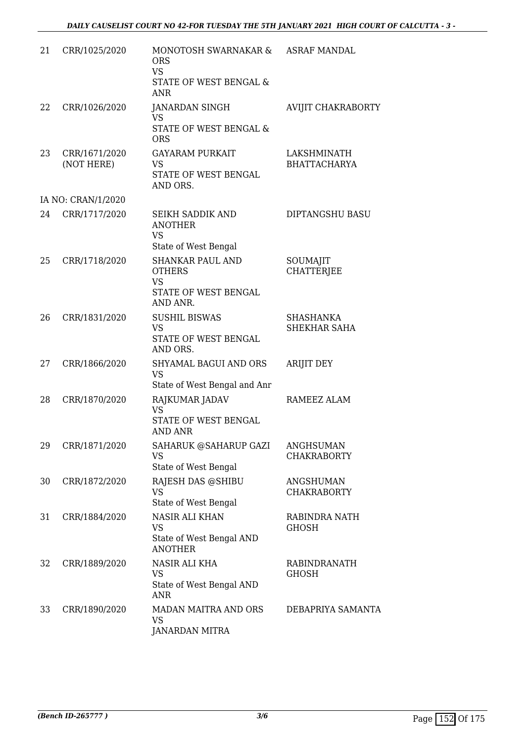| 21 | CRR/1025/2020               | MONOTOSH SWARNAKAR &<br><b>ORS</b><br><b>VS</b><br>STATE OF WEST BENGAL &<br><b>ANR</b>   | <b>ASRAF MANDAL</b>                    |
|----|-----------------------------|-------------------------------------------------------------------------------------------|----------------------------------------|
| 22 | CRR/1026/2020               | JANARDAN SINGH<br>VS<br>STATE OF WEST BENGAL &<br><b>ORS</b>                              | AVIJIT CHAKRABORTY                     |
| 23 | CRR/1671/2020<br>(NOT HERE) | <b>GAYARAM PURKAIT</b><br>VS<br>STATE OF WEST BENGAL<br>AND ORS.                          | LAKSHMINATH<br><b>BHATTACHARYA</b>     |
|    | IA NO: CRAN/1/2020          |                                                                                           |                                        |
| 24 | CRR/1717/2020               | SEIKH SADDIK AND<br><b>ANOTHER</b><br><b>VS</b><br>State of West Bengal                   | DIPTANGSHU BASU                        |
| 25 | CRR/1718/2020               | <b>SHANKAR PAUL AND</b><br><b>OTHERS</b><br><b>VS</b><br>STATE OF WEST BENGAL<br>AND ANR. | SOUMAJIT<br><b>CHATTERJEE</b>          |
| 26 | CRR/1831/2020               | <b>SUSHIL BISWAS</b><br><b>VS</b><br>STATE OF WEST BENGAL<br>AND ORS.                     | SHASHANKA<br>SHEKHAR SAHA              |
| 27 | CRR/1866/2020               | SHYAMAL BAGUI AND ORS<br><b>VS</b><br>State of West Bengal and Anr                        | <b>ARIJIT DEY</b>                      |
| 28 | CRR/1870/2020               | RAJKUMAR JADAV<br><b>VS</b><br>STATE OF WEST BENGAL<br><b>AND ANR</b>                     | RAMEEZ ALAM                            |
| 29 | CRR/1871/2020               | SAHARUK @SAHARUP GAZI<br><b>VS</b><br>State of West Bengal                                | <b>ANGHSUMAN</b><br><b>CHAKRABORTY</b> |
| 30 | CRR/1872/2020               | RAJESH DAS @SHIBU<br><b>VS</b><br>State of West Bengal                                    | ANGSHUMAN<br><b>CHAKRABORTY</b>        |
| 31 | CRR/1884/2020               | <b>NASIR ALI KHAN</b><br><b>VS</b><br>State of West Bengal AND<br><b>ANOTHER</b>          | RABINDRA NATH<br><b>GHOSH</b>          |
| 32 | CRR/1889/2020               | NASIR ALI KHA<br>VS<br>State of West Bengal AND<br><b>ANR</b>                             | RABINDRANATH<br><b>GHOSH</b>           |
| 33 | CRR/1890/2020               | MADAN MAITRA AND ORS<br>VS<br><b>JANARDAN MITRA</b>                                       | DEBAPRIYA SAMANTA                      |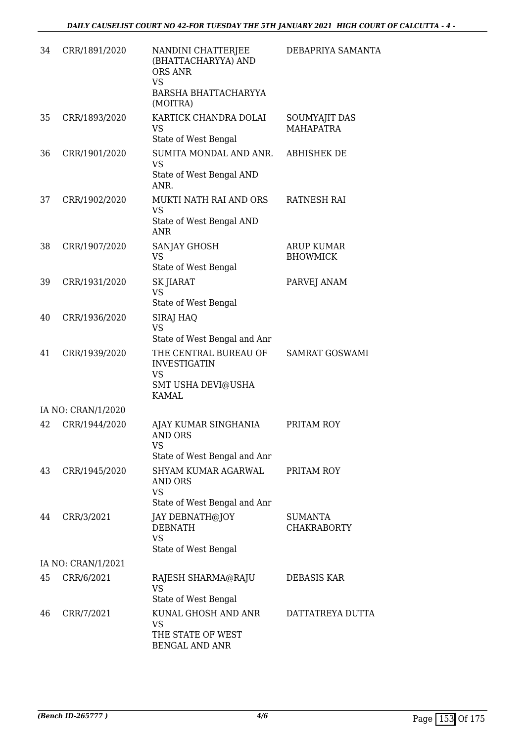| 34 | CRR/1891/2020      | NANDINI CHATTERJEE<br>(BHATTACHARYYA) AND<br>ORS ANR<br><b>VS</b>                               | DEBAPRIYA SAMANTA                    |
|----|--------------------|-------------------------------------------------------------------------------------------------|--------------------------------------|
|    |                    | BARSHA BHATTACHARYYA<br>(MOITRA)                                                                |                                      |
| 35 | CRR/1893/2020      | KARTICK CHANDRA DOLAI<br><b>VS</b><br>State of West Bengal                                      | SOUMYAJIT DAS<br><b>MAHAPATRA</b>    |
| 36 | CRR/1901/2020      | SUMITA MONDAL AND ANR.<br><b>VS</b><br>State of West Bengal AND<br>ANR.                         | <b>ABHISHEK DE</b>                   |
| 37 | CRR/1902/2020      | MUKTI NATH RAI AND ORS<br><b>VS</b><br>State of West Bengal AND<br><b>ANR</b>                   | RATNESH RAI                          |
| 38 | CRR/1907/2020      | <b>SANJAY GHOSH</b><br><b>VS</b><br>State of West Bengal                                        | <b>ARUP KUMAR</b><br><b>BHOWMICK</b> |
| 39 | CRR/1931/2020      | <b>SK JIARAT</b><br><b>VS</b><br>State of West Bengal                                           | PARVEJ ANAM                          |
| 40 | CRR/1936/2020      | SIRAJ HAQ<br><b>VS</b><br>State of West Bengal and Anr                                          |                                      |
| 41 | CRR/1939/2020      | THE CENTRAL BUREAU OF<br><b>INVESTIGATIN</b><br><b>VS</b><br>SMT USHA DEVI@USHA<br><b>KAMAL</b> | SAMRAT GOSWAMI                       |
|    | IA NO: CRAN/1/2020 |                                                                                                 |                                      |
| 42 | CRR/1944/2020      | AJAY KUMAR SINGHANIA<br><b>AND ORS</b><br><b>VS</b>                                             | PRITAM ROY                           |
|    |                    | State of West Bengal and Anr                                                                    |                                      |
| 43 | CRR/1945/2020      | <b>SHYAM KUMAR AGARWAL</b><br>AND ORS<br><b>VS</b><br>State of West Bengal and Anr              | PRITAM ROY                           |
| 44 | CRR/3/2021         | JAY DEBNATH@JOY<br><b>DEBNATH</b><br><b>VS</b><br>State of West Bengal                          | <b>SUMANTA</b><br><b>CHAKRABORTY</b> |
|    | IA NO: CRAN/1/2021 |                                                                                                 |                                      |
| 45 | CRR/6/2021         | RAJESH SHARMA@RAJU                                                                              | DEBASIS KAR                          |
|    |                    | <b>VS</b><br>State of West Bengal                                                               |                                      |
| 46 | CRR/7/2021         | KUNAL GHOSH AND ANR<br><b>VS</b><br>THE STATE OF WEST<br><b>BENGAL AND ANR</b>                  | DATTATREYA DUTTA                     |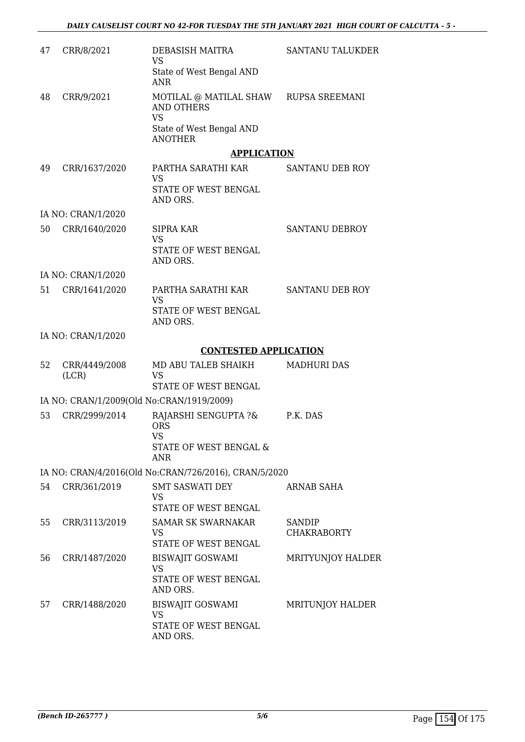| 47 | CRR/8/2021             | DEBASISH MAITRA<br><b>VS</b>                                                                           | <b>SANTANU TALUKDER</b> |
|----|------------------------|--------------------------------------------------------------------------------------------------------|-------------------------|
|    |                        | State of West Bengal AND<br><b>ANR</b>                                                                 |                         |
| 48 | CRR/9/2021             | MOTILAL @ MATILAL SHAW<br><b>AND OTHERS</b><br><b>VS</b><br>State of West Bengal AND<br><b>ANOTHER</b> | <b>RUPSA SREEMANI</b>   |
|    |                        | <b>APPLICATION</b>                                                                                     |                         |
| 49 | CRR/1637/2020          | PARTHA SARATHI KAR<br><b>VS</b><br>STATE OF WEST BENGAL<br>AND ORS.                                    | <b>SANTANU DEB ROY</b>  |
|    | IA NO: CRAN/1/2020     |                                                                                                        |                         |
| 50 | CRR/1640/2020          | <b>SIPRA KAR</b><br><b>VS</b><br>STATE OF WEST BENGAL                                                  | <b>SANTANU DEBROY</b>   |
|    | IA NO: CRAN/1/2020     | AND ORS.                                                                                               |                         |
| 51 | CRR/1641/2020          | PARTHA SARATHI KAR                                                                                     | SANTANU DEB ROY         |
|    |                        | <b>VS</b><br>STATE OF WEST BENGAL<br>AND ORS.                                                          |                         |
|    | IA NO: CRAN/1/2020     |                                                                                                        |                         |
|    |                        | <b>CONTESTED APPLICATION</b>                                                                           |                         |
| 52 | CRR/4449/2008<br>(LCR) | MD ABU TALEB SHAIKH<br><b>VS</b><br>STATE OF WEST BENGAL                                               | <b>MADHURI DAS</b>      |
|    |                        | IA NO: CRAN/1/2009(Old No:CRAN/1919/2009)                                                              |                         |
| 53 | CRR/2999/2014          | RAJARSHI SENGUPTA ?&                                                                                   | P.K. DAS                |
|    |                        | <b>ORS</b><br>VS<br>STATE OF WEST BENGAL &<br>ANR.                                                     |                         |
|    |                        | IA NO: CRAN/4/2016(Old No:CRAN/726/2016), CRAN/5/2020                                                  |                         |
| 54 | CRR/361/2019           | <b>SMT SASWATI DEY</b><br>VS<br>STATE OF WEST BENGAL                                                   | ARNAB SAHA              |
| 55 | CRR/3113/2019          | <b>SAMAR SK SWARNAKAR</b>                                                                              | <b>SANDIP</b>           |
|    |                        | <b>VS</b><br>STATE OF WEST BENGAL                                                                      | <b>CHAKRABORTY</b>      |
| 56 | CRR/1487/2020          | <b>BISWAJIT GOSWAMI</b><br><b>VS</b><br>STATE OF WEST BENGAL<br>AND ORS.                               | MRITYUNJOY HALDER       |
| 57 | CRR/1488/2020          | <b>BISWAJIT GOSWAMI</b><br><b>VS</b><br>STATE OF WEST BENGAL<br>AND ORS.                               | MRITUNJOY HALDER        |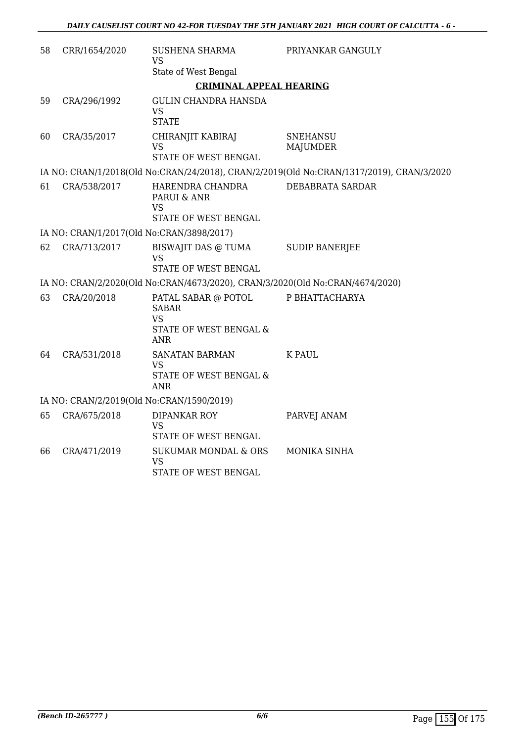| 58 | CRR/1654/2020                             | SUSHENA SHARMA<br>VS                                                                     | PRIYANKAR GANGULY                                                                        |  |  |
|----|-------------------------------------------|------------------------------------------------------------------------------------------|------------------------------------------------------------------------------------------|--|--|
|    |                                           | State of West Bengal                                                                     |                                                                                          |  |  |
|    |                                           | <b>CRIMINAL APPEAL HEARING</b>                                                           |                                                                                          |  |  |
| 59 | CRA/296/1992                              | <b>GULIN CHANDRA HANSDA</b><br><b>VS</b><br><b>STATE</b>                                 |                                                                                          |  |  |
| 60 | CRA/35/2017                               | CHIRANJIT KABIRAJ<br><b>VS</b><br>STATE OF WEST BENGAL                                   | <b>SNEHANSU</b><br><b>MAJUMDER</b>                                                       |  |  |
|    |                                           |                                                                                          | IA NO: CRAN/1/2018(Old No:CRAN/24/2018), CRAN/2/2019(Old No:CRAN/1317/2019), CRAN/3/2020 |  |  |
| 61 | CRA/538/2017                              | HARENDRA CHANDRA<br>PARUI & ANR<br>VS<br>STATE OF WEST BENGAL                            | DEBABRATA SARDAR                                                                         |  |  |
|    | IA NO: CRAN/1/2017(Old No:CRAN/3898/2017) |                                                                                          |                                                                                          |  |  |
| 62 | CRA/713/2017                              | BISWAJIT DAS @ TUMA<br>VS<br>STATE OF WEST BENGAL                                        | <b>SUDIP BANERJEE</b>                                                                    |  |  |
|    |                                           | IA NO: CRAN/2/2020(Old No:CRAN/4673/2020), CRAN/3/2020(Old No:CRAN/4674/2020)            |                                                                                          |  |  |
| 63 | CRA/20/2018                               | PATAL SABAR @ POTOL<br><b>SABAR</b><br><b>VS</b><br>STATE OF WEST BENGAL &<br><b>ANR</b> | P BHATTACHARYA                                                                           |  |  |
| 64 | CRA/531/2018                              | <b>SANATAN BARMAN</b><br><b>VS</b><br>STATE OF WEST BENGAL &<br><b>ANR</b>               | <b>K PAUL</b>                                                                            |  |  |
|    | IA NO: CRAN/2/2019(Old No:CRAN/1590/2019) |                                                                                          |                                                                                          |  |  |
| 65 | CRA/675/2018                              | <b>DIPANKAR ROY</b><br>VS<br>STATE OF WEST BENGAL                                        | PARVEJ ANAM                                                                              |  |  |
| 66 | CRA/471/2019                              | <b>SUKUMAR MONDAL &amp; ORS</b><br><b>VS</b><br>STATE OF WEST BENGAL                     | MONIKA SINHA                                                                             |  |  |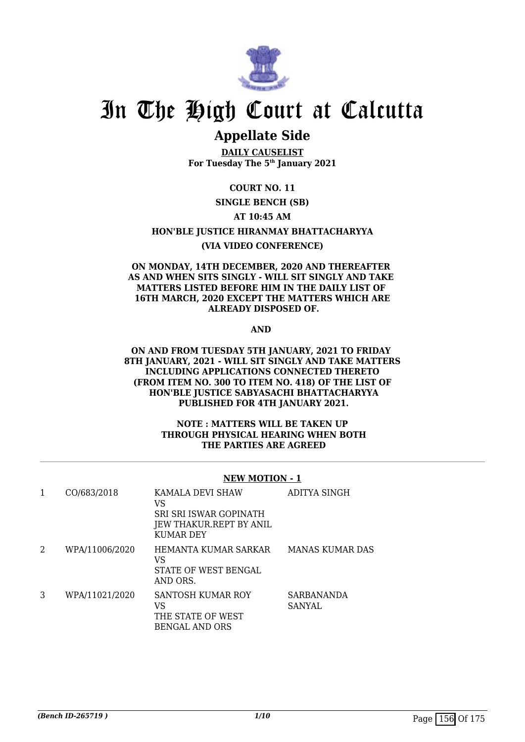

### **Appellate Side**

**DAILY CAUSELIST For Tuesday The 5th January 2021**

**COURT NO. 11**

**SINGLE BENCH (SB)**

#### **AT 10:45 AM**

**HON'BLE JUSTICE HIRANMAY BHATTACHARYYA**

#### **(VIA VIDEO CONFERENCE)**

#### **ON MONDAY, 14TH DECEMBER, 2020 AND THEREAFTER AS AND WHEN SITS SINGLY - WILL SIT SINGLY AND TAKE MATTERS LISTED BEFORE HIM IN THE DAILY LIST OF 16TH MARCH, 2020 EXCEPT THE MATTERS WHICH ARE ALREADY DISPOSED OF.**

**AND** 

#### **ON AND FROM TUESDAY 5TH JANUARY, 2021 TO FRIDAY 8TH JANUARY, 2021 - WILL SIT SINGLY AND TAKE MATTERS INCLUDING APPLICATIONS CONNECTED THERETO (FROM ITEM NO. 300 TO ITEM NO. 418) OF THE LIST OF HON'BLE JUSTICE SABYASACHI BHATTACHARYYA PUBLISHED FOR 4TH JANUARY 2021.**

#### **NOTE : MATTERS WILL BE TAKEN UP THROUGH PHYSICAL HEARING WHEN BOTH THE PARTIES ARE AGREED**

#### **NEW MOTION - 1**

| 1 | CO/683/2018    | KAMALA DEVI SHAW<br>VS<br>SRI SRI ISWAR GOPINATH<br>JEW THAKUR.REPT BY ANIL<br>KUMAR DEY | ADITYA SINGH         |
|---|----------------|------------------------------------------------------------------------------------------|----------------------|
| 2 | WPA/11006/2020 | HEMANTA KUMAR SARKAR<br>VS<br>STATE OF WEST BENGAL<br>AND ORS.                           | MANAS KUMAR DAS      |
| 3 | WPA/11021/2020 | <b>SANTOSH KUMAR ROY</b><br>VS<br>THE STATE OF WEST<br>BENGAL AND ORS                    | SARBANANDA<br>SANYAL |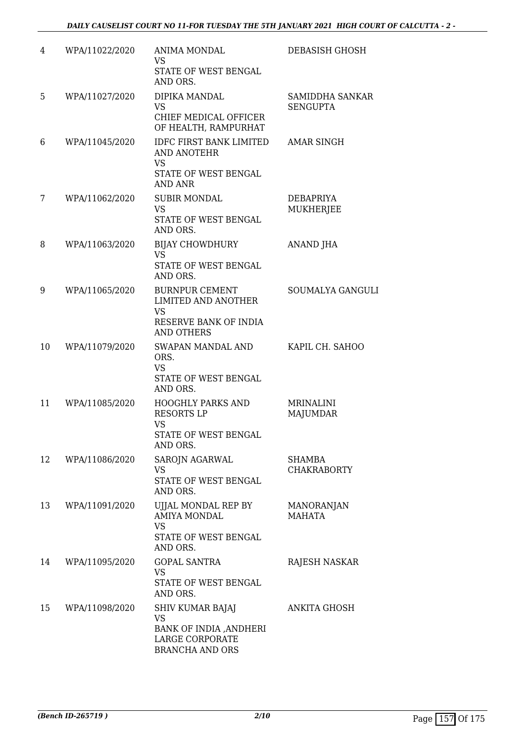| 4  | WPA/11022/2020 | ANIMA MONDAL<br>VS.<br>STATE OF WEST BENGAL<br>AND ORS.                                                        | DEBASISH GHOSH                      |
|----|----------------|----------------------------------------------------------------------------------------------------------------|-------------------------------------|
| 5  | WPA/11027/2020 | DIPIKA MANDAL<br><b>VS</b><br>CHIEF MEDICAL OFFICER<br>OF HEALTH, RAMPURHAT                                    | SAMIDDHA SANKAR<br><b>SENGUPTA</b>  |
| 6  | WPA/11045/2020 | <b>IDFC FIRST BANK LIMITED</b><br><b>AND ANOTEHR</b><br><b>VS</b><br>STATE OF WEST BENGAL<br><b>AND ANR</b>    | <b>AMAR SINGH</b>                   |
| 7  | WPA/11062/2020 | <b>SUBIR MONDAL</b><br><b>VS</b><br>STATE OF WEST BENGAL<br>AND ORS.                                           | DEBAPRIYA<br><b>MUKHERJEE</b>       |
| 8  | WPA/11063/2020 | <b>BIJAY CHOWDHURY</b><br><b>VS</b><br>STATE OF WEST BENGAL<br>AND ORS.                                        | <b>ANAND JHA</b>                    |
| 9  | WPA/11065/2020 | <b>BURNPUR CEMENT</b><br><b>LIMITED AND ANOTHER</b><br><b>VS</b><br>RESERVE BANK OF INDIA<br><b>AND OTHERS</b> | SOUMALYA GANGULI                    |
| 10 | WPA/11079/2020 | SWAPAN MANDAL AND<br>ORS.<br><b>VS</b><br>STATE OF WEST BENGAL<br>AND ORS.                                     | KAPIL CH. SAHOO                     |
| 11 | WPA/11085/2020 | HOOGHLY PARKS AND<br><b>RESORTS LP</b><br><b>VS</b><br>STATE OF WEST BENGAL<br>AND ORS.                        | <b>MRINALINI</b><br><b>MAJUMDAR</b> |
| 12 | WPA/11086/2020 | SAROJN AGARWAL<br>VS.<br>STATE OF WEST BENGAL<br>AND ORS.                                                      | <b>SHAMBA</b><br><b>CHAKRABORTY</b> |
| 13 | WPA/11091/2020 | UJJAL MONDAL REP BY<br><b>AMIYA MONDAL</b><br><b>VS</b><br>STATE OF WEST BENGAL<br>AND ORS.                    | <b>MANORANJAN</b><br><b>MAHATA</b>  |
| 14 | WPA/11095/2020 | <b>GOPAL SANTRA</b><br>VS<br>STATE OF WEST BENGAL<br>AND ORS.                                                  | RAJESH NASKAR                       |
| 15 | WPA/11098/2020 | SHIV KUMAR BAJAJ<br>VS<br>BANK OF INDIA , ANDHERI<br>LARGE CORPORATE<br><b>BRANCHA AND ORS</b>                 | ANKITA GHOSH                        |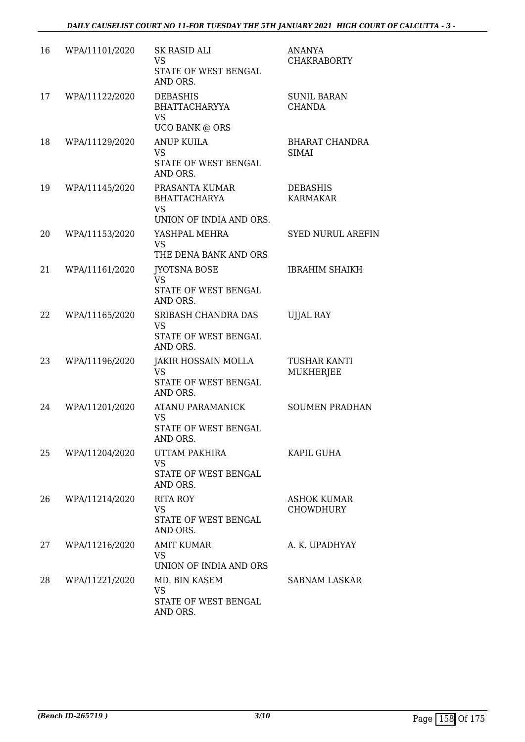| 16 | WPA/11101/2020 | <b>SK RASID ALI</b><br><b>VS</b><br>STATE OF WEST BENGAL<br>AND ORS.          | <b>ANANYA</b><br><b>CHAKRABORTY</b>    |
|----|----------------|-------------------------------------------------------------------------------|----------------------------------------|
| 17 | WPA/11122/2020 | <b>DEBASHIS</b><br><b>BHATTACHARYYA</b><br>VS<br><b>UCO BANK @ ORS</b>        | <b>SUNIL BARAN</b><br><b>CHANDA</b>    |
| 18 | WPA/11129/2020 | <b>ANUP KUILA</b><br><b>VS</b><br>STATE OF WEST BENGAL<br>AND ORS.            | <b>BHARAT CHANDRA</b><br><b>SIMAI</b>  |
| 19 | WPA/11145/2020 | PRASANTA KUMAR<br><b>BHATTACHARYA</b><br><b>VS</b><br>UNION OF INDIA AND ORS. | <b>DEBASHIS</b><br><b>KARMAKAR</b>     |
| 20 | WPA/11153/2020 | YASHPAL MEHRA<br><b>VS</b><br>THE DENA BANK AND ORS                           | <b>SYED NURUL AREFIN</b>               |
| 21 | WPA/11161/2020 | <b>JYOTSNA BOSE</b><br><b>VS</b><br>STATE OF WEST BENGAL<br>AND ORS.          | <b>IBRAHIM SHAIKH</b>                  |
| 22 | WPA/11165/2020 | SRIBASH CHANDRA DAS<br>VS<br>STATE OF WEST BENGAL<br>AND ORS.                 | <b>UJJAL RAY</b>                       |
| 23 | WPA/11196/2020 | JAKIR HOSSAIN MOLLA<br><b>VS</b><br>STATE OF WEST BENGAL<br>AND ORS.          | TUSHAR KANTI<br>MUKHERJEE              |
| 24 | WPA/11201/2020 | <b>ATANU PARAMANICK</b><br>VS<br><b>STATE OF WEST BENGAL</b><br>AND ORS.      | <b>SOUMEN PRADHAN</b>                  |
| 25 | WPA/11204/2020 | UTTAM PAKHIRA<br><b>VS</b><br>STATE OF WEST BENGAL<br>AND ORS.                | KAPIL GUHA                             |
| 26 | WPA/11214/2020 | <b>RITA ROY</b><br><b>VS</b><br>STATE OF WEST BENGAL<br>AND ORS.              | <b>ASHOK KUMAR</b><br><b>CHOWDHURY</b> |
| 27 | WPA/11216/2020 | <b>AMIT KUMAR</b><br><b>VS</b><br>UNION OF INDIA AND ORS                      | A. K. UPADHYAY                         |
| 28 | WPA/11221/2020 | MD. BIN KASEM<br><b>VS</b><br>STATE OF WEST BENGAL<br>AND ORS.                | <b>SABNAM LASKAR</b>                   |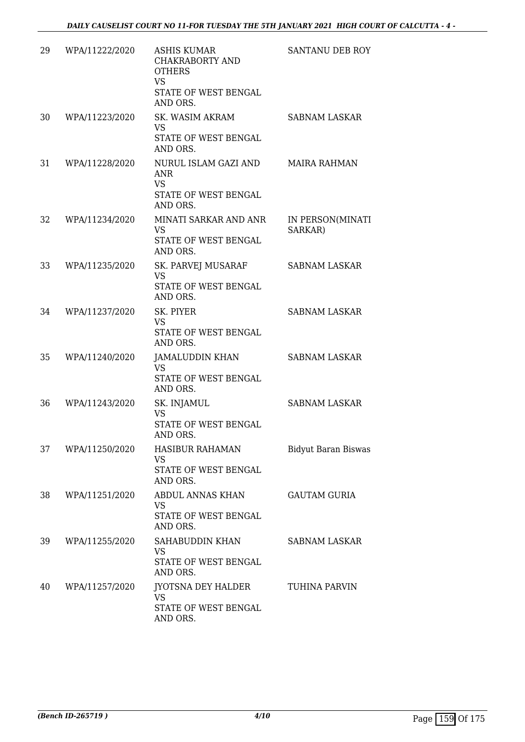| 29 | WPA/11222/2020 | <b>ASHIS KUMAR</b><br>CHAKRABORTY AND<br><b>OTHERS</b><br><b>VS</b><br>STATE OF WEST BENGAL<br>AND ORS. | SANTANU DEB ROY             |
|----|----------------|---------------------------------------------------------------------------------------------------------|-----------------------------|
| 30 | WPA/11223/2020 | SK. WASIM AKRAM<br>VS<br>STATE OF WEST BENGAL<br>AND ORS.                                               | <b>SABNAM LASKAR</b>        |
| 31 | WPA/11228/2020 | NURUL ISLAM GAZI AND<br><b>ANR</b><br><b>VS</b><br>STATE OF WEST BENGAL<br>AND ORS.                     | <b>MAIRA RAHMAN</b>         |
| 32 | WPA/11234/2020 | MINATI SARKAR AND ANR<br><b>VS</b><br>STATE OF WEST BENGAL<br>AND ORS.                                  | IN PERSON(MINATI<br>SARKAR) |
| 33 | WPA/11235/2020 | SK. PARVEJ MUSARAF<br><b>VS</b><br>STATE OF WEST BENGAL<br>AND ORS.                                     | <b>SABNAM LASKAR</b>        |
| 34 | WPA/11237/2020 | SK. PIYER<br><b>VS</b><br>STATE OF WEST BENGAL<br>AND ORS.                                              | <b>SABNAM LASKAR</b>        |
| 35 | WPA/11240/2020 | JAMALUDDIN KHAN<br><b>VS</b><br>STATE OF WEST BENGAL<br>AND ORS.                                        | <b>SABNAM LASKAR</b>        |
| 36 | WPA/11243/2020 | SK. INJAMUL<br><b>VS</b><br>STATE OF WEST BENGAL<br>AND ORS.                                            | <b>SABNAM LASKAR</b>        |
| 37 | WPA/11250/2020 | HASIBUR RAHAMAN<br>VS<br>STATE OF WEST BENGAL<br>AND ORS.                                               | <b>Bidyut Baran Biswas</b>  |
| 38 | WPA/11251/2020 | ABDUL ANNAS KHAN<br>VS<br>STATE OF WEST BENGAL<br>AND ORS.                                              | <b>GAUTAM GURIA</b>         |
| 39 | WPA/11255/2020 | SAHABUDDIN KHAN<br><b>VS</b><br>STATE OF WEST BENGAL<br>AND ORS.                                        | SABNAM LASKAR               |
| 40 | WPA/11257/2020 | JYOTSNA DEY HALDER<br>VS<br>STATE OF WEST BENGAL<br>AND ORS.                                            | TUHINA PARVIN               |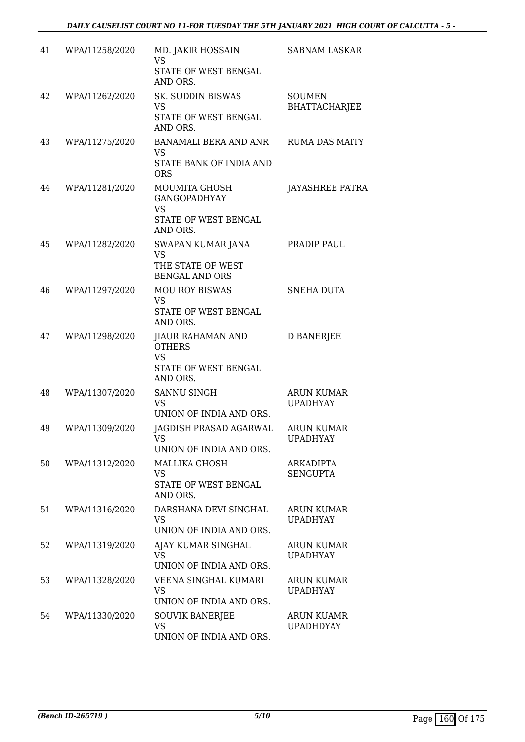| 41 | WPA/11258/2020 | MD. JAKIR HOSSAIN<br><b>VS</b><br>STATE OF WEST BENGAL<br>AND ORS.                    | <b>SABNAM LASKAR</b>                  |
|----|----------------|---------------------------------------------------------------------------------------|---------------------------------------|
| 42 | WPA/11262/2020 | <b>SK. SUDDIN BISWAS</b><br><b>VS</b><br>STATE OF WEST BENGAL<br>AND ORS.             | <b>SOUMEN</b><br><b>BHATTACHARJEE</b> |
| 43 | WPA/11275/2020 | <b>BANAMALI BERA AND ANR</b><br><b>VS</b><br>STATE BANK OF INDIA AND<br><b>ORS</b>    | <b>RUMA DAS MAITY</b>                 |
| 44 | WPA/11281/2020 | MOUMITA GHOSH<br><b>GANGOPADHYAY</b><br><b>VS</b><br>STATE OF WEST BENGAL<br>AND ORS. | <b>JAYASHREE PATRA</b>                |
| 45 | WPA/11282/2020 | SWAPAN KUMAR JANA<br><b>VS</b><br>THE STATE OF WEST<br><b>BENGAL AND ORS</b>          | PRADIP PAUL                           |
| 46 | WPA/11297/2020 | <b>MOU ROY BISWAS</b><br><b>VS</b><br>STATE OF WEST BENGAL<br>AND ORS.                | SNEHA DUTA                            |
| 47 | WPA/11298/2020 | JIAUR RAHAMAN AND<br><b>OTHERS</b><br><b>VS</b><br>STATE OF WEST BENGAL<br>AND ORS.   | <b>D BANERJEE</b>                     |
| 48 | WPA/11307/2020 | <b>SANNU SINGH</b><br><b>VS</b><br>UNION OF INDIA AND ORS.                            | <b>ARUN KUMAR</b><br><b>UPADHYAY</b>  |
| 49 | WPA/11309/2020 | JAGDISH PRASAD AGARWAL<br>UNION OF INDIA AND ORS.                                     | <b>ARUN KUMAR</b><br><b>UPADHYAY</b>  |
| 50 | WPA/11312/2020 | <b>MALLIKA GHOSH</b><br><b>VS</b><br>STATE OF WEST BENGAL<br>AND ORS.                 | <b>ARKADIPTA</b><br><b>SENGUPTA</b>   |
| 51 | WPA/11316/2020 | DARSHANA DEVI SINGHAL<br>VS<br>UNION OF INDIA AND ORS.                                | ARUN KUMAR<br><b>UPADHYAY</b>         |
| 52 | WPA/11319/2020 | AJAY KUMAR SINGHAL<br><b>VS</b><br>UNION OF INDIA AND ORS.                            | <b>ARUN KUMAR</b><br><b>UPADHYAY</b>  |
| 53 | WPA/11328/2020 | VEENA SINGHAL KUMARI<br><b>VS</b><br>UNION OF INDIA AND ORS.                          | <b>ARUN KUMAR</b><br><b>UPADHYAY</b>  |
| 54 | WPA/11330/2020 | <b>SOUVIK BANERJEE</b><br><b>VS</b><br>UNION OF INDIA AND ORS.                        | <b>ARUN KUAMR</b><br><b>UPADHDYAY</b> |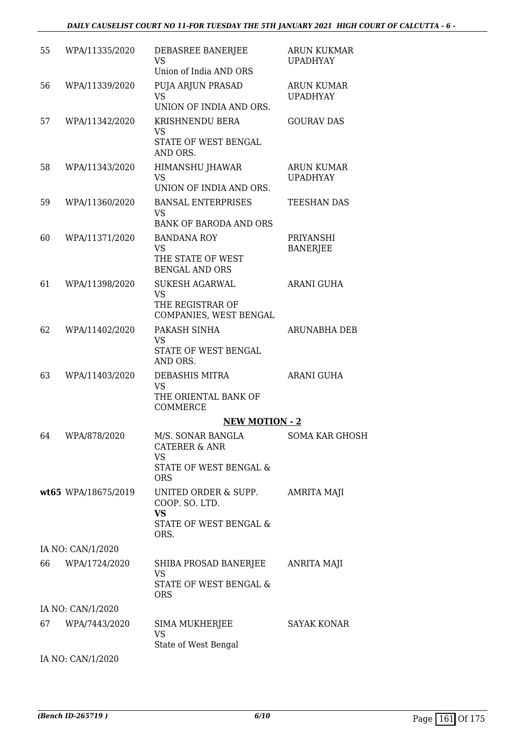| 55 | WPA/11335/2020      | DEBASREE BANERJEE<br><b>VS</b><br>Union of India AND ORS                                            | <b>ARUN KUKMAR</b><br><b>UPADHYAY</b> |
|----|---------------------|-----------------------------------------------------------------------------------------------------|---------------------------------------|
| 56 | WPA/11339/2020      | PUJA ARJUN PRASAD<br><b>VS</b><br>UNION OF INDIA AND ORS.                                           | <b>ARUN KUMAR</b><br><b>UPADHYAY</b>  |
| 57 | WPA/11342/2020      | KRISHNENDU BERA<br>VS<br>STATE OF WEST BENGAL<br>AND ORS.                                           | <b>GOURAV DAS</b>                     |
| 58 | WPA/11343/2020      | <b>HIMANSHU JHAWAR</b><br><b>VS</b><br>UNION OF INDIA AND ORS.                                      | <b>ARUN KUMAR</b><br><b>UPADHYAY</b>  |
| 59 | WPA/11360/2020      | <b>BANSAL ENTERPRISES</b><br><b>VS</b><br><b>BANK OF BARODA AND ORS</b>                             | <b>TEESHAN DAS</b>                    |
| 60 | WPA/11371/2020      | <b>BANDANA ROY</b><br><b>VS</b><br>THE STATE OF WEST<br><b>BENGAL AND ORS</b>                       | PRIYANSHI<br><b>BANERJEE</b>          |
| 61 | WPA/11398/2020      | <b>SUKESH AGARWAL</b><br><b>VS</b><br>THE REGISTRAR OF<br>COMPANIES, WEST BENGAL                    | <b>ARANI GUHA</b>                     |
| 62 | WPA/11402/2020      | PAKASH SINHA<br><b>VS</b><br>STATE OF WEST BENGAL<br>AND ORS.                                       | ARUNABHA DEB                          |
| 63 | WPA/11403/2020      | DEBASHIS MITRA<br><b>VS</b><br>THE ORIENTAL BANK OF<br><b>COMMERCE</b>                              | <b>ARANI GUHA</b>                     |
|    |                     | <b>NEW MOTION - 2</b>                                                                               |                                       |
|    | 64 WPA/878/2020     | M/S. SONAR BANGLA<br><b>CATERER &amp; ANR</b><br>VS<br>STATE OF WEST BENGAL &                       | SOMA KAR GHOSH                        |
|    | wt65 WPA/18675/2019 | <b>ORS</b><br>UNITED ORDER & SUPP.<br>COOP. SO. LTD.<br><b>VS</b><br>STATE OF WEST BENGAL &<br>ORS. | AMRITA MAJI                           |
|    | IA NO: CAN/1/2020   |                                                                                                     |                                       |
| 66 | WPA/1724/2020       | SHIBA PROSAD BANERJEE<br><b>VS</b><br>STATE OF WEST BENGAL &<br><b>ORS</b>                          | <b>ANRITA MAJI</b>                    |
|    | IA NO: CAN/1/2020   |                                                                                                     |                                       |
| 67 | WPA/7443/2020       | SIMA MUKHERJEE<br><b>VS</b><br>State of West Bengal                                                 | <b>SAYAK KONAR</b>                    |
|    | IA NO: CAN/1/2020   |                                                                                                     |                                       |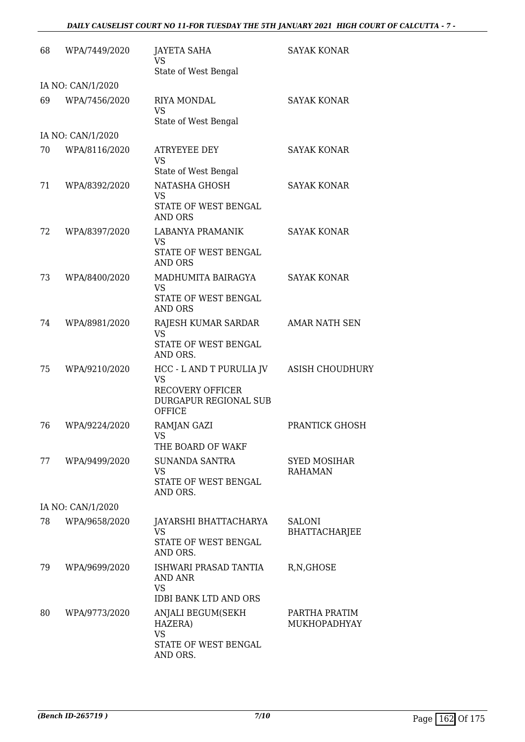#### *DAILY CAUSELIST COURT NO 11-FOR TUESDAY THE 5TH JANUARY 2021 HIGH COURT OF CALCUTTA - 7 -*

| 68 | WPA/7449/2020     | <b>JAYETA SAHA</b><br><b>VS</b><br>State of West Bengal                                                    | <b>SAYAK KONAR</b>                    |
|----|-------------------|------------------------------------------------------------------------------------------------------------|---------------------------------------|
|    | IA NO: CAN/1/2020 |                                                                                                            |                                       |
| 69 | WPA/7456/2020     | RIYA MONDAL<br><b>VS</b><br>State of West Bengal                                                           | <b>SAYAK KONAR</b>                    |
|    | IA NO: CAN/1/2020 |                                                                                                            |                                       |
| 70 | WPA/8116/2020     | <b>ATRYEYEE DEY</b><br><b>VS</b><br>State of West Bengal                                                   | <b>SAYAK KONAR</b>                    |
| 71 | WPA/8392/2020     | NATASHA GHOSH<br>VS<br>STATE OF WEST BENGAL<br><b>AND ORS</b>                                              | <b>SAYAK KONAR</b>                    |
| 72 | WPA/8397/2020     | LABANYA PRAMANIK<br><b>VS</b><br>STATE OF WEST BENGAL<br><b>AND ORS</b>                                    | <b>SAYAK KONAR</b>                    |
| 73 | WPA/8400/2020     | MADHUMITA BAIRAGYA<br><b>VS</b><br>STATE OF WEST BENGAL<br><b>AND ORS</b>                                  | <b>SAYAK KONAR</b>                    |
| 74 | WPA/8981/2020     | RAJESH KUMAR SARDAR<br><b>VS</b><br>STATE OF WEST BENGAL<br>AND ORS.                                       | <b>AMAR NATH SEN</b>                  |
| 75 | WPA/9210/2020     | HCC - L AND T PURULIA JV<br><b>VS</b><br><b>RECOVERY OFFICER</b><br>DURGAPUR REGIONAL SUB<br><b>OFFICE</b> | <b>ASISH CHOUDHURY</b>                |
| 76 | WPA/9224/2020     | RAMJAN GAZI<br>VS FOR STRUMP.<br>THE BOARD OF WAKF                                                         | PRANTICK GHOSH                        |
| 77 | WPA/9499/2020     | SUNANDA SANTRA<br><b>VS</b><br>STATE OF WEST BENGAL<br>AND ORS.                                            | <b>SYED MOSIHAR</b><br><b>RAHAMAN</b> |
|    | IA NO: CAN/1/2020 |                                                                                                            |                                       |
| 78 | WPA/9658/2020     | JAYARSHI BHATTACHARYA<br>VS<br>STATE OF WEST BENGAL<br>AND ORS.                                            | <b>SALONI</b><br><b>BHATTACHARJEE</b> |
| 79 | WPA/9699/2020     | ISHWARI PRASAD TANTIA<br>AND ANR<br><b>VS</b><br><b>IDBI BANK LTD AND ORS</b>                              | R, N, GHOSE                           |
| 80 | WPA/9773/2020     | ANJALI BEGUM(SEKH<br>HAZERA)<br><b>VS</b><br>STATE OF WEST BENGAL<br>AND ORS.                              | PARTHA PRATIM<br>MUKHOPADHYAY         |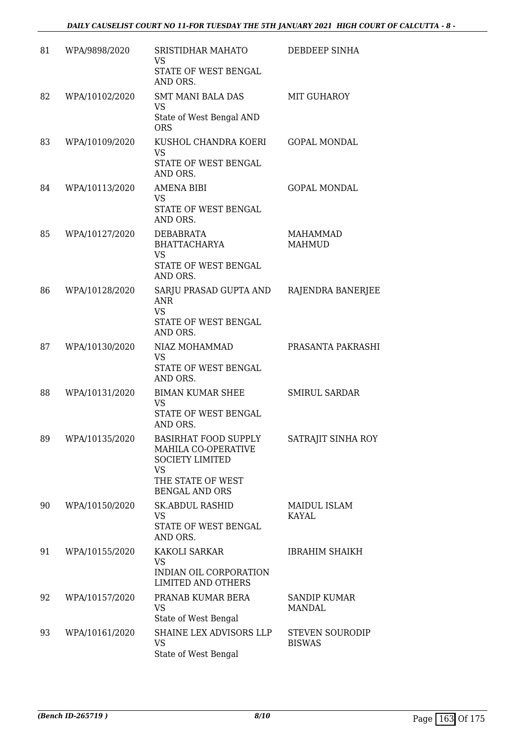| 81 | WPA/9898/2020  | SRISTIDHAR MAHATO<br><b>VS</b><br>STATE OF WEST BENGAL<br>AND ORS.                                                                           | DEBDEEP SINHA                           |
|----|----------------|----------------------------------------------------------------------------------------------------------------------------------------------|-----------------------------------------|
| 82 | WPA/10102/2020 | <b>SMT MANI BALA DAS</b><br>VS<br>State of West Bengal AND<br><b>ORS</b>                                                                     | <b>MIT GUHAROY</b>                      |
| 83 | WPA/10109/2020 | KUSHOL CHANDRA KOERI<br><b>VS</b><br>STATE OF WEST BENGAL<br>AND ORS.                                                                        | <b>GOPAL MONDAL</b>                     |
| 84 | WPA/10113/2020 | <b>AMENA BIBI</b><br><b>VS</b><br>STATE OF WEST BENGAL<br>AND ORS.                                                                           | <b>GOPAL MONDAL</b>                     |
| 85 | WPA/10127/2020 | <b>DEBABRATA</b><br><b>BHATTACHARYA</b><br><b>VS</b><br>STATE OF WEST BENGAL<br>AND ORS.                                                     | MAHAMMAD<br><b>MAHMUD</b>               |
| 86 | WPA/10128/2020 | SARJU PRASAD GUPTA AND<br><b>ANR</b><br><b>VS</b><br>STATE OF WEST BENGAL<br>AND ORS.                                                        | RAJENDRA BANERJEE                       |
| 87 | WPA/10130/2020 | NIAZ MOHAMMAD<br><b>VS</b><br>STATE OF WEST BENGAL<br>AND ORS.                                                                               | PRASANTA PAKRASHI                       |
| 88 | WPA/10131/2020 | <b>BIMAN KUMAR SHEE</b><br><b>VS</b><br>STATE OF WEST BENGAL<br>AND ORS.                                                                     | <b>SMIRUL SARDAR</b>                    |
| 89 | WPA/10135/2020 | BASIRHAT FOOD SUPPLY SATRAJIT SINHA ROY<br>MAHILA CO-OPERATIVE<br><b>SOCIETY LIMITED</b><br>VS<br>THE STATE OF WEST<br><b>BENGAL AND ORS</b> |                                         |
| 90 | WPA/10150/2020 | <b>SK.ABDUL RASHID</b><br><b>VS</b><br>STATE OF WEST BENGAL<br>AND ORS.                                                                      | MAIDUL ISLAM<br><b>KAYAL</b>            |
| 91 | WPA/10155/2020 | KAKOLI SARKAR<br><b>VS</b><br>INDIAN OIL CORPORATION<br><b>LIMITED AND OTHERS</b>                                                            | <b>IBRAHIM SHAIKH</b>                   |
| 92 | WPA/10157/2020 | PRANAB KUMAR BERA<br><b>VS</b><br>State of West Bengal                                                                                       | <b>SANDIP KUMAR</b><br>MANDAL           |
| 93 | WPA/10161/2020 | SHAINE LEX ADVISORS LLP<br><b>VS</b><br>State of West Bengal                                                                                 | <b>STEVEN SOURODIP</b><br><b>BISWAS</b> |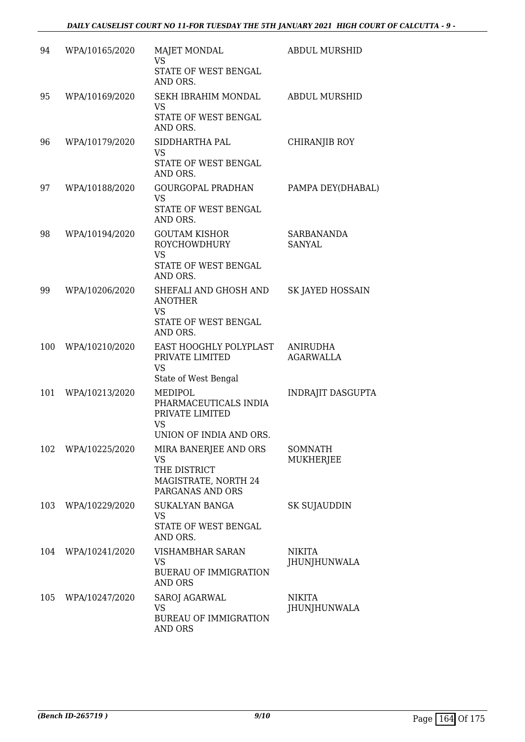| 94  | WPA/10165/2020 | <b>MAJET MONDAL</b><br><b>VS</b><br>STATE OF WEST BENGAL<br>AND ORS.                         | <b>ABDUL MURSHID</b>                |
|-----|----------------|----------------------------------------------------------------------------------------------|-------------------------------------|
| 95  | WPA/10169/2020 | SEKH IBRAHIM MONDAL<br><b>VS</b><br>STATE OF WEST BENGAL<br>AND ORS.                         | ABDUL MURSHID                       |
| 96  | WPA/10179/2020 | SIDDHARTHA PAL<br><b>VS</b><br>STATE OF WEST BENGAL<br>AND ORS.                              | <b>CHIRANJIB ROY</b>                |
| 97  | WPA/10188/2020 | <b>GOURGOPAL PRADHAN</b><br><b>VS</b><br>STATE OF WEST BENGAL<br>AND ORS.                    | PAMPA DEY(DHABAL)                   |
| 98  | WPA/10194/2020 | <b>GOUTAM KISHOR</b><br><b>ROYCHOWDHURY</b><br><b>VS</b><br>STATE OF WEST BENGAL<br>AND ORS. | SARBANANDA<br><b>SANYAL</b>         |
| 99  | WPA/10206/2020 | SHEFALI AND GHOSH AND<br><b>ANOTHER</b><br><b>VS</b><br>STATE OF WEST BENGAL<br>AND ORS.     | SK JAYED HOSSAIN                    |
| 100 | WPA/10210/2020 | EAST HOOGHLY POLYPLAST<br>PRIVATE LIMITED<br><b>VS</b><br>State of West Bengal               | <b>ANIRUDHA</b><br><b>AGARWALLA</b> |
| 101 | WPA/10213/2020 | MEDIPOL<br>PHARMACEUTICALS INDIA<br>PRIVATE LIMITED<br><b>VS</b><br>UNION OF INDIA AND ORS.  | INDRAJIT DASGUPTA                   |
| 102 | WPA/10225/2020 | MIRA BANERJEE AND ORS<br>VS<br>THE DISTRICT<br>MAGISTRATE, NORTH 24<br>PARGANAS AND ORS      | SOMNATH<br>MUKHERJEE                |
| 103 | WPA/10229/2020 | <b>SUKALYAN BANGA</b><br><b>VS</b><br>STATE OF WEST BENGAL<br>AND ORS.                       | <b>SK SUJAUDDIN</b>                 |
| 104 | WPA/10241/2020 | VISHAMBHAR SARAN<br>VS<br><b>BUERAU OF IMMIGRATION</b><br><b>AND ORS</b>                     | <b>NIKITA</b><br>JHUNJHUNWALA       |
| 105 | WPA/10247/2020 | SAROJ AGARWAL<br><b>VS</b><br><b>BUREAU OF IMMIGRATION</b><br>AND ORS                        | <b>NIKITA</b><br>JHUNJHUNWALA       |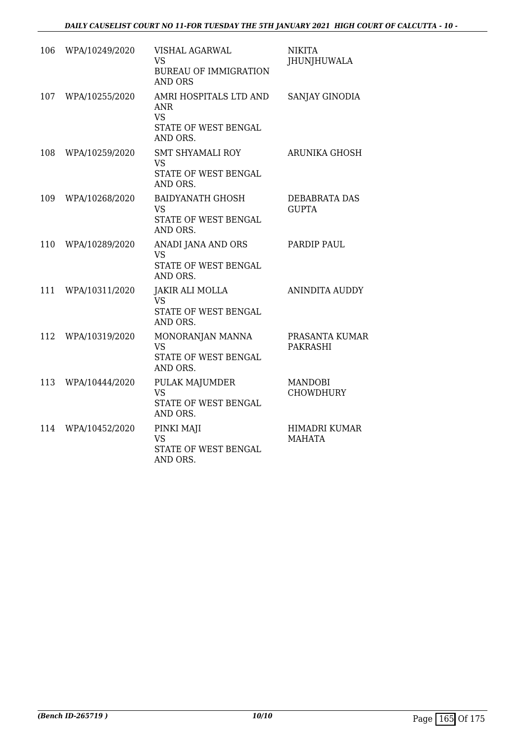| 106 | WPA/10249/2020 | VISHAL AGARWAL<br><b>VS</b><br><b>BUREAU OF IMMIGRATION</b><br><b>AND ORS</b>  | <b>NIKITA</b><br><b>JHUNJHUWALA</b> |
|-----|----------------|--------------------------------------------------------------------------------|-------------------------------------|
| 107 | WPA/10255/2020 | AMRI HOSPITALS LTD AND<br>ANR<br><b>VS</b><br>STATE OF WEST BENGAL<br>AND ORS. | SANJAY GINODIA                      |
| 108 | WPA/10259/2020 | <b>SMT SHYAMALI ROY</b><br>VS<br>STATE OF WEST BENGAL<br>AND ORS.              | <b>ARUNIKA GHOSH</b>                |
| 109 | WPA/10268/2020 | <b>BAIDYANATH GHOSH</b><br><b>VS</b><br>STATE OF WEST BENGAL<br>AND ORS.       | DEBABRATA DAS<br><b>GUPTA</b>       |
| 110 | WPA/10289/2020 | ANADI JANA AND ORS<br><b>VS</b><br>STATE OF WEST BENGAL<br>AND ORS.            | PARDIP PAUL                         |
| 111 | WPA/10311/2020 | <b>JAKIR ALI MOLLA</b><br><b>VS</b><br>STATE OF WEST BENGAL<br>AND ORS.        | <b>ANINDITA AUDDY</b>               |
| 112 | WPA/10319/2020 | MONORANJAN MANNA<br><b>VS</b><br>STATE OF WEST BENGAL<br>AND ORS.              | PRASANTA KUMAR<br><b>PAKRASHI</b>   |
| 113 | WPA/10444/2020 | PULAK MAJUMDER<br><b>VS</b><br>STATE OF WEST BENGAL<br>AND ORS.                | <b>MANDOBI</b><br><b>CHOWDHURY</b>  |
| 114 | WPA/10452/2020 | PINKI MAJI<br><b>VS</b><br>STATE OF WEST BENGAL<br>AND ORS.                    | HIMADRI KUMAR<br><b>MAHATA</b>      |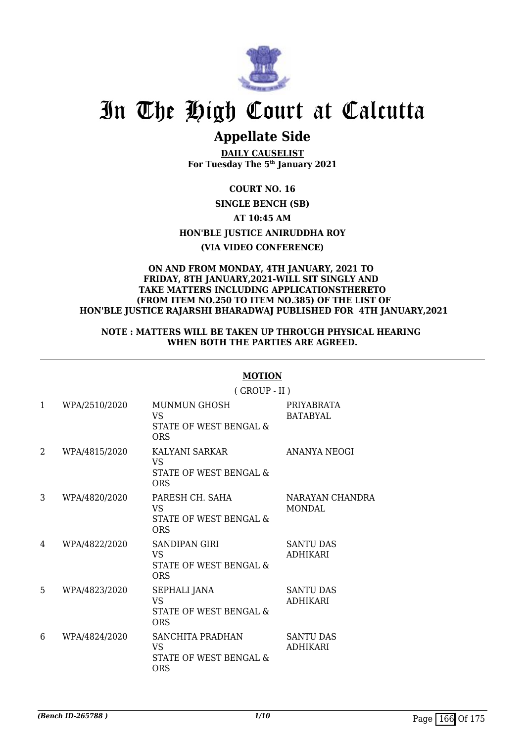

## **Appellate Side**

**DAILY CAUSELIST For Tuesday The 5th January 2021**

**COURT NO. 16 SINGLE BENCH (SB) AT 10:45 AM HON'BLE JUSTICE ANIRUDDHA ROY (VIA VIDEO CONFERENCE)**

#### **ON AND FROM MONDAY, 4TH JANUARY, 2021 TO FRIDAY, 8TH JANUARY,2021-WILL SIT SINGLY AND TAKE MATTERS INCLUDING APPLICATIONSTHERETO (FROM ITEM NO.250 TO ITEM NO.385) OF THE LIST OF HON'BLE JUSTICE RAJARSHI BHARADWAJ PUBLISHED FOR 4TH JANUARY,2021**

#### **NOTE : MATTERS WILL BE TAKEN UP THROUGH PHYSICAL HEARING WHEN BOTH THE PARTIES ARE AGREED.**

|              |               | $($ GROUP - II $)$                                                       |                                     |  |
|--------------|---------------|--------------------------------------------------------------------------|-------------------------------------|--|
| $\mathbf{1}$ | WPA/2510/2020 | <b>MUNMUN GHOSH</b><br><b>VS</b><br>STATE OF WEST BENGAL &<br><b>ORS</b> | PRIYABRATA<br><b>BATABYAL</b>       |  |
| 2            | WPA/4815/2020 | KALYANI SARKAR<br>VS<br>STATE OF WEST BENGAL &<br><b>ORS</b>             | <b>ANANYA NEOGI</b>                 |  |
| 3            | WPA/4820/2020 | PARESH CH. SAHA<br>VS.<br>STATE OF WEST BENGAL &<br><b>ORS</b>           | NARAYAN CHANDRA<br><b>MONDAL</b>    |  |
| 4            | WPA/4822/2020 | <b>SANDIPAN GIRI</b><br>VS.<br>STATE OF WEST BENGAL &<br><b>ORS</b>      | <b>SANTU DAS</b><br><b>ADHIKARI</b> |  |
| 5            | WPA/4823/2020 | SEPHALI JANA<br><b>VS</b><br>STATE OF WEST BENGAL &<br><b>ORS</b>        | <b>SANTU DAS</b><br><b>ADHIKARI</b> |  |
| 6            | WPA/4824/2020 | SANCHITA PRADHAN<br>VS.<br>STATE OF WEST BENGAL &<br><b>ORS</b>          | <b>SANTU DAS</b><br><b>ADHIKARI</b> |  |

#### **MOTION**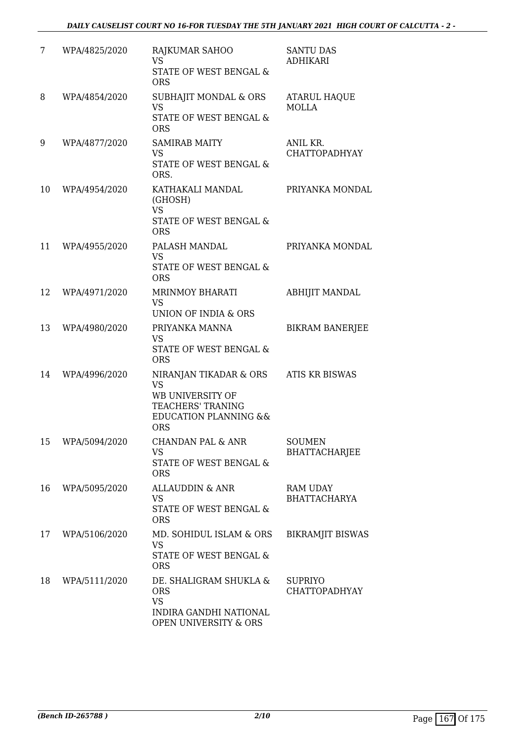| 7  | WPA/4825/2020 | RAJKUMAR SAHOO<br><b>VS</b><br>STATE OF WEST BENGAL &<br><b>ORS</b>                                                                | <b>SANTU DAS</b><br><b>ADHIKARI</b>    |
|----|---------------|------------------------------------------------------------------------------------------------------------------------------------|----------------------------------------|
| 8  | WPA/4854/2020 | SUBHAJIT MONDAL & ORS<br><b>VS</b><br>STATE OF WEST BENGAL &<br><b>ORS</b>                                                         | <b>ATARUL HAQUE</b><br><b>MOLLA</b>    |
| 9  | WPA/4877/2020 | <b>SAMIRAB MAITY</b><br><b>VS</b><br>STATE OF WEST BENGAL &<br>ORS.                                                                | ANIL KR.<br>CHATTOPADHYAY              |
| 10 | WPA/4954/2020 | KATHAKALI MANDAL<br>(GHOSH)<br><b>VS</b><br><b>STATE OF WEST BENGAL &amp;</b><br><b>ORS</b>                                        | PRIYANKA MONDAL                        |
| 11 | WPA/4955/2020 | PALASH MANDAL<br><b>VS</b><br>STATE OF WEST BENGAL &<br><b>ORS</b>                                                                 | PRIYANKA MONDAL                        |
| 12 | WPA/4971/2020 | <b>MRINMOY BHARATI</b><br><b>VS</b><br>UNION OF INDIA & ORS                                                                        | ABHIJIT MANDAL                         |
| 13 | WPA/4980/2020 | PRIYANKA MANNA<br><b>VS</b><br><b>STATE OF WEST BENGAL &amp;</b><br><b>ORS</b>                                                     | <b>BIKRAM BANERJEE</b>                 |
| 14 | WPA/4996/2020 | NIRANJAN TIKADAR & ORS<br><b>VS</b><br>WB UNIVERSITY OF<br>TEACHERS' TRANING<br><b>EDUCATION PLANNING &amp;&amp;</b><br><b>ORS</b> | ATIS KR BISWAS                         |
| 15 | WPA/5094/2020 | <b>CHANDAN PAL &amp; ANR</b><br><b>VS</b><br>STATE OF WEST BENGAL &<br><b>ORS</b>                                                  | <b>SOUMEN</b><br><b>BHATTACHARJEE</b>  |
| 16 | WPA/5095/2020 | ALLAUDDIN & ANR<br>VS<br>STATE OF WEST BENGAL &<br><b>ORS</b>                                                                      | RAM UDAY<br><b>BHATTACHARYA</b>        |
| 17 | WPA/5106/2020 | MD. SOHIDUL ISLAM & ORS<br><b>VS</b><br>STATE OF WEST BENGAL &<br><b>ORS</b>                                                       | <b>BIKRAMJIT BISWAS</b>                |
| 18 | WPA/5111/2020 | DE. SHALIGRAM SHUKLA &<br><b>ORS</b><br><b>VS</b><br>INDIRA GANDHI NATIONAL<br><b>OPEN UNIVERSITY &amp; ORS</b>                    | <b>SUPRIYO</b><br><b>CHATTOPADHYAY</b> |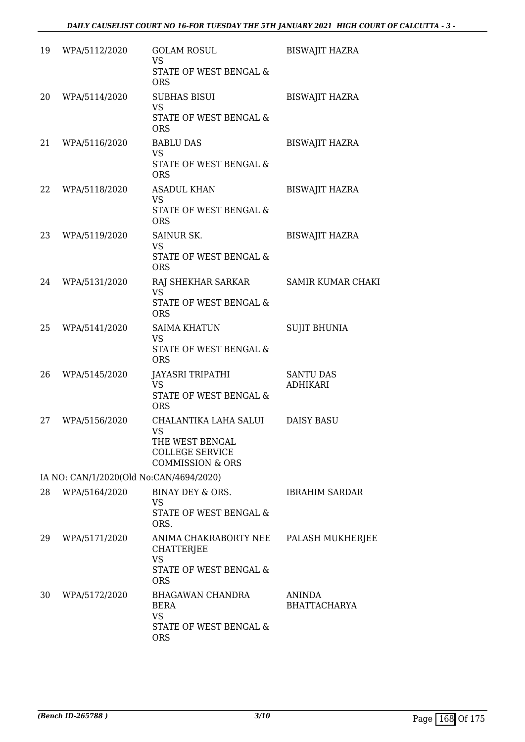| 19 | WPA/5112/2020                           | <b>GOLAM ROSUL</b><br><b>VS</b><br>STATE OF WEST BENGAL &<br><b>ORS</b>                                        | <b>BISWAJIT HAZRA</b>               |
|----|-----------------------------------------|----------------------------------------------------------------------------------------------------------------|-------------------------------------|
| 20 | WPA/5114/2020                           | <b>SUBHAS BISUI</b><br><b>VS</b><br>STATE OF WEST BENGAL &<br><b>ORS</b>                                       | <b>BISWAJIT HAZRA</b>               |
| 21 | WPA/5116/2020                           | <b>BABLU DAS</b><br><b>VS</b><br>STATE OF WEST BENGAL &<br><b>ORS</b>                                          | <b>BISWAJIT HAZRA</b>               |
| 22 | WPA/5118/2020                           | <b>ASADUL KHAN</b><br><b>VS</b><br>STATE OF WEST BENGAL &<br><b>ORS</b>                                        | <b>BISWAJIT HAZRA</b>               |
| 23 | WPA/5119/2020                           | SAINUR SK.<br><b>VS</b><br>STATE OF WEST BENGAL &<br><b>ORS</b>                                                | <b>BISWAJIT HAZRA</b>               |
| 24 | WPA/5131/2020                           | RAJ SHEKHAR SARKAR<br><b>VS</b><br>STATE OF WEST BENGAL &<br><b>ORS</b>                                        | <b>SAMIR KUMAR CHAKI</b>            |
| 25 | WPA/5141/2020                           | <b>SAIMA KHATUN</b><br><b>VS</b><br>STATE OF WEST BENGAL &<br><b>ORS</b>                                       | <b>SUJIT BHUNIA</b>                 |
| 26 | WPA/5145/2020                           | JAYASRI TRIPATHI<br><b>VS</b><br>STATE OF WEST BENGAL &<br><b>ORS</b>                                          | <b>SANTU DAS</b><br><b>ADHIKARI</b> |
| 27 | WPA/5156/2020                           | CHALANTIKA LAHA SALUI<br><b>VS</b><br>THE WEST BENGAL<br><b>COLLEGE SERVICE</b><br><b>COMMISSION &amp; ORS</b> | <b>DAISY BASU</b>                   |
|    | IA NO: CAN/1/2020(Old No:CAN/4694/2020) |                                                                                                                |                                     |
| 28 | WPA/5164/2020                           | BINAY DEY & ORS.<br><b>VS</b><br>STATE OF WEST BENGAL &<br>ORS.                                                | <b>IBRAHIM SARDAR</b>               |
| 29 | WPA/5171/2020                           | ANIMA CHAKRABORTY NEE<br>CHATTERJEE<br><b>VS</b><br>STATE OF WEST BENGAL &<br><b>ORS</b>                       | PALASH MUKHERJEE                    |
| 30 | WPA/5172/2020                           | BHAGAWAN CHANDRA<br><b>BERA</b><br><b>VS</b><br>STATE OF WEST BENGAL &<br><b>ORS</b>                           | ANINDA<br><b>BHATTACHARYA</b>       |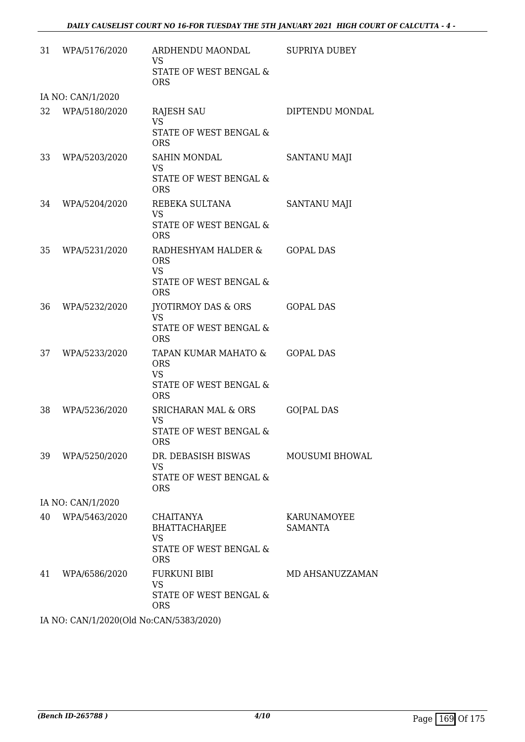| 31                | WPA/5176/2020                           | ARDHENDU MAONDAL<br><b>VS</b><br>STATE OF WEST BENGAL &<br><b>ORS</b>                   | SUPRIYA DUBEY                 |  |  |
|-------------------|-----------------------------------------|-----------------------------------------------------------------------------------------|-------------------------------|--|--|
|                   | IA NO: CAN/1/2020                       |                                                                                         |                               |  |  |
| 32                | WPA/5180/2020                           | RAJESH SAU<br><b>VS</b><br>STATE OF WEST BENGAL &<br><b>ORS</b>                         | DIPTENDU MONDAL               |  |  |
| 33                | WPA/5203/2020                           | <b>SAHIN MONDAL</b><br><b>VS</b><br>STATE OF WEST BENGAL &<br><b>ORS</b>                | <b>SANTANU MAJI</b>           |  |  |
| 34                | WPA/5204/2020                           | REBEKA SULTANA<br><b>VS</b><br>STATE OF WEST BENGAL &<br><b>ORS</b>                     | <b>SANTANU MAJI</b>           |  |  |
| 35                | WPA/5231/2020                           | RADHESHYAM HALDER &<br><b>ORS</b><br><b>VS</b><br>STATE OF WEST BENGAL &<br><b>ORS</b>  | <b>GOPAL DAS</b>              |  |  |
| 36                | WPA/5232/2020                           | JYOTIRMOY DAS & ORS<br><b>VS</b><br>STATE OF WEST BENGAL &<br><b>ORS</b>                | <b>GOPAL DAS</b>              |  |  |
| 37                | WPA/5233/2020                           | TAPAN KUMAR MAHATO &<br><b>ORS</b><br><b>VS</b><br>STATE OF WEST BENGAL &<br><b>ORS</b> | <b>GOPAL DAS</b>              |  |  |
| 38                | WPA/5236/2020                           | <b>SRICHARAN MAL &amp; ORS</b><br><b>VS</b><br>STATE OF WEST BENGAL &<br><b>ORS</b>     | <b>GO[PAL DAS</b>             |  |  |
| 39                | WPA/5250/2020                           | DR. DEBASISH BISWAS<br><b>VS</b><br>STATE OF WEST BENGAL &<br><b>ORS</b>                | <b>MOUSUMI BHOWAL</b>         |  |  |
| IA NO: CAN/1/2020 |                                         |                                                                                         |                               |  |  |
| 40                | WPA/5463/2020                           | CHAITANYA<br><b>BHATTACHARJEE</b><br><b>VS</b><br>STATE OF WEST BENGAL &<br><b>ORS</b>  | KARUNAMOYEE<br><b>SAMANTA</b> |  |  |
| 41                | WPA/6586/2020                           | <b>FURKUNI BIBI</b><br><b>VS</b><br>STATE OF WEST BENGAL &<br><b>ORS</b>                | MD AHSANUZZAMAN               |  |  |
|                   | IA NO. CANII 12020(OL No.CANIE20212020) |                                                                                         |                               |  |  |

IA NO: CAN/1/2020(Old No:CAN/5383/2020)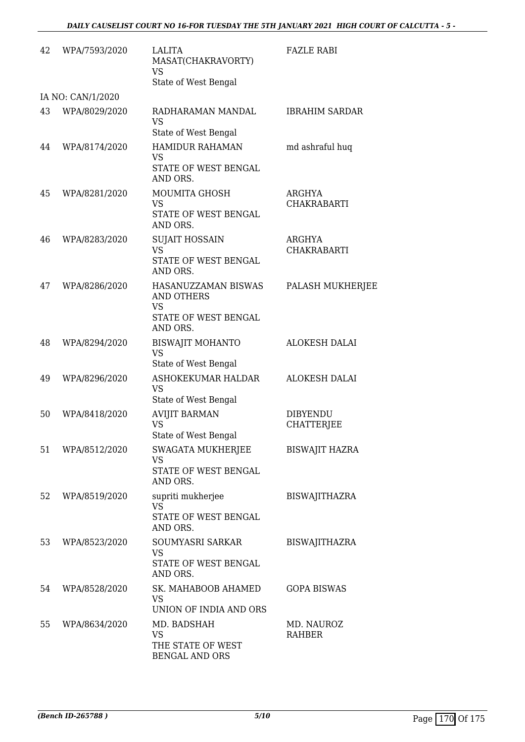| 42 | WPA/7593/2020     | LALITA<br>MASAT(CHAKRAVORTY)<br><b>VS</b><br>State of West Bengal                         | <b>FAZLE RABI</b>             |
|----|-------------------|-------------------------------------------------------------------------------------------|-------------------------------|
|    | IA NO: CAN/1/2020 |                                                                                           |                               |
| 43 | WPA/8029/2020     | RADHARAMAN MANDAL<br><b>VS</b><br>State of West Bengal                                    | <b>IBRAHIM SARDAR</b>         |
| 44 | WPA/8174/2020     | <b>HAMIDUR RAHAMAN</b><br>VS<br>STATE OF WEST BENGAL                                      | md ashraful huq               |
| 45 | WPA/8281/2020     | AND ORS.<br>MOUMITA GHOSH<br><b>VS</b><br>STATE OF WEST BENGAL<br>AND ORS.                | ARGHYA<br><b>CHAKRABARTI</b>  |
| 46 | WPA/8283/2020     | <b>SUJAIT HOSSAIN</b><br><b>VS</b><br>STATE OF WEST BENGAL<br>AND ORS.                    | ARGHYA<br><b>CHAKRABARTI</b>  |
| 47 | WPA/8286/2020     | HASANUZZAMAN BISWAS<br><b>AND OTHERS</b><br><b>VS</b><br>STATE OF WEST BENGAL<br>AND ORS. | PALASH MUKHERJEE              |
| 48 | WPA/8294/2020     | <b>BISWAJIT MOHANTO</b><br><b>VS</b><br>State of West Bengal                              | <b>ALOKESH DALAI</b>          |
| 49 | WPA/8296/2020     | ASHOKEKUMAR HALDAR<br><b>VS</b><br>State of West Bengal                                   | <b>ALOKESH DALAI</b>          |
| 50 | WPA/8418/2020     | <b>AVIJIT BARMAN</b><br><b>VS</b><br>State of West Bengal                                 | <b>DIBYENDU</b><br>CHATTERJEE |
| 51 | WPA/8512/2020     | SWAGATA MUKHERJEE<br><b>VS</b><br>STATE OF WEST BENGAL<br>AND ORS.                        | <b>BISWAJIT HAZRA</b>         |
| 52 | WPA/8519/2020     | supriti mukherjee<br><b>VS</b><br>STATE OF WEST BENGAL<br>AND ORS.                        | <b>BISWAJITHAZRA</b>          |
| 53 | WPA/8523/2020     | SOUMYASRI SARKAR<br><b>VS</b><br>STATE OF WEST BENGAL<br>AND ORS.                         | <b>BISWAJITHAZRA</b>          |
| 54 | WPA/8528/2020     | SK. MAHABOOB AHAMED<br><b>VS</b><br>UNION OF INDIA AND ORS                                | <b>GOPA BISWAS</b>            |
| 55 | WPA/8634/2020     | MD. BADSHAH<br><b>VS</b><br>THE STATE OF WEST<br>BENGAL AND ORS                           | MD. NAUROZ<br><b>RAHBER</b>   |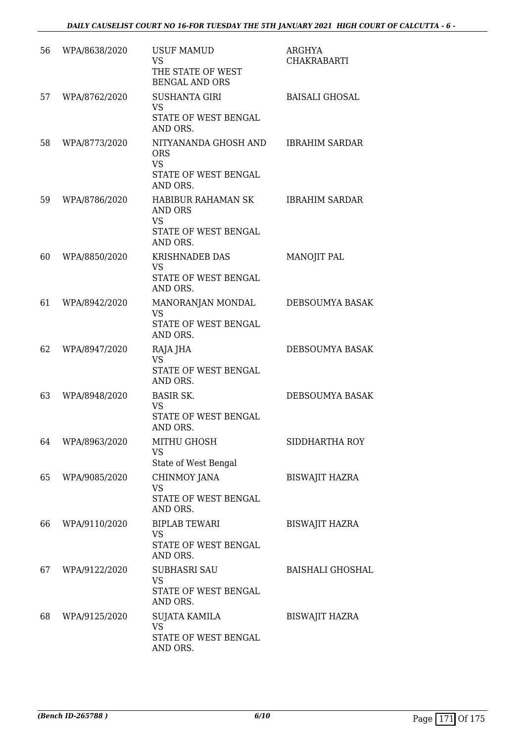| 56 | WPA/8638/2020 | <b>USUF MAMUD</b><br><b>VS</b><br>THE STATE OF WEST<br><b>BENGAL AND ORS</b>                      | ARGHYA<br><b>CHAKRABARTI</b> |
|----|---------------|---------------------------------------------------------------------------------------------------|------------------------------|
| 57 | WPA/8762/2020 | <b>SUSHANTA GIRI</b><br><b>VS</b><br>STATE OF WEST BENGAL<br>AND ORS.                             | <b>BAISALI GHOSAL</b>        |
| 58 | WPA/8773/2020 | NITYANANDA GHOSH AND<br><b>ORS</b><br><b>VS</b><br>STATE OF WEST BENGAL                           | <b>IBRAHIM SARDAR</b>        |
| 59 | WPA/8786/2020 | AND ORS.<br>HABIBUR RAHAMAN SK<br>AND ORS<br><b>VS</b><br><b>STATE OF WEST BENGAL</b><br>AND ORS. | <b>IBRAHIM SARDAR</b>        |
| 60 | WPA/8850/2020 | <b>KRISHNADEB DAS</b><br><b>VS</b><br>STATE OF WEST BENGAL<br>AND ORS.                            | MANOJIT PAL                  |
| 61 | WPA/8942/2020 | MANORANJAN MONDAL<br><b>VS</b><br>STATE OF WEST BENGAL<br>AND ORS.                                | DEBSOUMYA BASAK              |
| 62 | WPA/8947/2020 | RAJA JHA<br><b>VS</b><br>STATE OF WEST BENGAL<br>AND ORS.                                         | DEBSOUMYA BASAK              |
| 63 | WPA/8948/2020 | <b>BASIR SK.</b><br><b>VS</b><br>STATE OF WEST BENGAL<br>AND ORS.                                 | DEBSOUMYA BASAK              |
| 64 | WPA/8963/2020 | MITHU GHOSH<br><b>VS</b><br>State of West Bengal                                                  | SIDDHARTHA ROY               |
| 65 | WPA/9085/2020 | CHINMOY JANA<br><b>VS</b><br>STATE OF WEST BENGAL<br>AND ORS.                                     | <b>BISWAJIT HAZRA</b>        |
| 66 | WPA/9110/2020 | <b>BIPLAB TEWARI</b><br><b>VS</b><br>STATE OF WEST BENGAL<br>AND ORS.                             | <b>BISWAJIT HAZRA</b>        |
| 67 | WPA/9122/2020 | <b>SUBHASRI SAU</b><br><b>VS</b><br>STATE OF WEST BENGAL<br>AND ORS.                              | <b>BAISHALI GHOSHAL</b>      |
| 68 | WPA/9125/2020 | <b>SUJATA KAMILA</b><br><b>VS</b><br>STATE OF WEST BENGAL<br>AND ORS.                             | <b>BISWAJIT HAZRA</b>        |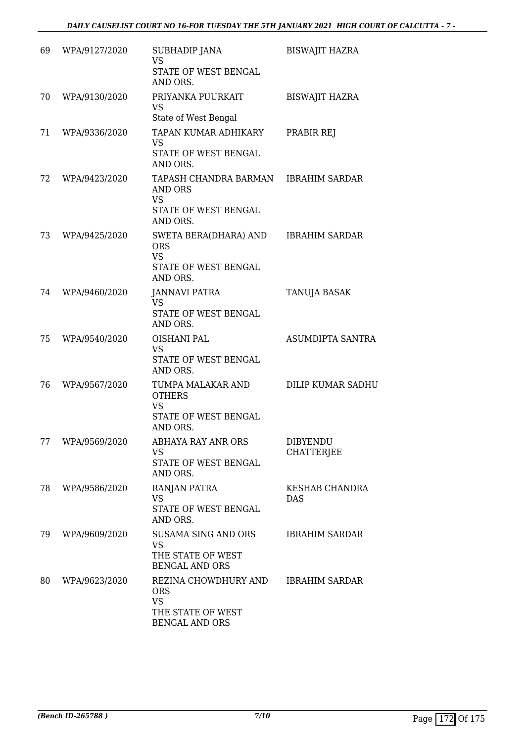| 69 | WPA/9127/2020 | SUBHADIP JANA<br><b>VS</b><br>STATE OF WEST BENGAL<br>AND ORS.                                | <b>BISWAJIT HAZRA</b>         |
|----|---------------|-----------------------------------------------------------------------------------------------|-------------------------------|
| 70 | WPA/9130/2020 | PRIYANKA PUURKAIT<br><b>VS</b><br>State of West Bengal                                        | <b>BISWAJIT HAZRA</b>         |
| 71 | WPA/9336/2020 | TAPAN KUMAR ADHIKARY<br><b>VS</b><br>STATE OF WEST BENGAL<br>AND ORS.                         | PRABIR REJ                    |
| 72 | WPA/9423/2020 | TAPASH CHANDRA BARMAN<br>AND ORS<br><b>VS</b><br>STATE OF WEST BENGAL<br>AND ORS.             | <b>IBRAHIM SARDAR</b>         |
| 73 | WPA/9425/2020 | SWETA BERA(DHARA) AND<br><b>ORS</b><br><b>VS</b><br>STATE OF WEST BENGAL<br>AND ORS.          | <b>IBRAHIM SARDAR</b>         |
| 74 | WPA/9460/2020 | <b>JANNAVI PATRA</b><br>VS<br>STATE OF WEST BENGAL<br>AND ORS.                                | <b>TANUJA BASAK</b>           |
| 75 | WPA/9540/2020 | OISHANI PAL<br><b>VS</b><br>STATE OF WEST BENGAL<br>AND ORS.                                  | <b>ASUMDIPTA SANTRA</b>       |
| 76 | WPA/9567/2020 | TUMPA MALAKAR AND<br><b>OTHERS</b><br><b>VS</b><br>STATE OF WEST BENGAL<br>AND ORS.           | <b>DILIP KUMAR SADHU</b>      |
| 77 | WPA/9569/2020 | <b>ABHAYA RAY ANR ORS</b><br><b>VS</b><br>STATE OF WEST BENGAL<br>AND ORS.                    | <b>DIBYENDU</b><br>CHATTERJEE |
| 78 | WPA/9586/2020 | RANJAN PATRA<br><b>VS</b><br>STATE OF WEST BENGAL<br>AND ORS.                                 | KESHAB CHANDRA<br>DAS         |
| 79 | WPA/9609/2020 | <b>SUSAMA SING AND ORS</b><br><b>VS</b><br>THE STATE OF WEST<br><b>BENGAL AND ORS</b>         | <b>IBRAHIM SARDAR</b>         |
| 80 | WPA/9623/2020 | REZINA CHOWDHURY AND<br><b>ORS</b><br><b>VS</b><br>THE STATE OF WEST<br><b>BENGAL AND ORS</b> | <b>IBRAHIM SARDAR</b>         |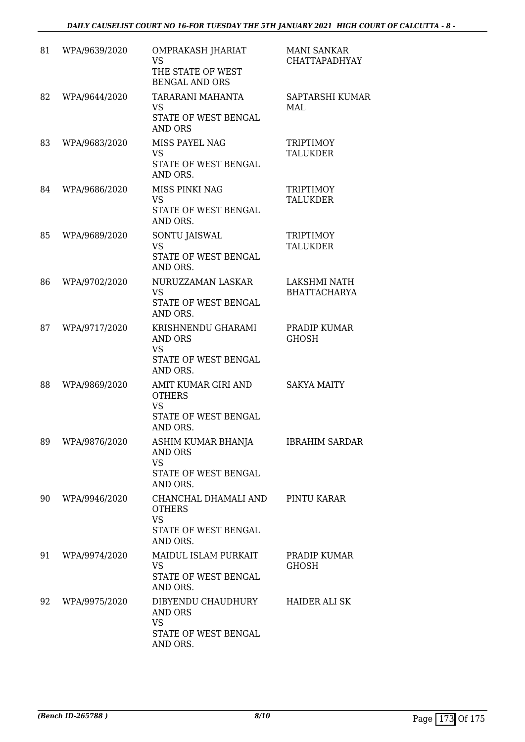| 81 | WPA/9639/2020 | OMPRAKASH JHARIAT<br><b>VS</b><br>THE STATE OF WEST<br><b>BENGAL AND ORS</b>           | <b>MANI SANKAR</b><br><b>CHATTAPADHYAY</b> |
|----|---------------|----------------------------------------------------------------------------------------|--------------------------------------------|
| 82 | WPA/9644/2020 | TARARANI MAHANTA<br><b>VS</b><br>STATE OF WEST BENGAL<br><b>AND ORS</b>                | SAPTARSHI KUMAR<br>MAL                     |
| 83 | WPA/9683/2020 | MISS PAYEL NAG<br><b>VS</b><br>STATE OF WEST BENGAL<br>AND ORS.                        | <b>TRIPTIMOY</b><br><b>TALUKDER</b>        |
| 84 | WPA/9686/2020 | MISS PINKI NAG<br><b>VS</b><br>STATE OF WEST BENGAL<br>AND ORS.                        | <b>TRIPTIMOY</b><br><b>TALUKDER</b>        |
| 85 | WPA/9689/2020 | SONTU JAISWAL<br><b>VS</b><br>STATE OF WEST BENGAL<br>AND ORS.                         | <b>TRIPTIMOY</b><br><b>TALUKDER</b>        |
| 86 | WPA/9702/2020 | NURUZZAMAN LASKAR<br><b>VS</b><br>STATE OF WEST BENGAL<br>AND ORS.                     | <b>LAKSHMI NATH</b><br><b>BHATTACHARYA</b> |
| 87 | WPA/9717/2020 | KRISHNENDU GHARAMI<br><b>AND ORS</b><br><b>VS</b><br>STATE OF WEST BENGAL<br>AND ORS.  | PRADIP KUMAR<br><b>GHOSH</b>               |
| 88 | WPA/9869/2020 | AMIT KUMAR GIRI AND<br><b>OTHERS</b><br><b>VS</b><br>STATE OF WEST BENGAL<br>AND ORS.  | <b>SAKYA MAITY</b>                         |
| 89 | WPA/9876/2020 | ASHIM KUMAR BHANJA<br><b>AND ORS</b><br><b>VS</b><br>STATE OF WEST BENGAL<br>AND ORS.  | <b>IBRAHIM SARDAR</b>                      |
| 90 | WPA/9946/2020 | CHANCHAL DHAMALI AND<br><b>OTHERS</b><br><b>VS</b><br>STATE OF WEST BENGAL<br>AND ORS. | PINTU KARAR                                |
| 91 | WPA/9974/2020 | MAIDUL ISLAM PURKAIT<br><b>VS</b><br>STATE OF WEST BENGAL<br>AND ORS.                  | PRADIP KUMAR<br><b>GHOSH</b>               |
| 92 | WPA/9975/2020 | DIBYENDU CHAUDHURY<br>AND ORS<br><b>VS</b><br>STATE OF WEST BENGAL<br>AND ORS.         | <b>HAIDER ALI SK</b>                       |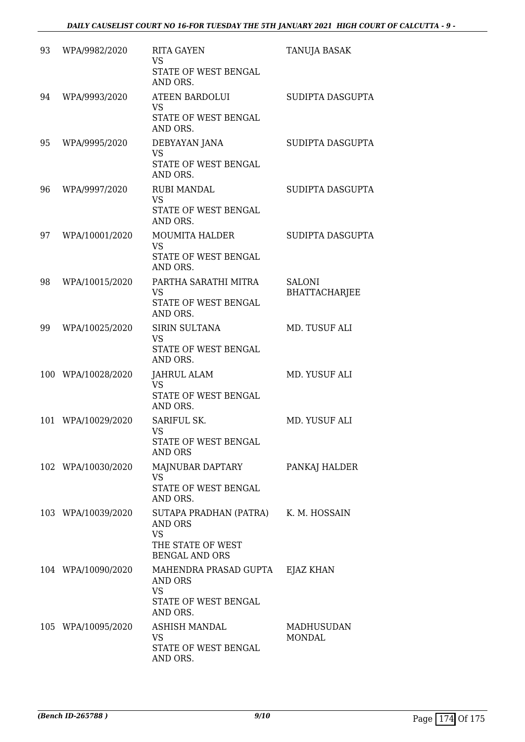| 93  | WPA/9982/2020      | <b>RITA GAYEN</b><br><b>VS</b><br>STATE OF WEST BENGAL<br>AND ORS.                                       | <b>TANUJA BASAK</b>            |
|-----|--------------------|----------------------------------------------------------------------------------------------------------|--------------------------------|
| 94  | WPA/9993/2020      | <b>ATEEN BARDOLUI</b><br><b>VS</b><br>STATE OF WEST BENGAL<br>AND ORS.                                   | SUDIPTA DASGUPTA               |
| 95  | WPA/9995/2020      | DEBYAYAN JANA<br><b>VS</b><br>STATE OF WEST BENGAL<br>AND ORS.                                           | SUDIPTA DASGUPTA               |
| 96  | WPA/9997/2020      | <b>RUBI MANDAL</b><br><b>VS</b><br>STATE OF WEST BENGAL<br>AND ORS.                                      | SUDIPTA DASGUPTA               |
| 97  | WPA/10001/2020     | <b>MOUMITA HALDER</b><br><b>VS</b><br><b>STATE OF WEST BENGAL</b><br>AND ORS.                            | SUDIPTA DASGUPTA               |
| 98  | WPA/10015/2020     | PARTHA SARATHI MITRA<br><b>VS</b><br>STATE OF WEST BENGAL<br>AND ORS.                                    | SALONI<br><b>BHATTACHARJEE</b> |
| 99  | WPA/10025/2020     | <b>SIRIN SULTANA</b><br><b>VS</b><br>STATE OF WEST BENGAL<br>AND ORS.                                    | MD. TUSUF ALI                  |
|     | 100 WPA/10028/2020 | <b>JAHRUL ALAM</b><br><b>VS</b><br>STATE OF WEST BENGAL<br>AND ORS.                                      | MD. YUSUF ALI                  |
| 101 | WPA/10029/2020     | SARIFUL SK.<br><b>VS</b><br>STATE OF WEST BENGAL<br>AND ORS                                              | MD. YUSUF ALI                  |
|     | 102 WPA/10030/2020 | MAJNUBAR DAPTARY<br><b>VS</b><br>STATE OF WEST BENGAL<br>AND ORS.                                        | PANKAJ HALDER                  |
|     | 103 WPA/10039/2020 | SUTAPA PRADHAN (PATRA) K. M. HOSSAIN<br>AND ORS<br><b>VS</b><br>THE STATE OF WEST                        |                                |
|     | 104 WPA/10090/2020 | <b>BENGAL AND ORS</b><br>MAHENDRA PRASAD GUPTA EJAZ KHAN<br>AND ORS<br><b>VS</b><br>STATE OF WEST BENGAL |                                |
|     | 105 WPA/10095/2020 | AND ORS.<br>ASHISH MANDAL<br>VS<br>STATE OF WEST BENGAL<br>AND ORS.                                      | MADHUSUDAN<br>MONDAL           |